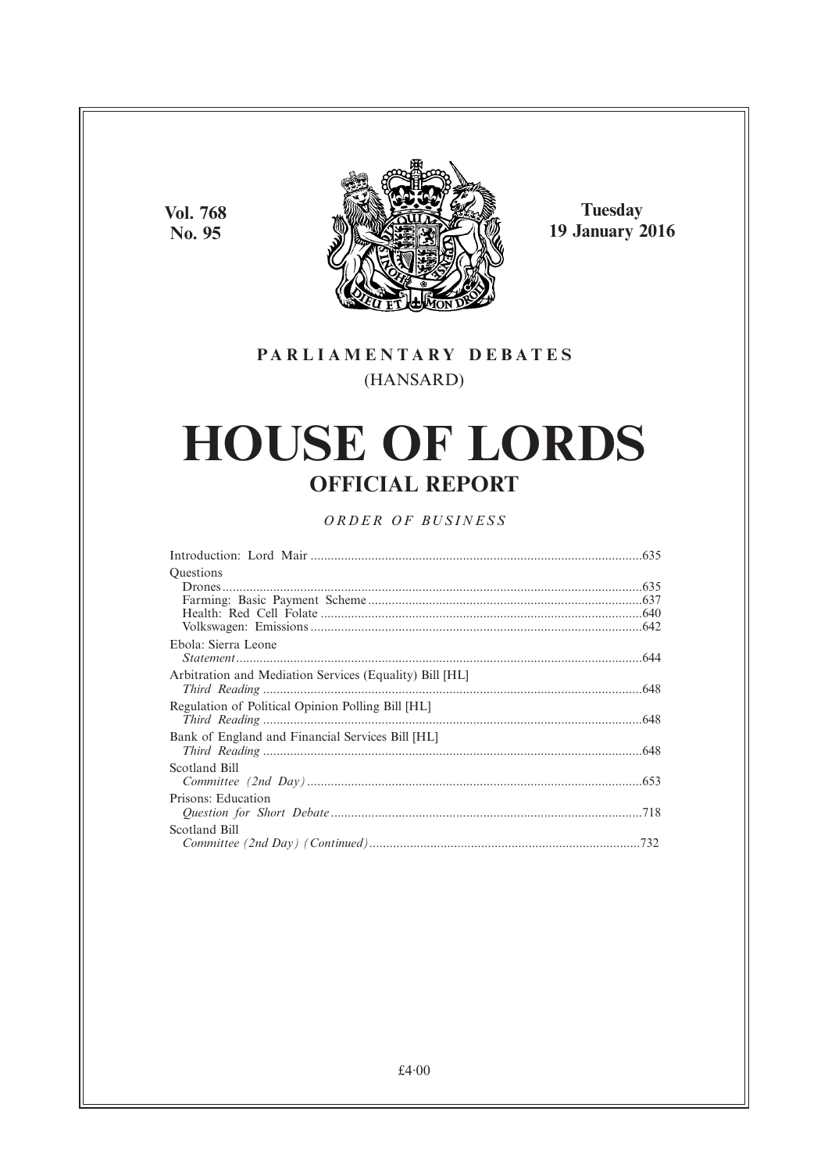**Vol. 768** No. 95



**Tuesday 19 January 2016** 

## PARLIAMENTARY DEBATES (HANSARD)

# **HOUSE OF LORDS OFFICIAL REPORT**

## ORDER OF BUSINESS

| <b>Ouestions</b>                                        |  |
|---------------------------------------------------------|--|
|                                                         |  |
|                                                         |  |
|                                                         |  |
|                                                         |  |
| Ebola: Sierra Leone                                     |  |
|                                                         |  |
| Arbitration and Mediation Services (Equality) Bill [HL] |  |
|                                                         |  |
| Regulation of Political Opinion Polling Bill [HL]       |  |
|                                                         |  |
| Bank of England and Financial Services Bill [HL]        |  |
|                                                         |  |
| Scotland Bill                                           |  |
|                                                         |  |
| Prisons: Education                                      |  |
|                                                         |  |
| Scotland Bill                                           |  |
|                                                         |  |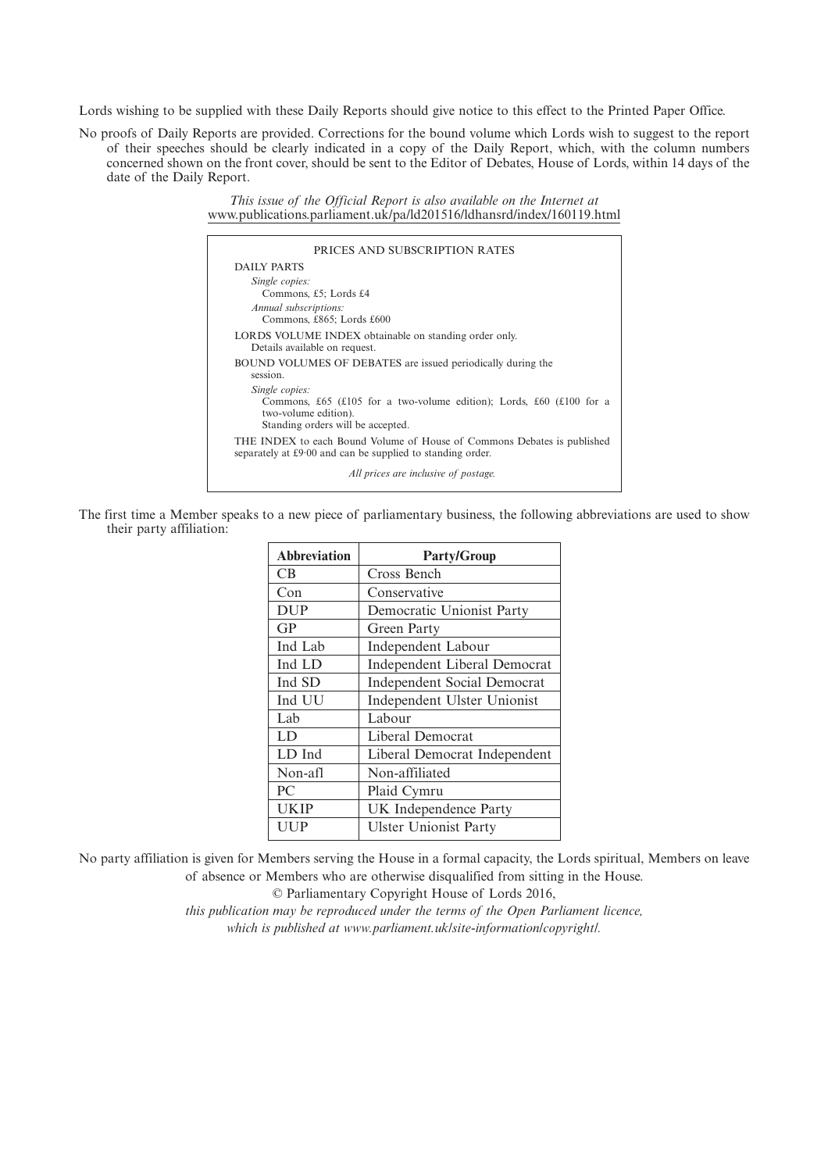Lords wishing to be supplied with these Daily Reports should give notice to this effect to the Printed Paper Office.

No proofs of Daily Reports are provided. Corrections for the bound volume which Lords wish to suggest to the report of their speeches should be clearly indicated in a copy of the Daily Report, which, with the column numbers concerned shown on the front cover, should be sent to the Editor of Debates, House of Lords, within 14 days of the date of the Daily Report.

> *This issue of the Official Report is also available on the Internet at* www.publications.parliament.uk/pa/ld201516/ldhansrd/index/160119.html

| PRICES AND SUBSCRIPTION RATES                                                                                                                       |
|-----------------------------------------------------------------------------------------------------------------------------------------------------|
| DAILY PARTS                                                                                                                                         |
| Single copies:<br>Commons, £5; Lords £4<br>Annual subscriptions:<br>Commons, £865; Lords £600                                                       |
| LORDS VOLUME INDEX obtainable on standing order only.<br>Details available on request.                                                              |
| <b>BOUND VOLUMES OF DEBATES</b> are issued periodically during the<br>session.                                                                      |
| Single copies:<br>Commons, £65 (£105 for a two-volume edition); Lords, £60 (£100 for a<br>two-volume edition).<br>Standing orders will be accepted. |
| THE INDEX to each Bound Volume of House of Commons Debates is published<br>separately at £9.00 and can be supplied to standing order.               |
| All prices are inclusive of postage.                                                                                                                |

The first time a Member speaks to a new piece of parliamentary business, the following abbreviations are used to show their party affiliation:

| <b>Abbreviation</b> | <b>Party/Group</b>                  |
|---------------------|-------------------------------------|
| CB                  | Cross Bench                         |
| Con                 | Conservative                        |
| <b>DUP</b>          | Democratic Unionist Party           |
| GP                  | Green Party                         |
| Ind Lab             | <b>Independent Labour</b>           |
| Ind LD              | <b>Independent Liberal Democrat</b> |
| Ind SD              | <b>Independent Social Democrat</b>  |
| Ind UU              | Independent Ulster Unionist         |
| Lab                 | Labour                              |
| LD                  | Liberal Democrat                    |
| LD Ind              | Liberal Democrat Independent        |
| Non-afl             | Non-affiliated                      |
| P <sub>C</sub>      | Plaid Cymru                         |
| <b>UKIP</b>         | UK Independence Party               |
| <b>UUP</b>          | <b>Ulster Unionist Party</b>        |

No party affiliation is given for Members serving the House in a formal capacity, the Lords spiritual, Members on leave of absence or Members who are otherwise disqualified from sitting in the House.

© Parliamentary Copyright House of Lords 2016,

*this publication may be reproduced under the terms of the Open Parliament licence, which is published at www.parliament.uk/site-information/copyright/.*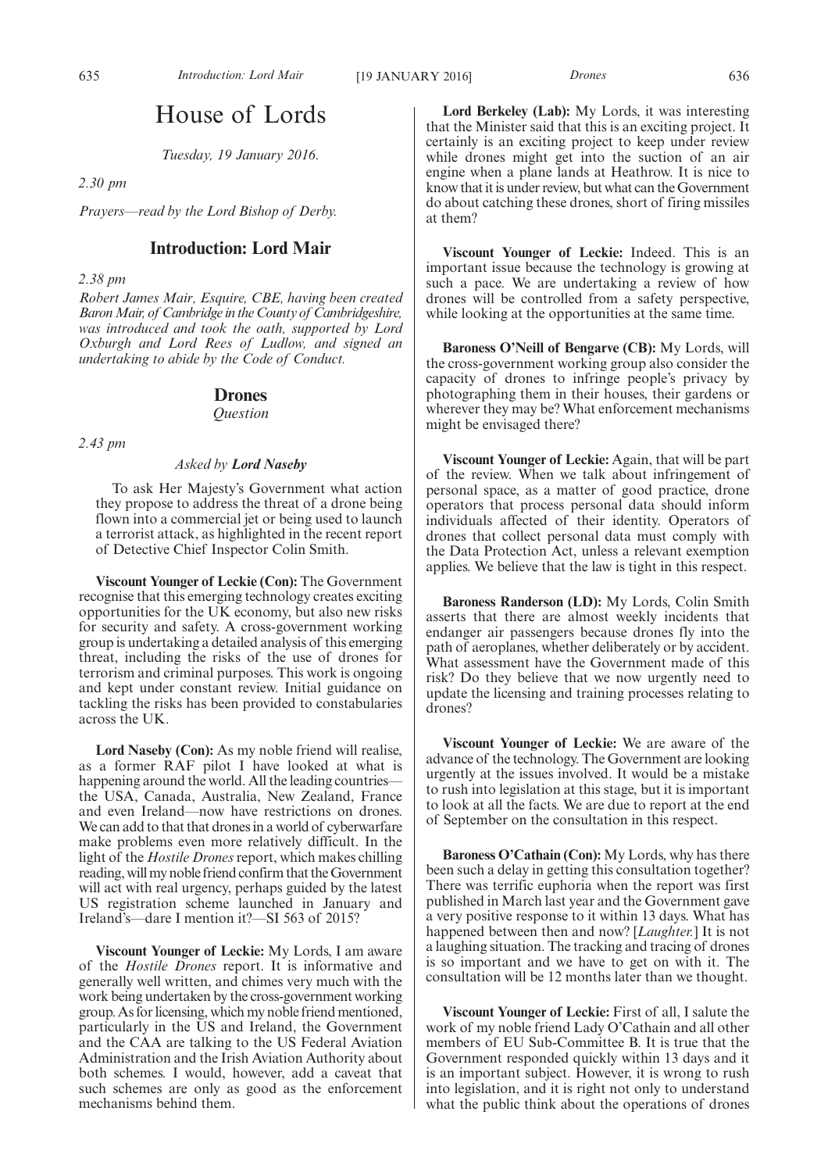## House of Lords

*Tuesday, 19 January 2016.*

*2.30 pm*

*Prayers—read by the Lord Bishop of Derby.*

## **Introduction: Lord Mair**

*2.38 pm*

*Robert James Mair, Esquire, CBE, having been created BaronMair, of Cambridgein the County of Cambridgeshire, was introduced and took the oath, supported by Lord Oxburgh and Lord Rees of Ludlow, and signed an undertaking to abide by the Code of Conduct.*

#### **Drones**

*Question*

*2.43 pm*

#### *Asked by Lord Naseby*

To ask Her Majesty's Government what action they propose to address the threat of a drone being flown into a commercial jet or being used to launch a terrorist attack, as highlighted in the recent report of Detective Chief Inspector Colin Smith.

**Viscount Younger of Leckie (Con):** The Government recognise that this emerging technology creates exciting opportunities for the UK economy, but also new risks for security and safety. A cross-government working group is undertaking a detailed analysis of this emerging threat, including the risks of the use of drones for terrorism and criminal purposes. This work is ongoing and kept under constant review. Initial guidance on tackling the risks has been provided to constabularies across the UK.

**Lord Naseby (Con):** As my noble friend will realise, as a former RAF pilot I have looked at what is happening around the world. All the leading countries the USA, Canada, Australia, New Zealand, France and even Ireland—now have restrictions on drones. We can add to that that drones in a world of cyberwarfare make problems even more relatively difficult. In the light of the *Hostile Drones*report, which makes chilling reading, will my noble friend confirm that the Government will act with real urgency, perhaps guided by the latest US registration scheme launched in January and Ireland's—dare I mention it?—SI 563 of 2015?

**Viscount Younger of Leckie:** My Lords, I am aware of the *Hostile Drones* report. It is informative and generally well written, and chimes very much with the work being undertaken by the cross-government working group. As for licensing, which my noble friend mentioned, particularly in the US and Ireland, the Government and the CAA are talking to the US Federal Aviation Administration and the Irish Aviation Authority about both schemes. I would, however, add a caveat that such schemes are only as good as the enforcement mechanisms behind them.

**Lord Berkeley (Lab):** My Lords, it was interesting that the Minister said that this is an exciting project. It certainly is an exciting project to keep under review while drones might get into the suction of an air engine when a plane lands at Heathrow. It is nice to know that it is under review, but what can the Government do about catching these drones, short of firing missiles at them?

**Viscount Younger of Leckie:** Indeed. This is an important issue because the technology is growing at such a pace. We are undertaking a review of how drones will be controlled from a safety perspective, while looking at the opportunities at the same time.

**Baroness O'Neill of Bengarve (CB):** My Lords, will the cross-government working group also consider the capacity of drones to infringe people's privacy by photographing them in their houses, their gardens or wherever they may be? What enforcement mechanisms might be envisaged there?

**Viscount Younger of Leckie:** Again, that will be part of the review. When we talk about infringement of personal space, as a matter of good practice, drone operators that process personal data should inform individuals affected of their identity. Operators of drones that collect personal data must comply with the Data Protection Act, unless a relevant exemption applies. We believe that the law is tight in this respect.

**Baroness Randerson (LD):** My Lords, Colin Smith asserts that there are almost weekly incidents that endanger air passengers because drones fly into the path of aeroplanes, whether deliberately or by accident. What assessment have the Government made of this risk? Do they believe that we now urgently need to update the licensing and training processes relating to drones?

**Viscount Younger of Leckie:** We are aware of the advance of the technology. The Government are looking urgently at the issues involved. It would be a mistake to rush into legislation at this stage, but it is important to look at all the facts. We are due to report at the end of September on the consultation in this respect.

**Baroness O'Cathain (Con):** My Lords, why has there been such a delay in getting this consultation together? There was terrific euphoria when the report was first published in March last year and the Government gave a very positive response to it within 13 days. What has happened between then and now? [*Laughter.*] It is not a laughing situation. The tracking and tracing of drones is so important and we have to get on with it. The consultation will be 12 months later than we thought.

**Viscount Younger of Leckie:** First of all, I salute the work of my noble friend Lady O'Cathain and all other members of EU Sub-Committee B. It is true that the Government responded quickly within 13 days and it is an important subject. However, it is wrong to rush into legislation, and it is right not only to understand what the public think about the operations of drones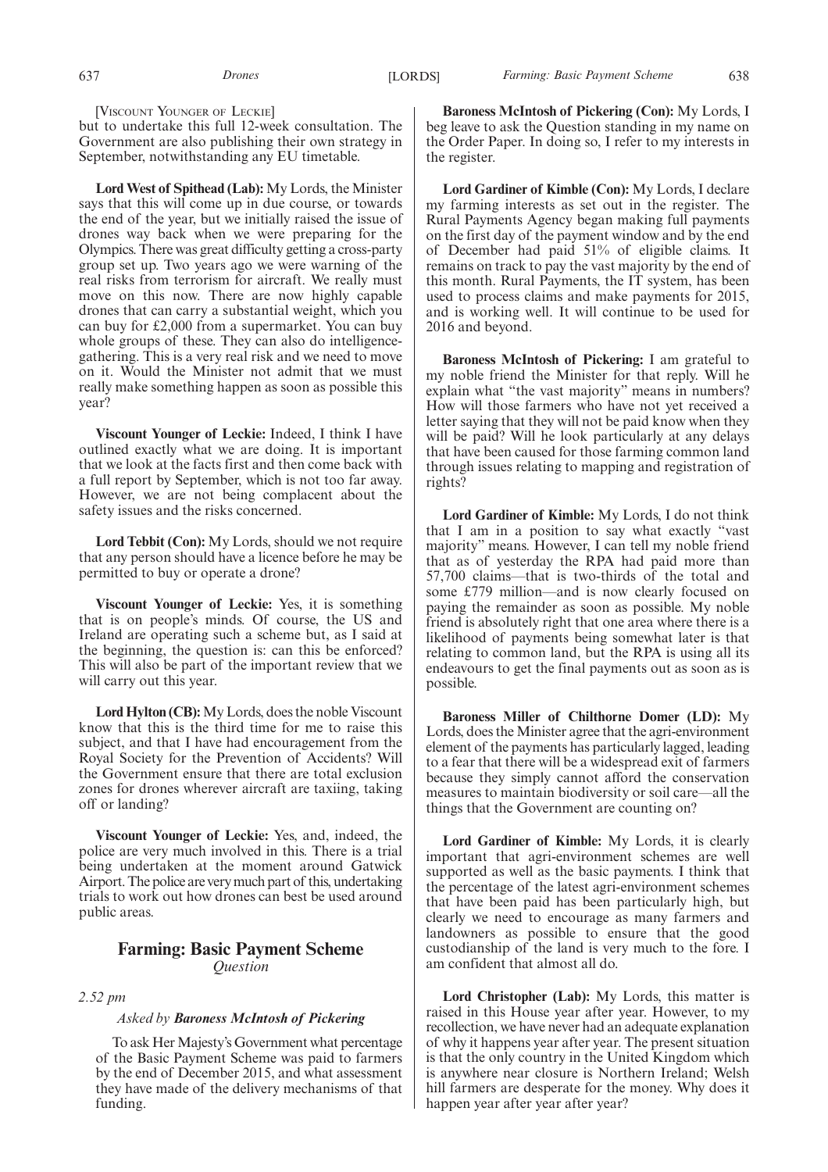[VISCOUNT YOUNGER OF LECKIE]

but to undertake this full 12-week consultation. The Government are also publishing their own strategy in September, notwithstanding any EU timetable.

**Lord West of Spithead (Lab):** My Lords, the Minister says that this will come up in due course, or towards the end of the year, but we initially raised the issue of drones way back when we were preparing for the Olympics. There was great difficulty getting a cross-party group set up. Two years ago we were warning of the real risks from terrorism for aircraft. We really must move on this now. There are now highly capable drones that can carry a substantial weight, which you can buy for £2,000 from a supermarket. You can buy whole groups of these. They can also do intelligencegathering. This is a very real risk and we need to move on it. Would the Minister not admit that we must really make something happen as soon as possible this year?

**Viscount Younger of Leckie:** Indeed, I think I have outlined exactly what we are doing. It is important that we look at the facts first and then come back with a full report by September, which is not too far away. However, we are not being complacent about the safety issues and the risks concerned.

**Lord Tebbit (Con):** My Lords, should we not require that any person should have a licence before he may be permitted to buy or operate a drone?

**Viscount Younger of Leckie:** Yes, it is something that is on people's minds. Of course, the US and Ireland are operating such a scheme but, as I said at the beginning, the question is: can this be enforced? This will also be part of the important review that we will carry out this year.

**Lord Hylton (CB):**My Lords, does the noble Viscount know that this is the third time for me to raise this subject, and that I have had encouragement from the Royal Society for the Prevention of Accidents? Will the Government ensure that there are total exclusion zones for drones wherever aircraft are taxiing, taking off or landing?

**Viscount Younger of Leckie:** Yes, and, indeed, the police are very much involved in this. There is a trial being undertaken at the moment around Gatwick Airport.The police are verymuch part of this, undertaking trials to work out how drones can best be used around public areas.

## **Farming: Basic Payment Scheme** *Question*

*2.52 pm*

#### *Asked by Baroness McIntosh of Pickering*

To ask Her Majesty's Government what percentage of the Basic Payment Scheme was paid to farmers by the end of December 2015, and what assessment they have made of the delivery mechanisms of that funding.

**Baroness McIntosh of Pickering (Con):** My Lords, I beg leave to ask the Question standing in my name on the Order Paper. In doing so, I refer to my interests in the register.

**Lord Gardiner of Kimble (Con):** My Lords, I declare my farming interests as set out in the register. The Rural Payments Agency began making full payments on the first day of the payment window and by the end of December had paid 51% of eligible claims. It remains on track to pay the vast majority by the end of this month. Rural Payments, the IT system, has been used to process claims and make payments for 2015, and is working well. It will continue to be used for 2016 and beyond.

**Baroness McIntosh of Pickering:** I am grateful to my noble friend the Minister for that reply. Will he explain what "the vast majority" means in numbers? How will those farmers who have not yet received a letter saying that they will not be paid know when they will be paid? Will he look particularly at any delays that have been caused for those farming common land through issues relating to mapping and registration of rights?

**Lord Gardiner of Kimble:** My Lords, I do not think that I am in a position to say what exactly "vast majority" means. However, I can tell my noble friend that as of yesterday the RPA had paid more than 57,700 claims—that is two-thirds of the total and some £779 million—and is now clearly focused on paying the remainder as soon as possible. My noble friend is absolutely right that one area where there is a likelihood of payments being somewhat later is that relating to common land, but the RPA is using all its endeavours to get the final payments out as soon as is possible.

**Baroness Miller of Chilthorne Domer (LD):** My Lords, does the Minister agree that the agri-environment element of the payments has particularly lagged, leading to a fear that there will be a widespread exit of farmers because they simply cannot afford the conservation measures to maintain biodiversity or soil care—all the things that the Government are counting on?

**Lord Gardiner of Kimble:** My Lords, it is clearly important that agri-environment schemes are well supported as well as the basic payments. I think that the percentage of the latest agri-environment schemes that have been paid has been particularly high, but clearly we need to encourage as many farmers and landowners as possible to ensure that the good custodianship of the land is very much to the fore. I am confident that almost all do.

**Lord Christopher (Lab):** My Lords, this matter is raised in this House year after year. However, to my recollection, we have never had an adequate explanation of why it happens year after year. The present situation is that the only country in the United Kingdom which is anywhere near closure is Northern Ireland; Welsh hill farmers are desperate for the money. Why does it happen year after year after year?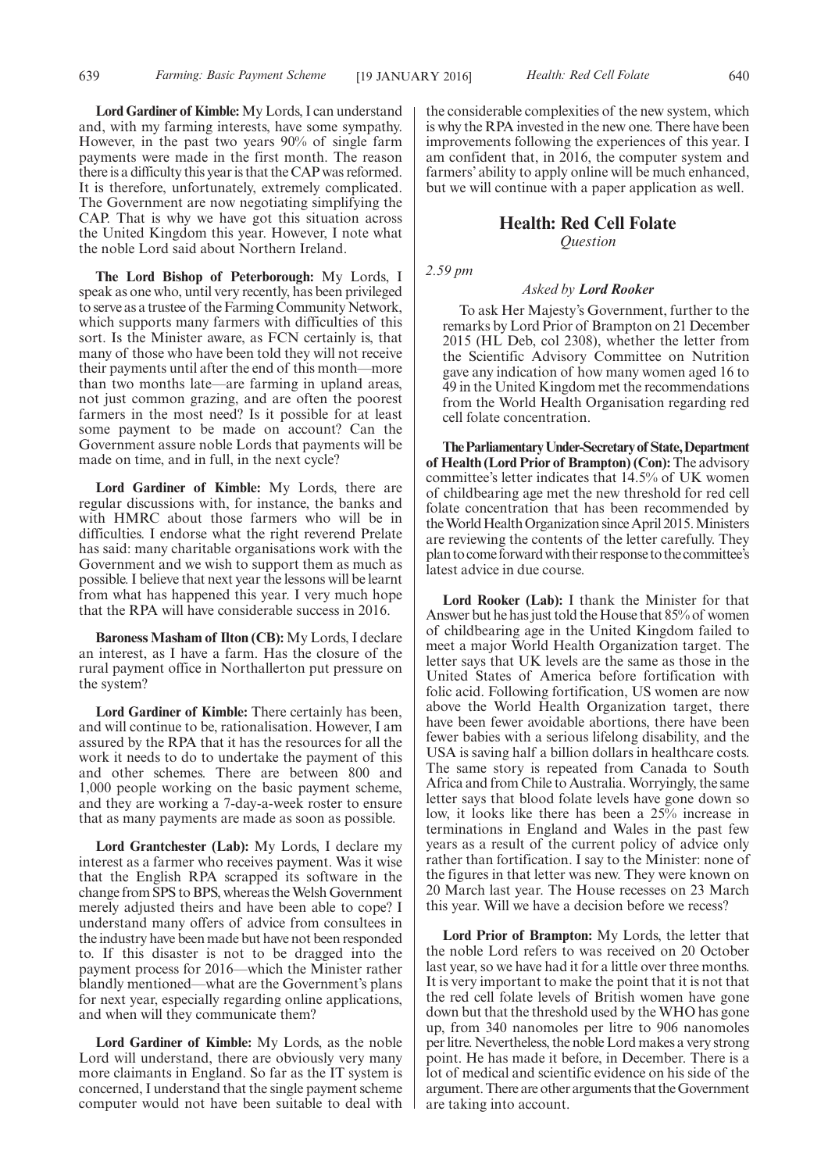639 *Farming: Basic Payment Scheme Health: Red Cell Folate* [19 JANUARY 2016] 640

**Lord Gardiner of Kimble:**My Lords, I can understand and, with my farming interests, have some sympathy. However, in the past two years 90% of single farm payments were made in the first month. The reason there is a difficulty this year is that the CAP was reformed. It is therefore, unfortunately, extremely complicated. The Government are now negotiating simplifying the CAP. That is why we have got this situation across the United Kingdom this year. However, I note what the noble Lord said about Northern Ireland.

**The Lord Bishop of Peterborough:** My Lords, I speak as one who, until very recently, has been privileged to serve as a trustee of the Farming Community Network, which supports many farmers with difficulties of this sort. Is the Minister aware, as FCN certainly is, that many of those who have been told they will not receive their payments until after the end of this month—more than two months late—are farming in upland areas, not just common grazing, and are often the poorest farmers in the most need? Is it possible for at least some payment to be made on account? Can the Government assure noble Lords that payments will be made on time, and in full, in the next cycle?

**Lord Gardiner of Kimble:** My Lords, there are regular discussions with, for instance, the banks and with HMRC about those farmers who will be in difficulties. I endorse what the right reverend Prelate has said: many charitable organisations work with the Government and we wish to support them as much as possible. I believe that next year the lessons will be learnt from what has happened this year. I very much hope that the RPA will have considerable success in 2016.

**Baroness Masham of Ilton (CB):** My Lords, I declare an interest, as I have a farm. Has the closure of the rural payment office in Northallerton put pressure on the system?

**Lord Gardiner of Kimble:** There certainly has been, and will continue to be, rationalisation. However, I am assured by the RPA that it has the resources for all the work it needs to do to undertake the payment of this and other schemes. There are between 800 and 1,000 people working on the basic payment scheme, and they are working a 7-day-a-week roster to ensure that as many payments are made as soon as possible.

**Lord Grantchester (Lab):** My Lords, I declare my interest as a farmer who receives payment. Was it wise that the English RPA scrapped its software in the change from SPS to BPS, whereas theWelsh Government merely adjusted theirs and have been able to cope? I understand many offers of advice from consultees in the industry have been made but have not been responded to. If this disaster is not to be dragged into the payment process for 2016—which the Minister rather blandly mentioned—what are the Government's plans for next year, especially regarding online applications, and when will they communicate them?

**Lord Gardiner of Kimble:** My Lords, as the noble Lord will understand, there are obviously very many more claimants in England. So far as the IT system is concerned, I understand that the single payment scheme computer would not have been suitable to deal with the considerable complexities of the new system, which is why the RPA invested in the new one. There have been improvements following the experiences of this year. I am confident that, in 2016, the computer system and farmers' ability to apply online will be much enhanced, but we will continue with a paper application as well.

## **Health: Red Cell Folate**

*Question*

*2.59 pm*

#### *Asked by Lord Rooker*

To ask Her Majesty's Government, further to the remarks by Lord Prior of Brampton on 21 December 2015 (HL Deb, col 2308), whether the letter from the Scientific Advisory Committee on Nutrition gave any indication of how many women aged 16 to 49 in the United Kingdom met the recommendations from the World Health Organisation regarding red cell folate concentration.

**TheParliamentaryUnder-Secretaryof State,Department of Health (Lord Prior of Brampton) (Con):**The advisory committee's letter indicates that 14.5% of UK women of childbearing age met the new threshold for red cell folate concentration that has been recommended by the World Health Organization since April 2015. Ministers are reviewing the contents of the letter carefully. They plan to come forwardwith their response to the committee's latest advice in due course.

**Lord Rooker (Lab):** I thank the Minister for that Answer but he has just told the House that 85% of women of childbearing age in the United Kingdom failed to meet a major World Health Organization target. The letter says that UK levels are the same as those in the United States of America before fortification with folic acid. Following fortification, US women are now above the World Health Organization target, there have been fewer avoidable abortions, there have been fewer babies with a serious lifelong disability, and the USA is saving half a billion dollars in healthcare costs. The same story is repeated from Canada to South Africa and from Chile to Australia.Worryingly, the same letter says that blood folate levels have gone down so low, it looks like there has been a 25% increase in terminations in England and Wales in the past few years as a result of the current policy of advice only rather than fortification. I say to the Minister: none of the figures in that letter was new. They were known on 20 March last year. The House recesses on 23 March this year. Will we have a decision before we recess?

**Lord Prior of Brampton:** My Lords, the letter that the noble Lord refers to was received on 20 October last year, so we have had it for a little over three months. It is very important to make the point that it is not that the red cell folate levels of British women have gone down but that the threshold used by the WHO has gone up, from 340 nanomoles per litre to 906 nanomoles per litre. Nevertheless, the noble Lord makes a very strong point. He has made it before, in December. There is a lot of medical and scientific evidence on his side of the argument.There are other arguments that theGovernment are taking into account.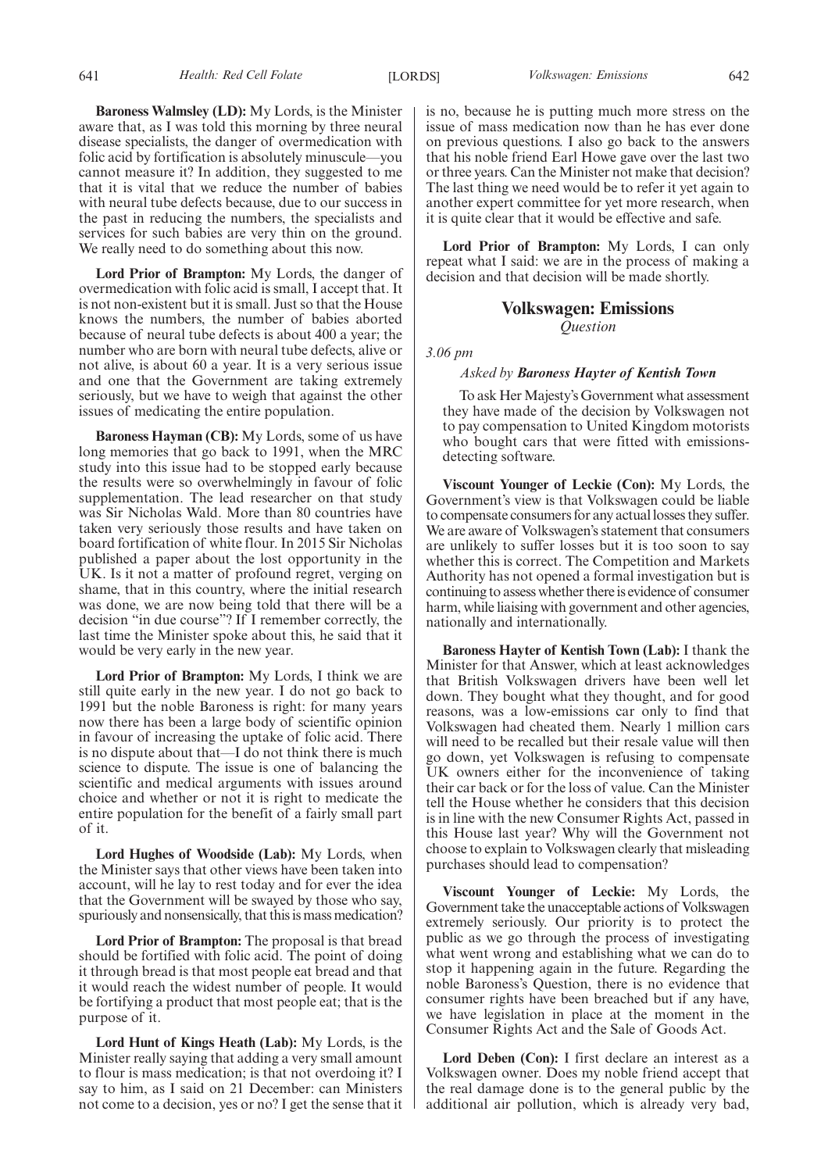**Baroness Walmsley (LD):** My Lords, is the Minister aware that, as I was told this morning by three neural disease specialists, the danger of overmedication with folic acid by fortification is absolutely minuscule—you cannot measure it? In addition, they suggested to me that it is vital that we reduce the number of babies with neural tube defects because, due to our success in the past in reducing the numbers, the specialists and services for such babies are very thin on the ground. We really need to do something about this now.

**Lord Prior of Brampton:** My Lords, the danger of overmedication with folic acid is small, I accept that. It is not non-existent but it is small. Just so that the House knows the numbers, the number of babies aborted because of neural tube defects is about 400 a year; the number who are born with neural tube defects, alive or not alive, is about 60 a year. It is a very serious issue and one that the Government are taking extremely seriously, but we have to weigh that against the other issues of medicating the entire population.

**Baroness Hayman (CB):** My Lords, some of us have long memories that go back to 1991, when the MRC study into this issue had to be stopped early because the results were so overwhelmingly in favour of folic supplementation. The lead researcher on that study was Sir Nicholas Wald. More than 80 countries have taken very seriously those results and have taken on board fortification of white flour. In 2015 Sir Nicholas published a paper about the lost opportunity in the UK. Is it not a matter of profound regret, verging on shame, that in this country, where the initial research was done, we are now being told that there will be a decision "in due course"? If I remember correctly, the last time the Minister spoke about this, he said that it would be very early in the new year.

**Lord Prior of Brampton:** My Lords, I think we are still quite early in the new year. I do not go back to 1991 but the noble Baroness is right: for many years now there has been a large body of scientific opinion in favour of increasing the uptake of folic acid. There is no dispute about that—I do not think there is much science to dispute. The issue is one of balancing the scientific and medical arguments with issues around choice and whether or not it is right to medicate the entire population for the benefit of a fairly small part of it.

**Lord Hughes of Woodside (Lab):** My Lords, when the Minister says that other views have been taken into account, will he lay to rest today and for ever the idea that the Government will be swayed by those who say, spuriously and nonsensically, that this is mass medication?

**Lord Prior of Brampton:** The proposal is that bread should be fortified with folic acid. The point of doing it through bread is that most people eat bread and that it would reach the widest number of people. It would be fortifying a product that most people eat; that is the purpose of it.

**Lord Hunt of Kings Heath (Lab):** My Lords, is the Minister really saying that adding a very small amount to flour is mass medication; is that not overdoing it? I say to him, as I said on 21 December: can Ministers not come to a decision, yes or no? I get the sense that it is no, because he is putting much more stress on the issue of mass medication now than he has ever done on previous questions. I also go back to the answers that his noble friend Earl Howe gave over the last two or three years. Can the Minister not make that decision? The last thing we need would be to refer it yet again to another expert committee for yet more research, when it is quite clear that it would be effective and safe.

**Lord Prior of Brampton:** My Lords, I can only repeat what I said: we are in the process of making a decision and that decision will be made shortly.

## **Volkswagen: Emissions** *Question*

*3.06 pm*

#### *Asked by Baroness Hayter of Kentish Town*

To ask Her Majesty's Government what assessment they have made of the decision by Volkswagen not to pay compensation to United Kingdom motorists who bought cars that were fitted with emissionsdetecting software.

**Viscount Younger of Leckie (Con):** My Lords, the Government's view is that Volkswagen could be liable to compensate consumers for any actual losses they suffer. We are aware of Volkswagen's statement that consumers are unlikely to suffer losses but it is too soon to say whether this is correct. The Competition and Markets Authority has not opened a formal investigation but is continuing to assess whether there is evidence of consumer harm, while liaising with government and other agencies, nationally and internationally.

**Baroness Hayter of Kentish Town (Lab):** I thank the Minister for that Answer, which at least acknowledges that British Volkswagen drivers have been well let down. They bought what they thought, and for good reasons, was a low-emissions car only to find that Volkswagen had cheated them. Nearly 1 million cars will need to be recalled but their resale value will then go down, yet Volkswagen is refusing to compensate UK owners either for the inconvenience of taking their car back or for the loss of value. Can the Minister tell the House whether he considers that this decision is in line with the new Consumer Rights Act, passed in this House last year? Why will the Government not choose to explain to Volkswagen clearly that misleading purchases should lead to compensation?

**Viscount Younger of Leckie:** My Lords, the Government take the unacceptable actions of Volkswagen extremely seriously. Our priority is to protect the public as we go through the process of investigating what went wrong and establishing what we can do to stop it happening again in the future. Regarding the noble Baroness's Question, there is no evidence that consumer rights have been breached but if any have, we have legislation in place at the moment in the Consumer Rights Act and the Sale of Goods Act.

**Lord Deben (Con):** I first declare an interest as a Volkswagen owner. Does my noble friend accept that the real damage done is to the general public by the additional air pollution, which is already very bad,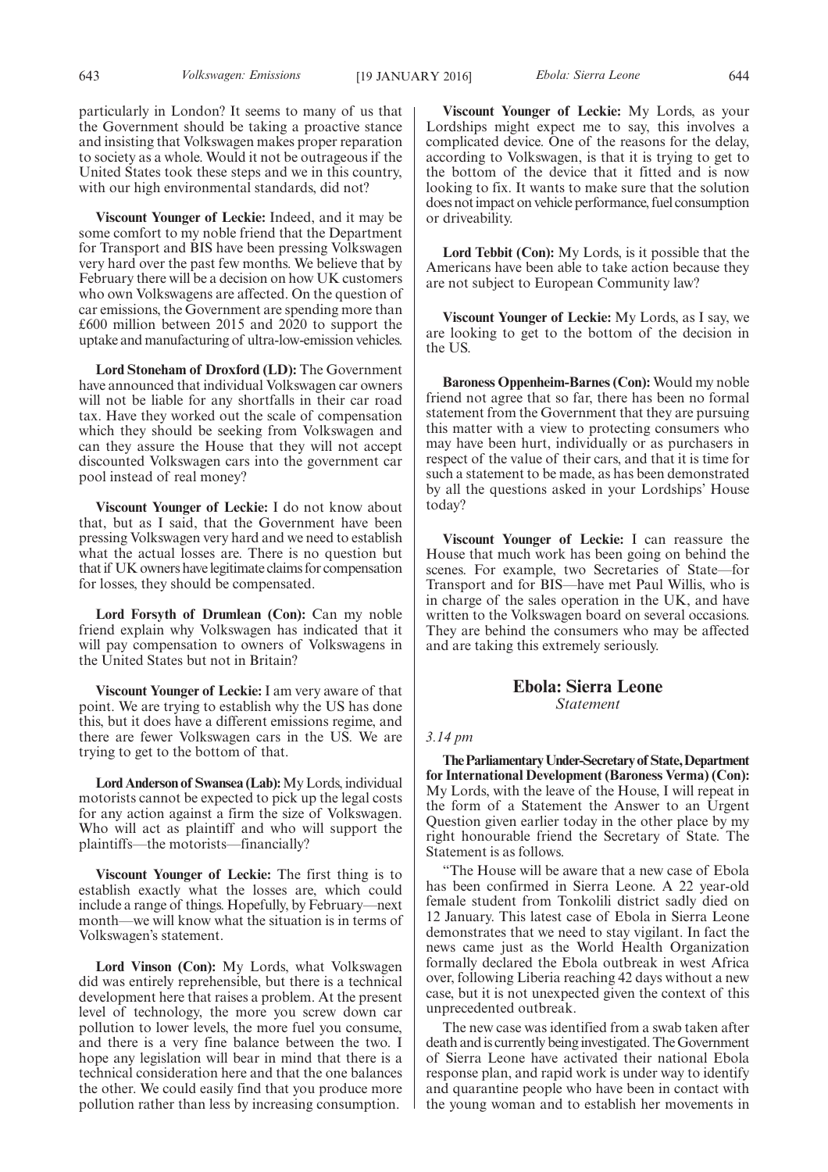**Viscount Younger of Leckie:** Indeed, and it may be some comfort to my noble friend that the Department for Transport and BIS have been pressing Volkswagen very hard over the past few months. We believe that by February there will be a decision on how UK customers who own Volkswagens are affected. On the question of car emissions, the Government are spending more than £600 million between 2015 and 2020 to support the uptake and manufacturing of ultra-low-emission vehicles.

**Lord Stoneham of Droxford (LD):** The Government have announced that individual Volkswagen car owners will not be liable for any shortfalls in their car road tax. Have they worked out the scale of compensation which they should be seeking from Volkswagen and can they assure the House that they will not accept discounted Volkswagen cars into the government car pool instead of real money?

**Viscount Younger of Leckie:** I do not know about that, but as I said, that the Government have been pressing Volkswagen very hard and we need to establish what the actual losses are. There is no question but that if UK owners have legitimate claims for compensation for losses, they should be compensated.

**Lord Forsyth of Drumlean (Con):** Can my noble friend explain why Volkswagen has indicated that it will pay compensation to owners of Volkswagens in the United States but not in Britain?

**Viscount Younger of Leckie:** I am very aware of that point. We are trying to establish why the US has done this, but it does have a different emissions regime, and there are fewer Volkswagen cars in the US. We are trying to get to the bottom of that.

**Lord Anderson of Swansea (Lab):**My Lords, individual motorists cannot be expected to pick up the legal costs for any action against a firm the size of Volkswagen. Who will act as plaintiff and who will support the plaintiffs—the motorists—financially?

**Viscount Younger of Leckie:** The first thing is to establish exactly what the losses are, which could include a range of things. Hopefully, by February—next month—we will know what the situation is in terms of Volkswagen's statement.

**Lord Vinson (Con):** My Lords, what Volkswagen did was entirely reprehensible, but there is a technical development here that raises a problem. At the present level of technology, the more you screw down car pollution to lower levels, the more fuel you consume, and there is a very fine balance between the two. I hope any legislation will bear in mind that there is a technical consideration here and that the one balances the other. We could easily find that you produce more pollution rather than less by increasing consumption.

**Viscount Younger of Leckie:** My Lords, as your Lordships might expect me to say, this involves a complicated device. One of the reasons for the delay, according to Volkswagen, is that it is trying to get to the bottom of the device that it fitted and is now looking to fix. It wants to make sure that the solution does not impact on vehicle performance, fuel consumption or driveability.

**Lord Tebbit (Con):** My Lords, is it possible that the Americans have been able to take action because they are not subject to European Community law?

**Viscount Younger of Leckie:** My Lords, as I say, we are looking to get to the bottom of the decision in the US.

**Baroness Oppenheim-Barnes (Con):** Would my noble friend not agree that so far, there has been no formal statement from the Government that they are pursuing this matter with a view to protecting consumers who may have been hurt, individually or as purchasers in respect of the value of their cars, and that it is time for such a statement to be made, as has been demonstrated by all the questions asked in your Lordships' House today?

**Viscount Younger of Leckie:** I can reassure the House that much work has been going on behind the scenes. For example, two Secretaries of State—for Transport and for BIS—have met Paul Willis, who is in charge of the sales operation in the UK, and have written to the Volkswagen board on several occasions. They are behind the consumers who may be affected and are taking this extremely seriously.

## **Ebola: Sierra Leone** *Statement*

#### *3.14 pm*

**TheParliamentaryUnder-Secretaryof State,Department for International Development (Baroness Verma) (Con):** My Lords, with the leave of the House, I will repeat in the form of a Statement the Answer to an Urgent Question given earlier today in the other place by my right honourable friend the Secretary of State. The Statement is as follows.

"The House will be aware that a new case of Ebola has been confirmed in Sierra Leone. A 22 year-old female student from Tonkolili district sadly died on 12 January. This latest case of Ebola in Sierra Leone demonstrates that we need to stay vigilant. In fact the news came just as the World Health Organization formally declared the Ebola outbreak in west Africa over, following Liberia reaching 42 days without a new case, but it is not unexpected given the context of this unprecedented outbreak.

The new case was identified from a swab taken after death and is currently being investigated. The Government of Sierra Leone have activated their national Ebola response plan, and rapid work is under way to identify and quarantine people who have been in contact with the young woman and to establish her movements in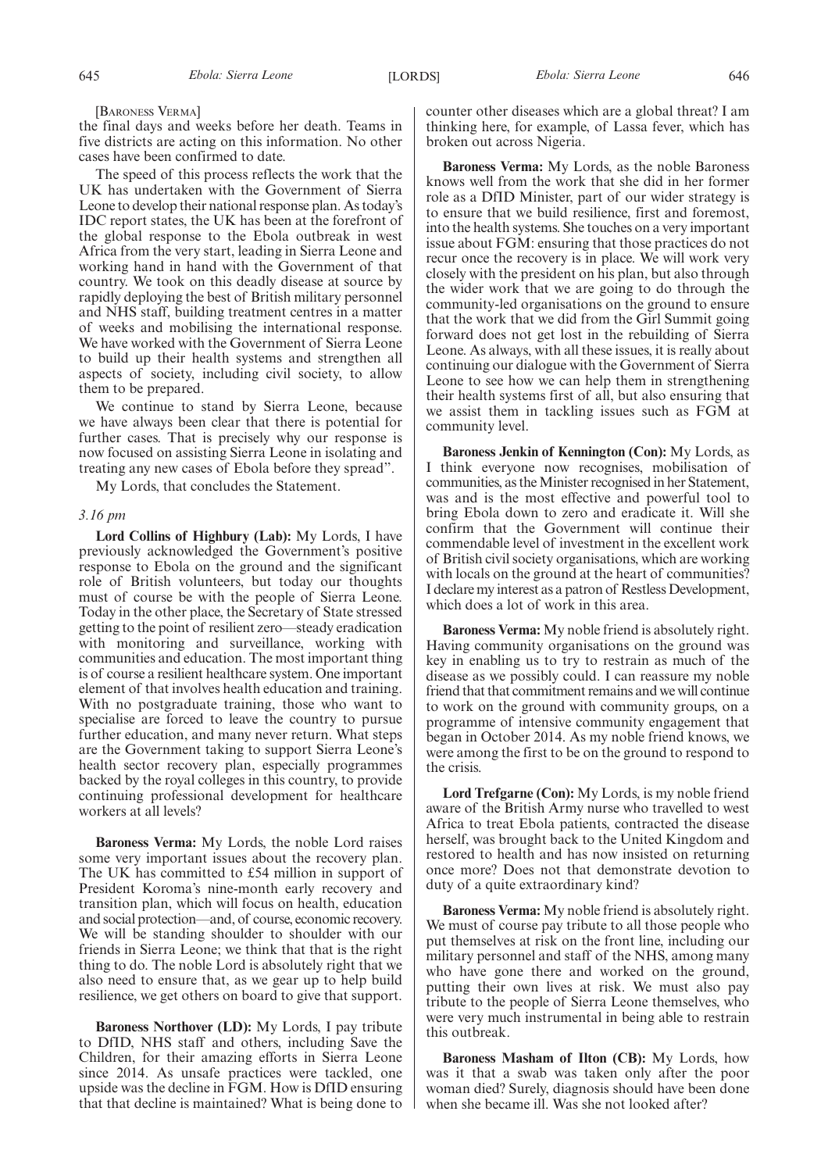#### [BARONESS VERMA]

the final days and weeks before her death. Teams in five districts are acting on this information. No other cases have been confirmed to date.

The speed of this process reflects the work that the UK has undertaken with the Government of Sierra Leone to develop their national response plan. As today's IDC report states, the UK has been at the forefront of the global response to the Ebola outbreak in west Africa from the very start, leading in Sierra Leone and working hand in hand with the Government of that country. We took on this deadly disease at source by rapidly deploying the best of British military personnel and NHS staff, building treatment centres in a matter of weeks and mobilising the international response. We have worked with the Government of Sierra Leone to build up their health systems and strengthen all aspects of society, including civil society, to allow them to be prepared.

We continue to stand by Sierra Leone, because we have always been clear that there is potential for further cases. That is precisely why our response is now focused on assisting Sierra Leone in isolating and treating any new cases of Ebola before they spread".

My Lords, that concludes the Statement.

#### *3.16 pm*

**Lord Collins of Highbury (Lab):** My Lords, I have previously acknowledged the Government's positive response to Ebola on the ground and the significant role of British volunteers, but today our thoughts must of course be with the people of Sierra Leone. Today in the other place, the Secretary of State stressed getting to the point of resilient zero—steady eradication with monitoring and surveillance, working with communities and education. The most important thing is of course a resilient healthcare system. One important element of that involves health education and training. With no postgraduate training, those who want to specialise are forced to leave the country to pursue further education, and many never return. What steps are the Government taking to support Sierra Leone's health sector recovery plan, especially programmes backed by the royal colleges in this country, to provide continuing professional development for healthcare workers at all levels?

**Baroness Verma:** My Lords, the noble Lord raises some very important issues about the recovery plan. The UK has committed to £54 million in support of President Koroma's nine-month early recovery and transition plan, which will focus on health, education and social protection—and, of course, economic recovery. We will be standing shoulder to shoulder with our friends in Sierra Leone; we think that that is the right thing to do. The noble Lord is absolutely right that we also need to ensure that, as we gear up to help build resilience, we get others on board to give that support.

**Baroness Northover (LD):** My Lords, I pay tribute to DfID, NHS staff and others, including Save the Children, for their amazing efforts in Sierra Leone since 2014. As unsafe practices were tackled, one upside was the decline in FGM. How is DfID ensuring that that decline is maintained? What is being done to counter other diseases which are a global threat? I am thinking here, for example, of Lassa fever, which has broken out across Nigeria.

**Baroness Verma:** My Lords, as the noble Baroness knows well from the work that she did in her former role as a DfID Minister, part of our wider strategy is to ensure that we build resilience, first and foremost, into the health systems. She touches on a very important issue about FGM: ensuring that those practices do not recur once the recovery is in place. We will work very closely with the president on his plan, but also through the wider work that we are going to do through the community-led organisations on the ground to ensure that the work that we did from the Girl Summit going forward does not get lost in the rebuilding of Sierra Leone. As always, with all these issues, it is really about continuing our dialogue with the Government of Sierra Leone to see how we can help them in strengthening their health systems first of all, but also ensuring that we assist them in tackling issues such as FGM at community level.

**Baroness Jenkin of Kennington (Con):** My Lords, as I think everyone now recognises, mobilisation of communities, as the Minister recognised in her Statement, was and is the most effective and powerful tool to bring Ebola down to zero and eradicate it. Will she confirm that the Government will continue their commendable level of investment in the excellent work of British civil society organisations, which are working with locals on the ground at the heart of communities? I declare my interest as a patron of Restless Development, which does a lot of work in this area.

**Baroness Verma:** My noble friend is absolutely right. Having community organisations on the ground was key in enabling us to try to restrain as much of the disease as we possibly could. I can reassure my noble friend that that commitment remains and we will continue to work on the ground with community groups, on a programme of intensive community engagement that began in October 2014. As my noble friend knows, we were among the first to be on the ground to respond to the crisis.

**Lord Trefgarne (Con):** My Lords, is my noble friend aware of the British Army nurse who travelled to west Africa to treat Ebola patients, contracted the disease herself, was brought back to the United Kingdom and restored to health and has now insisted on returning once more? Does not that demonstrate devotion to duty of a quite extraordinary kind?

**Baroness Verma:** My noble friend is absolutely right. We must of course pay tribute to all those people who put themselves at risk on the front line, including our military personnel and staff of the NHS, among many who have gone there and worked on the ground, putting their own lives at risk. We must also pay tribute to the people of Sierra Leone themselves, who were very much instrumental in being able to restrain this outbreak.

**Baroness Masham of Ilton (CB):** My Lords, how was it that a swab was taken only after the poor woman died? Surely, diagnosis should have been done when she became ill. Was she not looked after?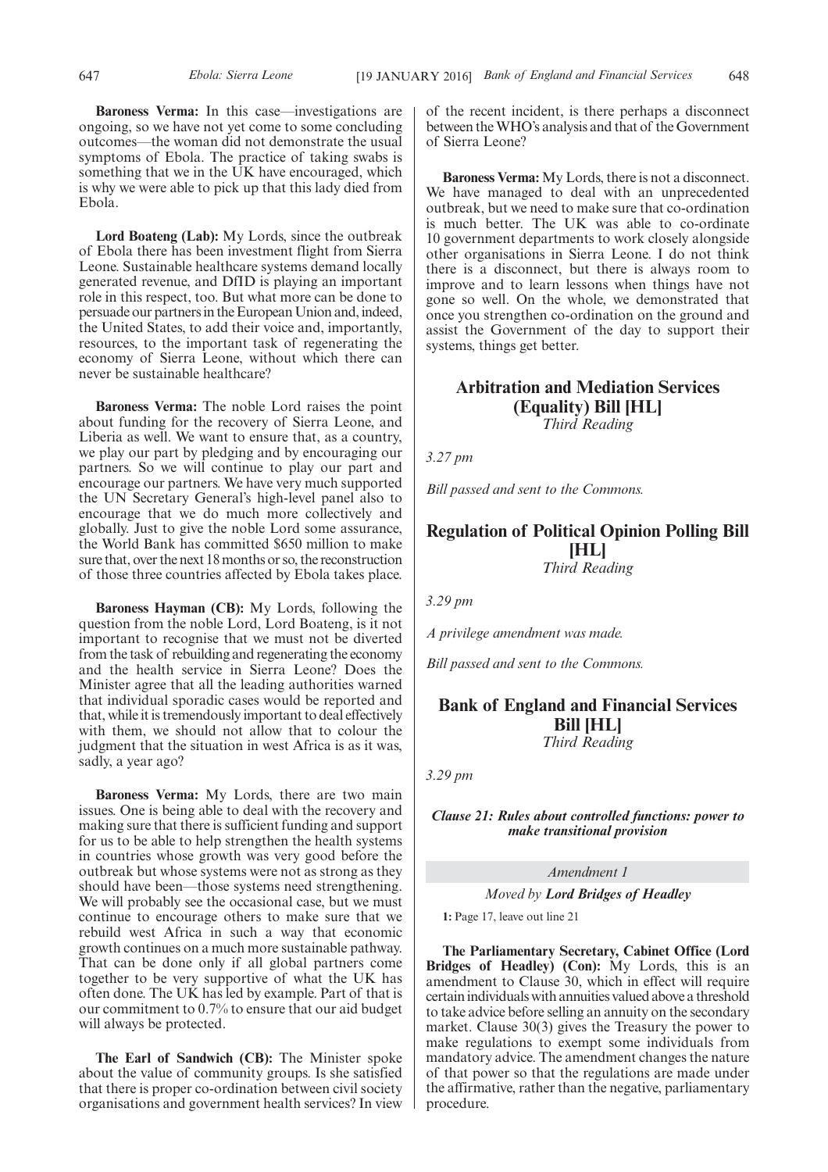**Baroness Verma:** In this case—investigations are ongoing, so we have not yet come to some concluding outcomes—the woman did not demonstrate the usual symptoms of Ebola. The practice of taking swabs is something that we in the UK have encouraged, which is why we were able to pick up that this lady died from Ebola.

**Lord Boateng (Lab):** My Lords, since the outbreak of Ebola there has been investment flight from Sierra Leone. Sustainable healthcare systems demand locally generated revenue, and DfID is playing an important role in this respect, too. But what more can be done to persuade our partners in the European Union and, indeed, the United States, to add their voice and, importantly, resources, to the important task of regenerating the economy of Sierra Leone, without which there can never be sustainable healthcare?

**Baroness Verma:** The noble Lord raises the point about funding for the recovery of Sierra Leone, and Liberia as well. We want to ensure that, as a country, we play our part by pledging and by encouraging our partners. So we will continue to play our part and encourage our partners. We have very much supported the UN Secretary General's high-level panel also to encourage that we do much more collectively and globally. Just to give the noble Lord some assurance, the World Bank has committed \$650 million to make sure that, over the next 18 months or so, the reconstruction of those three countries affected by Ebola takes place.

**Baroness Hayman (CB):** My Lords, following the question from the noble Lord, Lord Boateng, is it not important to recognise that we must not be diverted from the task of rebuilding and regenerating the economy and the health service in Sierra Leone? Does the Minister agree that all the leading authorities warned that individual sporadic cases would be reported and that, while it is tremendously important to deal effectively with them, we should not allow that to colour the judgment that the situation in west Africa is as it was, sadly, a year ago?

**Baroness Verma:** My Lords, there are two main issues. One is being able to deal with the recovery and making sure that there is sufficient funding and support for us to be able to help strengthen the health systems in countries whose growth was very good before the outbreak but whose systems were not as strong as they should have been—those systems need strengthening. We will probably see the occasional case, but we must continue to encourage others to make sure that we rebuild west Africa in such a way that economic growth continues on a much more sustainable pathway. That can be done only if all global partners come together to be very supportive of what the UK has often done. The UK has led by example. Part of that is our commitment to 0.7% to ensure that our aid budget will always be protected.

**The Earl of Sandwich (CB):** The Minister spoke about the value of community groups. Is she satisfied that there is proper co-ordination between civil society organisations and government health services? In view of the recent incident, is there perhaps a disconnect between theWHO's analysis and that of the Government of Sierra Leone?

**Baroness Verma:** My Lords, there is not a disconnect. We have managed to deal with an unprecedented outbreak, but we need to make sure that co-ordination is much better. The UK was able to co-ordinate 10 government departments to work closely alongside other organisations in Sierra Leone. I do not think there is a disconnect, but there is always room to improve and to learn lessons when things have not gone so well. On the whole, we demonstrated that once you strengthen co-ordination on the ground and assist the Government of the day to support their systems, things get better.

## **Arbitration and Mediation Services (Equality) Bill [HL]** *Third Reading*

*3.27 pm*

*Bill passed and sent to the Commons.*

## **Regulation of Political Opinion Polling Bill [HL]** *Third Reading*

*3.29 pm*

*A privilege amendment was made.*

*Bill passed and sent to the Commons.*

## **Bank of England and Financial Services Bill [HL]** *Third Reading*

*3.29 pm*

*Clause 21: Rules about controlled functions: power to make transitional provision*

*Amendment 1*

*Moved by Lord Bridges of Headley*

**1:** Page 17, leave out line 21

**The Parliamentary Secretary, Cabinet Office (Lord Bridges of Headley) (Con):** My Lords, this is an amendment to Clause 30, which in effect will require certain individuals with annuities valued above a threshold to take advice before selling an annuity on the secondary market. Clause 30(3) gives the Treasury the power to make regulations to exempt some individuals from mandatory advice. The amendment changes the nature of that power so that the regulations are made under the affirmative, rather than the negative, parliamentary procedure.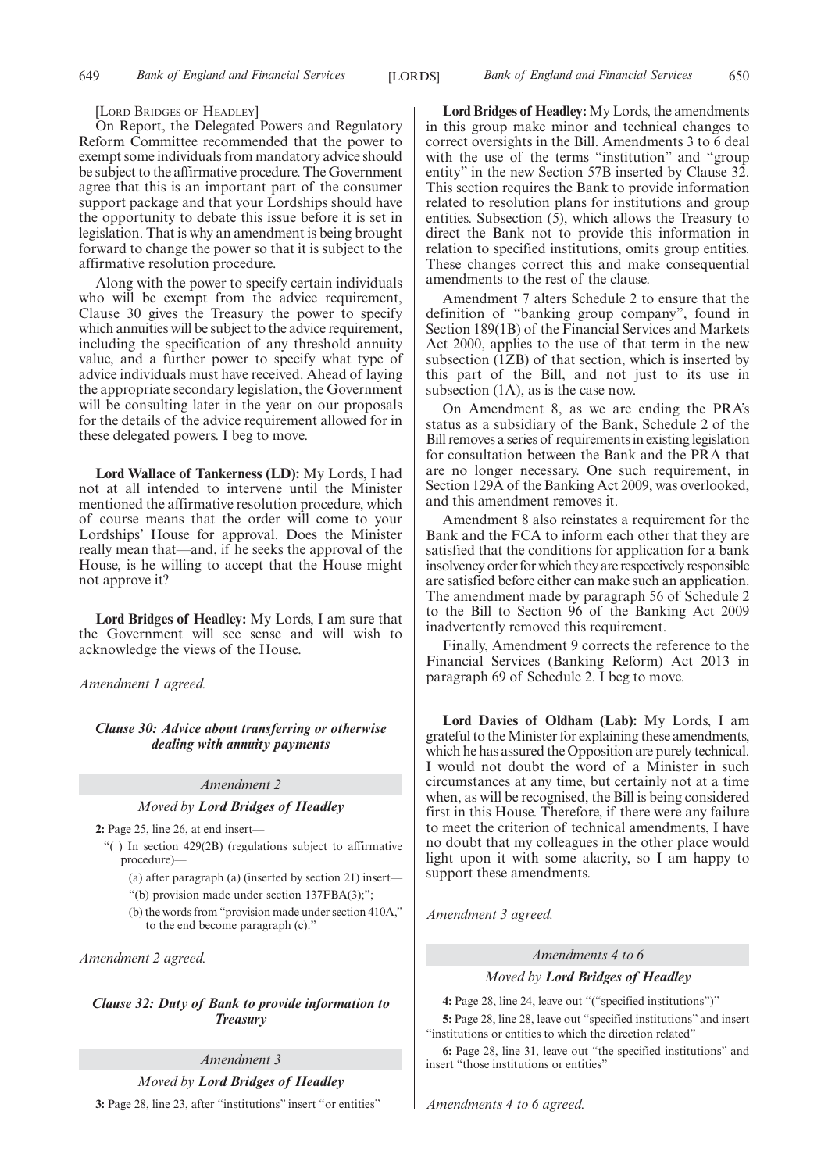[LORD BRIDGES OF HEADLEY]

On Report, the Delegated Powers and Regulatory Reform Committee recommended that the power to exempt some individuals from mandatory advice should be subject to the affirmative procedure. The Government agree that this is an important part of the consumer support package and that your Lordships should have the opportunity to debate this issue before it is set in legislation. That is why an amendment is being brought forward to change the power so that it is subject to the affirmative resolution procedure.

Along with the power to specify certain individuals who will be exempt from the advice requirement, Clause 30 gives the Treasury the power to specify which annuities will be subject to the advice requirement, including the specification of any threshold annuity value, and a further power to specify what type of advice individuals must have received. Ahead of laying the appropriate secondary legislation, the Government will be consulting later in the year on our proposals for the details of the advice requirement allowed for in these delegated powers. I beg to move.

**Lord Wallace of Tankerness (LD):** My Lords, I had not at all intended to intervene until the Minister mentioned the affirmative resolution procedure, which of course means that the order will come to your Lordships' House for approval. Does the Minister really mean that—and, if he seeks the approval of the House, is he willing to accept that the House might not approve it?

**Lord Bridges of Headley:** My Lords, I am sure that the Government will see sense and will wish to acknowledge the views of the House.

*Amendment 1 agreed.*

*Clause 30: Advice about transferring or otherwise dealing with annuity payments*

#### *Amendment 2*

#### *Moved by Lord Bridges of Headley*

**2:** Page 25, line 26, at end insert—

"( ) In section 429(2B) (regulations subject to affirmative procedure)—

(a) after paragraph (a) (inserted by section 21) insert—

"(b) provision made under section 137FBA(3);";

(b) the words from "provision made under section 410A," to the end become paragraph (c)."

*Amendment 2 agreed.*

*Clause 32: Duty of Bank to provide information to Treasury*

*Amendment 3*

*Moved by Lord Bridges of Headley*

**3:** Page 28, line 23, after "institutions" insert "or entities"

**Lord Bridges of Headley:** My Lords, the amendments in this group make minor and technical changes to correct oversights in the Bill. Amendments 3 to 6 deal with the use of the terms "institution" and "group entity" in the new Section 57B inserted by Clause 32. This section requires the Bank to provide information related to resolution plans for institutions and group entities. Subsection (5), which allows the Treasury to direct the Bank not to provide this information in relation to specified institutions, omits group entities. These changes correct this and make consequential amendments to the rest of the clause.

Amendment 7 alters Schedule 2 to ensure that the definition of "banking group company", found in Section 189(1B) of the Financial Services and Markets Act 2000, applies to the use of that term in the new subsection (1ZB) of that section, which is inserted by this part of the Bill, and not just to its use in subsection (1A), as is the case now.

On Amendment 8, as we are ending the PRA's status as a subsidiary of the Bank, Schedule 2 of the Bill removes a series of requirements in existing legislation for consultation between the Bank and the PRA that are no longer necessary. One such requirement, in Section 129A of the Banking Act 2009, was overlooked, and this amendment removes it.

Amendment 8 also reinstates a requirement for the Bank and the FCA to inform each other that they are satisfied that the conditions for application for a bank insolvency order for which they are respectively responsible are satisfied before either can make such an application. The amendment made by paragraph 56 of Schedule 2 to the Bill to Section 96 of the Banking Act 2009 inadvertently removed this requirement.

Finally, Amendment 9 corrects the reference to the Financial Services (Banking Reform) Act 2013 in paragraph 69 of Schedule 2. I beg to move.

**Lord Davies of Oldham (Lab):** My Lords, I am grateful to the Minister for explaining these amendments, which he has assured the Opposition are purely technical. I would not doubt the word of a Minister in such circumstances at any time, but certainly not at a time when, as will be recognised, the Bill is being considered first in this House. Therefore, if there were any failure to meet the criterion of technical amendments, I have no doubt that my colleagues in the other place would light upon it with some alacrity, so I am happy to support these amendments.

*Amendment 3 agreed.*

*Amendments 4 to 6*

*Moved by Lord Bridges of Headley*

**4:** Page 28, line 24, leave out "("specified institutions")"

**5:** Page 28, line 28, leave out "specified institutions" and insert "institutions or entities to which the direction related"

**6:** Page 28, line 31, leave out "the specified institutions" and insert "those institutions or entities"

*Amendments 4 to 6 agreed.*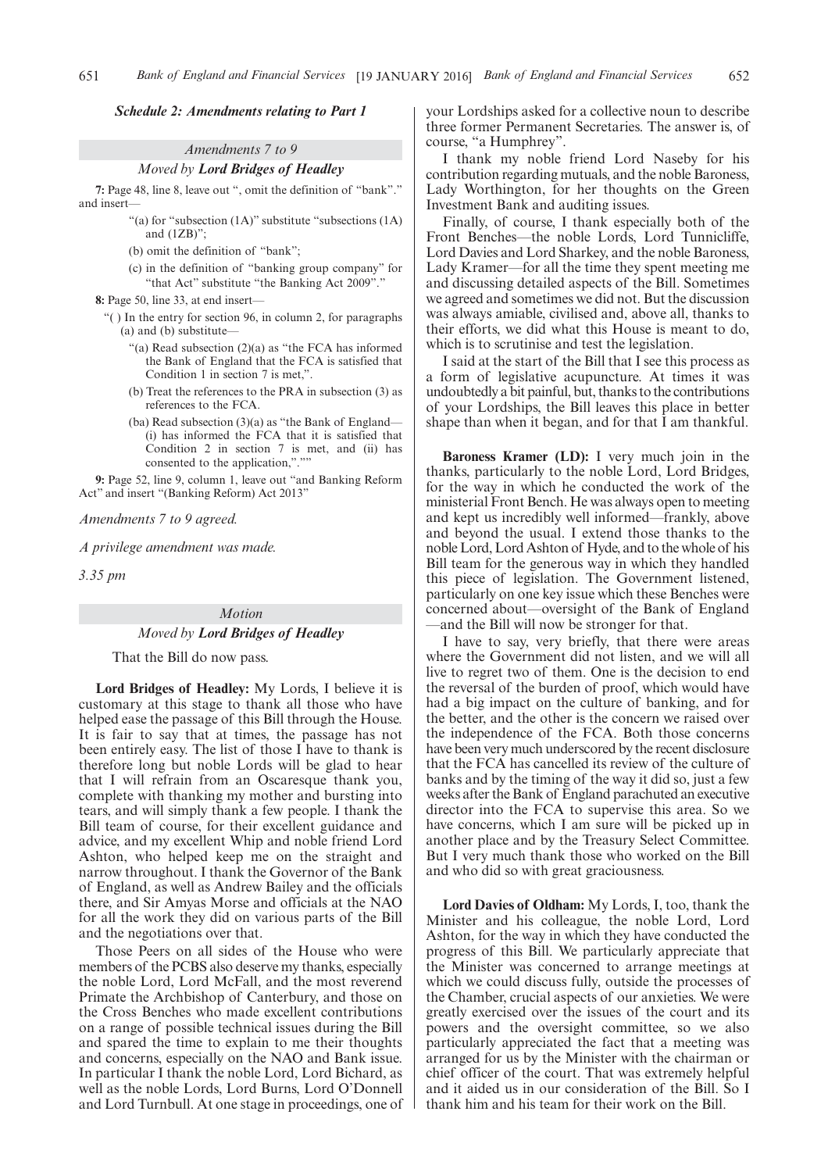#### *Schedule 2: Amendments relating to Part 1*

## *Amendments 7 to 9*

*Moved by Lord Bridges of Headley*

**7:** Page 48, line 8, leave out ", omit the definition of "bank"." and insert-

- "(a) for "subsection (1A)" substitute "subsections (1A) and (1ZB)";
- (b) omit the definition of "bank";
- (c) in the definition of "banking group company" for "that Act" substitute "the Banking Act 2009"."

**8:** Page 50, line 33, at end insert—

- "( ) In the entry for section 96, in column 2, for paragraphs (a) and (b) substitute—
	- "(a) Read subsection (2)(a) as "the FCA has informed the Bank of England that the FCA is satisfied that Condition 1 in section 7 is met,"
	- (b) Treat the references to the PRA in subsection (3) as references to the FCA.
	- (ba) Read subsection (3)(a) as "the Bank of England— (i) has informed the FCA that it is satisfied that Condition 2 in section 7 is met, and (ii) has consented to the application,".""

**9:** Page 52, line 9, column 1, leave out "and Banking Reform Act" and insert "(Banking Reform) Act 2013"

*Amendments 7 to 9 agreed.*

*A privilege amendment was made.*

*3.35 pm*

## *Motion Moved by Lord Bridges of Headley*

That the Bill do now pass.

**Lord Bridges of Headley:** My Lords, I believe it is customary at this stage to thank all those who have helped ease the passage of this Bill through the House. It is fair to say that at times, the passage has not been entirely easy. The list of those I have to thank is therefore long but noble Lords will be glad to hear that I will refrain from an Oscaresque thank you, complete with thanking my mother and bursting into tears, and will simply thank a few people. I thank the Bill team of course, for their excellent guidance and advice, and my excellent Whip and noble friend Lord Ashton, who helped keep me on the straight and narrow throughout. I thank the Governor of the Bank of England, as well as Andrew Bailey and the officials there, and Sir Amyas Morse and officials at the NAO for all the work they did on various parts of the Bill and the negotiations over that.

Those Peers on all sides of the House who were members of the PCBS also deserve my thanks, especially the noble Lord, Lord McFall, and the most reverend Primate the Archbishop of Canterbury, and those on the Cross Benches who made excellent contributions on a range of possible technical issues during the Bill and spared the time to explain to me their thoughts and concerns, especially on the NAO and Bank issue. In particular I thank the noble Lord, Lord Bichard, as well as the noble Lords, Lord Burns, Lord O'Donnell and Lord Turnbull. At one stage in proceedings, one of your Lordships asked for a collective noun to describe three former Permanent Secretaries. The answer is, of course, "a Humphrey".

I thank my noble friend Lord Naseby for his contribution regarding mutuals, and the noble Baroness, Lady Worthington, for her thoughts on the Green Investment Bank and auditing issues.

Finally, of course, I thank especially both of the Front Benches—the noble Lords, Lord Tunnicliffe, Lord Davies and Lord Sharkey, and the noble Baroness, Lady Kramer—for all the time they spent meeting me and discussing detailed aspects of the Bill. Sometimes we agreed and sometimes we did not. But the discussion was always amiable, civilised and, above all, thanks to their efforts, we did what this House is meant to do, which is to scrutinise and test the legislation.

I said at the start of the Bill that I see this process as a form of legislative acupuncture. At times it was undoubtedly a bit painful, but, thanks to the contributions of your Lordships, the Bill leaves this place in better shape than when it began, and for that I am thankful.

**Baroness Kramer (LD):** I very much join in the thanks, particularly to the noble Lord, Lord Bridges, for the way in which he conducted the work of the ministerial Front Bench. He was always open to meeting and kept us incredibly well informed—frankly, above and beyond the usual. I extend those thanks to the noble Lord, Lord Ashton of Hyde, and to the whole of his Bill team for the generous way in which they handled this piece of legislation. The Government listened, particularly on one key issue which these Benches were concerned about—oversight of the Bank of England —and the Bill will now be stronger for that.

I have to say, very briefly, that there were areas where the Government did not listen, and we will all live to regret two of them. One is the decision to end the reversal of the burden of proof, which would have had a big impact on the culture of banking, and for the better, and the other is the concern we raised over the independence of the FCA. Both those concerns have been very much underscored by the recent disclosure that the FCA has cancelled its review of the culture of banks and by the timing of the way it did so, just a few weeks after the Bank of England parachuted an executive director into the FCA to supervise this area. So we have concerns, which I am sure will be picked up in another place and by the Treasury Select Committee. But I very much thank those who worked on the Bill and who did so with great graciousness.

**Lord Davies of Oldham:** My Lords, I, too, thank the Minister and his colleague, the noble Lord, Lord Ashton, for the way in which they have conducted the progress of this Bill. We particularly appreciate that the Minister was concerned to arrange meetings at which we could discuss fully, outside the processes of the Chamber, crucial aspects of our anxieties. We were greatly exercised over the issues of the court and its powers and the oversight committee, so we also particularly appreciated the fact that a meeting was arranged for us by the Minister with the chairman or chief officer of the court. That was extremely helpful and it aided us in our consideration of the Bill. So I thank him and his team for their work on the Bill.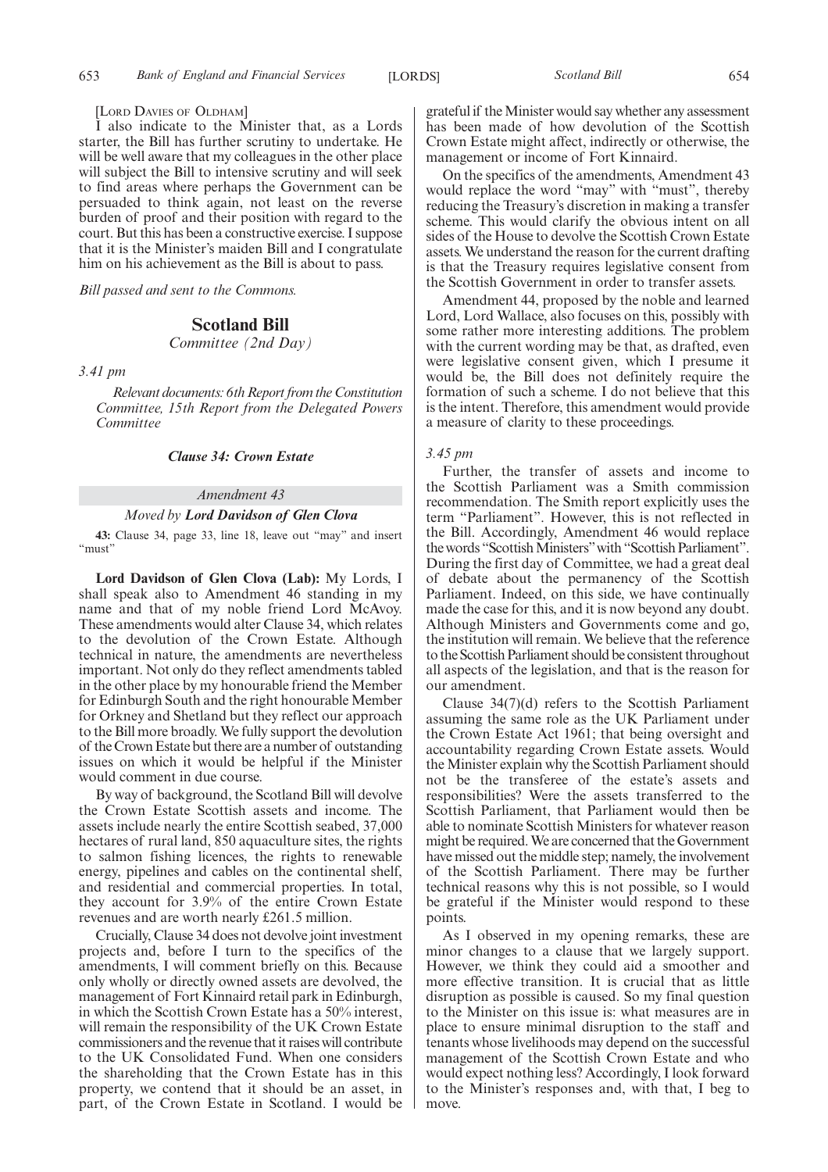[LORD DAVIES OF OLDHAM]

I also indicate to the Minister that, as a Lords starter, the Bill has further scrutiny to undertake. He will be well aware that my colleagues in the other place will subject the Bill to intensive scrutiny and will seek to find areas where perhaps the Government can be persuaded to think again, not least on the reverse burden of proof and their position with regard to the court. But this has been a constructive exercise. I suppose that it is the Minister's maiden Bill and I congratulate him on his achievement as the Bill is about to pass.

*Bill passed and sent to the Commons.*

#### **Scotland Bill**

*Committee (2nd Day)*

*3.41 pm*

*Relevant documents: 6th Report from the Constitution Committee, 15th Report from the Delegated Powers Committee*

#### *Clause 34: Crown Estate*

#### *Amendment 43*

#### *Moved by Lord Davidson of Glen Clova*

**43:** Clause 34, page 33, line 18, leave out "may" and insert "must"

**Lord Davidson of Glen Clova (Lab):** My Lords, I shall speak also to Amendment 46 standing in my name and that of my noble friend Lord McAvoy. These amendments would alter Clause 34, which relates to the devolution of the Crown Estate. Although technical in nature, the amendments are nevertheless important. Not only do they reflect amendments tabled in the other place by my honourable friend the Member for Edinburgh South and the right honourable Member for Orkney and Shetland but they reflect our approach to the Bill more broadly. We fully support the devolution of the Crown Estate but there are a number of outstanding issues on which it would be helpful if the Minister would comment in due course.

By way of background, the Scotland Bill will devolve the Crown Estate Scottish assets and income. The assets include nearly the entire Scottish seabed, 37,000 hectares of rural land, 850 aquaculture sites, the rights to salmon fishing licences, the rights to renewable energy, pipelines and cables on the continental shelf, and residential and commercial properties. In total, they account for 3.9% of the entire Crown Estate revenues and are worth nearly £261.5 million.

Crucially, Clause 34 does not devolve joint investment projects and, before I turn to the specifics of the amendments, I will comment briefly on this. Because only wholly or directly owned assets are devolved, the management of Fort Kinnaird retail park in Edinburgh, in which the Scottish Crown Estate has a 50% interest, will remain the responsibility of the UK Crown Estate commissioners and the revenue that it raises will contribute to the UK Consolidated Fund. When one considers the shareholding that the Crown Estate has in this property, we contend that it should be an asset, in part, of the Crown Estate in Scotland. I would be grateful if theMinister would say whether any assessment has been made of how devolution of the Scottish Crown Estate might affect, indirectly or otherwise, the management or income of Fort Kinnaird.

On the specifics of the amendments, Amendment 43 would replace the word "may" with "must", thereby reducing the Treasury's discretion in making a transfer scheme. This would clarify the obvious intent on all sides of the House to devolve the Scottish Crown Estate assets. We understand the reason for the current drafting is that the Treasury requires legislative consent from the Scottish Government in order to transfer assets.

Amendment 44, proposed by the noble and learned Lord, Lord Wallace, also focuses on this, possibly with some rather more interesting additions. The problem with the current wording may be that, as drafted, even were legislative consent given, which I presume it would be, the Bill does not definitely require the formation of such a scheme. I do not believe that this is the intent. Therefore, this amendment would provide a measure of clarity to these proceedings.

#### *3.45 pm*

Further, the transfer of assets and income to the Scottish Parliament was a Smith commission recommendation. The Smith report explicitly uses the term "Parliament". However, this is not reflected in the Bill. Accordingly, Amendment 46 would replace the words "Scottish Ministers" with "Scottish Parliament". During the first day of Committee, we had a great deal of debate about the permanency of the Scottish Parliament. Indeed, on this side, we have continually made the case for this, and it is now beyond any doubt. Although Ministers and Governments come and go, the institution will remain. We believe that the reference to the Scottish Parliament should be consistent throughout all aspects of the legislation, and that is the reason for our amendment.

Clause 34(7)(d) refers to the Scottish Parliament assuming the same role as the UK Parliament under the Crown Estate Act 1961; that being oversight and accountability regarding Crown Estate assets. Would the Minister explain why the Scottish Parliament should not be the transferee of the estate's assets and responsibilities? Were the assets transferred to the Scottish Parliament, that Parliament would then be able to nominate Scottish Ministers for whatever reason might be required.We are concerned that the Government have missed out the middle step; namely, the involvement of the Scottish Parliament. There may be further technical reasons why this is not possible, so I would be grateful if the Minister would respond to these points.

As I observed in my opening remarks, these are minor changes to a clause that we largely support. However, we think they could aid a smoother and more effective transition. It is crucial that as little disruption as possible is caused. So my final question to the Minister on this issue is: what measures are in place to ensure minimal disruption to the staff and tenants whose livelihoods may depend on the successful management of the Scottish Crown Estate and who would expect nothing less? Accordingly, I look forward to the Minister's responses and, with that, I beg to move.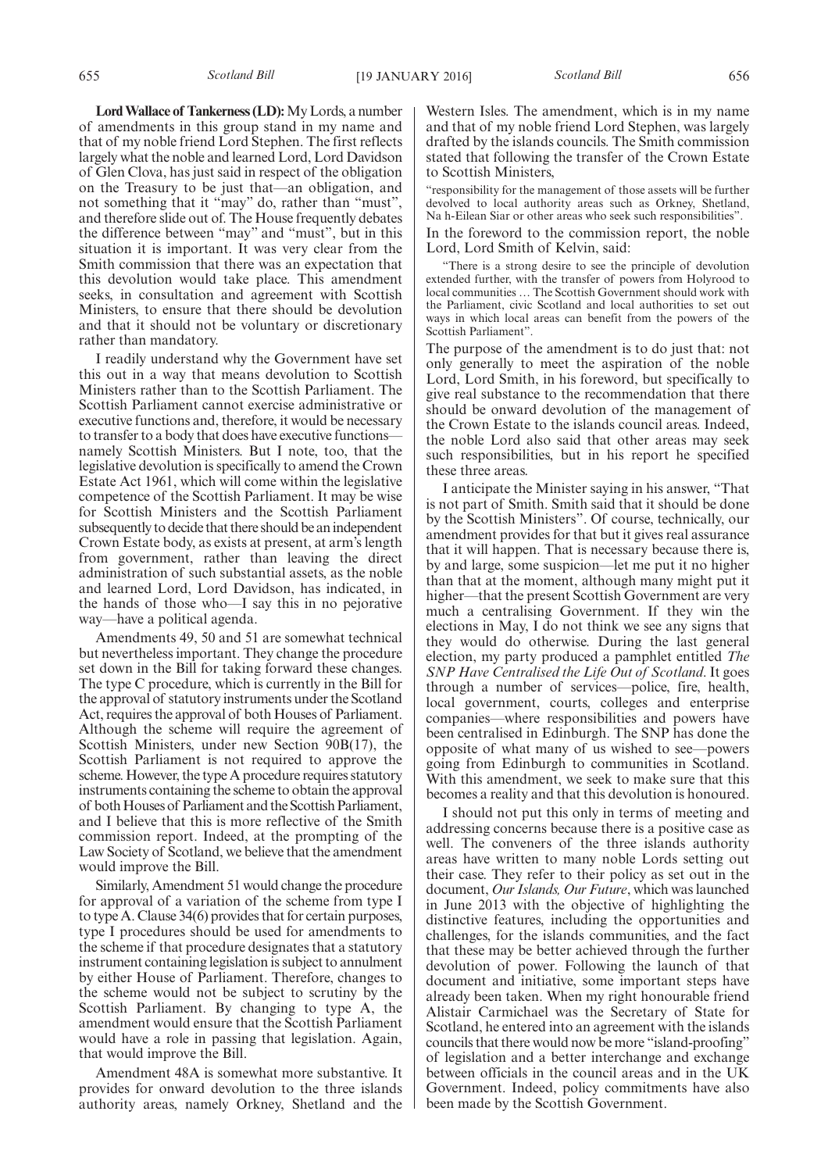**LordWallace of Tankerness (LD):**My Lords, a number of amendments in this group stand in my name and that of my noble friend Lord Stephen. The first reflects largely what the noble and learned Lord, Lord Davidson of Glen Clova, has just said in respect of the obligation on the Treasury to be just that—an obligation, and not something that it "may" do, rather than "must", and therefore slide out of. The House frequently debates the difference between "may" and "must", but in this situation it is important. It was very clear from the Smith commission that there was an expectation that this devolution would take place. This amendment seeks, in consultation and agreement with Scottish Ministers, to ensure that there should be devolution and that it should not be voluntary or discretionary rather than mandatory.

I readily understand why the Government have set this out in a way that means devolution to Scottish Ministers rather than to the Scottish Parliament. The Scottish Parliament cannot exercise administrative or executive functions and, therefore, it would be necessary to transfer to a body that does have executive functions namely Scottish Ministers. But I note, too, that the legislative devolution is specifically to amend the Crown Estate Act 1961, which will come within the legislative competence of the Scottish Parliament. It may be wise for Scottish Ministers and the Scottish Parliament subsequently to decide that there should be an independent Crown Estate body, as exists at present, at arm's length from government, rather than leaving the direct administration of such substantial assets, as the noble and learned Lord, Lord Davidson, has indicated, in the hands of those who—I say this in no pejorative way—have a political agenda.

Amendments 49, 50 and 51 are somewhat technical but nevertheless important. They change the procedure set down in the Bill for taking forward these changes. The type C procedure, which is currently in the Bill for the approval of statutory instruments under the Scotland Act, requires the approval of both Houses of Parliament. Although the scheme will require the agreement of Scottish Ministers, under new Section 90B(17), the Scottish Parliament is not required to approve the scheme. However, the type A procedure requires statutory instruments containing the scheme to obtain the approval of both Houses of Parliament and the Scottish Parliament, and I believe that this is more reflective of the Smith commission report. Indeed, at the prompting of the Law Society of Scotland, we believe that the amendment would improve the Bill.

Similarly, Amendment 51 would change the procedure for approval of a variation of the scheme from type I to type A. Clause 34(6) provides that for certain purposes, type I procedures should be used for amendments to the scheme if that procedure designates that a statutory instrument containing legislation is subject to annulment by either House of Parliament. Therefore, changes to the scheme would not be subject to scrutiny by the Scottish Parliament. By changing to type A, the amendment would ensure that the Scottish Parliament would have a role in passing that legislation. Again, that would improve the Bill.

Amendment 48A is somewhat more substantive. It provides for onward devolution to the three islands authority areas, namely Orkney, Shetland and the

Western Isles. The amendment, which is in my name and that of my noble friend Lord Stephen, was largely drafted by the islands councils. The Smith commission stated that following the transfer of the Crown Estate to Scottish Ministers,

"responsibility for the management of those assets will be further devolved to local authority areas such as Orkney, Shetland, Na h-Eilean Siar or other areas who seek such responsibilities".

In the foreword to the commission report, the noble Lord, Lord Smith of Kelvin, said:

"There is a strong desire to see the principle of devolution extended further, with the transfer of powers from Holyrood to local communities … The Scottish Government should work with the Parliament, civic Scotland and local authorities to set out ways in which local areas can benefit from the powers of the Scottish Parliament".

The purpose of the amendment is to do just that: not only generally to meet the aspiration of the noble Lord, Lord Smith, in his foreword, but specifically to give real substance to the recommendation that there should be onward devolution of the management of the Crown Estate to the islands council areas. Indeed, the noble Lord also said that other areas may seek such responsibilities, but in his report he specified these three areas.

I anticipate the Minister saying in his answer, "That is not part of Smith. Smith said that it should be done by the Scottish Ministers". Of course, technically, our amendment provides for that but it gives real assurance that it will happen. That is necessary because there is, by and large, some suspicion—let me put it no higher than that at the moment, although many might put it higher—that the present Scottish Government are very much a centralising Government. If they win the elections in May, I do not think we see any signs that they would do otherwise. During the last general election, my party produced a pamphlet entitled *The SNP Have Centralised the Life Out of Scotland*. It goes through a number of services—police, fire, health, local government, courts, colleges and enterprise companies—where responsibilities and powers have been centralised in Edinburgh. The SNP has done the opposite of what many of us wished to see—powers going from Edinburgh to communities in Scotland. With this amendment, we seek to make sure that this becomes a reality and that this devolution is honoured.

I should not put this only in terms of meeting and addressing concerns because there is a positive case as well. The conveners of the three islands authority areas have written to many noble Lords setting out their case. They refer to their policy as set out in the document, *Our Islands, Our Future*, which was launched in June 2013 with the objective of highlighting the distinctive features, including the opportunities and challenges, for the islands communities, and the fact that these may be better achieved through the further devolution of power. Following the launch of that document and initiative, some important steps have already been taken. When my right honourable friend Alistair Carmichael was the Secretary of State for Scotland, he entered into an agreement with the islands councils that there would now be more "island-proofing" of legislation and a better interchange and exchange between officials in the council areas and in the UK Government. Indeed, policy commitments have also been made by the Scottish Government.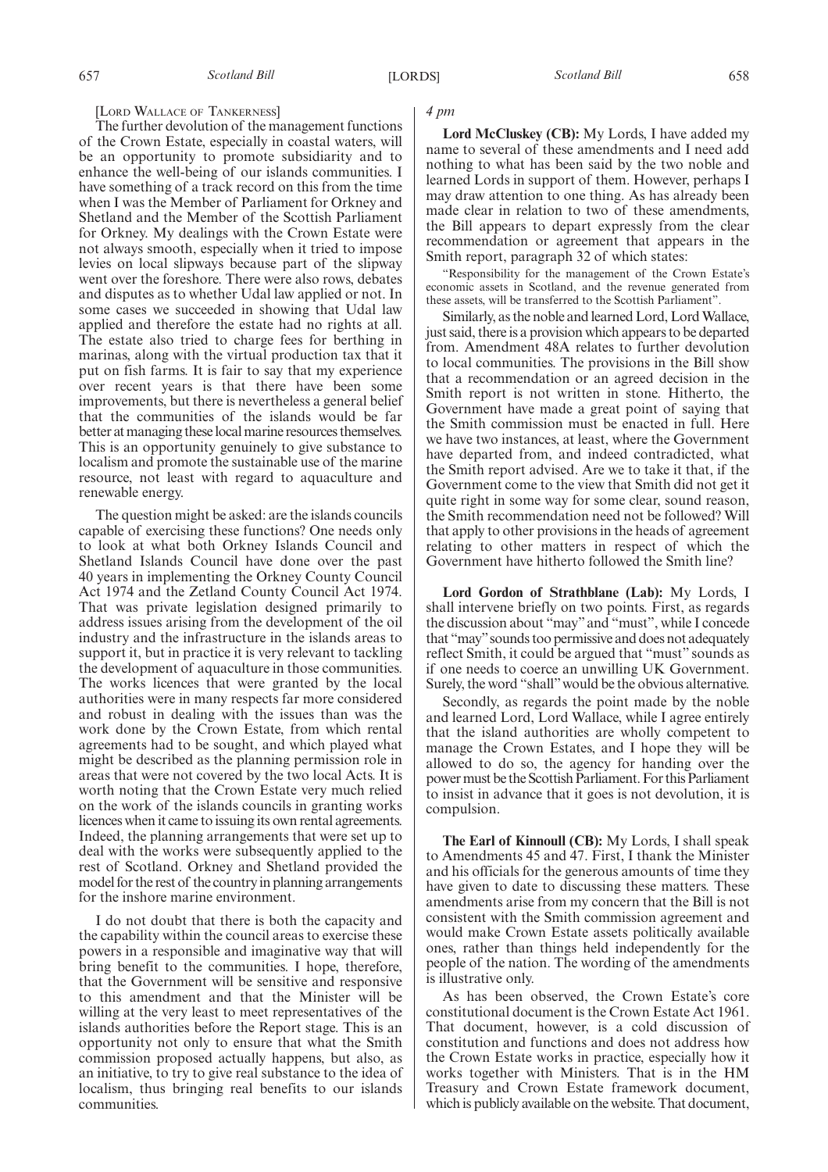#### [LORD WALLACE OF TANKERNESS]

The further devolution of the management functions of the Crown Estate, especially in coastal waters, will be an opportunity to promote subsidiarity and to enhance the well-being of our islands communities. I have something of a track record on this from the time when I was the Member of Parliament for Orkney and Shetland and the Member of the Scottish Parliament for Orkney. My dealings with the Crown Estate were not always smooth, especially when it tried to impose levies on local slipways because part of the slipway went over the foreshore. There were also rows, debates and disputes as to whether Udal law applied or not. In some cases we succeeded in showing that Udal law applied and therefore the estate had no rights at all. The estate also tried to charge fees for berthing in marinas, along with the virtual production tax that it put on fish farms. It is fair to say that my experience over recent years is that there have been some improvements, but there is nevertheless a general belief that the communities of the islands would be far better at managing these local marine resources themselves. This is an opportunity genuinely to give substance to localism and promote the sustainable use of the marine resource, not least with regard to aquaculture and renewable energy.

The question might be asked: are the islands councils capable of exercising these functions? One needs only to look at what both Orkney Islands Council and Shetland Islands Council have done over the past 40 years in implementing the Orkney County Council Act 1974 and the Zetland County Council Act 1974. That was private legislation designed primarily to address issues arising from the development of the oil industry and the infrastructure in the islands areas to support it, but in practice it is very relevant to tackling the development of aquaculture in those communities. The works licences that were granted by the local authorities were in many respects far more considered and robust in dealing with the issues than was the work done by the Crown Estate, from which rental agreements had to be sought, and which played what might be described as the planning permission role in areas that were not covered by the two local Acts. It is worth noting that the Crown Estate very much relied on the work of the islands councils in granting works licences when it came to issuing its own rental agreements. Indeed, the planning arrangements that were set up to deal with the works were subsequently applied to the rest of Scotland. Orkney and Shetland provided the model for the rest of the country in planning arrangements for the inshore marine environment.

I do not doubt that there is both the capacity and the capability within the council areas to exercise these powers in a responsible and imaginative way that will bring benefit to the communities. I hope, therefore, that the Government will be sensitive and responsive to this amendment and that the Minister will be willing at the very least to meet representatives of the islands authorities before the Report stage. This is an opportunity not only to ensure that what the Smith commission proposed actually happens, but also, as an initiative, to try to give real substance to the idea of localism, thus bringing real benefits to our islands communities.

#### *4 pm*

**Lord McCluskey (CB):** My Lords, I have added my name to several of these amendments and I need add nothing to what has been said by the two noble and learned Lords in support of them. However, perhaps I may draw attention to one thing. As has already been made clear in relation to two of these amendments, the Bill appears to depart expressly from the clear recommendation or agreement that appears in the Smith report, paragraph 32 of which states:

"Responsibility for the management of the Crown Estate's economic assets in Scotland, and the revenue generated from these assets, will be transferred to the Scottish Parliament".

Similarly, as the noble and learned Lord, Lord Wallace, just said, there is a provision which appears to be departed from. Amendment 48A relates to further devolution to local communities. The provisions in the Bill show that a recommendation or an agreed decision in the Smith report is not written in stone. Hitherto, the Government have made a great point of saying that the Smith commission must be enacted in full. Here we have two instances, at least, where the Government have departed from, and indeed contradicted, what the Smith report advised. Are we to take it that, if the Government come to the view that Smith did not get it quite right in some way for some clear, sound reason, the Smith recommendation need not be followed? Will that apply to other provisions in the heads of agreement relating to other matters in respect of which the Government have hitherto followed the Smith line?

**Lord Gordon of Strathblane (Lab):** My Lords, I shall intervene briefly on two points. First, as regards the discussion about "may" and "must", while I concede that "may"sounds too permissive and does not adequately reflect Smith, it could be argued that "must" sounds as if one needs to coerce an unwilling UK Government. Surely, the word "shall" would be the obvious alternative.

Secondly, as regards the point made by the noble and learned Lord, Lord Wallace, while I agree entirely that the island authorities are wholly competent to manage the Crown Estates, and I hope they will be allowed to do so, the agency for handing over the power must be the Scottish Parliament. For this Parliament to insist in advance that it goes is not devolution, it is compulsion.

**The Earl of Kinnoull (CB):** My Lords, I shall speak to Amendments 45 and 47. First, I thank the Minister and his officials for the generous amounts of time they have given to date to discussing these matters. These amendments arise from my concern that the Bill is not consistent with the Smith commission agreement and would make Crown Estate assets politically available ones, rather than things held independently for the people of the nation. The wording of the amendments is illustrative only.

As has been observed, the Crown Estate's core constitutional document is the Crown Estate Act 1961. That document, however, is a cold discussion of constitution and functions and does not address how the Crown Estate works in practice, especially how it works together with Ministers. That is in the HM Treasury and Crown Estate framework document, which is publicly available on the website. That document,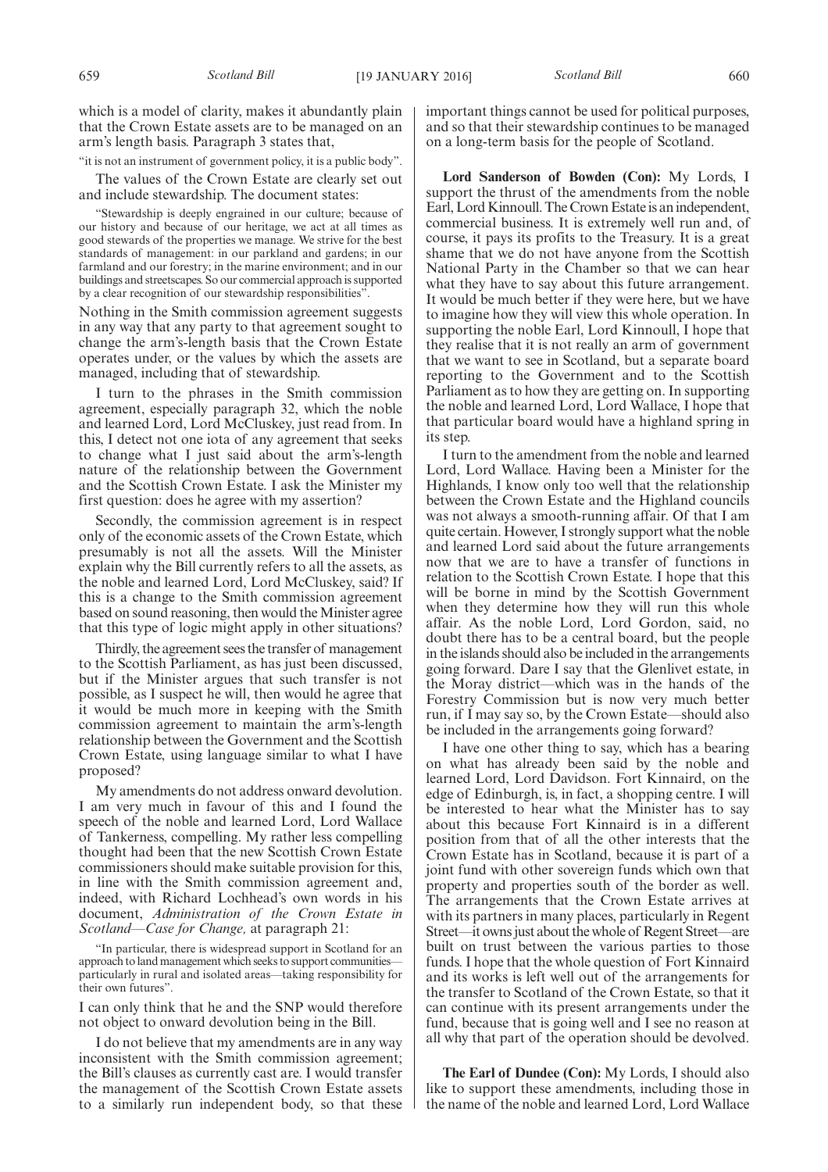which is a model of clarity, makes it abundantly plain that the Crown Estate assets are to be managed on an arm's length basis. Paragraph 3 states that,

"it is not an instrument of government policy, it is a public body".

The values of the Crown Estate are clearly set out and include stewardship. The document states:

"Stewardship is deeply engrained in our culture; because of our history and because of our heritage, we act at all times as good stewards of the properties we manage. We strive for the best standards of management: in our parkland and gardens; in our farmland and our forestry; in the marine environment; and in our buildings and streetscapes. So our commercial approach is supported by a clear recognition of our stewardship responsibilities'

Nothing in the Smith commission agreement suggests in any way that any party to that agreement sought to change the arm's-length basis that the Crown Estate operates under, or the values by which the assets are managed, including that of stewardship.

I turn to the phrases in the Smith commission agreement, especially paragraph 32, which the noble and learned Lord, Lord McCluskey, just read from. In this, I detect not one iota of any agreement that seeks to change what I just said about the arm's-length nature of the relationship between the Government and the Scottish Crown Estate. I ask the Minister my first question: does he agree with my assertion?

Secondly, the commission agreement is in respect only of the economic assets of the Crown Estate, which presumably is not all the assets. Will the Minister explain why the Bill currently refers to all the assets, as the noble and learned Lord, Lord McCluskey, said? If this is a change to the Smith commission agreement based on sound reasoning, then would the Minister agree that this type of logic might apply in other situations?

Thirdly, the agreement sees the transfer of management to the Scottish Parliament, as has just been discussed, but if the Minister argues that such transfer is not possible, as I suspect he will, then would he agree that it would be much more in keeping with the Smith commission agreement to maintain the arm's-length relationship between the Government and the Scottish Crown Estate, using language similar to what I have proposed?

My amendments do not address onward devolution. I am very much in favour of this and I found the speech of the noble and learned Lord, Lord Wallace of Tankerness, compelling. My rather less compelling thought had been that the new Scottish Crown Estate commissioners should make suitable provision for this, in line with the Smith commission agreement and, indeed, with Richard Lochhead's own words in his document, *Administration of the Crown Estate in Scotland—Case for Change,* at paragraph 21:

"In particular, there is widespread support in Scotland for an approach to land management which seeks to support communities particularly in rural and isolated areas—taking responsibility for their own futures".

I can only think that he and the SNP would therefore not object to onward devolution being in the Bill.

I do not believe that my amendments are in any way inconsistent with the Smith commission agreement; the Bill's clauses as currently cast are. I would transfer the management of the Scottish Crown Estate assets to a similarly run independent body, so that these

important things cannot be used for political purposes, and so that their stewardship continues to be managed on a long-term basis for the people of Scotland.

**Lord Sanderson of Bowden (Con):** My Lords, I support the thrust of the amendments from the noble Earl, Lord Kinnoull. The Crown Estate is an independent, commercial business. It is extremely well run and, of course, it pays its profits to the Treasury. It is a great shame that we do not have anyone from the Scottish National Party in the Chamber so that we can hear what they have to say about this future arrangement. It would be much better if they were here, but we have to imagine how they will view this whole operation. In supporting the noble Earl, Lord Kinnoull, I hope that they realise that it is not really an arm of government that we want to see in Scotland, but a separate board reporting to the Government and to the Scottish Parliament as to how they are getting on. In supporting the noble and learned Lord, Lord Wallace, I hope that that particular board would have a highland spring in its step.

I turn to the amendment from the noble and learned Lord, Lord Wallace. Having been a Minister for the Highlands, I know only too well that the relationship between the Crown Estate and the Highland councils was not always a smooth-running affair. Of that I am quite certain. However, I strongly support what the noble and learned Lord said about the future arrangements now that we are to have a transfer of functions in relation to the Scottish Crown Estate. I hope that this will be borne in mind by the Scottish Government when they determine how they will run this whole affair. As the noble Lord, Lord Gordon, said, no doubt there has to be a central board, but the people in the islands should also be included in the arrangements going forward. Dare I say that the Glenlivet estate, in the Moray district—which was in the hands of the Forestry Commission but is now very much better run, if I may say so, by the Crown Estate—should also be included in the arrangements going forward?

I have one other thing to say, which has a bearing on what has already been said by the noble and learned Lord, Lord Davidson. Fort Kinnaird, on the edge of Edinburgh, is, in fact, a shopping centre. I will be interested to hear what the Minister has to say about this because Fort Kinnaird is in a different position from that of all the other interests that the Crown Estate has in Scotland, because it is part of a joint fund with other sovereign funds which own that property and properties south of the border as well. The arrangements that the Crown Estate arrives at with its partners in many places, particularly in Regent Street—it owns just about the whole of Regent Street—are built on trust between the various parties to those funds. I hope that the whole question of Fort Kinnaird and its works is left well out of the arrangements for the transfer to Scotland of the Crown Estate, so that it can continue with its present arrangements under the fund, because that is going well and I see no reason at all why that part of the operation should be devolved.

**The Earl of Dundee (Con):** My Lords, I should also like to support these amendments, including those in the name of the noble and learned Lord, Lord Wallace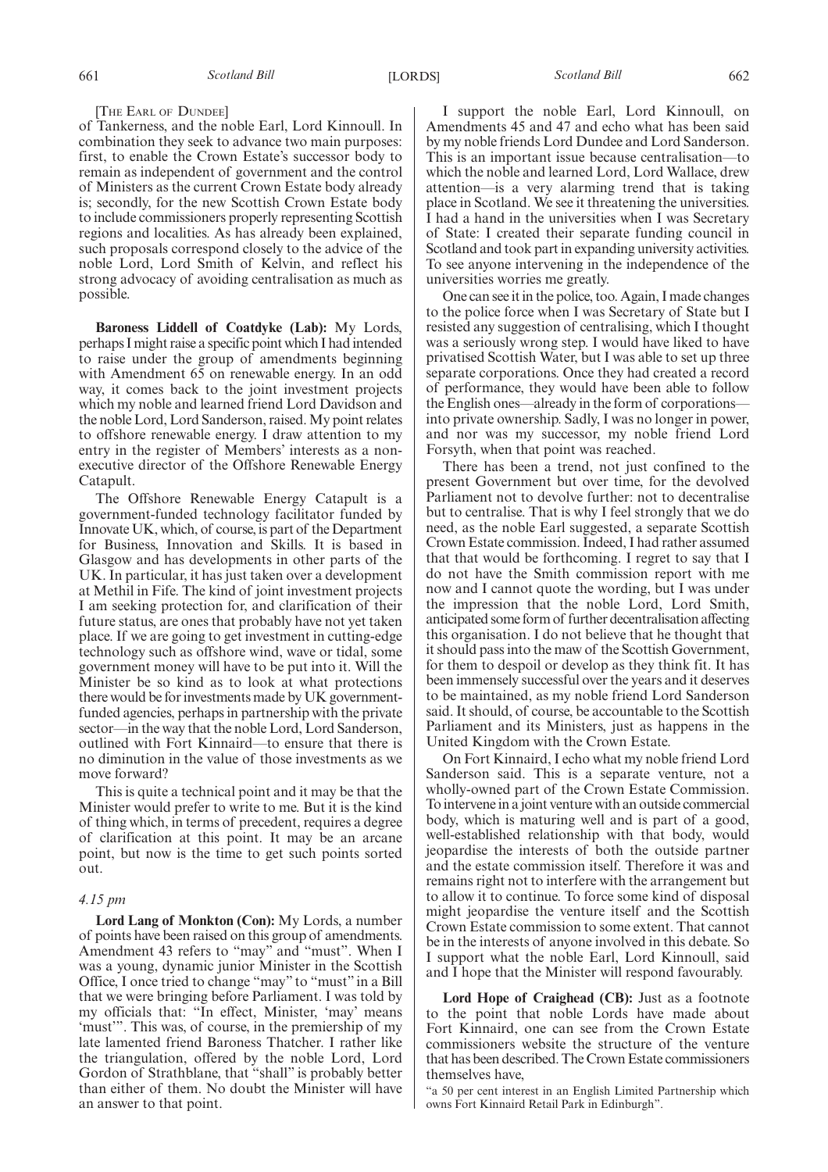#### [THE EARL OF DUNDEE]

of Tankerness, and the noble Earl, Lord Kinnoull. In combination they seek to advance two main purposes: first, to enable the Crown Estate's successor body to remain as independent of government and the control of Ministers as the current Crown Estate body already is; secondly, for the new Scottish Crown Estate body to include commissioners properly representing Scottish regions and localities. As has already been explained, such proposals correspond closely to the advice of the noble Lord, Lord Smith of Kelvin, and reflect his strong advocacy of avoiding centralisation as much as possible.

**Baroness Liddell of Coatdyke (Lab):** My Lords, perhaps I might raise a specific point which I had intended to raise under the group of amendments beginning with Amendment 65 on renewable energy. In an odd way, it comes back to the joint investment projects which my noble and learned friend Lord Davidson and the noble Lord, Lord Sanderson, raised.My point relates to offshore renewable energy. I draw attention to my entry in the register of Members' interests as a nonexecutive director of the Offshore Renewable Energy Catapult.

The Offshore Renewable Energy Catapult is a government-funded technology facilitator funded by Innovate UK, which, of course, is part of the Department for Business, Innovation and Skills. It is based in Glasgow and has developments in other parts of the UK. In particular, it has just taken over a development at Methil in Fife. The kind of joint investment projects I am seeking protection for, and clarification of their future status, are ones that probably have not yet taken place. If we are going to get investment in cutting-edge technology such as offshore wind, wave or tidal, some government money will have to be put into it. Will the Minister be so kind as to look at what protections there would be for investments made by UK governmentfunded agencies, perhaps in partnership with the private sector—in the way that the noble Lord, Lord Sanderson, outlined with Fort Kinnaird—to ensure that there is no diminution in the value of those investments as we move forward?

This is quite a technical point and it may be that the Minister would prefer to write to me. But it is the kind of thing which, in terms of precedent, requires a degree of clarification at this point. It may be an arcane point, but now is the time to get such points sorted out.

#### *4.15 pm*

**Lord Lang of Monkton (Con):** My Lords, a number of points have been raised on this group of amendments. Amendment 43 refers to "may" and "must". When I was a young, dynamic junior Minister in the Scottish Office, I once tried to change "may" to "must" in a Bill that we were bringing before Parliament. I was told by my officials that: "In effect, Minister, 'may' means 'must'". This was, of course, in the premiership of my late lamented friend Baroness Thatcher. I rather like the triangulation, offered by the noble Lord, Lord Gordon of Strathblane, that "shall" is probably better than either of them. No doubt the Minister will have an answer to that point.

I support the noble Earl, Lord Kinnoull, on Amendments 45 and 47 and echo what has been said by my noble friends Lord Dundee and Lord Sanderson. This is an important issue because centralisation—to which the noble and learned Lord, Lord Wallace, drew attention—is a very alarming trend that is taking place in Scotland. We see it threatening the universities. I had a hand in the universities when I was Secretary of State: I created their separate funding council in Scotland and took part in expanding university activities. To see anyone intervening in the independence of the universities worries me greatly.

One can see it in the police, too. Again, I made changes to the police force when I was Secretary of State but I resisted any suggestion of centralising, which I thought was a seriously wrong step. I would have liked to have privatised Scottish Water, but I was able to set up three separate corporations. Once they had created a record of performance, they would have been able to follow the English ones—already in the form of corporations into private ownership. Sadly, I was no longer in power, and nor was my successor, my noble friend Lord Forsyth, when that point was reached.

There has been a trend, not just confined to the present Government but over time, for the devolved Parliament not to devolve further: not to decentralise but to centralise. That is why I feel strongly that we do need, as the noble Earl suggested, a separate Scottish Crown Estate commission. Indeed, I had rather assumed that that would be forthcoming. I regret to say that I do not have the Smith commission report with me now and I cannot quote the wording, but I was under the impression that the noble Lord, Lord Smith, anticipated some form of further decentralisation affecting this organisation. I do not believe that he thought that it should pass into the maw of the Scottish Government, for them to despoil or develop as they think fit. It has been immensely successful over the years and it deserves to be maintained, as my noble friend Lord Sanderson said. It should, of course, be accountable to the Scottish Parliament and its Ministers, just as happens in the United Kingdom with the Crown Estate.

On Fort Kinnaird, I echo what my noble friend Lord Sanderson said. This is a separate venture, not a wholly-owned part of the Crown Estate Commission. To intervene in a joint venture with an outside commercial body, which is maturing well and is part of a good, well-established relationship with that body, would jeopardise the interests of both the outside partner and the estate commission itself. Therefore it was and remains right not to interfere with the arrangement but to allow it to continue. To force some kind of disposal might jeopardise the venture itself and the Scottish Crown Estate commission to some extent. That cannot be in the interests of anyone involved in this debate. So I support what the noble Earl, Lord Kinnoull, said and I hope that the Minister will respond favourably.

**Lord Hope of Craighead (CB):** Just as a footnote to the point that noble Lords have made about Fort Kinnaird, one can see from the Crown Estate commissioners website the structure of the venture that has been described. The Crown Estate commissioners themselves have,

"a 50 per cent interest in an English Limited Partnership which owns Fort Kinnaird Retail Park in Edinburgh".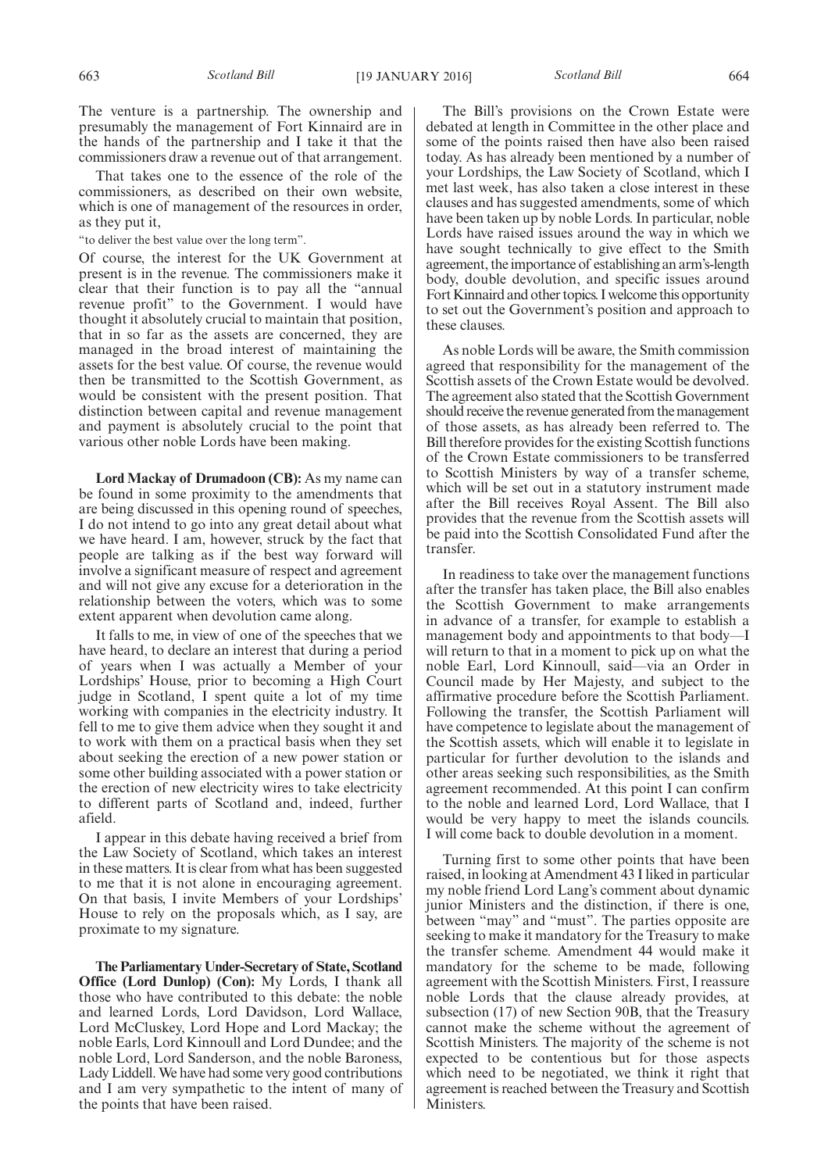The venture is a partnership. The ownership and presumably the management of Fort Kinnaird are in the hands of the partnership and I take it that the commissioners draw a revenue out of that arrangement.

That takes one to the essence of the role of the commissioners, as described on their own website, which is one of management of the resources in order, as they put it,

"to deliver the best value over the long term".

Of course, the interest for the UK Government at present is in the revenue. The commissioners make it clear that their function is to pay all the "annual revenue profit" to the Government. I would have thought it absolutely crucial to maintain that position, that in so far as the assets are concerned, they are managed in the broad interest of maintaining the assets for the best value. Of course, the revenue would then be transmitted to the Scottish Government, as would be consistent with the present position. That distinction between capital and revenue management and payment is absolutely crucial to the point that various other noble Lords have been making.

**Lord Mackay of Drumadoon (CB):** As my name can be found in some proximity to the amendments that are being discussed in this opening round of speeches, I do not intend to go into any great detail about what we have heard. I am, however, struck by the fact that people are talking as if the best way forward will involve a significant measure of respect and agreement and will not give any excuse for a deterioration in the relationship between the voters, which was to some extent apparent when devolution came along.

It falls to me, in view of one of the speeches that we have heard, to declare an interest that during a period of years when I was actually a Member of your Lordships' House, prior to becoming a High Court judge in Scotland, I spent quite a lot of my time working with companies in the electricity industry. It fell to me to give them advice when they sought it and to work with them on a practical basis when they set about seeking the erection of a new power station or some other building associated with a power station or the erection of new electricity wires to take electricity to different parts of Scotland and, indeed, further afield.

I appear in this debate having received a brief from the Law Society of Scotland, which takes an interest in these matters. It is clear from what has been suggested to me that it is not alone in encouraging agreement. On that basis, I invite Members of your Lordships' House to rely on the proposals which, as I say, are proximate to my signature.

**The Parliamentary Under-Secretary of State, Scotland Office (Lord Dunlop) (Con):** My Lords, I thank all those who have contributed to this debate: the noble and learned Lords, Lord Davidson, Lord Wallace, Lord McCluskey, Lord Hope and Lord Mackay; the noble Earls, Lord Kinnoull and Lord Dundee; and the noble Lord, Lord Sanderson, and the noble Baroness, Lady Liddell.We have had some very good contributions and I am very sympathetic to the intent of many of the points that have been raised.

The Bill's provisions on the Crown Estate were debated at length in Committee in the other place and some of the points raised then have also been raised today. As has already been mentioned by a number of your Lordships, the Law Society of Scotland, which I met last week, has also taken a close interest in these clauses and has suggested amendments, some of which have been taken up by noble Lords. In particular, noble Lords have raised issues around the way in which we have sought technically to give effect to the Smith agreement, the importance of establishing an arm's-length body, double devolution, and specific issues around Fort Kinnaird and other topics. I welcome this opportunity to set out the Government's position and approach to these clauses.

As noble Lords will be aware, the Smith commission agreed that responsibility for the management of the Scottish assets of the Crown Estate would be devolved. The agreement also stated that the Scottish Government should receive the revenue generated from the management of those assets, as has already been referred to. The Bill therefore provides for the existing Scottish functions of the Crown Estate commissioners to be transferred to Scottish Ministers by way of a transfer scheme, which will be set out in a statutory instrument made after the Bill receives Royal Assent. The Bill also provides that the revenue from the Scottish assets will be paid into the Scottish Consolidated Fund after the transfer.

In readiness to take over the management functions after the transfer has taken place, the Bill also enables the Scottish Government to make arrangements in advance of a transfer, for example to establish a management body and appointments to that body—I will return to that in a moment to pick up on what the noble Earl, Lord Kinnoull, said—via an Order in Council made by Her Majesty, and subject to the affirmative procedure before the Scottish Parliament. Following the transfer, the Scottish Parliament will have competence to legislate about the management of the Scottish assets, which will enable it to legislate in particular for further devolution to the islands and other areas seeking such responsibilities, as the Smith agreement recommended. At this point I can confirm to the noble and learned Lord, Lord Wallace, that I would be very happy to meet the islands councils. I will come back to double devolution in a moment.

Turning first to some other points that have been raised, in looking at Amendment 43 I liked in particular my noble friend Lord Lang's comment about dynamic junior Ministers and the distinction, if there is one, between "may" and "must". The parties opposite are seeking to make it mandatory for the Treasury to make the transfer scheme. Amendment 44 would make it mandatory for the scheme to be made, following agreement with the Scottish Ministers. First, I reassure noble Lords that the clause already provides, at subsection (17) of new Section 90B, that the Treasury cannot make the scheme without the agreement of Scottish Ministers. The majority of the scheme is not expected to be contentious but for those aspects which need to be negotiated, we think it right that agreement is reached between the Treasury and Scottish Ministers.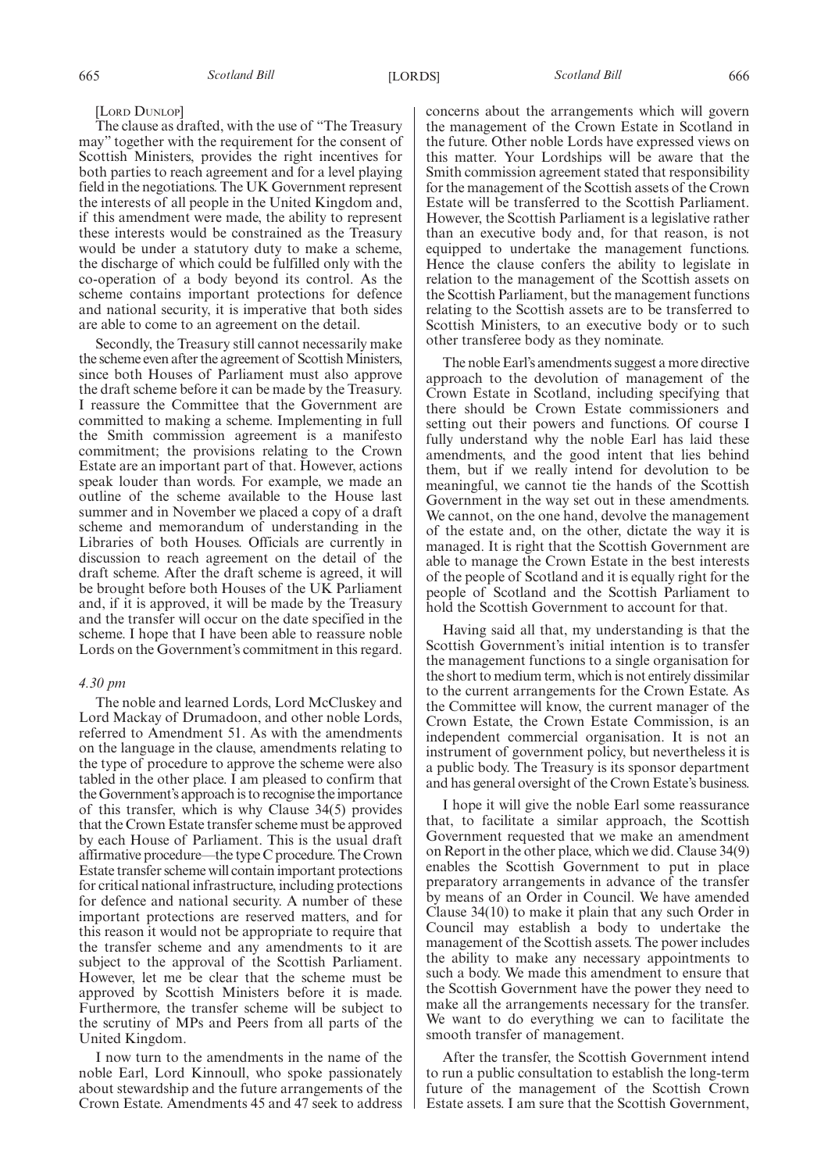#### [LORD DUNLOP]

The clause as drafted, with the use of "The Treasury may" together with the requirement for the consent of Scottish Ministers, provides the right incentives for both parties to reach agreement and for a level playing field in the negotiations. The UK Government represent the interests of all people in the United Kingdom and, if this amendment were made, the ability to represent these interests would be constrained as the Treasury would be under a statutory duty to make a scheme, the discharge of which could be fulfilled only with the co-operation of a body beyond its control. As the scheme contains important protections for defence and national security, it is imperative that both sides are able to come to an agreement on the detail.

Secondly, the Treasury still cannot necessarily make the scheme even after the agreement of Scottish Ministers, since both Houses of Parliament must also approve the draft scheme before it can be made by the Treasury. I reassure the Committee that the Government are committed to making a scheme. Implementing in full the Smith commission agreement is a manifesto commitment; the provisions relating to the Crown Estate are an important part of that. However, actions speak louder than words. For example, we made an outline of the scheme available to the House last summer and in November we placed a copy of a draft scheme and memorandum of understanding in the Libraries of both Houses. Officials are currently in discussion to reach agreement on the detail of the draft scheme. After the draft scheme is agreed, it will be brought before both Houses of the UK Parliament and, if it is approved, it will be made by the Treasury and the transfer will occur on the date specified in the scheme. I hope that I have been able to reassure noble Lords on the Government's commitment in this regard.

#### *4.30 pm*

The noble and learned Lords, Lord McCluskey and Lord Mackay of Drumadoon, and other noble Lords, referred to Amendment 51. As with the amendments on the language in the clause, amendments relating to the type of procedure to approve the scheme were also tabled in the other place. I am pleased to confirm that the Government's approach is to recognise the importance of this transfer, which is why Clause 34(5) provides that the Crown Estate transfer scheme must be approved by each House of Parliament. This is the usual draft affirmative procedure—the type C procedure. The Crown Estate transfer scheme will contain important protections for critical national infrastructure, including protections for defence and national security. A number of these important protections are reserved matters, and for this reason it would not be appropriate to require that the transfer scheme and any amendments to it are subject to the approval of the Scottish Parliament. However, let me be clear that the scheme must be approved by Scottish Ministers before it is made. Furthermore, the transfer scheme will be subject to the scrutiny of MPs and Peers from all parts of the United Kingdom.

I now turn to the amendments in the name of the noble Earl, Lord Kinnoull, who spoke passionately about stewardship and the future arrangements of the Crown Estate. Amendments 45 and 47 seek to address concerns about the arrangements which will govern the management of the Crown Estate in Scotland in the future. Other noble Lords have expressed views on this matter. Your Lordships will be aware that the Smith commission agreement stated that responsibility for the management of the Scottish assets of the Crown Estate will be transferred to the Scottish Parliament. However, the Scottish Parliament is a legislative rather than an executive body and, for that reason, is not equipped to undertake the management functions. Hence the clause confers the ability to legislate in relation to the management of the Scottish assets on the Scottish Parliament, but the management functions relating to the Scottish assets are to be transferred to Scottish Ministers, to an executive body or to such other transferee body as they nominate.

The noble Earl's amendments suggest a more directive approach to the devolution of management of the Crown Estate in Scotland, including specifying that there should be Crown Estate commissioners and setting out their powers and functions. Of course I fully understand why the noble Earl has laid these amendments, and the good intent that lies behind them, but if we really intend for devolution to be meaningful, we cannot tie the hands of the Scottish Government in the way set out in these amendments. We cannot, on the one hand, devolve the management of the estate and, on the other, dictate the way it is managed. It is right that the Scottish Government are able to manage the Crown Estate in the best interests of the people of Scotland and it is equally right for the people of Scotland and the Scottish Parliament to hold the Scottish Government to account for that.

Having said all that, my understanding is that the Scottish Government's initial intention is to transfer the management functions to a single organisation for the short to medium term, which is not entirely dissimilar to the current arrangements for the Crown Estate. As the Committee will know, the current manager of the Crown Estate, the Crown Estate Commission, is an independent commercial organisation. It is not an instrument of government policy, but nevertheless it is a public body. The Treasury is its sponsor department and has general oversight of the Crown Estate's business.

I hope it will give the noble Earl some reassurance that, to facilitate a similar approach, the Scottish Government requested that we make an amendment on Report in the other place, which we did. Clause 34(9) enables the Scottish Government to put in place preparatory arrangements in advance of the transfer by means of an Order in Council. We have amended Clause 34(10) to make it plain that any such Order in Council may establish a body to undertake the management of the Scottish assets. The power includes the ability to make any necessary appointments to such a body. We made this amendment to ensure that the Scottish Government have the power they need to make all the arrangements necessary for the transfer. We want to do everything we can to facilitate the smooth transfer of management.

After the transfer, the Scottish Government intend to run a public consultation to establish the long-term future of the management of the Scottish Crown Estate assets. I am sure that the Scottish Government,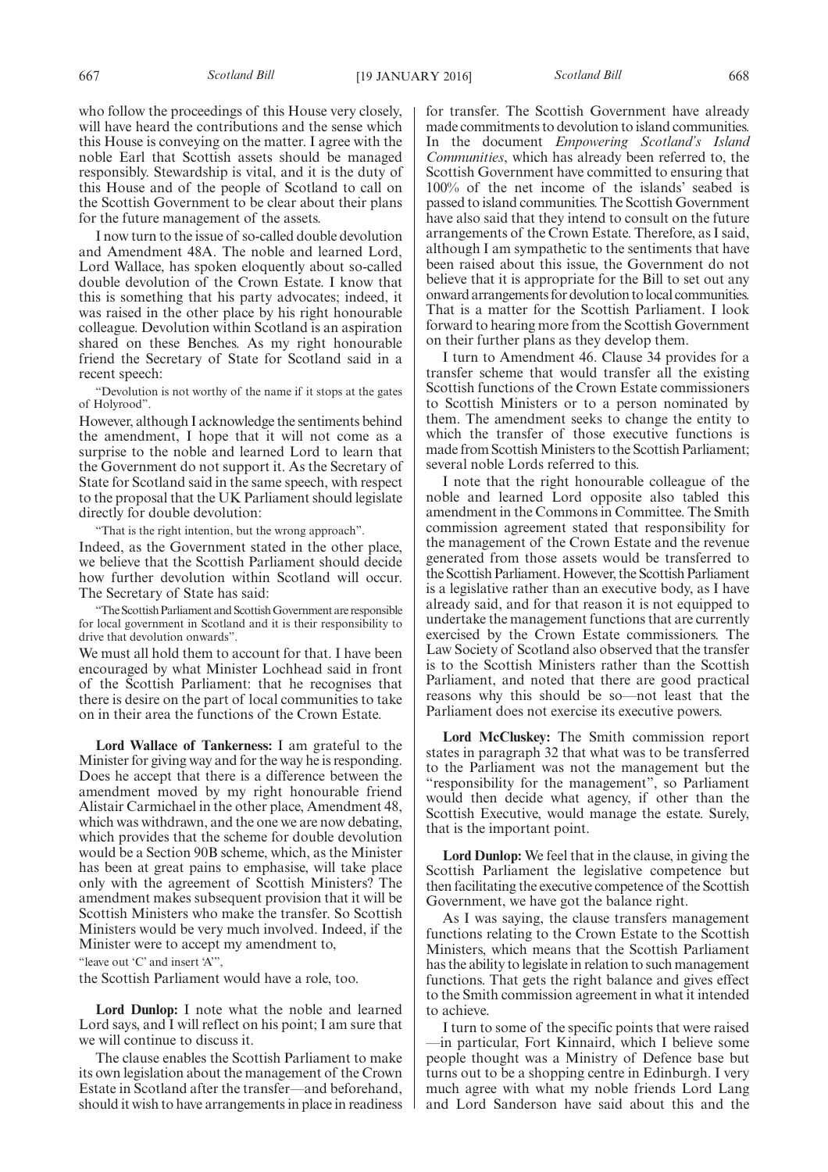who follow the proceedings of this House very closely, will have heard the contributions and the sense which this House is conveying on the matter. I agree with the noble Earl that Scottish assets should be managed responsibly. Stewardship is vital, and it is the duty of this House and of the people of Scotland to call on the Scottish Government to be clear about their plans for the future management of the assets.

I now turn to the issue of so-called double devolution and Amendment 48A. The noble and learned Lord, Lord Wallace, has spoken eloquently about so-called double devolution of the Crown Estate. I know that this is something that his party advocates; indeed, it was raised in the other place by his right honourable colleague. Devolution within Scotland is an aspiration shared on these Benches. As my right honourable friend the Secretary of State for Scotland said in a recent speech:

"Devolution is not worthy of the name if it stops at the gates of Holyrood".

However, although I acknowledge the sentiments behind the amendment, I hope that it will not come as a surprise to the noble and learned Lord to learn that the Government do not support it. As the Secretary of State for Scotland said in the same speech, with respect to the proposal that the UK Parliament should legislate directly for double devolution:

"That is the right intention, but the wrong approach".

Indeed, as the Government stated in the other place, we believe that the Scottish Parliament should decide how further devolution within Scotland will occur. The Secretary of State has said:

"The Scottish Parliament and ScottishGovernment are responsible for local government in Scotland and it is their responsibility to drive that devolution onwards".

We must all hold them to account for that. I have been encouraged by what Minister Lochhead said in front of the Scottish Parliament: that he recognises that there is desire on the part of local communities to take on in their area the functions of the Crown Estate.

**Lord Wallace of Tankerness:** I am grateful to the Minister for giving way and for the way he is responding. Does he accept that there is a difference between the amendment moved by my right honourable friend Alistair Carmichael in the other place, Amendment 48, which was withdrawn, and the one we are now debating, which provides that the scheme for double devolution would be a Section 90B scheme, which, as the Minister has been at great pains to emphasise, will take place only with the agreement of Scottish Ministers? The amendment makes subsequent provision that it will be Scottish Ministers who make the transfer. So Scottish Ministers would be very much involved. Indeed, if the Minister were to accept my amendment to,

"leave out 'C' and insert 'A"',

the Scottish Parliament would have a role, too.

**Lord Dunlop:** I note what the noble and learned Lord says, and I will reflect on his point; I am sure that we will continue to discuss it.

The clause enables the Scottish Parliament to make its own legislation about the management of the Crown Estate in Scotland after the transfer—and beforehand, should it wish to have arrangements in place in readiness for transfer. The Scottish Government have already made commitments to devolution to island communities. In the document *Empowering Scotland's Island Communities*, which has already been referred to, the Scottish Government have committed to ensuring that 100% of the net income of the islands' seabed is passed to island communities. The Scottish Government have also said that they intend to consult on the future arrangements of the Crown Estate. Therefore, as I said, although I am sympathetic to the sentiments that have been raised about this issue, the Government do not believe that it is appropriate for the Bill to set out any onward arrangements for devolution tolocal communities. That is a matter for the Scottish Parliament. I look forward to hearing more from the Scottish Government on their further plans as they develop them.

I turn to Amendment 46. Clause 34 provides for a transfer scheme that would transfer all the existing Scottish functions of the Crown Estate commissioners to Scottish Ministers or to a person nominated by them. The amendment seeks to change the entity to which the transfer of those executive functions is made from Scottish Ministers to the Scottish Parliament; several noble Lords referred to this.

I note that the right honourable colleague of the noble and learned Lord opposite also tabled this amendment in the Commons in Committee. The Smith commission agreement stated that responsibility for the management of the Crown Estate and the revenue generated from those assets would be transferred to the Scottish Parliament. However, the Scottish Parliament is a legislative rather than an executive body, as I have already said, and for that reason it is not equipped to undertake the management functions that are currently exercised by the Crown Estate commissioners. The Law Society of Scotland also observed that the transfer is to the Scottish Ministers rather than the Scottish Parliament, and noted that there are good practical reasons why this should be so—not least that the Parliament does not exercise its executive powers.

**Lord McCluskey:** The Smith commission report states in paragraph 32 that what was to be transferred to the Parliament was not the management but the "responsibility for the management", so Parliament would then decide what agency, if other than the Scottish Executive, would manage the estate. Surely, that is the important point.

**Lord Dunlop:** We feel that in the clause, in giving the Scottish Parliament the legislative competence but then facilitating the executive competence of the Scottish Government, we have got the balance right.

As I was saying, the clause transfers management functions relating to the Crown Estate to the Scottish Ministers, which means that the Scottish Parliament has the ability to legislate in relation to such management functions. That gets the right balance and gives effect to the Smith commission agreement in what it intended to achieve.

I turn to some of the specific points that were raised —in particular, Fort Kinnaird, which I believe some people thought was a Ministry of Defence base but turns out to be a shopping centre in Edinburgh. I very much agree with what my noble friends Lord Lang and Lord Sanderson have said about this and the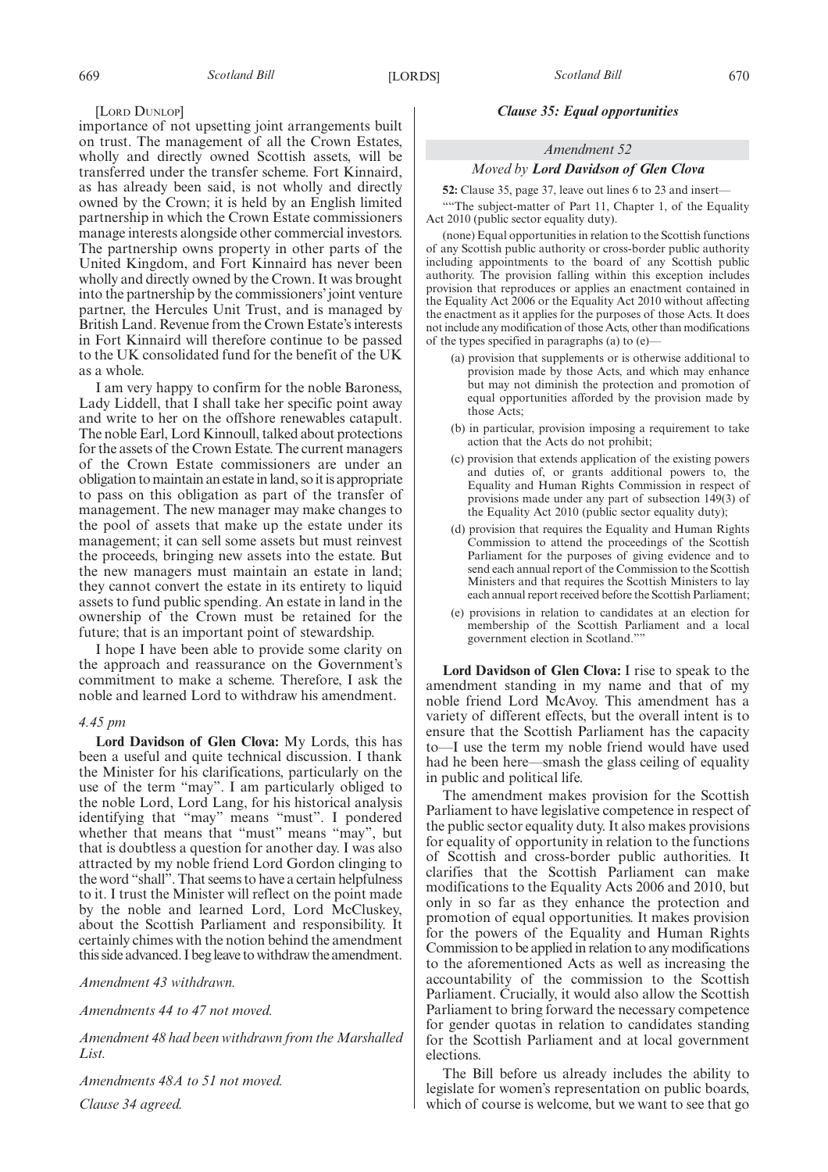#### [LORD DUNLOP]

importance of not upsetting joint arrangements built on trust. The management of all the Crown Estates, wholly and directly owned Scottish assets, will be transferred under the transfer scheme. Fort Kinnaird, as has already been said, is not wholly and directly owned by the Crown; it is held by an English limited partnership in which the Crown Estate commissioners manage interests alongside other commercial investors. The partnership owns property in other parts of the United Kingdom, and Fort Kinnaird has never been wholly and directly owned by the Crown. It was brought into the partnership by the commissioners'joint venture partner, the Hercules Unit Trust, and is managed by British Land. Revenue from the Crown Estate's interests in Fort Kinnaird will therefore continue to be passed to the UK consolidated fund for the benefit of the UK as a whole.

I am very happy to confirm for the noble Baroness, Lady Liddell, that I shall take her specific point away and write to her on the offshore renewables catapult. The noble Earl, Lord Kinnoull, talked about protections for the assets of the Crown Estate. The current managers of the Crown Estate commissioners are under an obligation to maintain an estate in land, so it is appropriate to pass on this obligation as part of the transfer of management. The new manager may make changes to the pool of assets that make up the estate under its management; it can sell some assets but must reinvest the proceeds, bringing new assets into the estate. But the new managers must maintain an estate in land; they cannot convert the estate in its entirety to liquid assets to fund public spending. An estate in land in the ownership of the Crown must be retained for the future; that is an important point of stewardship.

I hope I have been able to provide some clarity on the approach and reassurance on the Government's commitment to make a scheme. Therefore, I ask the noble and learned Lord to withdraw his amendment.

#### *4.45 pm*

**Lord Davidson of Glen Clova:** My Lords, this has been a useful and quite technical discussion. I thank the Minister for his clarifications, particularly on the use of the term "may". I am particularly obliged to the noble Lord, Lord Lang, for his historical analysis identifying that "may" means "must". I pondered whether that means that "must" means "may", but that is doubtless a question for another day. I was also attracted by my noble friend Lord Gordon clinging to the word "shall". That seems to have a certain helpfulness to it. I trust the Minister will reflect on the point made by the noble and learned Lord, Lord McCluskey, about the Scottish Parliament and responsibility. It certainly chimes with the notion behind the amendment this side advanced. I begleave to withdraw the amendment.

*Amendment 43 withdrawn.*

*Amendments 44 to 47 not moved.*

*Amendment 48 had been withdrawn from the Marshalled List.*

*Amendments 48A to 51 not moved. Clause 34 agreed.*

#### *Clause 35: Equal opportunities*

#### *Amendment 52*

#### *Moved by Lord Davidson of Glen Clova*

**52:** Clause 35, page 37, leave out lines 6 to 23 and insert—

"The subject-matter of Part 11, Chapter 1, of the Equality Act 2010 (public sector equality duty).

(none) Equal opportunities in relation to the Scottish functions of any Scottish public authority or cross-border public authority including appointments to the board of any Scottish public authority. The provision falling within this exception includes provision that reproduces or applies an enactment contained in the Equality Act 2006 or the Equality Act 2010 without affecting the enactment as it applies for the purposes of those Acts. It does not include any modification of those Acts, other than modifications of the types specified in paragraphs (a) to (e)—

- (a) provision that supplements or is otherwise additional to provision made by those Acts, and which may enhance but may not diminish the protection and promotion of equal opportunities afforded by the provision made by those Acts;
- (b) in particular, provision imposing a requirement to take action that the Acts do not prohibit;
- (c) provision that extends application of the existing powers and duties of, or grants additional powers to, the Equality and Human Rights Commission in respect of provisions made under any part of subsection 149(3) of the Equality Act 2010 (public sector equality duty);
- (d) provision that requires the Equality and Human Rights Commission to attend the proceedings of the Scottish Parliament for the purposes of giving evidence and to send each annual report of the Commission to the Scottish Ministers and that requires the Scottish Ministers to lay each annual report received before the Scottish Parliament;
- (e) provisions in relation to candidates at an election for membership of the Scottish Parliament and a local government election in Scotland.""

**Lord Davidson of Glen Clova:** I rise to speak to the amendment standing in my name and that of my noble friend Lord McAvoy. This amendment has a variety of different effects, but the overall intent is to ensure that the Scottish Parliament has the capacity to—I use the term my noble friend would have used had he been here—smash the glass ceiling of equality in public and political life.

The amendment makes provision for the Scottish Parliament to have legislative competence in respect of the public sector equality duty. It also makes provisions for equality of opportunity in relation to the functions of Scottish and cross-border public authorities. It clarifies that the Scottish Parliament can make modifications to the Equality Acts 2006 and 2010, but only in so far as they enhance the protection and promotion of equal opportunities. It makes provision for the powers of the Equality and Human Rights Commission to be applied in relation to any modifications to the aforementioned Acts as well as increasing the accountability of the commission to the Scottish Parliament. Crucially, it would also allow the Scottish Parliament to bring forward the necessary competence for gender quotas in relation to candidates standing for the Scottish Parliament and at local government elections.

The Bill before us already includes the ability to legislate for women's representation on public boards, which of course is welcome, but we want to see that go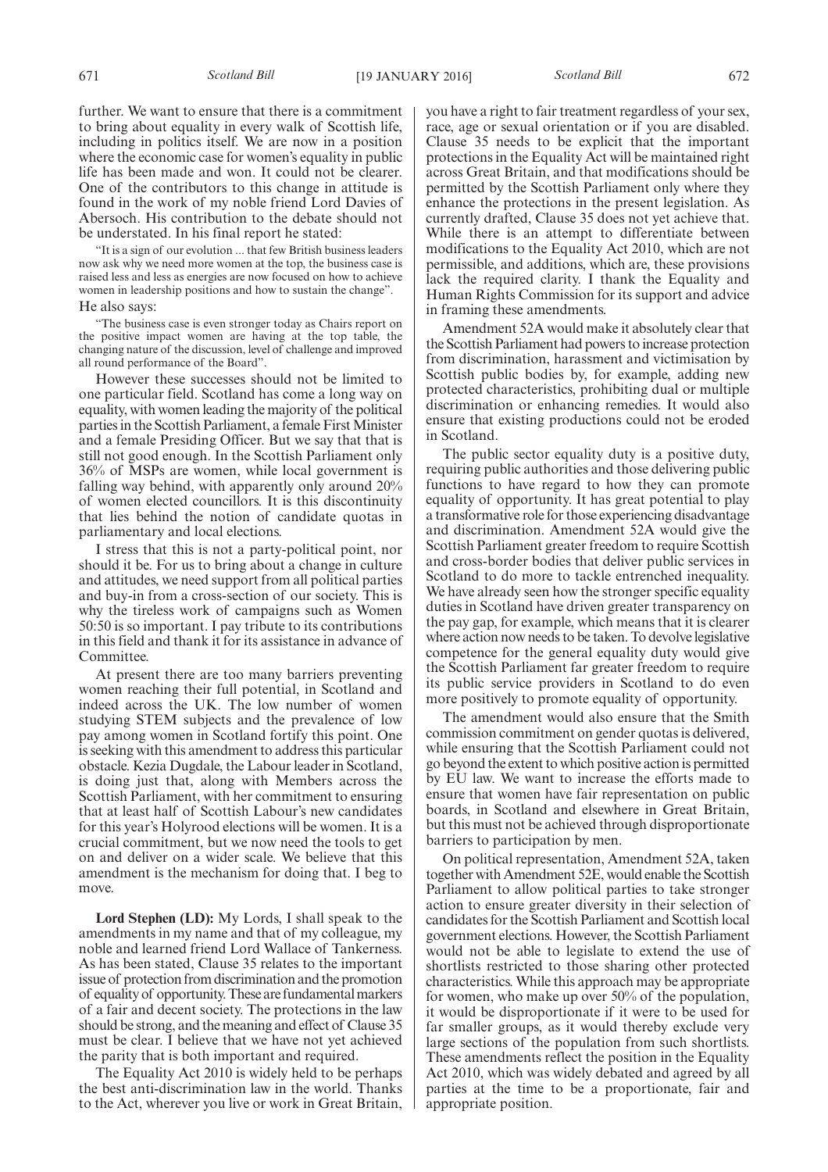further. We want to ensure that there is a commitment to bring about equality in every walk of Scottish life, including in politics itself. We are now in a position where the economic case for women's equality in public life has been made and won. It could not be clearer. One of the contributors to this change in attitude is found in the work of my noble friend Lord Davies of Abersoch. His contribution to the debate should not be understated. In his final report he stated:

"It is a sign of our evolution ... that few British business leaders now ask why we need more women at the top, the business case is raised less and less as energies are now focused on how to achieve women in leadership positions and how to sustain the change". He also says:

"The business case is even stronger today as Chairs report on the positive impact women are having at the top table, the changing nature of the discussion, level of challenge and improved all round performance of the Board".

However these successes should not be limited to one particular field. Scotland has come a long way on equality, with women leading the majority of the political parties in the Scottish Parliament, a female First Minister and a female Presiding Officer. But we say that that is still not good enough. In the Scottish Parliament only 36% of MSPs are women, while local government is falling way behind, with apparently only around 20% of women elected councillors. It is this discontinuity that lies behind the notion of candidate quotas in parliamentary and local elections.

I stress that this is not a party-political point, nor should it be. For us to bring about a change in culture and attitudes, we need support from all political parties and buy-in from a cross-section of our society. This is why the tireless work of campaigns such as Women 50:50 is so important. I pay tribute to its contributions in this field and thank it for its assistance in advance of Committee.

At present there are too many barriers preventing women reaching their full potential, in Scotland and indeed across the UK. The low number of women studying STEM subjects and the prevalence of low pay among women in Scotland fortify this point. One is seeking with this amendment to address this particular obstacle. Kezia Dugdale, the Labour leader in Scotland, is doing just that, along with Members across the Scottish Parliament, with her commitment to ensuring that at least half of Scottish Labour's new candidates for this year's Holyrood elections will be women. It is a crucial commitment, but we now need the tools to get on and deliver on a wider scale. We believe that this amendment is the mechanism for doing that. I beg to move.

**Lord Stephen (LD):** My Lords, I shall speak to the amendments in my name and that of my colleague, my noble and learned friend Lord Wallace of Tankerness. As has been stated, Clause 35 relates to the important issue of protection from discrimination and the promotion of equality of opportunity.These are fundamentalmarkers of a fair and decent society. The protections in the law should be strong, and the meaning and effect of Clause 35 must be clear. I believe that we have not yet achieved the parity that is both important and required.

The Equality Act 2010 is widely held to be perhaps the best anti-discrimination law in the world. Thanks to the Act, wherever you live or work in Great Britain, you have a right to fair treatment regardless of your sex, race, age or sexual orientation or if you are disabled. Clause 35 needs to be explicit that the important protections in the Equality Act will be maintained right across Great Britain, and that modifications should be permitted by the Scottish Parliament only where they enhance the protections in the present legislation. As currently drafted, Clause 35 does not yet achieve that. While there is an attempt to differentiate between modifications to the Equality Act 2010, which are not permissible, and additions, which are, these provisions lack the required clarity. I thank the Equality and Human Rights Commission for its support and advice in framing these amendments.

Amendment 52A would make it absolutely clear that the Scottish Parliament had powers to increase protection from discrimination, harassment and victimisation by Scottish public bodies by, for example, adding new protected characteristics, prohibiting dual or multiple discrimination or enhancing remedies. It would also ensure that existing productions could not be eroded in Scotland.

The public sector equality duty is a positive duty, requiring public authorities and those delivering public functions to have regard to how they can promote equality of opportunity. It has great potential to play a transformative role for those experiencing disadvantage and discrimination. Amendment 52A would give the Scottish Parliament greater freedom to require Scottish and cross-border bodies that deliver public services in Scotland to do more to tackle entrenched inequality. We have already seen how the stronger specific equality duties in Scotland have driven greater transparency on the pay gap, for example, which means that it is clearer where action now needs to be taken. To devolve legislative competence for the general equality duty would give the Scottish Parliament far greater freedom to require its public service providers in Scotland to do even more positively to promote equality of opportunity.

The amendment would also ensure that the Smith commission commitment on gender quotas is delivered, while ensuring that the Scottish Parliament could not go beyond the extent to which positive action is permitted by EU law. We want to increase the efforts made to ensure that women have fair representation on public boards, in Scotland and elsewhere in Great Britain, but this must not be achieved through disproportionate barriers to participation by men.

On political representation, Amendment 52A, taken together with Amendment 52E, would enable the Scottish Parliament to allow political parties to take stronger action to ensure greater diversity in their selection of candidates for the Scottish Parliament and Scottish local government elections. However, the Scottish Parliament would not be able to legislate to extend the use of shortlists restricted to those sharing other protected characteristics. While this approach may be appropriate for women, who make up over 50% of the population, it would be disproportionate if it were to be used for far smaller groups, as it would thereby exclude very large sections of the population from such shortlists. These amendments reflect the position in the Equality Act 2010, which was widely debated and agreed by all parties at the time to be a proportionate, fair and appropriate position.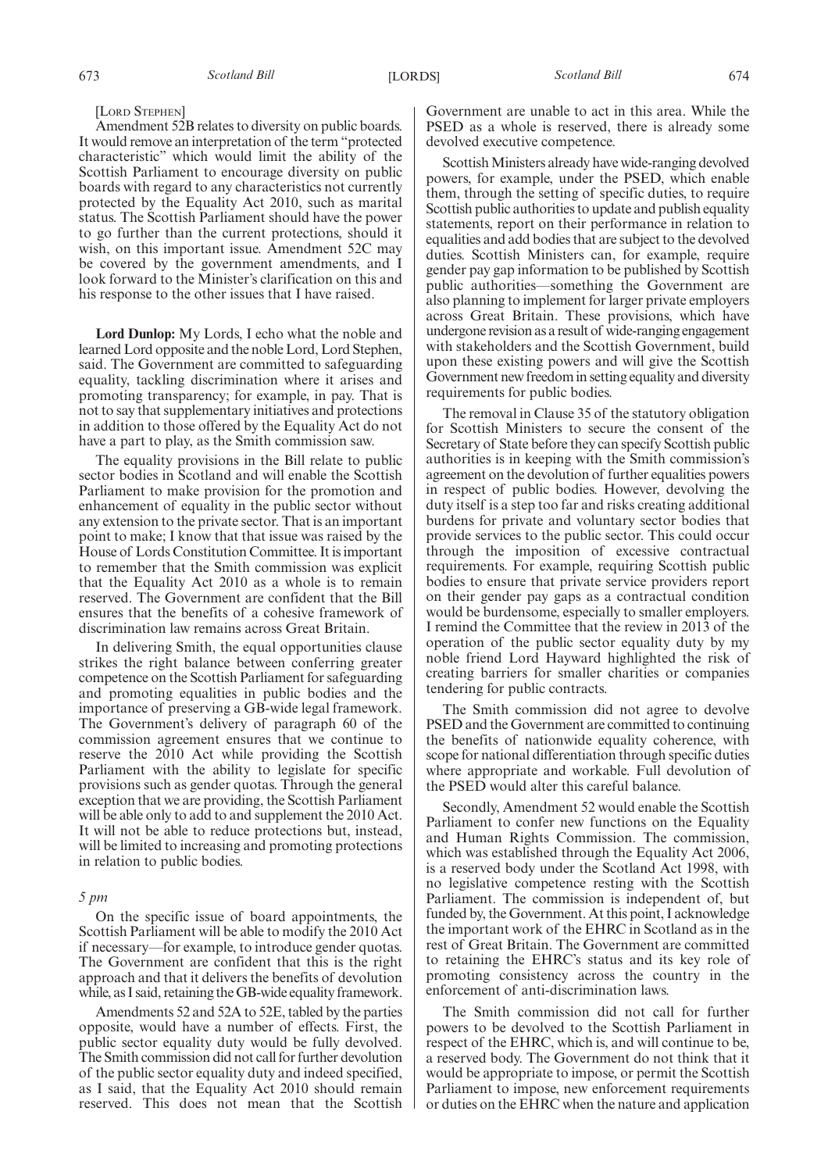#### [LORD STEPHEN]

Amendment 52B relates to diversity on public boards. It would remove an interpretation of the term "protected characteristic" which would limit the ability of the Scottish Parliament to encourage diversity on public boards with regard to any characteristics not currently protected by the Equality Act 2010, such as marital status. The Scottish Parliament should have the power to go further than the current protections, should it wish, on this important issue. Amendment 52C may be covered by the government amendments, and I look forward to the Minister's clarification on this and his response to the other issues that I have raised.

**Lord Dunlop:** My Lords, I echo what the noble and learned Lord opposite and the noble Lord, Lord Stephen, said. The Government are committed to safeguarding equality, tackling discrimination where it arises and promoting transparency; for example, in pay. That is not to say that supplementary initiatives and protections in addition to those offered by the Equality Act do not have a part to play, as the Smith commission saw.

The equality provisions in the Bill relate to public sector bodies in Scotland and will enable the Scottish Parliament to make provision for the promotion and enhancement of equality in the public sector without any extension to the private sector. That is an important point to make; I know that that issue was raised by the House of Lords Constitution Committee. It is important to remember that the Smith commission was explicit that the Equality Act 2010 as a whole is to remain reserved. The Government are confident that the Bill ensures that the benefits of a cohesive framework of discrimination law remains across Great Britain.

In delivering Smith, the equal opportunities clause strikes the right balance between conferring greater competence on the Scottish Parliament for safeguarding and promoting equalities in public bodies and the importance of preserving a GB-wide legal framework. The Government's delivery of paragraph 60 of the commission agreement ensures that we continue to reserve the 2010 Act while providing the Scottish Parliament with the ability to legislate for specific provisions such as gender quotas. Through the general exception that we are providing, the Scottish Parliament will be able only to add to and supplement the 2010 Act. It will not be able to reduce protections but, instead, will be limited to increasing and promoting protections in relation to public bodies.

#### *5 pm*

On the specific issue of board appointments, the Scottish Parliament will be able to modify the 2010 Act if necessary—for example, to introduce gender quotas. The Government are confident that this is the right approach and that it delivers the benefits of devolution while, as I said, retaining the GB-wide equality framework.

Amendments 52 and 52A to 52E, tabled by the parties opposite, would have a number of effects. First, the public sector equality duty would be fully devolved. The Smith commission did not call for further devolution of the public sector equality duty and indeed specified, as I said, that the Equality Act 2010 should remain reserved. This does not mean that the Scottish Government are unable to act in this area. While the PSED as a whole is reserved, there is already some devolved executive competence.

Scottish Ministers already have wide-ranging devolved powers, for example, under the PSED, which enable them, through the setting of specific duties, to require Scottish public authorities to update and publish equality statements, report on their performance in relation to equalities and add bodies that are subject to the devolved duties. Scottish Ministers can, for example, require gender pay gap information to be published by Scottish public authorities—something the Government are also planning to implement for larger private employers across Great Britain. These provisions, which have undergone revision as a result of wide-ranging engagement with stakeholders and the Scottish Government, build upon these existing powers and will give the Scottish Government new freedom in setting equality and diversity requirements for public bodies.

The removal in Clause 35 of the statutory obligation for Scottish Ministers to secure the consent of the Secretary of State before they can specify Scottish public authorities is in keeping with the Smith commission's agreement on the devolution of further equalities powers in respect of public bodies. However, devolving the duty itself is a step too far and risks creating additional burdens for private and voluntary sector bodies that provide services to the public sector. This could occur through the imposition of excessive contractual requirements. For example, requiring Scottish public bodies to ensure that private service providers report on their gender pay gaps as a contractual condition would be burdensome, especially to smaller employers. I remind the Committee that the review in 2013 of the operation of the public sector equality duty by my noble friend Lord Hayward highlighted the risk of creating barriers for smaller charities or companies tendering for public contracts.

The Smith commission did not agree to devolve PSED and the Government are committed to continuing the benefits of nationwide equality coherence, with scope for national differentiation through specific duties where appropriate and workable. Full devolution of the PSED would alter this careful balance.

Secondly, Amendment 52 would enable the Scottish Parliament to confer new functions on the Equality and Human Rights Commission. The commission, which was established through the Equality Act 2006, is a reserved body under the Scotland Act 1998, with no legislative competence resting with the Scottish Parliament. The commission is independent of, but funded by, the Government. At this point, I acknowledge the important work of the EHRC in Scotland as in the rest of Great Britain. The Government are committed to retaining the EHRC's status and its key role of promoting consistency across the country in the enforcement of anti-discrimination laws.

The Smith commission did not call for further powers to be devolved to the Scottish Parliament in respect of the EHRC, which is, and will continue to be, a reserved body. The Government do not think that it would be appropriate to impose, or permit the Scottish Parliament to impose, new enforcement requirements or duties on the EHRC when the nature and application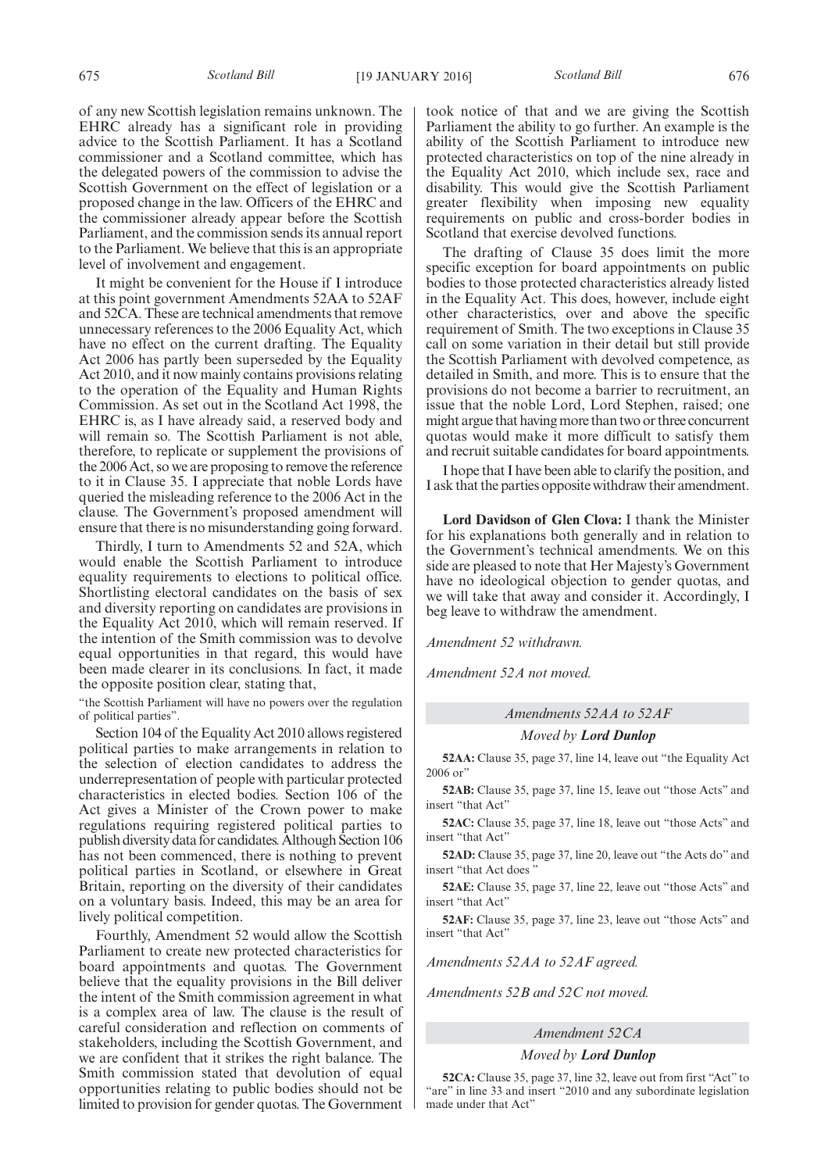of any new Scottish legislation remains unknown. The EHRC already has a significant role in providing advice to the Scottish Parliament. It has a Scotland commissioner and a Scotland committee, which has the delegated powers of the commission to advise the Scottish Government on the effect of legislation or a proposed change in the law. Officers of the EHRC and the commissioner already appear before the Scottish Parliament, and the commission sends its annual report to the Parliament. We believe that this is an appropriate level of involvement and engagement.

It might be convenient for the House if I introduce at this point government Amendments 52AA to 52AF and 52CA. These are technical amendments that remove unnecessary references to the 2006 Equality Act, which have no effect on the current drafting. The Equality Act 2006 has partly been superseded by the Equality Act 2010, and it now mainly contains provisions relating to the operation of the Equality and Human Rights Commission. As set out in the Scotland Act 1998, the EHRC is, as I have already said, a reserved body and will remain so. The Scottish Parliament is not able, therefore, to replicate or supplement the provisions of the 2006 Act, so we are proposing to remove the reference to it in Clause 35. I appreciate that noble Lords have queried the misleading reference to the 2006 Act in the clause. The Government's proposed amendment will ensure that there is no misunderstanding going forward.

Thirdly, I turn to Amendments 52 and 52A, which would enable the Scottish Parliament to introduce equality requirements to elections to political office. Shortlisting electoral candidates on the basis of sex and diversity reporting on candidates are provisions in the Equality Act 2010, which will remain reserved. If the intention of the Smith commission was to devolve equal opportunities in that regard, this would have been made clearer in its conclusions. In fact, it made the opposite position clear, stating that,

"the Scottish Parliament will have no powers over the regulation of political parties".

Section 104 of the Equality Act 2010 allows registered political parties to make arrangements in relation to the selection of election candidates to address the underrepresentation of people with particular protected characteristics in elected bodies. Section 106 of the Act gives a Minister of the Crown power to make regulations requiring registered political parties to publish diversity data for candidates. Although Section 106 has not been commenced, there is nothing to prevent political parties in Scotland, or elsewhere in Great Britain, reporting on the diversity of their candidates on a voluntary basis. Indeed, this may be an area for lively political competition.

Fourthly, Amendment 52 would allow the Scottish Parliament to create new protected characteristics for board appointments and quotas. The Government believe that the equality provisions in the Bill deliver the intent of the Smith commission agreement in what is a complex area of law. The clause is the result of careful consideration and reflection on comments of stakeholders, including the Scottish Government, and we are confident that it strikes the right balance. The Smith commission stated that devolution of equal opportunities relating to public bodies should not be limited to provision for gender quotas. The Government took notice of that and we are giving the Scottish Parliament the ability to go further. An example is the ability of the Scottish Parliament to introduce new protected characteristics on top of the nine already in the Equality Act 2010, which include sex, race and disability. This would give the Scottish Parliament greater flexibility when imposing new equality requirements on public and cross-border bodies in Scotland that exercise devolved functions.

The drafting of Clause 35 does limit the more specific exception for board appointments on public bodies to those protected characteristics already listed in the Equality Act. This does, however, include eight other characteristics, over and above the specific requirement of Smith. The two exceptions in Clause 35 call on some variation in their detail but still provide the Scottish Parliament with devolved competence, as detailed in Smith, and more. This is to ensure that the provisions do not become a barrier to recruitment, an issue that the noble Lord, Lord Stephen, raised; one might argue that having more than two or three concurrent quotas would make it more difficult to satisfy them and recruit suitable candidates for board appointments.

I hope that I have been able to clarify the position, and I ask that the parties opposite withdraw their amendment.

**Lord Davidson of Glen Clova:** I thank the Minister for his explanations both generally and in relation to the Government's technical amendments. We on this side are pleased to note that Her Majesty's Government have no ideological objection to gender quotas, and we will take that away and consider it. Accordingly, I beg leave to withdraw the amendment.

*Amendment 52 withdrawn.*

*Amendment 52A not moved.*

*Amendments 52AA to 52AF*

#### *Moved by Lord Dunlop*

**52AA:** Clause 35, page 37, line 14, leave out "the Equality Act 2006 or"

**52AB:** Clause 35, page 37, line 15, leave out "those Acts" and insert "that Act"

**52AC:** Clause 35, page 37, line 18, leave out "those Acts" and insert "that Act"

**52AD:** Clause 35, page 37, line 20, leave out "the Acts do" and insert "that Act does "

**52AE:** Clause 35, page 37, line 22, leave out "those Acts" and insert "that Act"

**52AF:** Clause 35, page 37, line 23, leave out "those Acts" and insert "that Act"

*Amendments 52AA to 52AF agreed.*

*Amendments 52B and 52C not moved.*

### *Amendment 52CA*

*Moved by Lord Dunlop*

**52CA:** Clause 35, page 37, line 32, leave out from first "Act" to "are" in line 33 and insert "2010 and any subordinate legislation made under that Act"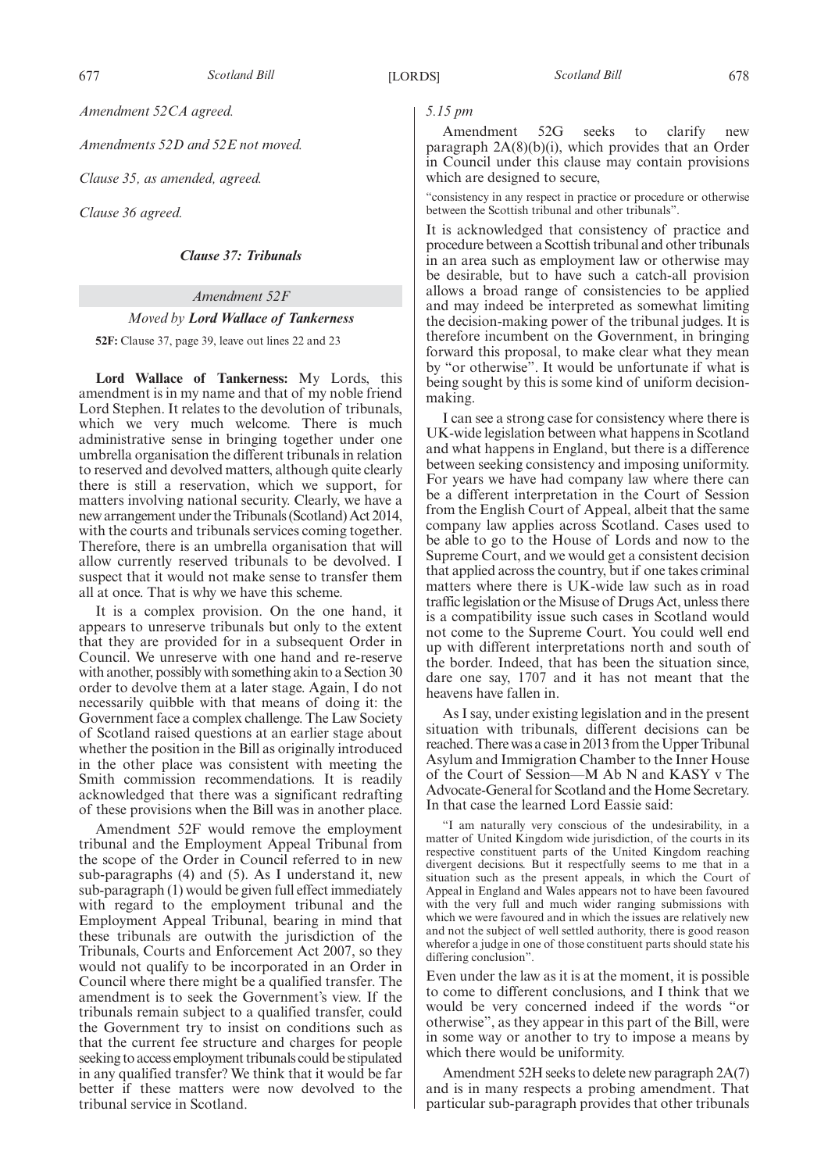*Amendment 52CA agreed.*

*Amendments 52D and 52E not moved.*

*Clause 35, as amended, agreed.*

*Clause 36 agreed.*

*Clause 37: Tribunals*

#### *Amendment 52F*

#### *Moved by Lord Wallace of Tankerness*

**52F:** Clause 37, page 39, leave out lines 22 and 23

**Lord Wallace of Tankerness:** My Lords, this amendment is in my name and that of my noble friend Lord Stephen. It relates to the devolution of tribunals, which we very much welcome. There is much administrative sense in bringing together under one umbrella organisation the different tribunals in relation to reserved and devolved matters, although quite clearly there is still a reservation, which we support, for matters involving national security. Clearly, we have a new arrangement under the Tribunals (Scotland) Act 2014, with the courts and tribunals services coming together. Therefore, there is an umbrella organisation that will allow currently reserved tribunals to be devolved. I suspect that it would not make sense to transfer them all at once. That is why we have this scheme.

It is a complex provision. On the one hand, it appears to unreserve tribunals but only to the extent that they are provided for in a subsequent Order in Council. We unreserve with one hand and re-reserve with another, possibly with something akin to a Section 30 order to devolve them at a later stage. Again, I do not necessarily quibble with that means of doing it: the Government face a complex challenge. The Law Society of Scotland raised questions at an earlier stage about whether the position in the Bill as originally introduced in the other place was consistent with meeting the Smith commission recommendations. It is readily acknowledged that there was a significant redrafting of these provisions when the Bill was in another place.

Amendment 52F would remove the employment tribunal and the Employment Appeal Tribunal from the scope of the Order in Council referred to in new sub-paragraphs (4) and (5). As I understand it, new sub-paragraph (1) would be given full effect immediately with regard to the employment tribunal and the Employment Appeal Tribunal, bearing in mind that these tribunals are outwith the jurisdiction of the Tribunals, Courts and Enforcement Act 2007, so they would not qualify to be incorporated in an Order in Council where there might be a qualified transfer. The amendment is to seek the Government's view. If the tribunals remain subject to a qualified transfer, could the Government try to insist on conditions such as that the current fee structure and charges for people seeking to access employment tribunals could be stipulated in any qualified transfer? We think that it would be far better if these matters were now devolved to the tribunal service in Scotland.

*5.15 pm*

Amendment 52G seeks to clarify new paragraph  $2A(8)(b)(i)$ , which provides that an Order in Council under this clause may contain provisions which are designed to secure,

"consistency in any respect in practice or procedure or otherwise between the Scottish tribunal and other tribunals".

It is acknowledged that consistency of practice and procedure between a Scottish tribunal and other tribunals in an area such as employment law or otherwise may be desirable, but to have such a catch-all provision allows a broad range of consistencies to be applied and may indeed be interpreted as somewhat limiting the decision-making power of the tribunal judges. It is therefore incumbent on the Government, in bringing forward this proposal, to make clear what they mean by "or otherwise". It would be unfortunate if what is being sought by this is some kind of uniform decisionmaking.

I can see a strong case for consistency where there is UK-wide legislation between what happens in Scotland and what happens in England, but there is a difference between seeking consistency and imposing uniformity. For years we have had company law where there can be a different interpretation in the Court of Session from the English Court of Appeal, albeit that the same company law applies across Scotland. Cases used to be able to go to the House of Lords and now to the Supreme Court, and we would get a consistent decision that applied across the country, but if one takes criminal matters where there is UK-wide law such as in road traffic legislation or the Misuse of Drugs Act, unless there is a compatibility issue such cases in Scotland would not come to the Supreme Court. You could well end up with different interpretations north and south of the border. Indeed, that has been the situation since, dare one say, 1707 and it has not meant that the heavens have fallen in.

As I say, under existing legislation and in the present situation with tribunals, different decisions can be reached. There was a case in 2013 from the Upper Tribunal Asylum and Immigration Chamber to the Inner House of the Court of Session—M Ab N and KASY v The Advocate-General for Scotland and the Home Secretary. In that case the learned Lord Eassie said:

"I am naturally very conscious of the undesirability, in a matter of United Kingdom wide jurisdiction, of the courts in its respective constituent parts of the United Kingdom reaching divergent decisions. But it respectfully seems to me that in a situation such as the present appeals, in which the Court of Appeal in England and Wales appears not to have been favoured with the very full and much wider ranging submissions with which we were favoured and in which the issues are relatively new and not the subject of well settled authority, there is good reason wherefor a judge in one of those constituent parts should state his differing conclusion".

Even under the law as it is at the moment, it is possible to come to different conclusions, and I think that we would be very concerned indeed if the words "or otherwise", as they appear in this part of the Bill, were in some way or another to try to impose a means by which there would be uniformity.

Amendment 52H seeks to delete new paragraph 2A(7) and is in many respects a probing amendment. That particular sub-paragraph provides that other tribunals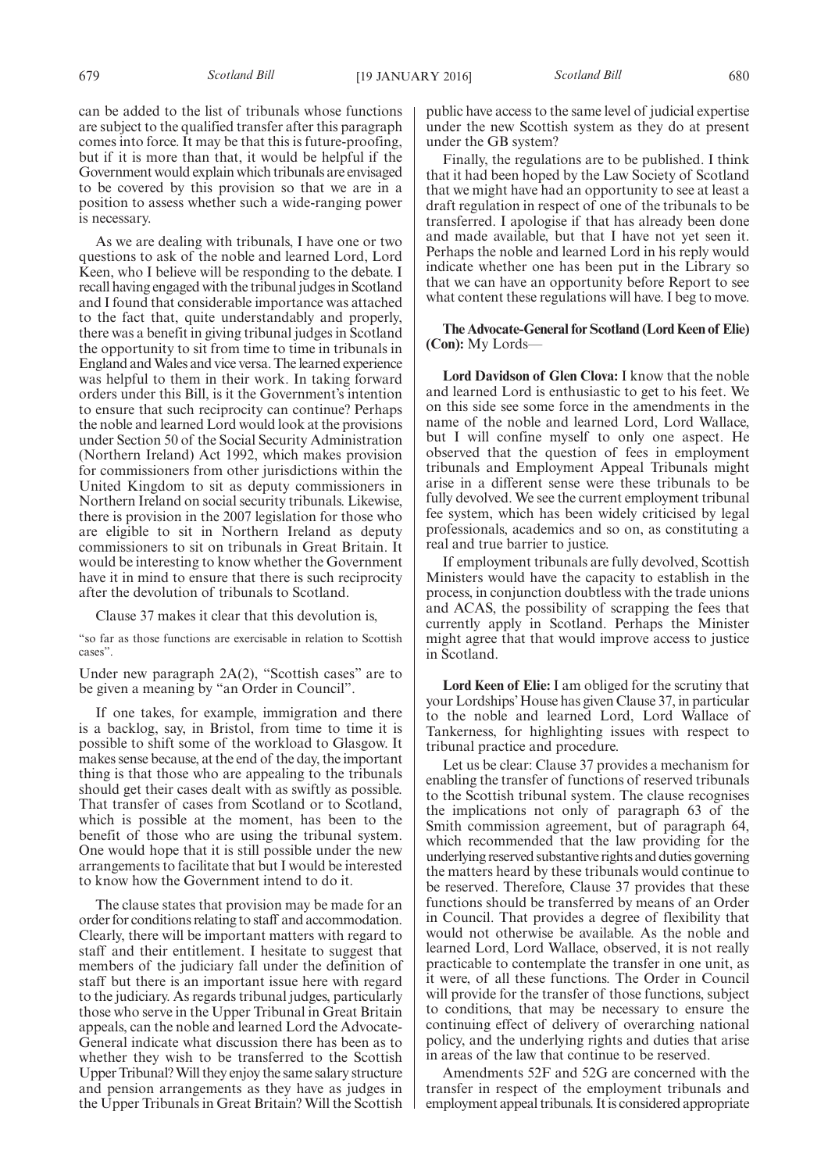can be added to the list of tribunals whose functions are subject to the qualified transfer after this paragraph comes into force. It may be that this is future-proofing, but if it is more than that, it would be helpful if the Government would explain which tribunals are envisaged to be covered by this provision so that we are in a position to assess whether such a wide-ranging power is necessary.

As we are dealing with tribunals, I have one or two questions to ask of the noble and learned Lord, Lord Keen, who I believe will be responding to the debate. I recall having engaged with the tribunal judges in Scotland and I found that considerable importance was attached to the fact that, quite understandably and properly, there was a benefit in giving tribunal judges in Scotland the opportunity to sit from time to time in tribunals in England andWales and vice versa. The learned experience was helpful to them in their work. In taking forward orders under this Bill, is it the Government's intention to ensure that such reciprocity can continue? Perhaps the noble and learned Lord would look at the provisions under Section 50 of the Social Security Administration (Northern Ireland) Act 1992, which makes provision for commissioners from other jurisdictions within the United Kingdom to sit as deputy commissioners in Northern Ireland on social security tribunals. Likewise, there is provision in the 2007 legislation for those who are eligible to sit in Northern Ireland as deputy commissioners to sit on tribunals in Great Britain. It would be interesting to know whether the Government have it in mind to ensure that there is such reciprocity after the devolution of tribunals to Scotland.

Clause 37 makes it clear that this devolution is,

"so far as those functions are exercisable in relation to Scottish cases".

Under new paragraph 2A(2), "Scottish cases" are to be given a meaning by "an Order in Council".

If one takes, for example, immigration and there is a backlog, say, in Bristol, from time to time it is possible to shift some of the workload to Glasgow. It makes sense because, at the end of the day, the important thing is that those who are appealing to the tribunals should get their cases dealt with as swiftly as possible. That transfer of cases from Scotland or to Scotland, which is possible at the moment, has been to the benefit of those who are using the tribunal system. One would hope that it is still possible under the new arrangements to facilitate that but I would be interested to know how the Government intend to do it.

The clause states that provision may be made for an order for conditions relating to staff and accommodation. Clearly, there will be important matters with regard to staff and their entitlement. I hesitate to suggest that members of the judiciary fall under the definition of staff but there is an important issue here with regard to the judiciary. As regards tribunal judges, particularly those who serve in the Upper Tribunal in Great Britain appeals, can the noble and learned Lord the Advocate-General indicate what discussion there has been as to whether they wish to be transferred to the Scottish Upper Tribunal?Will they enjoy the same salary structure and pension arrangements as they have as judges in the Upper Tribunals in Great Britain? Will the Scottish public have access to the same level of judicial expertise under the new Scottish system as they do at present under the GB system?

Finally, the regulations are to be published. I think that it had been hoped by the Law Society of Scotland that we might have had an opportunity to see at least a draft regulation in respect of one of the tribunals to be transferred. I apologise if that has already been done and made available, but that I have not yet seen it. Perhaps the noble and learned Lord in his reply would indicate whether one has been put in the Library so that we can have an opportunity before Report to see what content these regulations will have. I beg to move.

**The Advocate-General for Scotland (Lord Keen of Elie) (Con):** My Lords—

**Lord Davidson of Glen Clova:** I know that the noble and learned Lord is enthusiastic to get to his feet. We on this side see some force in the amendments in the name of the noble and learned Lord, Lord Wallace, but I will confine myself to only one aspect. He observed that the question of fees in employment tribunals and Employment Appeal Tribunals might arise in a different sense were these tribunals to be fully devolved. We see the current employment tribunal fee system, which has been widely criticised by legal professionals, academics and so on, as constituting a real and true barrier to justice.

If employment tribunals are fully devolved, Scottish Ministers would have the capacity to establish in the process, in conjunction doubtless with the trade unions and ACAS, the possibility of scrapping the fees that currently apply in Scotland. Perhaps the Minister might agree that that would improve access to justice in Scotland.

**Lord Keen of Elie:** I am obliged for the scrutiny that your Lordships'House has given Clause 37, in particular to the noble and learned Lord, Lord Wallace of Tankerness, for highlighting issues with respect to tribunal practice and procedure.

Let us be clear: Clause 37 provides a mechanism for enabling the transfer of functions of reserved tribunals to the Scottish tribunal system. The clause recognises the implications not only of paragraph 63 of the Smith commission agreement, but of paragraph 64, which recommended that the law providing for the underlying reserved substantive rights and duties governing the matters heard by these tribunals would continue to be reserved. Therefore, Clause 37 provides that these functions should be transferred by means of an Order in Council. That provides a degree of flexibility that would not otherwise be available. As the noble and learned Lord, Lord Wallace, observed, it is not really practicable to contemplate the transfer in one unit, as it were, of all these functions. The Order in Council will provide for the transfer of those functions, subject to conditions, that may be necessary to ensure the continuing effect of delivery of overarching national policy, and the underlying rights and duties that arise in areas of the law that continue to be reserved.

Amendments 52F and 52G are concerned with the transfer in respect of the employment tribunals and employment appeal tribunals. It is considered appropriate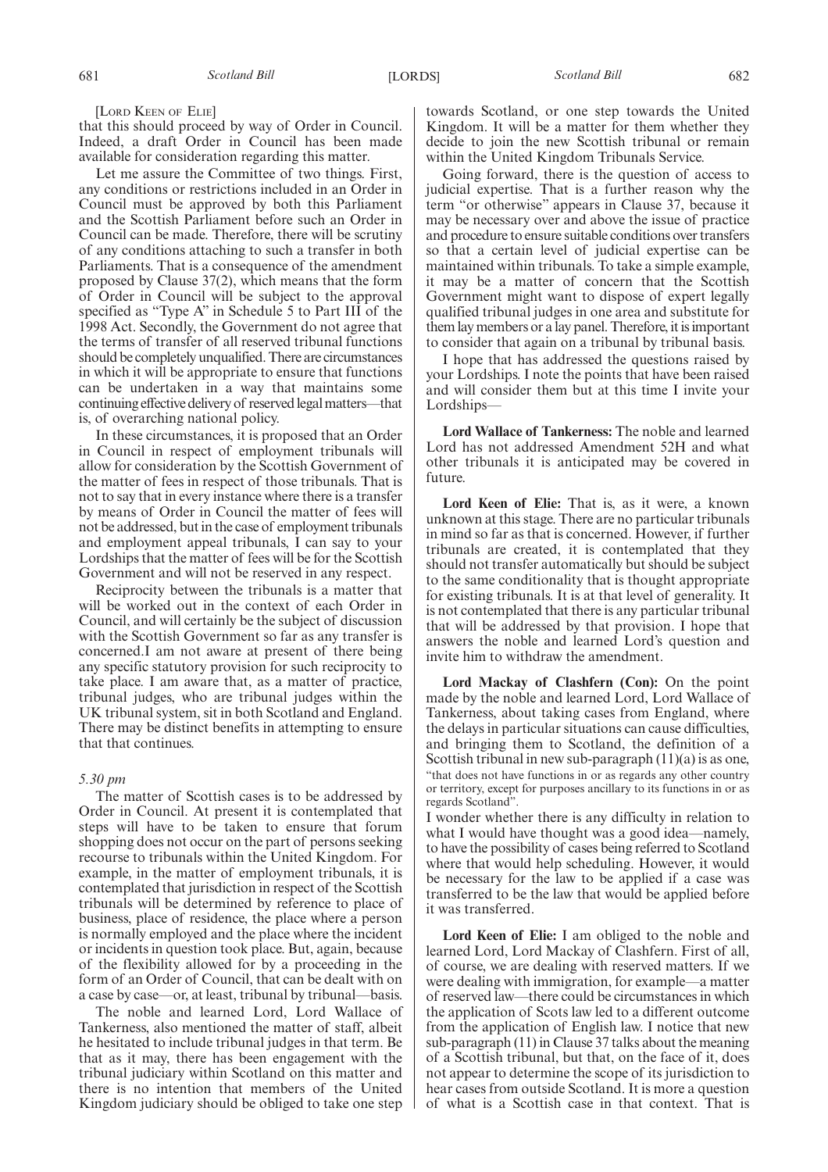[LORD KEEN OF ELIE]

that this should proceed by way of Order in Council. Indeed, a draft Order in Council has been made available for consideration regarding this matter.

Let me assure the Committee of two things. First, any conditions or restrictions included in an Order in Council must be approved by both this Parliament and the Scottish Parliament before such an Order in Council can be made. Therefore, there will be scrutiny of any conditions attaching to such a transfer in both Parliaments. That is a consequence of the amendment proposed by Clause 37(2), which means that the form of Order in Council will be subject to the approval specified as "Type A" in Schedule 5 to Part III of the 1998 Act. Secondly, the Government do not agree that the terms of transfer of all reserved tribunal functions should be completely unqualified. There are circumstances in which it will be appropriate to ensure that functions can be undertaken in a way that maintains some continuing effective delivery of reserved legal matters—that is, of overarching national policy.

In these circumstances, it is proposed that an Order in Council in respect of employment tribunals will allow for consideration by the Scottish Government of the matter of fees in respect of those tribunals. That is not to say that in every instance where there is a transfer by means of Order in Council the matter of fees will not be addressed, but in the case of employment tribunals and employment appeal tribunals, I can say to your Lordships that the matter of fees will be for the Scottish Government and will not be reserved in any respect.

Reciprocity between the tribunals is a matter that will be worked out in the context of each Order in Council, and will certainly be the subject of discussion with the Scottish Government so far as any transfer is concerned.I am not aware at present of there being any specific statutory provision for such reciprocity to take place. I am aware that, as a matter of practice, tribunal judges, who are tribunal judges within the UK tribunal system, sit in both Scotland and England. There may be distinct benefits in attempting to ensure that that continues.

#### *5.30 pm*

The matter of Scottish cases is to be addressed by Order in Council. At present it is contemplated that steps will have to be taken to ensure that forum shopping does not occur on the part of persons seeking recourse to tribunals within the United Kingdom. For example, in the matter of employment tribunals, it is contemplated that jurisdiction in respect of the Scottish tribunals will be determined by reference to place of business, place of residence, the place where a person is normally employed and the place where the incident or incidents in question took place. But, again, because of the flexibility allowed for by a proceeding in the form of an Order of Council, that can be dealt with on a case by case—or, at least, tribunal by tribunal—basis.

The noble and learned Lord, Lord Wallace of Tankerness, also mentioned the matter of staff, albeit he hesitated to include tribunal judges in that term. Be that as it may, there has been engagement with the tribunal judiciary within Scotland on this matter and there is no intention that members of the United Kingdom judiciary should be obliged to take one step towards Scotland, or one step towards the United Kingdom. It will be a matter for them whether they decide to join the new Scottish tribunal or remain within the United Kingdom Tribunals Service.

Going forward, there is the question of access to judicial expertise. That is a further reason why the term "or otherwise" appears in Clause 37, because it may be necessary over and above the issue of practice and procedure to ensure suitable conditions over transfers so that a certain level of judicial expertise can be maintained within tribunals. To take a simple example, it may be a matter of concern that the Scottish Government might want to dispose of expert legally qualified tribunal judges in one area and substitute for them lay members or a lay panel. Therefore, it is important to consider that again on a tribunal by tribunal basis.

I hope that has addressed the questions raised by your Lordships. I note the points that have been raised and will consider them but at this time I invite your Lordships—

**Lord Wallace of Tankerness:** The noble and learned Lord has not addressed Amendment 52H and what other tribunals it is anticipated may be covered in future.

**Lord Keen of Elie:** That is, as it were, a known unknown at this stage. There are no particular tribunals in mind so far as that is concerned. However, if further tribunals are created, it is contemplated that they should not transfer automatically but should be subject to the same conditionality that is thought appropriate for existing tribunals. It is at that level of generality. It is not contemplated that there is any particular tribunal that will be addressed by that provision. I hope that answers the noble and learned Lord's question and invite him to withdraw the amendment.

**Lord Mackay of Clashfern (Con):** On the point made by the noble and learned Lord, Lord Wallace of Tankerness, about taking cases from England, where the delays in particular situations can cause difficulties, and bringing them to Scotland, the definition of a Scottish tribunal in new sub-paragraph (11)(a) is as one, "that does not have functions in or as regards any other country or territory, except for purposes ancillary to its functions in or as regards Scotland".

I wonder whether there is any difficulty in relation to what I would have thought was a good idea—namely, to have the possibility of cases being referred to Scotland where that would help scheduling. However, it would be necessary for the law to be applied if a case was transferred to be the law that would be applied before it was transferred.

**Lord Keen of Elie:** I am obliged to the noble and learned Lord, Lord Mackay of Clashfern. First of all, of course, we are dealing with reserved matters. If we were dealing with immigration, for example—a matter of reserved law—there could be circumstances in which the application of Scots law led to a different outcome from the application of English law. I notice that new sub-paragraph (11) in Clause 37 talks about the meaning of a Scottish tribunal, but that, on the face of it, does not appear to determine the scope of its jurisdiction to hear cases from outside Scotland. It is more a question of what is a Scottish case in that context. That is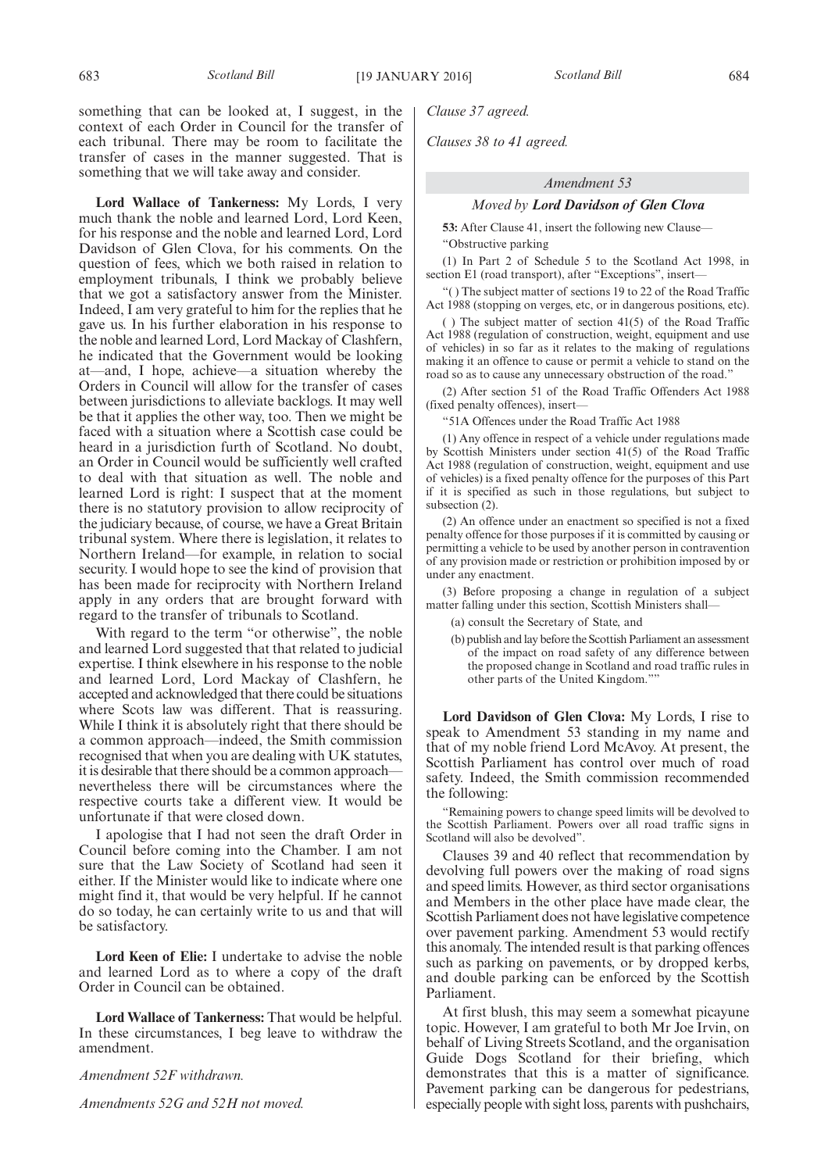**Lord Wallace of Tankerness:** My Lords, I very much thank the noble and learned Lord, Lord Keen, for his response and the noble and learned Lord, Lord Davidson of Glen Clova, for his comments. On the question of fees, which we both raised in relation to employment tribunals, I think we probably believe that we got a satisfactory answer from the Minister. Indeed, I am very grateful to him for the replies that he gave us. In his further elaboration in his response to the noble and learned Lord, Lord Mackay of Clashfern, he indicated that the Government would be looking at—and, I hope, achieve—a situation whereby the Orders in Council will allow for the transfer of cases between jurisdictions to alleviate backlogs. It may well be that it applies the other way, too. Then we might be faced with a situation where a Scottish case could be heard in a jurisdiction furth of Scotland. No doubt, an Order in Council would be sufficiently well crafted to deal with that situation as well. The noble and learned Lord is right: I suspect that at the moment there is no statutory provision to allow reciprocity of the judiciary because, of course, we have a Great Britain tribunal system. Where there is legislation, it relates to Northern Ireland—for example, in relation to social security. I would hope to see the kind of provision that has been made for reciprocity with Northern Ireland apply in any orders that are brought forward with regard to the transfer of tribunals to Scotland.

With regard to the term "or otherwise", the noble and learned Lord suggested that that related to judicial expertise. I think elsewhere in his response to the noble and learned Lord, Lord Mackay of Clashfern, he accepted and acknowledged that there could be situations where Scots law was different. That is reassuring. While I think it is absolutely right that there should be a common approach—indeed, the Smith commission recognised that when you are dealing with UK statutes, it is desirable that there should be a common approach nevertheless there will be circumstances where the respective courts take a different view. It would be unfortunate if that were closed down.

I apologise that I had not seen the draft Order in Council before coming into the Chamber. I am not sure that the Law Society of Scotland had seen it either. If the Minister would like to indicate where one might find it, that would be very helpful. If he cannot do so today, he can certainly write to us and that will be satisfactory.

**Lord Keen of Elie:** I undertake to advise the noble and learned Lord as to where a copy of the draft Order in Council can be obtained.

**Lord Wallace of Tankerness:** That would be helpful. In these circumstances, I beg leave to withdraw the amendment.

*Amendment 52F withdrawn.*

*Amendments 52G and 52H not moved.*

*Clause 37 agreed.*

*Clauses 38 to 41 agreed.*

#### *Amendment 53*

### *Moved by Lord Davidson of Glen Clova*

**53:** After Clause 41, insert the following new Clause— "Obstructive parking

(1) In Part 2 of Schedule 5 to the Scotland Act 1998, in section E1 (road transport), after "Exceptions", insert-

"( ) The subject matter of sections 19 to 22 of the Road Traffic Act 1988 (stopping on verges, etc, or in dangerous positions, etc).

( ) The subject matter of section 41(5) of the Road Traffic Act 1988 (regulation of construction, weight, equipment and use of vehicles) in so far as it relates to the making of regulations making it an offence to cause or permit a vehicle to stand on the road so as to cause any unnecessary obstruction of the road."

(2) After section 51 of the Road Traffic Offenders Act 1988 (fixed penalty offences), insert—

"51A Offences under the Road Traffic Act 1988

(1) Any offence in respect of a vehicle under regulations made by Scottish Ministers under section 41(5) of the Road Traffic Act 1988 (regulation of construction, weight, equipment and use of vehicles) is a fixed penalty offence for the purposes of this Part if it is specified as such in those regulations, but subject to subsection (2).

(2) An offence under an enactment so specified is not a fixed penalty offence for those purposes if it is committed by causing or permitting a vehicle to be used by another person in contravention of any provision made or restriction or prohibition imposed by or under any enactment.

(3) Before proposing a change in regulation of a subject matter falling under this section, Scottish Ministers shall—

- (a) consult the Secretary of State, and
- (b) publish and lay before the Scottish Parliament an assessment of the impact on road safety of any difference between the proposed change in Scotland and road traffic rules in other parts of the United Kingdom."

**Lord Davidson of Glen Clova:** My Lords, I rise to speak to Amendment 53 standing in my name and that of my noble friend Lord McAvoy. At present, the Scottish Parliament has control over much of road safety. Indeed, the Smith commission recommended the following:

"Remaining powers to change speed limits will be devolved to the Scottish Parliament. Powers over all road traffic signs in Scotland will also be devolved".

Clauses 39 and 40 reflect that recommendation by devolving full powers over the making of road signs and speed limits. However, as third sector organisations and Members in the other place have made clear, the Scottish Parliament does not have legislative competence over pavement parking. Amendment 53 would rectify this anomaly. The intended result is that parking offences such as parking on pavements, or by dropped kerbs, and double parking can be enforced by the Scottish Parliament.

At first blush, this may seem a somewhat picayune topic. However, I am grateful to both Mr Joe Irvin, on behalf of Living Streets Scotland, and the organisation Guide Dogs Scotland for their briefing, which demonstrates that this is a matter of significance. Pavement parking can be dangerous for pedestrians, especially people with sight loss, parents with pushchairs,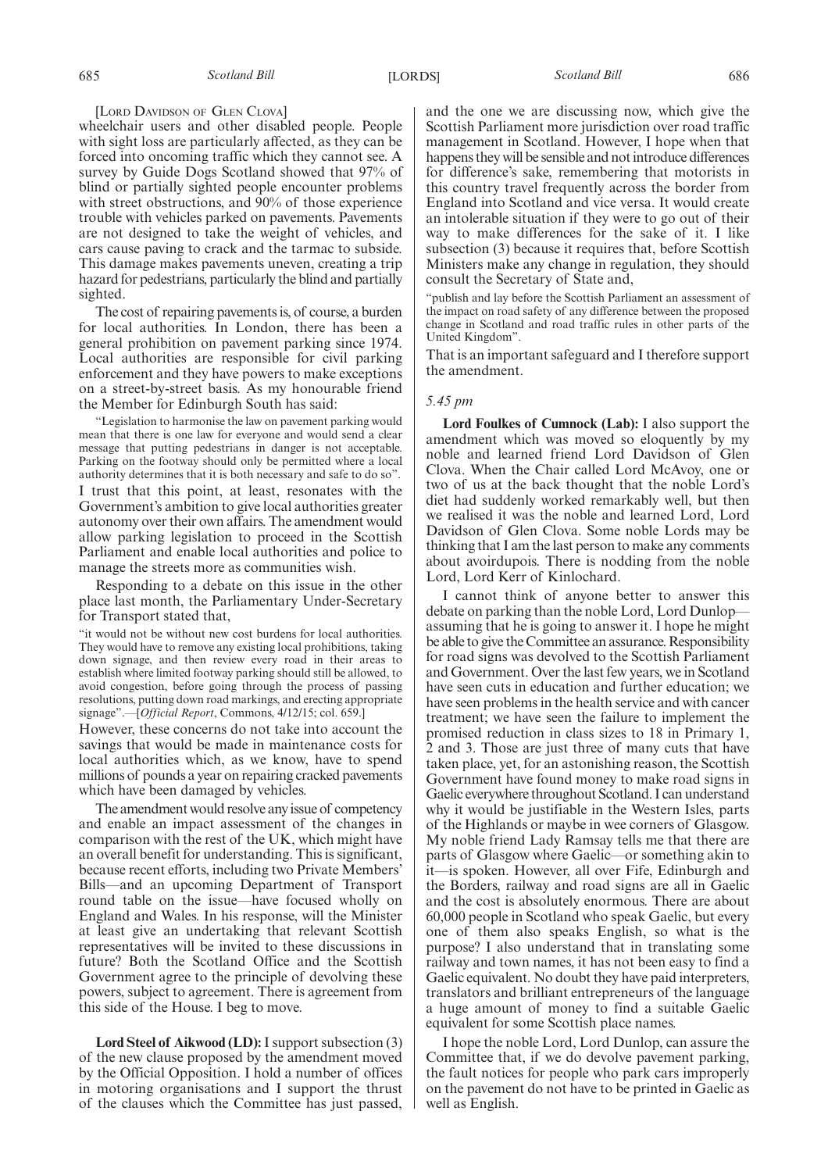#### [LORD DAVIDSON OF GLEN CLOVA]

wheelchair users and other disabled people. People with sight loss are particularly affected, as they can be forced into oncoming traffic which they cannot see. A survey by Guide Dogs Scotland showed that 97% of blind or partially sighted people encounter problems with street obstructions, and 90% of those experience trouble with vehicles parked on pavements. Pavements are not designed to take the weight of vehicles, and cars cause paving to crack and the tarmac to subside. This damage makes pavements uneven, creating a trip hazard for pedestrians, particularly the blind and partially sighted.

The cost of repairing pavements is, of course, a burden for local authorities. In London, there has been a general prohibition on pavement parking since 1974. Local authorities are responsible for civil parking enforcement and they have powers to make exceptions on a street-by-street basis. As my honourable friend the Member for Edinburgh South has said:

"Legislation to harmonise the law on pavement parking would mean that there is one law for everyone and would send a clear message that putting pedestrians in danger is not acceptable. Parking on the footway should only be permitted where a local authority determines that it is both necessary and safe to do so".

I trust that this point, at least, resonates with the Government's ambition to give local authorities greater autonomy over their own affairs. The amendment would allow parking legislation to proceed in the Scottish Parliament and enable local authorities and police to manage the streets more as communities wish.

Responding to a debate on this issue in the other place last month, the Parliamentary Under-Secretary for Transport stated that,

"it would not be without new cost burdens for local authorities. They would have to remove any existing local prohibitions, taking down signage, and then review every road in their areas to establish where limited footway parking should still be allowed, to avoid congestion, before going through the process of passing resolutions, putting down road markings, and erecting appropriate signage".—[*Official Report*, Commons, 4/12/15; col. 659.]

However, these concerns do not take into account the savings that would be made in maintenance costs for local authorities which, as we know, have to spend millions of pounds a year on repairing cracked pavements which have been damaged by vehicles.

The amendment would resolve any issue of competency and enable an impact assessment of the changes in comparison with the rest of the UK, which might have an overall benefit for understanding. This is significant, because recent efforts, including two Private Members' Bills—and an upcoming Department of Transport round table on the issue—have focused wholly on England and Wales. In his response, will the Minister at least give an undertaking that relevant Scottish representatives will be invited to these discussions in future? Both the Scotland Office and the Scottish Government agree to the principle of devolving these powers, subject to agreement. There is agreement from this side of the House. I beg to move.

**Lord Steel of Aikwood (LD):**I support subsection (3) of the new clause proposed by the amendment moved by the Official Opposition. I hold a number of offices in motoring organisations and I support the thrust of the clauses which the Committee has just passed, and the one we are discussing now, which give the Scottish Parliament more jurisdiction over road traffic management in Scotland. However, I hope when that happens they will be sensible and not introduce differences for difference's sake, remembering that motorists in this country travel frequently across the border from England into Scotland and vice versa. It would create an intolerable situation if they were to go out of their way to make differences for the sake of it. I like subsection (3) because it requires that, before Scottish Ministers make any change in regulation, they should consult the Secretary of State and,

"publish and lay before the Scottish Parliament an assessment of the impact on road safety of any difference between the proposed change in Scotland and road traffic rules in other parts of the United Kingdom".

That is an important safeguard and I therefore support the amendment.

#### *5.45 pm*

**Lord Foulkes of Cumnock (Lab):** I also support the amendment which was moved so eloquently by my noble and learned friend Lord Davidson of Glen Clova. When the Chair called Lord McAvoy, one or two of us at the back thought that the noble Lord's diet had suddenly worked remarkably well, but then we realised it was the noble and learned Lord, Lord Davidson of Glen Clova. Some noble Lords may be thinking that I am the last person to make any comments about avoirdupois. There is nodding from the noble Lord, Lord Kerr of Kinlochard.

I cannot think of anyone better to answer this debate on parking than the noble Lord, Lord Dunlop assuming that he is going to answer it. I hope he might be able to give the Committee an assurance. Responsibility for road signs was devolved to the Scottish Parliament and Government. Over the last few years, we in Scotland have seen cuts in education and further education; we have seen problems in the health service and with cancer treatment; we have seen the failure to implement the promised reduction in class sizes to 18 in Primary 1, 2 and 3. Those are just three of many cuts that have taken place, yet, for an astonishing reason, the Scottish Government have found money to make road signs in Gaelic everywhere throughout Scotland. I can understand why it would be justifiable in the Western Isles, parts of the Highlands or maybe in wee corners of Glasgow. My noble friend Lady Ramsay tells me that there are parts of Glasgow where Gaelic—or something akin to it—is spoken. However, all over Fife, Edinburgh and the Borders, railway and road signs are all in Gaelic and the cost is absolutely enormous. There are about 60,000 people in Scotland who speak Gaelic, but every one of them also speaks English, so what is the purpose? I also understand that in translating some railway and town names, it has not been easy to find a Gaelic equivalent. No doubt they have paid interpreters, translators and brilliant entrepreneurs of the language a huge amount of money to find a suitable Gaelic equivalent for some Scottish place names.

I hope the noble Lord, Lord Dunlop, can assure the Committee that, if we do devolve pavement parking, the fault notices for people who park cars improperly on the pavement do not have to be printed in Gaelic as well as English.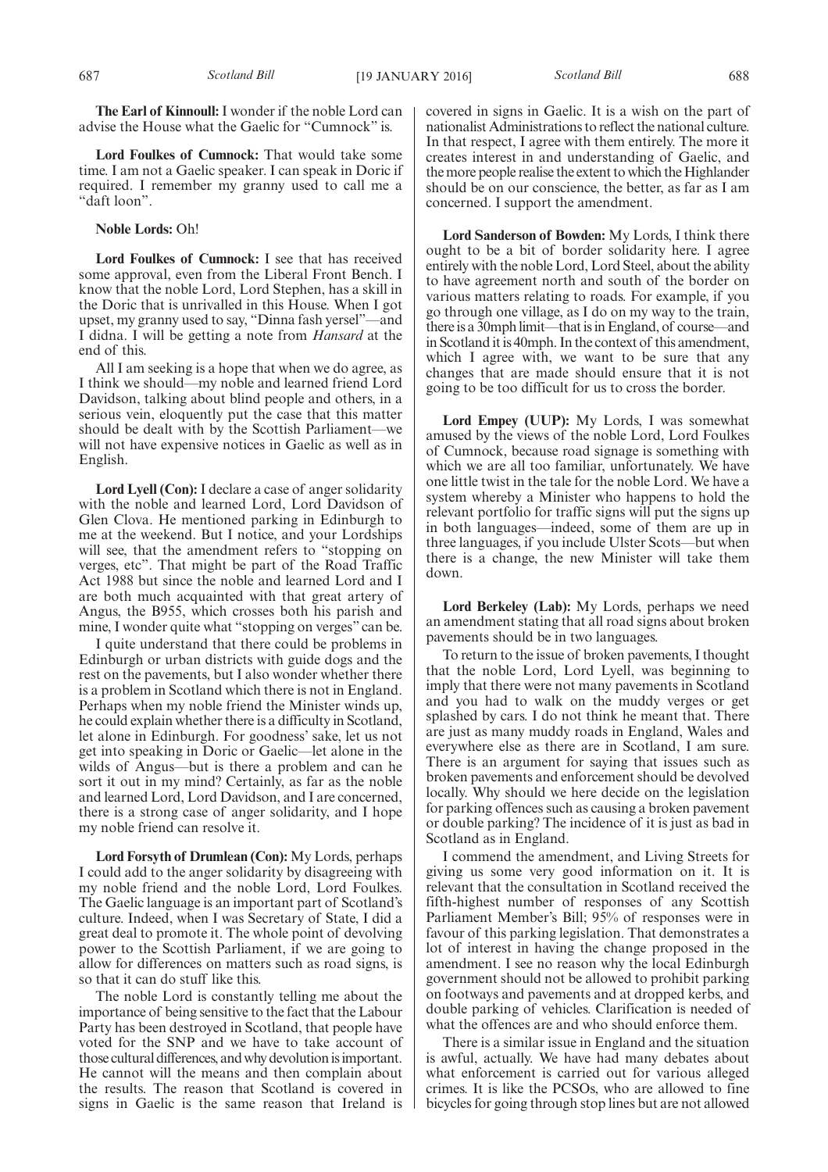**The Earl of Kinnoull:** I wonder if the noble Lord can advise the House what the Gaelic for "Cumnock" is.

**Lord Foulkes of Cumnock:** That would take some time. I am not a Gaelic speaker. I can speak in Doric if required. I remember my granny used to call me a "daft loon".

### **Noble Lords:** Oh!

**Lord Foulkes of Cumnock:** I see that has received some approval, even from the Liberal Front Bench. I know that the noble Lord, Lord Stephen, has a skill in the Doric that is unrivalled in this House. When I got upset, my granny used to say, "Dinna fash yersel"—and I didna. I will be getting a note from *Hansard* at the end of this.

All I am seeking is a hope that when we do agree, as I think we should—my noble and learned friend Lord Davidson, talking about blind people and others, in a serious vein, eloquently put the case that this matter should be dealt with by the Scottish Parliament—we will not have expensive notices in Gaelic as well as in English.

**Lord Lyell (Con):** I declare a case of anger solidarity with the noble and learned Lord, Lord Davidson of Glen Clova. He mentioned parking in Edinburgh to me at the weekend. But I notice, and your Lordships will see, that the amendment refers to "stopping on verges, etc". That might be part of the Road Traffic Act 1988 but since the noble and learned Lord and I are both much acquainted with that great artery of Angus, the B955, which crosses both his parish and mine, I wonder quite what "stopping on verges" can be.

I quite understand that there could be problems in Edinburgh or urban districts with guide dogs and the rest on the pavements, but I also wonder whether there is a problem in Scotland which there is not in England. Perhaps when my noble friend the Minister winds up, he could explain whether there is a difficulty in Scotland, let alone in Edinburgh. For goodness' sake, let us not get into speaking in Doric or Gaelic—let alone in the wilds of Angus—but is there a problem and can he sort it out in my mind? Certainly, as far as the noble and learned Lord, Lord Davidson, and I are concerned, there is a strong case of anger solidarity, and I hope my noble friend can resolve it.

**Lord Forsyth of Drumlean (Con):** My Lords, perhaps I could add to the anger solidarity by disagreeing with my noble friend and the noble Lord, Lord Foulkes. The Gaelic language is an important part of Scotland's culture. Indeed, when I was Secretary of State, I did a great deal to promote it. The whole point of devolving power to the Scottish Parliament, if we are going to allow for differences on matters such as road signs, is so that it can do stuff like this.

The noble Lord is constantly telling me about the importance of being sensitive to the fact that the Labour Party has been destroyed in Scotland, that people have voted for the SNP and we have to take account of those cultural differences, and why devolution is important. He cannot will the means and then complain about the results. The reason that Scotland is covered in signs in Gaelic is the same reason that Ireland is

covered in signs in Gaelic. It is a wish on the part of nationalist Administrations to reflect the national culture. In that respect, I agree with them entirely. The more it creates interest in and understanding of Gaelic, and the more people realise the extent to which the Highlander should be on our conscience, the better, as far as I am concerned. I support the amendment.

**Lord Sanderson of Bowden:** My Lords, I think there ought to be a bit of border solidarity here. I agree entirely with the noble Lord, Lord Steel, about the ability to have agreement north and south of the border on various matters relating to roads. For example, if you go through one village, as I do on my way to the train, there is a 30mph limit—that is in England, of course—and in Scotland it is 40mph. In the context of this amendment, which I agree with, we want to be sure that any changes that are made should ensure that it is not going to be too difficult for us to cross the border.

**Lord Empey (UUP):** My Lords, I was somewhat amused by the views of the noble Lord, Lord Foulkes of Cumnock, because road signage is something with which we are all too familiar, unfortunately. We have one little twist in the tale for the noble Lord. We have a system whereby a Minister who happens to hold the relevant portfolio for traffic signs will put the signs up in both languages—indeed, some of them are up in three languages, if you include Ulster Scots—but when there is a change, the new Minister will take them down.

**Lord Berkeley (Lab):** My Lords, perhaps we need an amendment stating that all road signs about broken pavements should be in two languages.

To return to the issue of broken pavements, I thought that the noble Lord, Lord Lyell, was beginning to imply that there were not many pavements in Scotland and you had to walk on the muddy verges or get splashed by cars. I do not think he meant that. There are just as many muddy roads in England, Wales and everywhere else as there are in Scotland, I am sure. There is an argument for saying that issues such as broken pavements and enforcement should be devolved locally. Why should we here decide on the legislation for parking offences such as causing a broken pavement or double parking? The incidence of it is just as bad in Scotland as in England.

I commend the amendment, and Living Streets for giving us some very good information on it. It is relevant that the consultation in Scotland received the fifth-highest number of responses of any Scottish Parliament Member's Bill; 95% of responses were in favour of this parking legislation. That demonstrates a lot of interest in having the change proposed in the amendment. I see no reason why the local Edinburgh government should not be allowed to prohibit parking on footways and pavements and at dropped kerbs, and double parking of vehicles. Clarification is needed of what the offences are and who should enforce them.

There is a similar issue in England and the situation is awful, actually. We have had many debates about what enforcement is carried out for various alleged crimes. It is like the PCSOs, who are allowed to fine bicycles for going through stop lines but are not allowed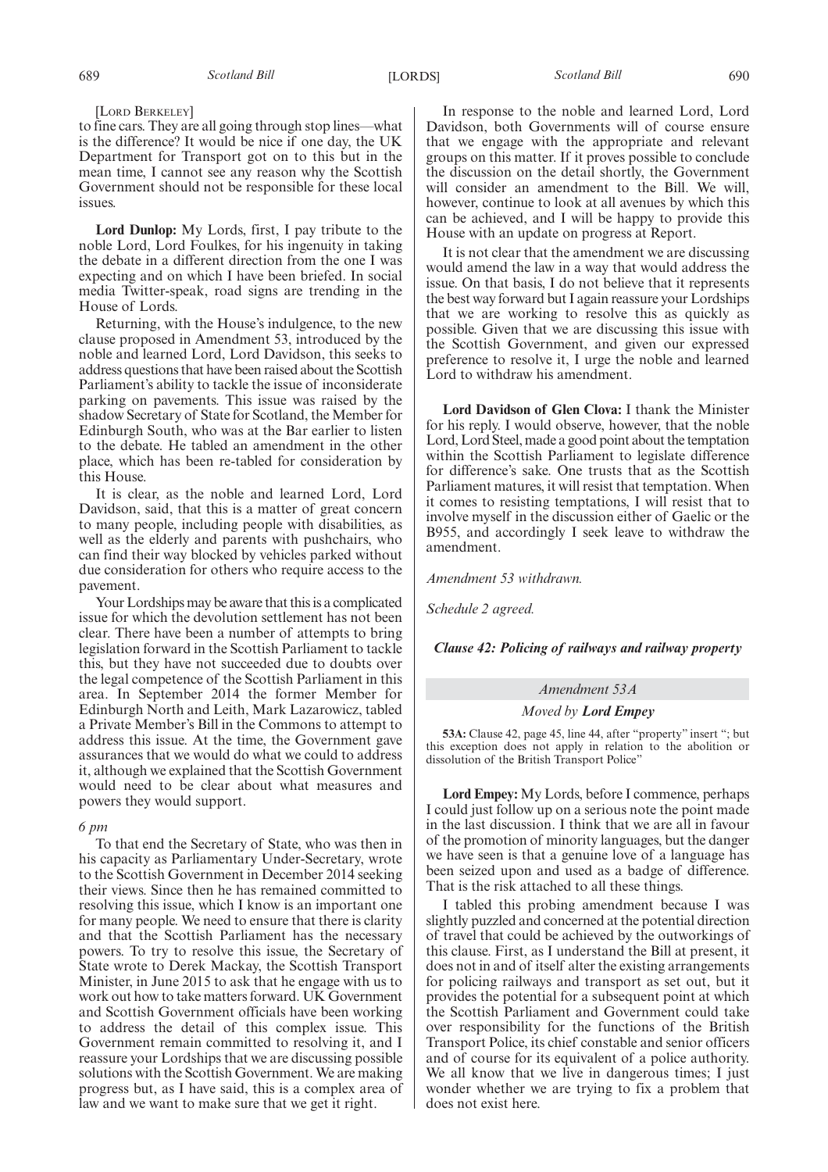#### [LORD BERKELEY]

to fine cars. They are all going through stop lines—what is the difference? It would be nice if one day, the UK Department for Transport got on to this but in the mean time, I cannot see any reason why the Scottish Government should not be responsible for these local issues.

**Lord Dunlop:** My Lords, first, I pay tribute to the noble Lord, Lord Foulkes, for his ingenuity in taking the debate in a different direction from the one I was expecting and on which I have been briefed. In social media Twitter-speak, road signs are trending in the House of Lords.

Returning, with the House's indulgence, to the new clause proposed in Amendment 53, introduced by the noble and learned Lord, Lord Davidson, this seeks to address questions that have been raised about the Scottish Parliament's ability to tackle the issue of inconsiderate parking on pavements. This issue was raised by the shadow Secretary of State for Scotland, the Member for Edinburgh South, who was at the Bar earlier to listen to the debate. He tabled an amendment in the other place, which has been re-tabled for consideration by this House.

It is clear, as the noble and learned Lord, Lord Davidson, said, that this is a matter of great concern to many people, including people with disabilities, as well as the elderly and parents with pushchairs, who can find their way blocked by vehicles parked without due consideration for others who require access to the pavement.

Your Lordships may be aware that this is a complicated issue for which the devolution settlement has not been clear. There have been a number of attempts to bring legislation forward in the Scottish Parliament to tackle this, but they have not succeeded due to doubts over the legal competence of the Scottish Parliament in this area. In September 2014 the former Member for Edinburgh North and Leith, Mark Lazarowicz, tabled a Private Member's Bill in the Commons to attempt to address this issue. At the time, the Government gave assurances that we would do what we could to address it, although we explained that the Scottish Government would need to be clear about what measures and powers they would support.

#### *6 pm*

To that end the Secretary of State, who was then in his capacity as Parliamentary Under-Secretary, wrote to the Scottish Government in December 2014 seeking their views. Since then he has remained committed to resolving this issue, which I know is an important one for many people. We need to ensure that there is clarity and that the Scottish Parliament has the necessary powers. To try to resolve this issue, the Secretary of State wrote to Derek Mackay, the Scottish Transport Minister, in June 2015 to ask that he engage with us to work out how to take matters forward. UK Government and Scottish Government officials have been working to address the detail of this complex issue. This Government remain committed to resolving it, and I reassure your Lordships that we are discussing possible solutions with the Scottish Government. We are making progress but, as I have said, this is a complex area of law and we want to make sure that we get it right.

In response to the noble and learned Lord, Lord Davidson, both Governments will of course ensure that we engage with the appropriate and relevant groups on this matter. If it proves possible to conclude the discussion on the detail shortly, the Government will consider an amendment to the Bill. We will, however, continue to look at all avenues by which this can be achieved, and I will be happy to provide this House with an update on progress at Report.

It is not clear that the amendment we are discussing would amend the law in a way that would address the issue. On that basis, I do not believe that it represents the best way forward but I again reassure your Lordships that we are working to resolve this as quickly as possible. Given that we are discussing this issue with the Scottish Government, and given our expressed preference to resolve it, I urge the noble and learned Lord to withdraw his amendment.

**Lord Davidson of Glen Clova:** I thank the Minister for his reply. I would observe, however, that the noble Lord, Lord Steel, made a good point about the temptation within the Scottish Parliament to legislate difference for difference's sake. One trusts that as the Scottish Parliament matures, it will resist that temptation. When it comes to resisting temptations, I will resist that to involve myself in the discussion either of Gaelic or the B955, and accordingly I seek leave to withdraw the amendment.

*Amendment 53 withdrawn.*

*Schedule 2 agreed.*

*Clause 42: Policing of railways and railway property*

#### *Amendment 53A*

#### *Moved by Lord Empey*

**53A:** Clause 42, page 45, line 44, after "property" insert "; but this exception does not apply in relation to the abolition or dissolution of the British Transport Police"

**Lord Empey:** My Lords, before I commence, perhaps I could just follow up on a serious note the point made in the last discussion. I think that we are all in favour of the promotion of minority languages, but the danger we have seen is that a genuine love of a language has been seized upon and used as a badge of difference. That is the risk attached to all these things.

I tabled this probing amendment because I was slightly puzzled and concerned at the potential direction of travel that could be achieved by the outworkings of this clause. First, as I understand the Bill at present, it does not in and of itself alter the existing arrangements for policing railways and transport as set out, but it provides the potential for a subsequent point at which the Scottish Parliament and Government could take over responsibility for the functions of the British Transport Police, its chief constable and senior officers and of course for its equivalent of a police authority. We all know that we live in dangerous times; I just wonder whether we are trying to fix a problem that does not exist here.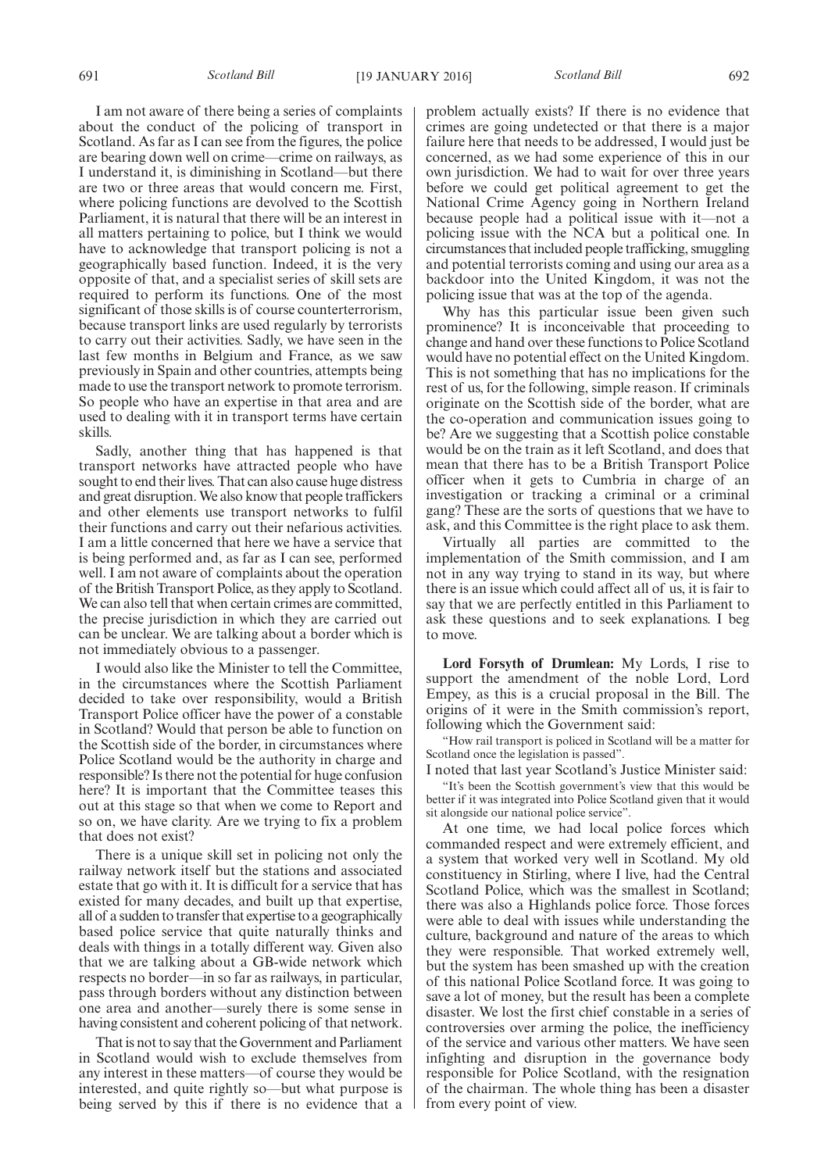I am not aware of there being a series of complaints about the conduct of the policing of transport in Scotland. As far as I can see from the figures, the police are bearing down well on crime—crime on railways, as I understand it, is diminishing in Scotland—but there are two or three areas that would concern me. First, where policing functions are devolved to the Scottish Parliament, it is natural that there will be an interest in all matters pertaining to police, but I think we would have to acknowledge that transport policing is not a geographically based function. Indeed, it is the very opposite of that, and a specialist series of skill sets are required to perform its functions. One of the most significant of those skills is of course counterterrorism, because transport links are used regularly by terrorists to carry out their activities. Sadly, we have seen in the last few months in Belgium and France, as we saw previously in Spain and other countries, attempts being made to use the transport network to promote terrorism. So people who have an expertise in that area and are used to dealing with it in transport terms have certain skills.

Sadly, another thing that has happened is that transport networks have attracted people who have sought to end their lives. That can also cause huge distress and great disruption.We also know that people traffickers and other elements use transport networks to fulfil their functions and carry out their nefarious activities. I am a little concerned that here we have a service that is being performed and, as far as I can see, performed well. I am not aware of complaints about the operation of the British Transport Police, as they apply to Scotland. We can also tell that when certain crimes are committed, the precise jurisdiction in which they are carried out can be unclear. We are talking about a border which is not immediately obvious to a passenger.

I would also like the Minister to tell the Committee, in the circumstances where the Scottish Parliament decided to take over responsibility, would a British Transport Police officer have the power of a constable in Scotland? Would that person be able to function on the Scottish side of the border, in circumstances where Police Scotland would be the authority in charge and responsible? Is there not the potential for huge confusion here? It is important that the Committee teases this out at this stage so that when we come to Report and so on, we have clarity. Are we trying to fix a problem that does not exist?

There is a unique skill set in policing not only the railway network itself but the stations and associated estate that go with it. It is difficult for a service that has existed for many decades, and built up that expertise, all of a sudden to transfer that expertise to a geographically based police service that quite naturally thinks and deals with things in a totally different way. Given also that we are talking about a GB-wide network which respects no border—in so far as railways, in particular, pass through borders without any distinction between one area and another—surely there is some sense in having consistent and coherent policing of that network.

That is not to say that the Government and Parliament in Scotland would wish to exclude themselves from any interest in these matters—of course they would be interested, and quite rightly so—but what purpose is being served by this if there is no evidence that a problem actually exists? If there is no evidence that crimes are going undetected or that there is a major failure here that needs to be addressed, I would just be concerned, as we had some experience of this in our own jurisdiction. We had to wait for over three years before we could get political agreement to get the National Crime Agency going in Northern Ireland because people had a political issue with it—not a policing issue with the NCA but a political one. In circumstances that included people trafficking, smuggling and potential terrorists coming and using our area as a backdoor into the United Kingdom, it was not the policing issue that was at the top of the agenda.

Why has this particular issue been given such prominence? It is inconceivable that proceeding to change and hand over these functions to Police Scotland would have no potential effect on the United Kingdom. This is not something that has no implications for the rest of us, for the following, simple reason. If criminals originate on the Scottish side of the border, what are the co-operation and communication issues going to be? Are we suggesting that a Scottish police constable would be on the train as it left Scotland, and does that mean that there has to be a British Transport Police officer when it gets to Cumbria in charge of an investigation or tracking a criminal or a criminal gang? These are the sorts of questions that we have to ask, and this Committee is the right place to ask them.

Virtually all parties are committed to the implementation of the Smith commission, and I am not in any way trying to stand in its way, but where there is an issue which could affect all of us, it is fair to say that we are perfectly entitled in this Parliament to ask these questions and to seek explanations. I beg to move.

**Lord Forsyth of Drumlean:** My Lords, I rise to support the amendment of the noble Lord, Lord Empey, as this is a crucial proposal in the Bill. The origins of it were in the Smith commission's report, following which the Government said:

"How rail transport is policed in Scotland will be a matter for Scotland once the legislation is passed".

I noted that last year Scotland's Justice Minister said:

"It's been the Scottish government's view that this would be better if it was integrated into Police Scotland given that it would sit alongside our national police service".

At one time, we had local police forces which commanded respect and were extremely efficient, and a system that worked very well in Scotland. My old constituency in Stirling, where I live, had the Central Scotland Police, which was the smallest in Scotland; there was also a Highlands police force. Those forces were able to deal with issues while understanding the culture, background and nature of the areas to which they were responsible. That worked extremely well, but the system has been smashed up with the creation of this national Police Scotland force. It was going to save a lot of money, but the result has been a complete disaster. We lost the first chief constable in a series of controversies over arming the police, the inefficiency of the service and various other matters. We have seen infighting and disruption in the governance body responsible for Police Scotland, with the resignation of the chairman. The whole thing has been a disaster from every point of view.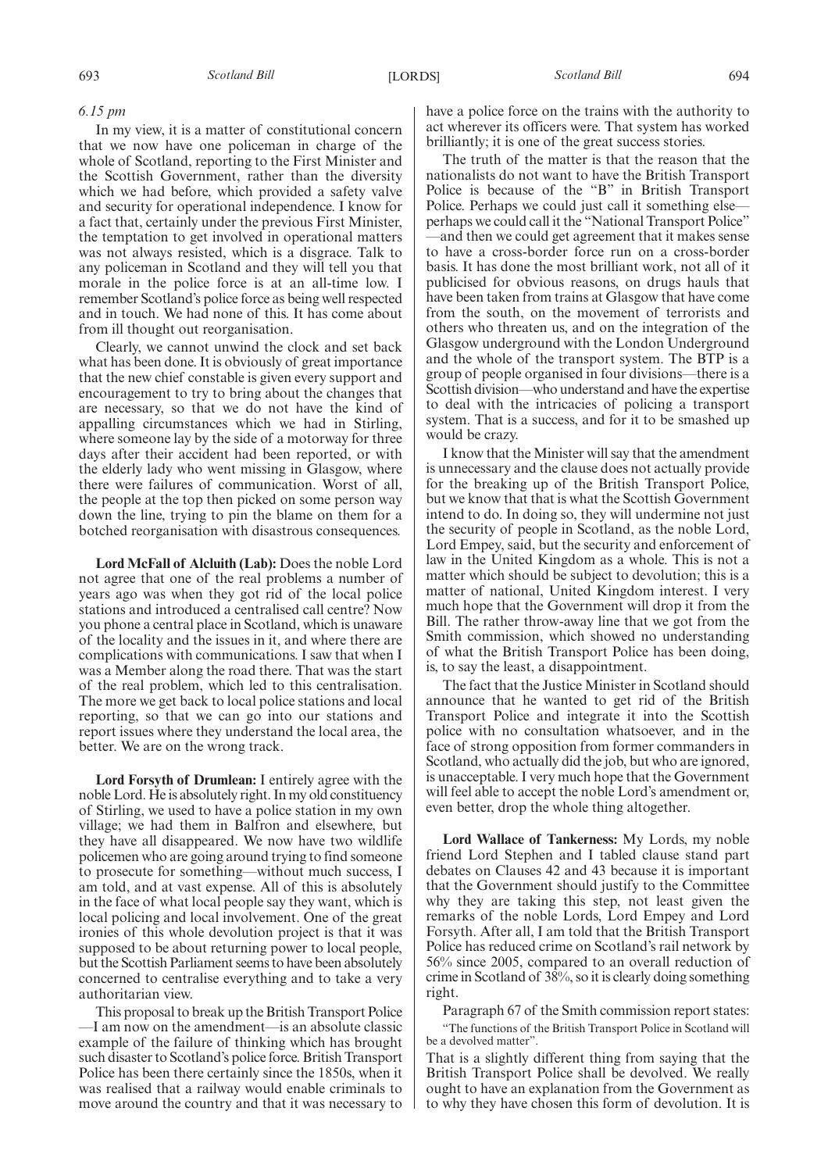### *6.15 pm*

In my view, it is a matter of constitutional concern that we now have one policeman in charge of the whole of Scotland, reporting to the First Minister and the Scottish Government, rather than the diversity which we had before, which provided a safety valve and security for operational independence. I know for a fact that, certainly under the previous First Minister, the temptation to get involved in operational matters was not always resisted, which is a disgrace. Talk to any policeman in Scotland and they will tell you that morale in the police force is at an all-time low. I remember Scotland's police force as being well respected and in touch. We had none of this. It has come about from ill thought out reorganisation.

Clearly, we cannot unwind the clock and set back what has been done. It is obviously of great importance that the new chief constable is given every support and encouragement to try to bring about the changes that are necessary, so that we do not have the kind of appalling circumstances which we had in Stirling, where someone lay by the side of a motorway for three days after their accident had been reported, or with the elderly lady who went missing in Glasgow, where there were failures of communication. Worst of all, the people at the top then picked on some person way down the line, trying to pin the blame on them for a botched reorganisation with disastrous consequences.

**Lord McFall of Alcluith (Lab):** Does the noble Lord not agree that one of the real problems a number of years ago was when they got rid of the local police stations and introduced a centralised call centre? Now you phone a central place in Scotland, which is unaware of the locality and the issues in it, and where there are complications with communications. I saw that when I was a Member along the road there. That was the start of the real problem, which led to this centralisation. The more we get back to local police stations and local reporting, so that we can go into our stations and report issues where they understand the local area, the better. We are on the wrong track.

**Lord Forsyth of Drumlean:** I entirely agree with the noble Lord. He is absolutely right. In my old constituency of Stirling, we used to have a police station in my own village; we had them in Balfron and elsewhere, but they have all disappeared. We now have two wildlife policemen who are going around trying to find someone to prosecute for something—without much success, I am told, and at vast expense. All of this is absolutely in the face of what local people say they want, which is local policing and local involvement. One of the great ironies of this whole devolution project is that it was supposed to be about returning power to local people, but the Scottish Parliament seems to have been absolutely concerned to centralise everything and to take a very authoritarian view.

This proposal to break up the British Transport Police —I am now on the amendment—is an absolute classic example of the failure of thinking which has brought such disaster to Scotland's police force. British Transport Police has been there certainly since the 1850s, when it was realised that a railway would enable criminals to move around the country and that it was necessary to have a police force on the trains with the authority to act wherever its officers were. That system has worked brilliantly; it is one of the great success stories.

The truth of the matter is that the reason that the nationalists do not want to have the British Transport Police is because of the "B" in British Transport Police. Perhaps we could just call it something else perhaps we could call it the "National Transport Police" —and then we could get agreement that it makes sense to have a cross-border force run on a cross-border basis. It has done the most brilliant work, not all of it publicised for obvious reasons, on drugs hauls that have been taken from trains at Glasgow that have come from the south, on the movement of terrorists and others who threaten us, and on the integration of the Glasgow underground with the London Underground and the whole of the transport system. The BTP is a group of people organised in four divisions—there is a Scottish division—who understand and have the expertise to deal with the intricacies of policing a transport system. That is a success, and for it to be smashed up would be crazy.

I know that the Minister will say that the amendment is unnecessary and the clause does not actually provide for the breaking up of the British Transport Police, but we know that that is what the Scottish Government intend to do. In doing so, they will undermine not just the security of people in Scotland, as the noble Lord, Lord Empey, said, but the security and enforcement of law in the United Kingdom as a whole. This is not a matter which should be subject to devolution; this is a matter of national, United Kingdom interest. I very much hope that the Government will drop it from the Bill. The rather throw-away line that we got from the Smith commission, which showed no understanding of what the British Transport Police has been doing, is, to say the least, a disappointment.

The fact that the Justice Minister in Scotland should announce that he wanted to get rid of the British Transport Police and integrate it into the Scottish police with no consultation whatsoever, and in the face of strong opposition from former commanders in Scotland, who actually did the job, but who are ignored, is unacceptable. I very much hope that the Government will feel able to accept the noble Lord's amendment or, even better, drop the whole thing altogether.

**Lord Wallace of Tankerness:** My Lords, my noble friend Lord Stephen and I tabled clause stand part debates on Clauses 42 and 43 because it is important that the Government should justify to the Committee why they are taking this step, not least given the remarks of the noble Lords, Lord Empey and Lord Forsyth. After all, I am told that the British Transport Police has reduced crime on Scotland's rail network by 56% since 2005, compared to an overall reduction of crime in Scotland of 38%, so it is clearly doing something right.

Paragraph 67 of the Smith commission report states: "The functions of the British Transport Police in Scotland will be a devolved matter".

That is a slightly different thing from saying that the British Transport Police shall be devolved. We really ought to have an explanation from the Government as to why they have chosen this form of devolution. It is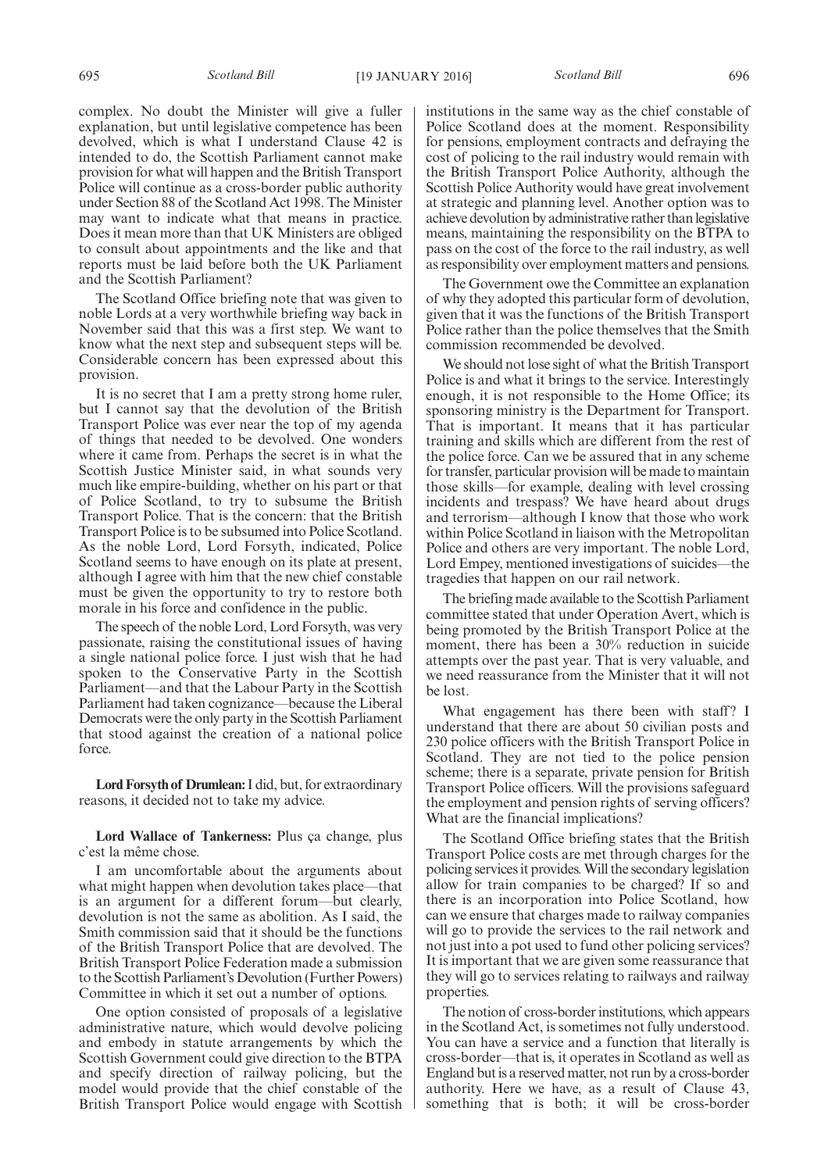complex. No doubt the Minister will give a fuller explanation, but until legislative competence has been devolved, which is what I understand Clause 42 is intended to do, the Scottish Parliament cannot make provision for what will happen and the British Transport Police will continue as a cross-border public authority under Section 88 of the Scotland Act 1998. The Minister may want to indicate what that means in practice. Does it mean more than that UK Ministers are obliged to consult about appointments and the like and that reports must be laid before both the UK Parliament and the Scottish Parliament?

The Scotland Office briefing note that was given to noble Lords at a very worthwhile briefing way back in November said that this was a first step. We want to know what the next step and subsequent steps will be. Considerable concern has been expressed about this provision.

It is no secret that I am a pretty strong home ruler, but I cannot say that the devolution of the British Transport Police was ever near the top of my agenda of things that needed to be devolved. One wonders where it came from. Perhaps the secret is in what the Scottish Justice Minister said, in what sounds very much like empire-building, whether on his part or that of Police Scotland, to try to subsume the British Transport Police. That is the concern: that the British Transport Police is to be subsumed into Police Scotland. As the noble Lord, Lord Forsyth, indicated, Police Scotland seems to have enough on its plate at present, although I agree with him that the new chief constable must be given the opportunity to try to restore both morale in his force and confidence in the public.

The speech of the noble Lord, Lord Forsyth, was very passionate, raising the constitutional issues of having a single national police force. I just wish that he had spoken to the Conservative Party in the Scottish Parliament—and that the Labour Party in the Scottish Parliament had taken cognizance—because the Liberal Democrats were the only party in the Scottish Parliament that stood against the creation of a national police force.

**Lord Forsyth of Drumlean:**I did, but, for extraordinary reasons, it decided not to take my advice.

**Lord Wallace of Tankerness:** Plus ça change, plus c'est la même chose.

I am uncomfortable about the arguments about what might happen when devolution takes place—that is an argument for a different forum—but clearly, devolution is not the same as abolition. As I said, the Smith commission said that it should be the functions of the British Transport Police that are devolved. The British Transport Police Federation made a submission to the Scottish Parliament's Devolution (Further Powers) Committee in which it set out a number of options.

One option consisted of proposals of a legislative administrative nature, which would devolve policing and embody in statute arrangements by which the Scottish Government could give direction to the BTPA and specify direction of railway policing, but the model would provide that the chief constable of the British Transport Police would engage with Scottish institutions in the same way as the chief constable of Police Scotland does at the moment. Responsibility for pensions, employment contracts and defraying the cost of policing to the rail industry would remain with the British Transport Police Authority, although the Scottish Police Authority would have great involvement at strategic and planning level. Another option was to achieve devolution by administrative rather than legislative means, maintaining the responsibility on the BTPA to pass on the cost of the force to the rail industry, as well as responsibility over employment matters and pensions.

The Government owe the Committee an explanation of why they adopted this particular form of devolution, given that it was the functions of the British Transport Police rather than the police themselves that the Smith commission recommended be devolved.

We should not lose sight of what the British Transport Police is and what it brings to the service. Interestingly enough, it is not responsible to the Home Office; its sponsoring ministry is the Department for Transport. That is important. It means that it has particular training and skills which are different from the rest of the police force. Can we be assured that in any scheme for transfer, particular provision will be made to maintain those skills—for example, dealing with level crossing incidents and trespass? We have heard about drugs and terrorism—although I know that those who work within Police Scotland in liaison with the Metropolitan Police and others are very important. The noble Lord, Lord Empey, mentioned investigations of suicides—the tragedies that happen on our rail network.

The briefing made available to the Scottish Parliament committee stated that under Operation Avert, which is being promoted by the British Transport Police at the moment, there has been a 30% reduction in suicide attempts over the past year. That is very valuable, and we need reassurance from the Minister that it will not be lost.

What engagement has there been with staff? I understand that there are about 50 civilian posts and 230 police officers with the British Transport Police in Scotland. They are not tied to the police pension scheme; there is a separate, private pension for British Transport Police officers. Will the provisions safeguard the employment and pension rights of serving officers? What are the financial implications?

The Scotland Office briefing states that the British Transport Police costs are met through charges for the policing services it provides.Will the secondary legislation allow for train companies to be charged? If so and there is an incorporation into Police Scotland, how can we ensure that charges made to railway companies will go to provide the services to the rail network and not just into a pot used to fund other policing services? It is important that we are given some reassurance that they will go to services relating to railways and railway properties.

The notion of cross-border institutions, which appears in the Scotland Act, is sometimes not fully understood. You can have a service and a function that literally is cross-border—that is, it operates in Scotland as well as England but is a reserved matter, not run by a cross-border authority. Here we have, as a result of Clause 43, something that is both; it will be cross-border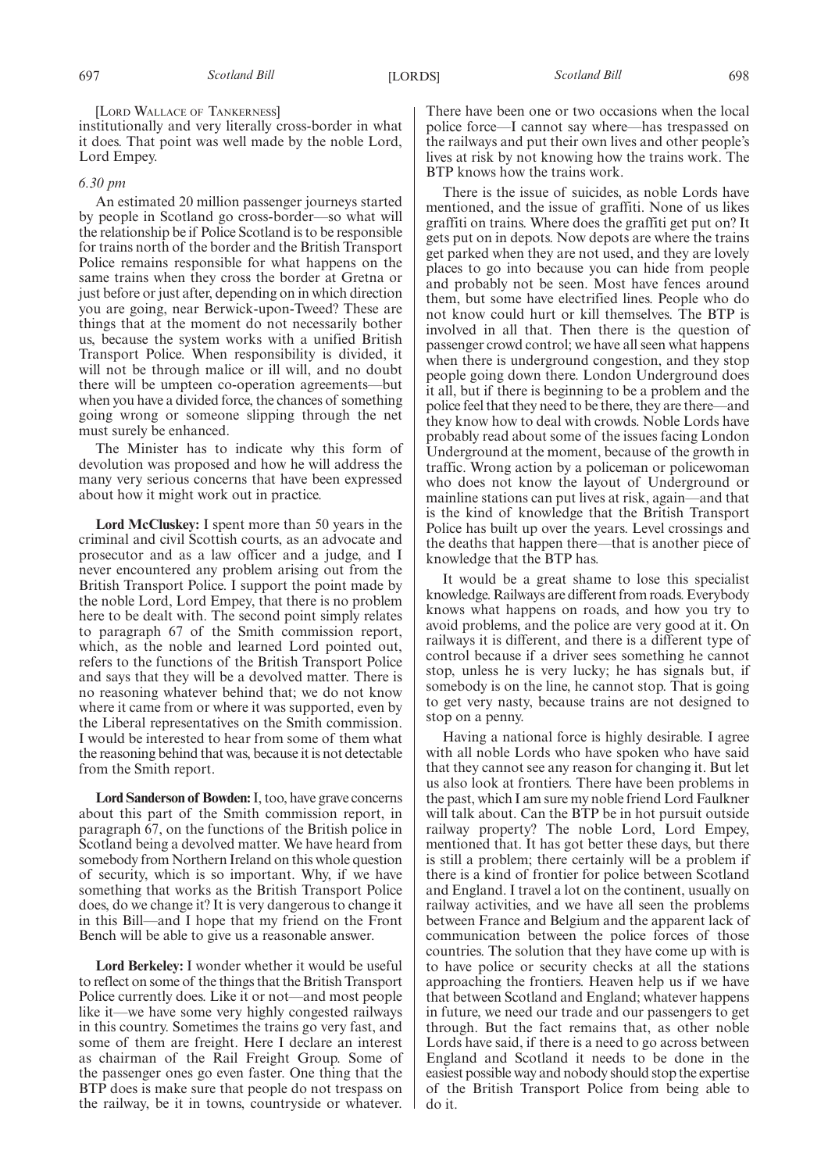[LORD WALLACE OF TANKERNESS]

institutionally and very literally cross-border in what it does. That point was well made by the noble Lord, Lord Empey.

#### *6.30 pm*

An estimated 20 million passenger journeys started by people in Scotland go cross-border—so what will the relationship be if Police Scotland is to be responsible for trains north of the border and the British Transport Police remains responsible for what happens on the same trains when they cross the border at Gretna or just before or just after, depending on in which direction you are going, near Berwick-upon-Tweed? These are things that at the moment do not necessarily bother us, because the system works with a unified British Transport Police. When responsibility is divided, it will not be through malice or ill will, and no doubt there will be umpteen co-operation agreements—but when you have a divided force, the chances of something going wrong or someone slipping through the net must surely be enhanced.

The Minister has to indicate why this form of devolution was proposed and how he will address the many very serious concerns that have been expressed about how it might work out in practice.

**Lord McCluskey:** I spent more than 50 years in the criminal and civil Scottish courts, as an advocate and prosecutor and as a law officer and a judge, and I never encountered any problem arising out from the British Transport Police. I support the point made by the noble Lord, Lord Empey, that there is no problem here to be dealt with. The second point simply relates to paragraph 67 of the Smith commission report, which, as the noble and learned Lord pointed out, refers to the functions of the British Transport Police and says that they will be a devolved matter. There is no reasoning whatever behind that; we do not know where it came from or where it was supported, even by the Liberal representatives on the Smith commission. I would be interested to hear from some of them what the reasoning behind that was, because it is not detectable from the Smith report.

**Lord Sanderson of Bowden:**I, too, have grave concerns about this part of the Smith commission report, in paragraph 67, on the functions of the British police in Scotland being a devolved matter. We have heard from somebody from Northern Ireland on this whole question of security, which is so important. Why, if we have something that works as the British Transport Police does, do we change it? It is very dangerous to change it in this Bill—and I hope that my friend on the Front Bench will be able to give us a reasonable answer.

**Lord Berkeley:** I wonder whether it would be useful to reflect on some of the things that the British Transport Police currently does. Like it or not—and most people like it—we have some very highly congested railways in this country. Sometimes the trains go very fast, and some of them are freight. Here I declare an interest as chairman of the Rail Freight Group. Some of the passenger ones go even faster. One thing that the BTP does is make sure that people do not trespass on the railway, be it in towns, countryside or whatever.

There have been one or two occasions when the local police force—I cannot say where—has trespassed on the railways and put their own lives and other people's lives at risk by not knowing how the trains work. The BTP knows how the trains work.

There is the issue of suicides, as noble Lords have mentioned, and the issue of graffiti. None of us likes graffiti on trains. Where does the graffiti get put on? It gets put on in depots. Now depots are where the trains get parked when they are not used, and they are lovely places to go into because you can hide from people and probably not be seen. Most have fences around them, but some have electrified lines. People who do not know could hurt or kill themselves. The BTP is involved in all that. Then there is the question of passenger crowd control; we have all seen what happens when there is underground congestion, and they stop people going down there. London Underground does it all, but if there is beginning to be a problem and the police feel that they need to be there, they are there—and they know how to deal with crowds. Noble Lords have probably read about some of the issues facing London Underground at the moment, because of the growth in traffic. Wrong action by a policeman or policewoman who does not know the layout of Underground or mainline stations can put lives at risk, again—and that is the kind of knowledge that the British Transport Police has built up over the years. Level crossings and the deaths that happen there—that is another piece of knowledge that the BTP has.

It would be a great shame to lose this specialist knowledge. Railways are different from roads. Everybody knows what happens on roads, and how you try to avoid problems, and the police are very good at it. On railways it is different, and there is a different type of control because if a driver sees something he cannot stop, unless he is very lucky; he has signals but, if somebody is on the line, he cannot stop. That is going to get very nasty, because trains are not designed to stop on a penny.

Having a national force is highly desirable. I agree with all noble Lords who have spoken who have said that they cannot see any reason for changing it. But let us also look at frontiers. There have been problems in the past, which I am sure my noble friend Lord Faulkner will talk about. Can the BTP be in hot pursuit outside railway property? The noble Lord, Lord Empey, mentioned that. It has got better these days, but there is still a problem; there certainly will be a problem if there is a kind of frontier for police between Scotland and England. I travel a lot on the continent, usually on railway activities, and we have all seen the problems between France and Belgium and the apparent lack of communication between the police forces of those countries. The solution that they have come up with is to have police or security checks at all the stations approaching the frontiers. Heaven help us if we have that between Scotland and England; whatever happens in future, we need our trade and our passengers to get through. But the fact remains that, as other noble Lords have said, if there is a need to go across between England and Scotland it needs to be done in the easiest possible way and nobody should stop the expertise of the British Transport Police from being able to do it.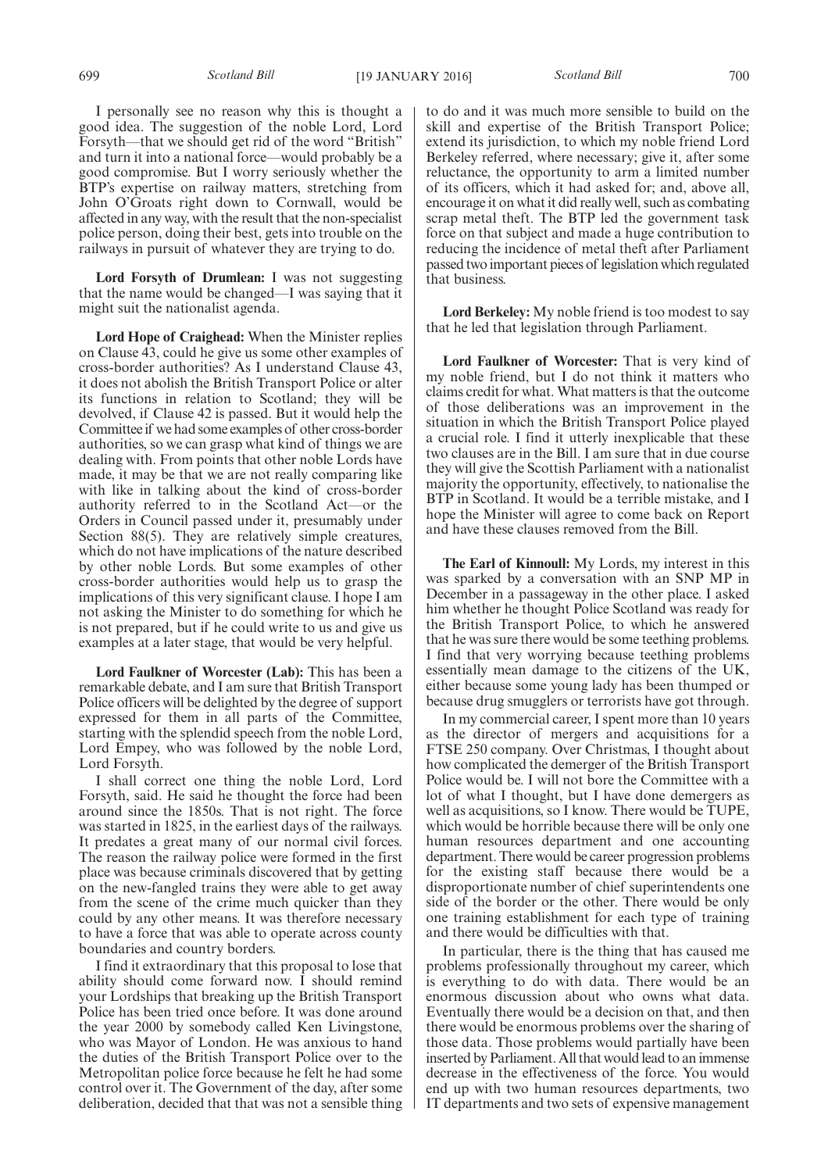I personally see no reason why this is thought a good idea. The suggestion of the noble Lord, Lord Forsyth—that we should get rid of the word "British" and turn it into a national force—would probably be a good compromise. But I worry seriously whether the BTP's expertise on railway matters, stretching from John O'Groats right down to Cornwall, would be affected in any way, with the result that the non-specialist police person, doing their best, gets into trouble on the railways in pursuit of whatever they are trying to do.

**Lord Forsyth of Drumlean:** I was not suggesting that the name would be changed—I was saying that it might suit the nationalist agenda.

**Lord Hope of Craighead:** When the Minister replies on Clause 43, could he give us some other examples of cross-border authorities? As I understand Clause 43, it does not abolish the British Transport Police or alter its functions in relation to Scotland; they will be devolved, if Clause 42 is passed. But it would help the Committee if we had some examples of other cross-border authorities, so we can grasp what kind of things we are dealing with. From points that other noble Lords have made, it may be that we are not really comparing like with like in talking about the kind of cross-border authority referred to in the Scotland Act—or the Orders in Council passed under it, presumably under Section 88(5). They are relatively simple creatures, which do not have implications of the nature described by other noble Lords. But some examples of other cross-border authorities would help us to grasp the implications of this very significant clause. I hope I am not asking the Minister to do something for which he is not prepared, but if he could write to us and give us examples at a later stage, that would be very helpful.

**Lord Faulkner of Worcester (Lab):** This has been a remarkable debate, and I am sure that British Transport Police officers will be delighted by the degree of support expressed for them in all parts of the Committee, starting with the splendid speech from the noble Lord, Lord Empey, who was followed by the noble Lord, Lord Forsyth.

I shall correct one thing the noble Lord, Lord Forsyth, said. He said he thought the force had been around since the 1850s. That is not right. The force was started in 1825, in the earliest days of the railways. It predates a great many of our normal civil forces. The reason the railway police were formed in the first place was because criminals discovered that by getting on the new-fangled trains they were able to get away from the scene of the crime much quicker than they could by any other means. It was therefore necessary to have a force that was able to operate across county boundaries and country borders.

I find it extraordinary that this proposal to lose that ability should come forward now. I should remind your Lordships that breaking up the British Transport Police has been tried once before. It was done around the year 2000 by somebody called Ken Livingstone, who was Mayor of London. He was anxious to hand the duties of the British Transport Police over to the Metropolitan police force because he felt he had some control over it. The Government of the day, after some deliberation, decided that that was not a sensible thing to do and it was much more sensible to build on the skill and expertise of the British Transport Police; extend its jurisdiction, to which my noble friend Lord Berkeley referred, where necessary; give it, after some reluctance, the opportunity to arm a limited number of its officers, which it had asked for; and, above all, encourage it on what it did really well, such as combating scrap metal theft. The BTP led the government task force on that subject and made a huge contribution to reducing the incidence of metal theft after Parliament passed two important pieces of legislation which regulated that business.

**Lord Berkeley:** My noble friend is too modest to say that he led that legislation through Parliament.

**Lord Faulkner of Worcester:** That is very kind of my noble friend, but I do not think it matters who claims credit for what. What matters is that the outcome of those deliberations was an improvement in the situation in which the British Transport Police played a crucial role. I find it utterly inexplicable that these two clauses are in the Bill. I am sure that in due course they will give the Scottish Parliament with a nationalist majority the opportunity, effectively, to nationalise the BTP in Scotland. It would be a terrible mistake, and I hope the Minister will agree to come back on Report and have these clauses removed from the Bill.

**The Earl of Kinnoull:** My Lords, my interest in this was sparked by a conversation with an SNP MP in December in a passageway in the other place. I asked him whether he thought Police Scotland was ready for the British Transport Police, to which he answered that he was sure there would be some teething problems. I find that very worrying because teething problems essentially mean damage to the citizens of the UK, either because some young lady has been thumped or because drug smugglers or terrorists have got through.

In my commercial career, I spent more than 10 years as the director of mergers and acquisitions for a FTSE 250 company. Over Christmas, I thought about how complicated the demerger of the British Transport Police would be. I will not bore the Committee with a lot of what I thought, but I have done demergers as well as acquisitions, so I know. There would be TUPE, which would be horrible because there will be only one human resources department and one accounting department. There would be career progression problems for the existing staff because there would be a disproportionate number of chief superintendents one side of the border or the other. There would be only one training establishment for each type of training and there would be difficulties with that.

In particular, there is the thing that has caused me problems professionally throughout my career, which is everything to do with data. There would be an enormous discussion about who owns what data. Eventually there would be a decision on that, and then there would be enormous problems over the sharing of those data. Those problems would partially have been inserted by Parliament. All that would lead to an immense decrease in the effectiveness of the force. You would end up with two human resources departments, two IT departments and two sets of expensive management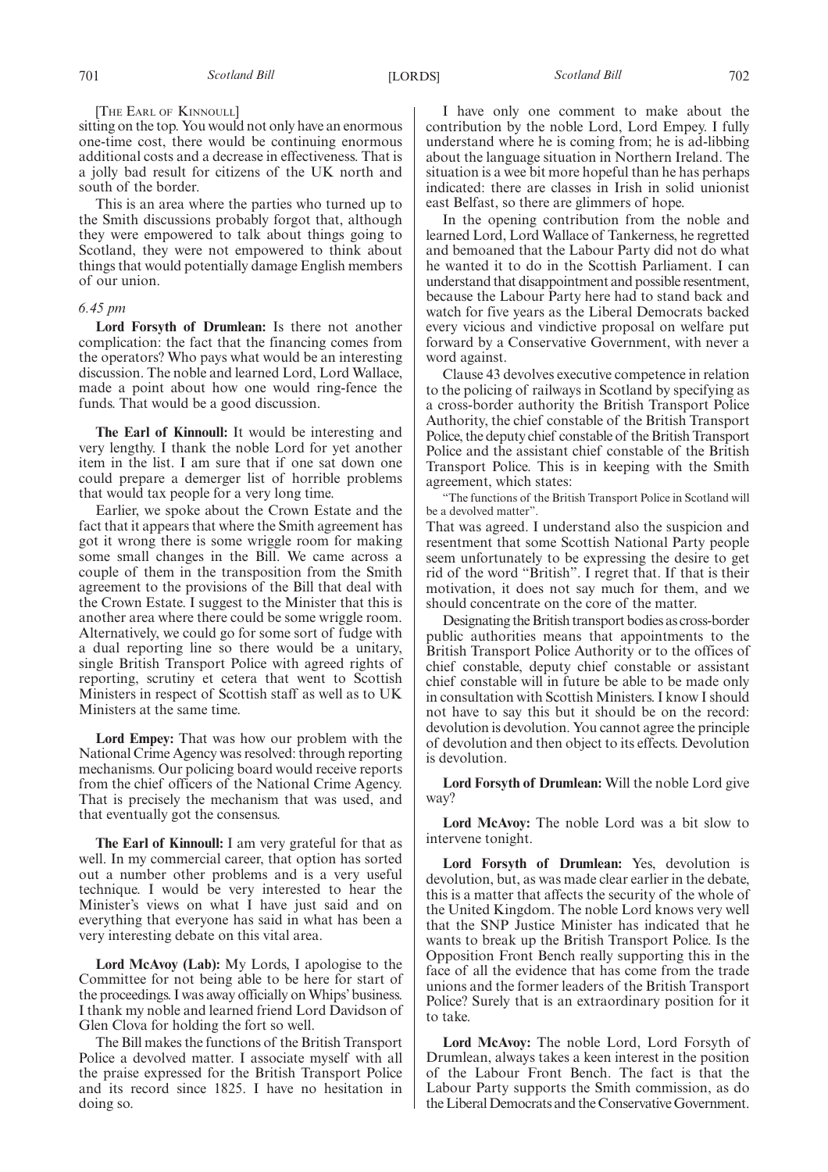#### [THE EARL OF KINNOULL]

sitting on the top. You would not only have an enormous one-time cost, there would be continuing enormous additional costs and a decrease in effectiveness. That is a jolly bad result for citizens of the UK north and south of the border.

This is an area where the parties who turned up to the Smith discussions probably forgot that, although they were empowered to talk about things going to Scotland, they were not empowered to think about things that would potentially damage English members of our union.

#### *6.45 pm*

**Lord Forsyth of Drumlean:** Is there not another complication: the fact that the financing comes from the operators? Who pays what would be an interesting discussion. The noble and learned Lord, Lord Wallace, made a point about how one would ring-fence the funds. That would be a good discussion.

**The Earl of Kinnoull:** It would be interesting and very lengthy. I thank the noble Lord for yet another item in the list. I am sure that if one sat down one could prepare a demerger list of horrible problems that would tax people for a very long time.

Earlier, we spoke about the Crown Estate and the fact that it appears that where the Smith agreement has got it wrong there is some wriggle room for making some small changes in the Bill. We came across a couple of them in the transposition from the Smith agreement to the provisions of the Bill that deal with the Crown Estate. I suggest to the Minister that this is another area where there could be some wriggle room. Alternatively, we could go for some sort of fudge with a dual reporting line so there would be a unitary, single British Transport Police with agreed rights of reporting, scrutiny et cetera that went to Scottish Ministers in respect of Scottish staff as well as to UK Ministers at the same time.

**Lord Empey:** That was how our problem with the National Crime Agency was resolved: through reporting mechanisms. Our policing board would receive reports from the chief officers of the National Crime Agency. That is precisely the mechanism that was used, and that eventually got the consensus.

**The Earl of Kinnoull:** I am very grateful for that as well. In my commercial career, that option has sorted out a number other problems and is a very useful technique. I would be very interested to hear the Minister's views on what I have just said and on everything that everyone has said in what has been a very interesting debate on this vital area.

**Lord McAvoy (Lab):** My Lords, I apologise to the Committee for not being able to be here for start of the proceedings. I was away officially on Whips' business. I thank my noble and learned friend Lord Davidson of Glen Clova for holding the fort so well.

The Bill makes the functions of the British Transport Police a devolved matter. I associate myself with all the praise expressed for the British Transport Police and its record since 1825. I have no hesitation in doing so.

I have only one comment to make about the contribution by the noble Lord, Lord Empey. I fully understand where he is coming from; he is ad-libbing about the language situation in Northern Ireland. The situation is a wee bit more hopeful than he has perhaps indicated: there are classes in Irish in solid unionist east Belfast, so there are glimmers of hope.

In the opening contribution from the noble and learned Lord, Lord Wallace of Tankerness, he regretted and bemoaned that the Labour Party did not do what he wanted it to do in the Scottish Parliament. I can understand that disappointment and possible resentment, because the Labour Party here had to stand back and watch for five years as the Liberal Democrats backed every vicious and vindictive proposal on welfare put forward by a Conservative Government, with never a word against.

Clause 43 devolves executive competence in relation to the policing of railways in Scotland by specifying as a cross-border authority the British Transport Police Authority, the chief constable of the British Transport Police, the deputy chief constable of the British Transport Police and the assistant chief constable of the British Transport Police. This is in keeping with the Smith agreement, which states:

"The functions of the British Transport Police in Scotland will be a devolved matter".

That was agreed. I understand also the suspicion and resentment that some Scottish National Party people seem unfortunately to be expressing the desire to get rid of the word "British". I regret that. If that is their motivation, it does not say much for them, and we should concentrate on the core of the matter.

Designating the British transport bodies as cross-border public authorities means that appointments to the British Transport Police Authority or to the offices of chief constable, deputy chief constable or assistant chief constable will in future be able to be made only in consultation with Scottish Ministers. I know I should not have to say this but it should be on the record: devolution is devolution. You cannot agree the principle of devolution and then object to its effects. Devolution is devolution.

**Lord Forsyth of Drumlean:** Will the noble Lord give way?

**Lord McAvoy:** The noble Lord was a bit slow to intervene tonight.

**Lord Forsyth of Drumlean:** Yes, devolution is devolution, but, as was made clear earlier in the debate, this is a matter that affects the security of the whole of the United Kingdom. The noble Lord knows very well that the SNP Justice Minister has indicated that he wants to break up the British Transport Police. Is the Opposition Front Bench really supporting this in the face of all the evidence that has come from the trade unions and the former leaders of the British Transport Police? Surely that is an extraordinary position for it to take.

**Lord McAvoy:** The noble Lord, Lord Forsyth of Drumlean, always takes a keen interest in the position of the Labour Front Bench. The fact is that the Labour Party supports the Smith commission, as do the Liberal Democrats and the Conservative Government.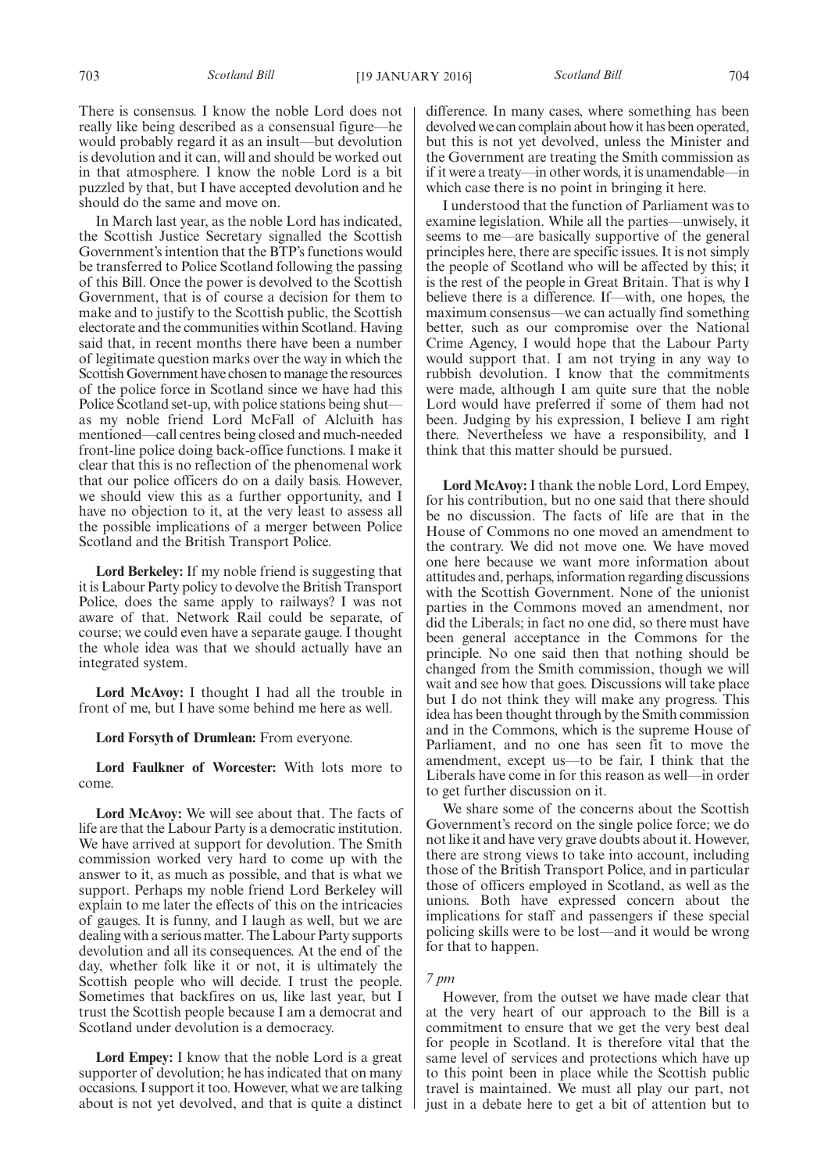There is consensus. I know the noble Lord does not really like being described as a consensual figure—he would probably regard it as an insult—but devolution is devolution and it can, will and should be worked out in that atmosphere. I know the noble Lord is a bit puzzled by that, but I have accepted devolution and he should do the same and move on.

In March last year, as the noble Lord has indicated, the Scottish Justice Secretary signalled the Scottish Government's intention that the BTP's functions would be transferred to Police Scotland following the passing of this Bill. Once the power is devolved to the Scottish Government, that is of course a decision for them to make and to justify to the Scottish public, the Scottish electorate and the communities within Scotland. Having said that, in recent months there have been a number of legitimate question marks over the way in which the Scottish Government have chosen to manage the resources of the police force in Scotland since we have had this Police Scotland set-up, with police stations being shut as my noble friend Lord McFall of Alcluith has mentioned—call centres being closed and much-needed front-line police doing back-office functions. I make it clear that this is no reflection of the phenomenal work that our police officers do on a daily basis. However, we should view this as a further opportunity, and I have no objection to it, at the very least to assess all the possible implications of a merger between Police Scotland and the British Transport Police.

**Lord Berkeley:** If my noble friend is suggesting that it is Labour Party policy to devolve the British Transport Police, does the same apply to railways? I was not aware of that. Network Rail could be separate, of course; we could even have a separate gauge. I thought the whole idea was that we should actually have an integrated system.

**Lord McAvoy:** I thought I had all the trouble in front of me, but I have some behind me here as well.

**Lord Forsyth of Drumlean:** From everyone.

**Lord Faulkner of Worcester:** With lots more to come.

**Lord McAvoy:** We will see about that. The facts of life are that the Labour Party is a democratic institution. We have arrived at support for devolution. The Smith commission worked very hard to come up with the answer to it, as much as possible, and that is what we support. Perhaps my noble friend Lord Berkeley will explain to me later the effects of this on the intricacies of gauges. It is funny, and I laugh as well, but we are dealing with a serious matter. The Labour Party supports devolution and all its consequences. At the end of the day, whether folk like it or not, it is ultimately the Scottish people who will decide. I trust the people. Sometimes that backfires on us, like last year, but I trust the Scottish people because I am a democrat and Scotland under devolution is a democracy.

**Lord Empey:** I know that the noble Lord is a great supporter of devolution; he has indicated that on many occasions. I support it too. However, what we are talking about is not yet devolved, and that is quite a distinct difference. In many cases, where something has been devolved we can complain about how it has been operated, but this is not yet devolved, unless the Minister and the Government are treating the Smith commission as if it were a treaty—in other words, it is unamendable—in which case there is no point in bringing it here.

I understood that the function of Parliament was to examine legislation. While all the parties—unwisely, it seems to me—are basically supportive of the general principles here, there are specific issues. It is not simply the people of Scotland who will be affected by this; it is the rest of the people in Great Britain. That is why I believe there is a difference. If—with, one hopes, the maximum consensus—we can actually find something better, such as our compromise over the National Crime Agency, I would hope that the Labour Party would support that. I am not trying in any way to rubbish devolution. I know that the commitments were made, although I am quite sure that the noble Lord would have preferred if some of them had not been. Judging by his expression, I believe I am right there. Nevertheless we have a responsibility, and I think that this matter should be pursued.

**Lord McAvoy:** I thank the noble Lord, Lord Empey, for his contribution, but no one said that there should be no discussion. The facts of life are that in the House of Commons no one moved an amendment to the contrary. We did not move one. We have moved one here because we want more information about attitudes and, perhaps, information regarding discussions with the Scottish Government. None of the unionist parties in the Commons moved an amendment, nor did the Liberals; in fact no one did, so there must have been general acceptance in the Commons for the principle. No one said then that nothing should be changed from the Smith commission, though we will wait and see how that goes. Discussions will take place but I do not think they will make any progress. This idea has been thought through by the Smith commission and in the Commons, which is the supreme House of Parliament, and no one has seen fit to move the amendment, except us—to be fair, I think that the Liberals have come in for this reason as well—in order to get further discussion on it.

We share some of the concerns about the Scottish Government's record on the single police force; we do not like it and have very grave doubts about it. However, there are strong views to take into account, including those of the British Transport Police, and in particular those of officers employed in Scotland, as well as the unions. Both have expressed concern about the implications for staff and passengers if these special policing skills were to be lost—and it would be wrong for that to happen.

## *7 pm*

However, from the outset we have made clear that at the very heart of our approach to the Bill is a commitment to ensure that we get the very best deal for people in Scotland. It is therefore vital that the same level of services and protections which have up to this point been in place while the Scottish public travel is maintained. We must all play our part, not just in a debate here to get a bit of attention but to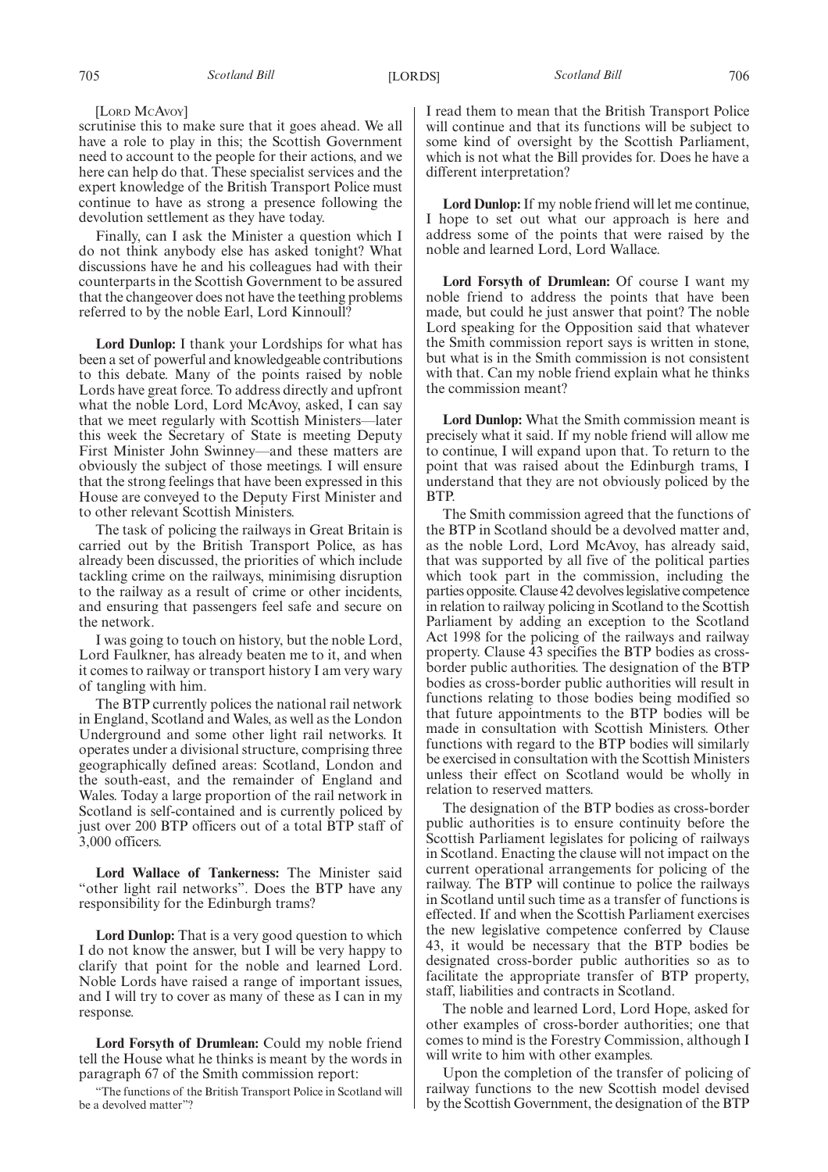[LORD MCAVOY]

scrutinise this to make sure that it goes ahead. We all have a role to play in this; the Scottish Government need to account to the people for their actions, and we here can help do that. These specialist services and the expert knowledge of the British Transport Police must continue to have as strong a presence following the devolution settlement as they have today.

Finally, can I ask the Minister a question which I do not think anybody else has asked tonight? What discussions have he and his colleagues had with their counterparts in the Scottish Government to be assured that the changeover does not have the teething problems referred to by the noble Earl, Lord Kinnoull?

**Lord Dunlop:** I thank your Lordships for what has been a set of powerful and knowledgeable contributions to this debate. Many of the points raised by noble Lords have great force. To address directly and upfront what the noble Lord, Lord McAvoy, asked, I can say that we meet regularly with Scottish Ministers—later this week the Secretary of State is meeting Deputy First Minister John Swinney—and these matters are obviously the subject of those meetings. I will ensure that the strong feelings that have been expressed in this House are conveyed to the Deputy First Minister and to other relevant Scottish Ministers.

The task of policing the railways in Great Britain is carried out by the British Transport Police, as has already been discussed, the priorities of which include tackling crime on the railways, minimising disruption to the railway as a result of crime or other incidents, and ensuring that passengers feel safe and secure on the network.

I was going to touch on history, but the noble Lord, Lord Faulkner, has already beaten me to it, and when it comes to railway or transport history I am very wary of tangling with him.

The BTP currently polices the national rail network in England, Scotland and Wales, as well as the London Underground and some other light rail networks. It operates under a divisional structure, comprising three geographically defined areas: Scotland, London and the south-east, and the remainder of England and Wales. Today a large proportion of the rail network in Scotland is self-contained and is currently policed by just over 200 BTP officers out of a total BTP staff of 3,000 officers.

**Lord Wallace of Tankerness:** The Minister said "other light rail networks". Does the BTP have any responsibility for the Edinburgh trams?

**Lord Dunlop:** That is a very good question to which I do not know the answer, but I will be very happy to clarify that point for the noble and learned Lord. Noble Lords have raised a range of important issues, and I will try to cover as many of these as I can in my response.

**Lord Forsyth of Drumlean:** Could my noble friend tell the House what he thinks is meant by the words in paragraph 67 of the Smith commission report:

"The functions of the British Transport Police in Scotland will be a devolved matter"?

I read them to mean that the British Transport Police will continue and that its functions will be subject to some kind of oversight by the Scottish Parliament, which is not what the Bill provides for. Does he have a different interpretation?

**Lord Dunlop:**If my noble friend will let me continue, I hope to set out what our approach is here and address some of the points that were raised by the noble and learned Lord, Lord Wallace.

**Lord Forsyth of Drumlean:** Of course I want my noble friend to address the points that have been made, but could he just answer that point? The noble Lord speaking for the Opposition said that whatever the Smith commission report says is written in stone, but what is in the Smith commission is not consistent with that. Can my noble friend explain what he thinks the commission meant?

**Lord Dunlop:** What the Smith commission meant is precisely what it said. If my noble friend will allow me to continue, I will expand upon that. To return to the point that was raised about the Edinburgh trams, I understand that they are not obviously policed by the BTP.

The Smith commission agreed that the functions of the BTP in Scotland should be a devolved matter and, as the noble Lord, Lord McAvoy, has already said, that was supported by all five of the political parties which took part in the commission, including the parties opposite. Clause 42 devolves legislative competence in relation to railway policing in Scotland to the Scottish Parliament by adding an exception to the Scotland Act 1998 for the policing of the railways and railway property. Clause 43 specifies the BTP bodies as crossborder public authorities. The designation of the BTP bodies as cross-border public authorities will result in functions relating to those bodies being modified so that future appointments to the BTP bodies will be made in consultation with Scottish Ministers. Other functions with regard to the BTP bodies will similarly be exercised in consultation with the Scottish Ministers unless their effect on Scotland would be wholly in relation to reserved matters.

The designation of the BTP bodies as cross-border public authorities is to ensure continuity before the Scottish Parliament legislates for policing of railways in Scotland. Enacting the clause will not impact on the current operational arrangements for policing of the railway. The BTP will continue to police the railways in Scotland until such time as a transfer of functions is effected. If and when the Scottish Parliament exercises the new legislative competence conferred by Clause 43, it would be necessary that the BTP bodies be designated cross-border public authorities so as to facilitate the appropriate transfer of BTP property, staff, liabilities and contracts in Scotland.

The noble and learned Lord, Lord Hope, asked for other examples of cross-border authorities; one that comes to mind is the Forestry Commission, although I will write to him with other examples.

Upon the completion of the transfer of policing of railway functions to the new Scottish model devised by the Scottish Government, the designation of the BTP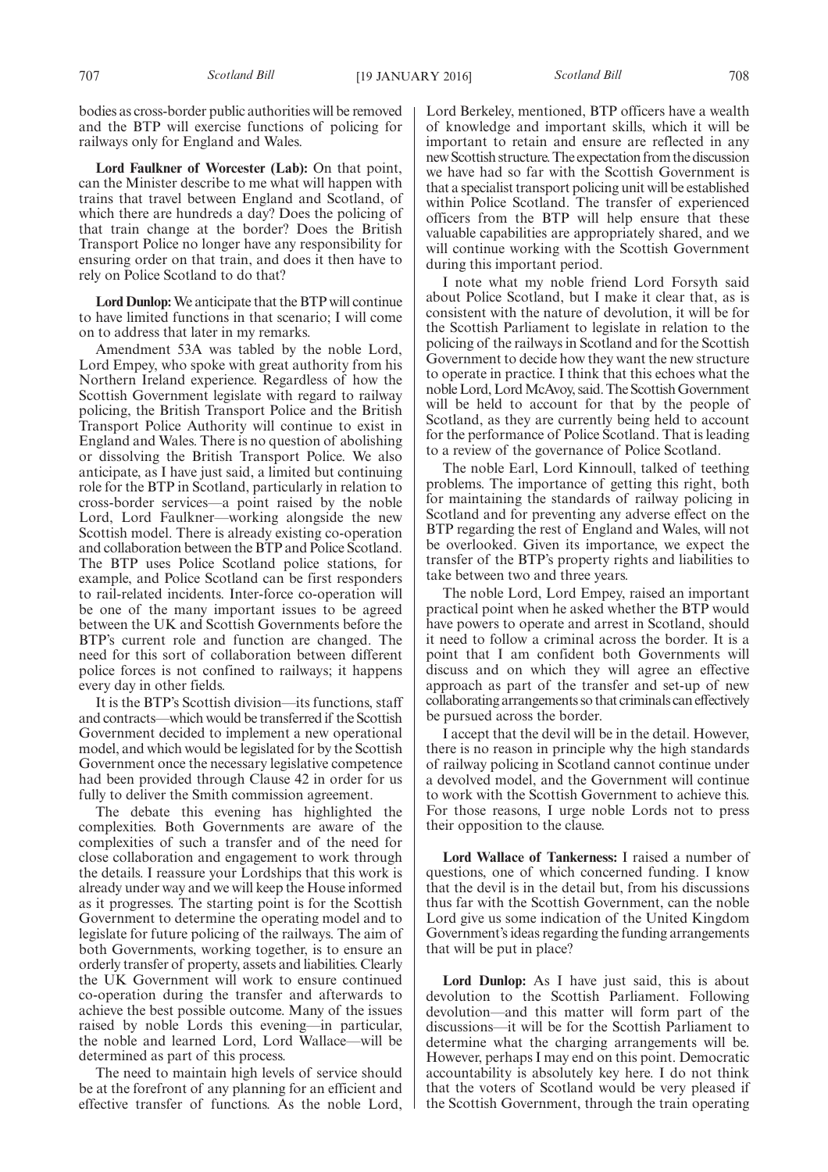bodies as cross-border public authorities will be removed and the BTP will exercise functions of policing for railways only for England and Wales.

**Lord Faulkner of Worcester (Lab):** On that point, can the Minister describe to me what will happen with trains that travel between England and Scotland, of which there are hundreds a day? Does the policing of that train change at the border? Does the British Transport Police no longer have any responsibility for ensuring order on that train, and does it then have to rely on Police Scotland to do that?

**Lord Dunlop:**We anticipate that the BTP will continue to have limited functions in that scenario; I will come on to address that later in my remarks.

Amendment 53A was tabled by the noble Lord, Lord Empey, who spoke with great authority from his Northern Ireland experience. Regardless of how the Scottish Government legislate with regard to railway policing, the British Transport Police and the British Transport Police Authority will continue to exist in England and Wales. There is no question of abolishing or dissolving the British Transport Police. We also anticipate, as I have just said, a limited but continuing role for the BTP in Scotland, particularly in relation to cross-border services—a point raised by the noble Lord, Lord Faulkner—working alongside the new Scottish model. There is already existing co-operation and collaboration between the BTP and Police Scotland. The BTP uses Police Scotland police stations, for example, and Police Scotland can be first responders to rail-related incidents. Inter-force co-operation will be one of the many important issues to be agreed between the UK and Scottish Governments before the BTP's current role and function are changed. The need for this sort of collaboration between different police forces is not confined to railways; it happens every day in other fields.

It is the BTP's Scottish division—its functions, staff and contracts—which would be transferred if the Scottish Government decided to implement a new operational model, and which would be legislated for by the Scottish Government once the necessary legislative competence had been provided through Clause 42 in order for us fully to deliver the Smith commission agreement.

The debate this evening has highlighted the complexities. Both Governments are aware of the complexities of such a transfer and of the need for close collaboration and engagement to work through the details. I reassure your Lordships that this work is already under way and we will keep the House informed as it progresses. The starting point is for the Scottish Government to determine the operating model and to legislate for future policing of the railways. The aim of both Governments, working together, is to ensure an orderly transfer of property, assets and liabilities. Clearly the UK Government will work to ensure continued co-operation during the transfer and afterwards to achieve the best possible outcome. Many of the issues raised by noble Lords this evening—in particular, the noble and learned Lord, Lord Wallace—will be determined as part of this process.

The need to maintain high levels of service should be at the forefront of any planning for an efficient and effective transfer of functions. As the noble Lord, Lord Berkeley, mentioned, BTP officers have a wealth of knowledge and important skills, which it will be important to retain and ensure are reflected in any new Scottish structure.The expectation from the discussion we have had so far with the Scottish Government is that a specialist transport policing unit will be established within Police Scotland. The transfer of experienced officers from the BTP will help ensure that these valuable capabilities are appropriately shared, and we will continue working with the Scottish Government during this important period.

I note what my noble friend Lord Forsyth said about Police Scotland, but I make it clear that, as is consistent with the nature of devolution, it will be for the Scottish Parliament to legislate in relation to the policing of the railways in Scotland and for the Scottish Government to decide how they want the new structure to operate in practice. I think that this echoes what the noble Lord, Lord McAvoy, said. The Scottish Government will be held to account for that by the people of Scotland, as they are currently being held to account for the performance of Police Scotland. That is leading to a review of the governance of Police Scotland.

The noble Earl, Lord Kinnoull, talked of teething problems. The importance of getting this right, both for maintaining the standards of railway policing in Scotland and for preventing any adverse effect on the BTP regarding the rest of England and Wales, will not be overlooked. Given its importance, we expect the transfer of the BTP's property rights and liabilities to take between two and three years.

The noble Lord, Lord Empey, raised an important practical point when he asked whether the BTP would have powers to operate and arrest in Scotland, should it need to follow a criminal across the border. It is a point that I am confident both Governments will discuss and on which they will agree an effective approach as part of the transfer and set-up of new collaborating arrangements so that criminals can effectively be pursued across the border.

I accept that the devil will be in the detail. However, there is no reason in principle why the high standards of railway policing in Scotland cannot continue under a devolved model, and the Government will continue to work with the Scottish Government to achieve this. For those reasons, I urge noble Lords not to press their opposition to the clause.

**Lord Wallace of Tankerness:** I raised a number of questions, one of which concerned funding. I know that the devil is in the detail but, from his discussions thus far with the Scottish Government, can the noble Lord give us some indication of the United Kingdom Government's ideas regarding the funding arrangements that will be put in place?

**Lord Dunlop:** As I have just said, this is about devolution to the Scottish Parliament. Following devolution—and this matter will form part of the discussions—it will be for the Scottish Parliament to determine what the charging arrangements will be. However, perhaps I may end on this point. Democratic accountability is absolutely key here. I do not think that the voters of Scotland would be very pleased if the Scottish Government, through the train operating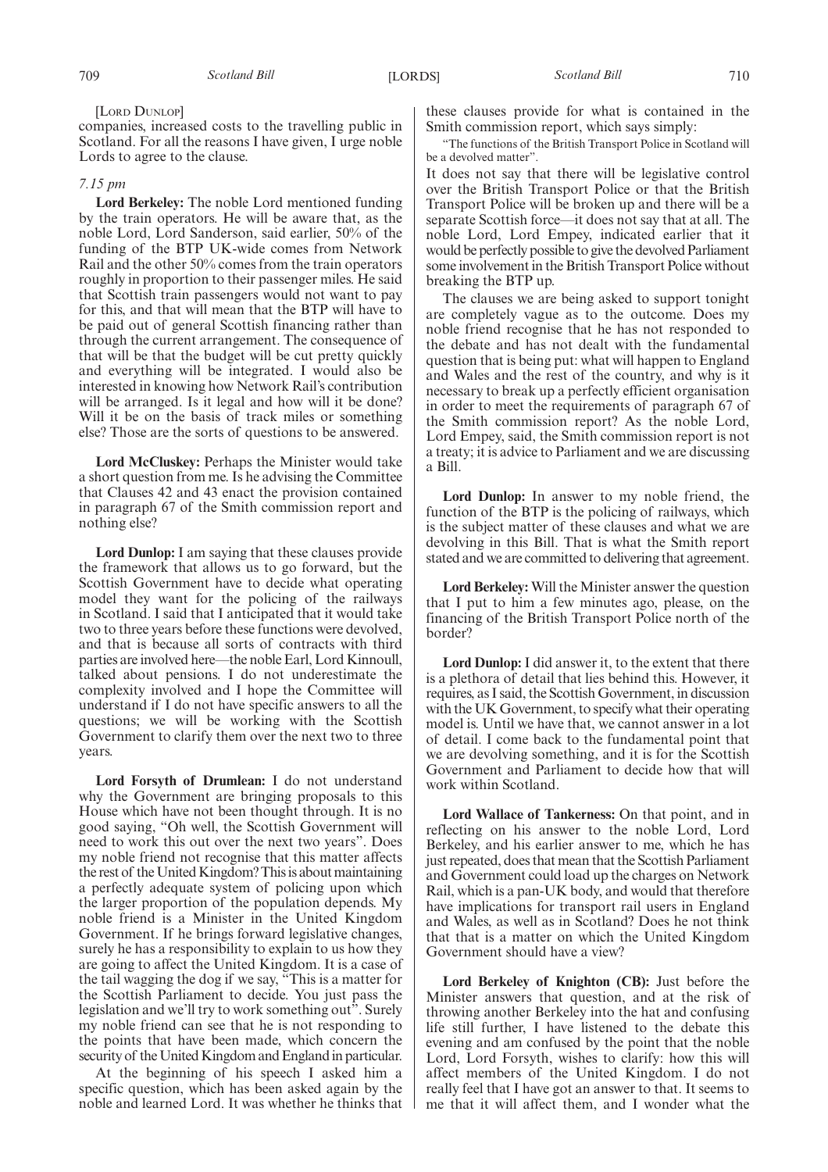[LORD DUNLOP]

companies, increased costs to the travelling public in Scotland. For all the reasons I have given, I urge noble Lords to agree to the clause.

#### *7.15 pm*

**Lord Berkeley:** The noble Lord mentioned funding by the train operators. He will be aware that, as the noble Lord, Lord Sanderson, said earlier, 50% of the funding of the BTP UK-wide comes from Network Rail and the other 50% comes from the train operators roughly in proportion to their passenger miles. He said that Scottish train passengers would not want to pay for this, and that will mean that the BTP will have to be paid out of general Scottish financing rather than through the current arrangement. The consequence of that will be that the budget will be cut pretty quickly and everything will be integrated. I would also be interested in knowing how Network Rail's contribution will be arranged. Is it legal and how will it be done? Will it be on the basis of track miles or something else? Those are the sorts of questions to be answered.

**Lord McCluskey:** Perhaps the Minister would take a short question from me. Is he advising the Committee that Clauses 42 and 43 enact the provision contained in paragraph 67 of the Smith commission report and nothing else?

**Lord Dunlop:** I am saying that these clauses provide the framework that allows us to go forward, but the Scottish Government have to decide what operating model they want for the policing of the railways in Scotland. I said that I anticipated that it would take two to three years before these functions were devolved, and that is because all sorts of contracts with third parties are involved here—the noble Earl, Lord Kinnoull, talked about pensions. I do not underestimate the complexity involved and I hope the Committee will understand if I do not have specific answers to all the questions; we will be working with the Scottish Government to clarify them over the next two to three years.

**Lord Forsyth of Drumlean:** I do not understand why the Government are bringing proposals to this House which have not been thought through. It is no good saying, "Oh well, the Scottish Government will need to work this out over the next two years". Does my noble friend not recognise that this matter affects the rest of the United Kingdom? This is about maintaining a perfectly adequate system of policing upon which the larger proportion of the population depends. My noble friend is a Minister in the United Kingdom Government. If he brings forward legislative changes, surely he has a responsibility to explain to us how they are going to affect the United Kingdom. It is a case of the tail wagging the dog if we say, "This is a matter for the Scottish Parliament to decide. You just pass the legislation and we'll try to work something out". Surely my noble friend can see that he is not responding to the points that have been made, which concern the security of the United Kingdom and England in particular.

At the beginning of his speech I asked him a specific question, which has been asked again by the noble and learned Lord. It was whether he thinks that these clauses provide for what is contained in the Smith commission report, which says simply:

"The functions of the British Transport Police in Scotland will be a devolved matter".

It does not say that there will be legislative control over the British Transport Police or that the British Transport Police will be broken up and there will be a separate Scottish force—it does not say that at all. The noble Lord, Lord Empey, indicated earlier that it would be perfectly possible to give the devolved Parliament some involvement in the British Transport Police without breaking the BTP up.

The clauses we are being asked to support tonight are completely vague as to the outcome. Does my noble friend recognise that he has not responded to the debate and has not dealt with the fundamental question that is being put: what will happen to England and Wales and the rest of the country, and why is it necessary to break up a perfectly efficient organisation in order to meet the requirements of paragraph 67 of the Smith commission report? As the noble Lord, Lord Empey, said, the Smith commission report is not a treaty; it is advice to Parliament and we are discussing a Bill.

**Lord Dunlop:** In answer to my noble friend, the function of the BTP is the policing of railways, which is the subject matter of these clauses and what we are devolving in this Bill. That is what the Smith report stated and we are committed to delivering that agreement.

**Lord Berkeley:** Will the Minister answer the question that I put to him a few minutes ago, please, on the financing of the British Transport Police north of the border?

**Lord Dunlop:** I did answer it, to the extent that there is a plethora of detail that lies behind this. However, it requires, as I said, the Scottish Government, in discussion with the UK Government, to specify what their operating model is. Until we have that, we cannot answer in a lot of detail. I come back to the fundamental point that we are devolving something, and it is for the Scottish Government and Parliament to decide how that will work within Scotland.

**Lord Wallace of Tankerness:** On that point, and in reflecting on his answer to the noble Lord, Lord Berkeley, and his earlier answer to me, which he has just repeated, does that mean that the Scottish Parliament and Government could load up the charges on Network Rail, which is a pan-UK body, and would that therefore have implications for transport rail users in England and Wales, as well as in Scotland? Does he not think that that is a matter on which the United Kingdom Government should have a view?

**Lord Berkeley of Knighton (CB):** Just before the Minister answers that question, and at the risk of throwing another Berkeley into the hat and confusing life still further, I have listened to the debate this evening and am confused by the point that the noble Lord, Lord Forsyth, wishes to clarify: how this will affect members of the United Kingdom. I do not really feel that I have got an answer to that. It seems to me that it will affect them, and I wonder what the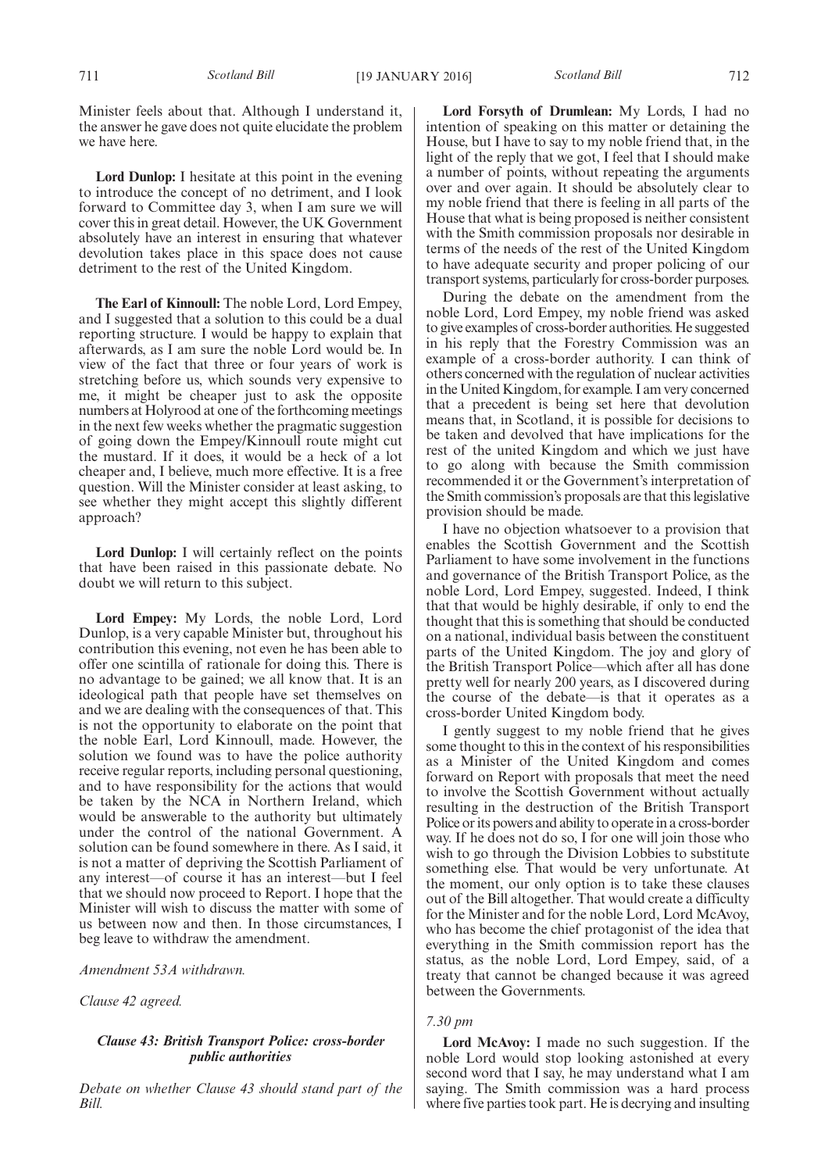Minister feels about that. Although I understand it, the answer he gave does not quite elucidate the problem we have here.

**Lord Dunlop:** I hesitate at this point in the evening to introduce the concept of no detriment, and I look forward to Committee day 3, when I am sure we will cover this in great detail. However, the UK Government absolutely have an interest in ensuring that whatever devolution takes place in this space does not cause detriment to the rest of the United Kingdom.

**The Earl of Kinnoull:** The noble Lord, Lord Empey, and I suggested that a solution to this could be a dual reporting structure. I would be happy to explain that afterwards, as I am sure the noble Lord would be. In view of the fact that three or four years of work is stretching before us, which sounds very expensive to me, it might be cheaper just to ask the opposite numbers at Holyrood at one of the forthcoming meetings in the next few weeks whether the pragmatic suggestion of going down the Empey/Kinnoull route might cut the mustard. If it does, it would be a heck of a lot cheaper and, I believe, much more effective. It is a free question. Will the Minister consider at least asking, to see whether they might accept this slightly different approach?

**Lord Dunlop:** I will certainly reflect on the points that have been raised in this passionate debate. No doubt we will return to this subject.

**Lord Empey:** My Lords, the noble Lord, Lord Dunlop, is a very capable Minister but, throughout his contribution this evening, not even he has been able to offer one scintilla of rationale for doing this. There is no advantage to be gained; we all know that. It is an ideological path that people have set themselves on and we are dealing with the consequences of that. This is not the opportunity to elaborate on the point that the noble Earl, Lord Kinnoull, made. However, the solution we found was to have the police authority receive regular reports, including personal questioning, and to have responsibility for the actions that would be taken by the NCA in Northern Ireland, which would be answerable to the authority but ultimately under the control of the national Government. A solution can be found somewhere in there. As I said, it is not a matter of depriving the Scottish Parliament of any interest—of course it has an interest—but I feel that we should now proceed to Report. I hope that the Minister will wish to discuss the matter with some of us between now and then. In those circumstances, I beg leave to withdraw the amendment.

*Amendment 53A withdrawn.*

*Clause 42 agreed.*

## *Clause 43: British Transport Police: cross-border public authorities*

*Debate on whether Clause 43 should stand part of the Bill.*

**Lord Forsyth of Drumlean:** My Lords, I had no intention of speaking on this matter or detaining the House, but I have to say to my noble friend that, in the light of the reply that we got, I feel that I should make a number of points, without repeating the arguments over and over again. It should be absolutely clear to my noble friend that there is feeling in all parts of the House that what is being proposed is neither consistent with the Smith commission proposals nor desirable in terms of the needs of the rest of the United Kingdom to have adequate security and proper policing of our transport systems, particularly for cross-border purposes.

During the debate on the amendment from the noble Lord, Lord Empey, my noble friend was asked to give examples of cross-border authorities. He suggested in his reply that the Forestry Commission was an example of a cross-border authority. I can think of others concerned with the regulation of nuclear activities in the United Kingdom, for example. I am very concerned that a precedent is being set here that devolution means that, in Scotland, it is possible for decisions to be taken and devolved that have implications for the rest of the united Kingdom and which we just have to go along with because the Smith commission recommended it or the Government's interpretation of the Smith commission's proposals are that this legislative provision should be made.

I have no objection whatsoever to a provision that enables the Scottish Government and the Scottish Parliament to have some involvement in the functions and governance of the British Transport Police, as the noble Lord, Lord Empey, suggested. Indeed, I think that that would be highly desirable, if only to end the thought that this is something that should be conducted on a national, individual basis between the constituent parts of the United Kingdom. The joy and glory of the British Transport Police—which after all has done pretty well for nearly 200 years, as I discovered during the course of the debate—is that it operates as a cross-border United Kingdom body.

I gently suggest to my noble friend that he gives some thought to this in the context of his responsibilities as a Minister of the United Kingdom and comes forward on Report with proposals that meet the need to involve the Scottish Government without actually resulting in the destruction of the British Transport Police or its powers and ability to operate in a cross-border way. If he does not do so, I for one will join those who wish to go through the Division Lobbies to substitute something else. That would be very unfortunate. At the moment, our only option is to take these clauses out of the Bill altogether. That would create a difficulty for the Minister and for the noble Lord, Lord McAvoy, who has become the chief protagonist of the idea that everything in the Smith commission report has the status, as the noble Lord, Lord Empey, said, of a treaty that cannot be changed because it was agreed between the Governments.

#### *7.30 pm*

**Lord McAvoy:** I made no such suggestion. If the noble Lord would stop looking astonished at every second word that I say, he may understand what I am saying. The Smith commission was a hard process where five parties took part. He is decrying and insulting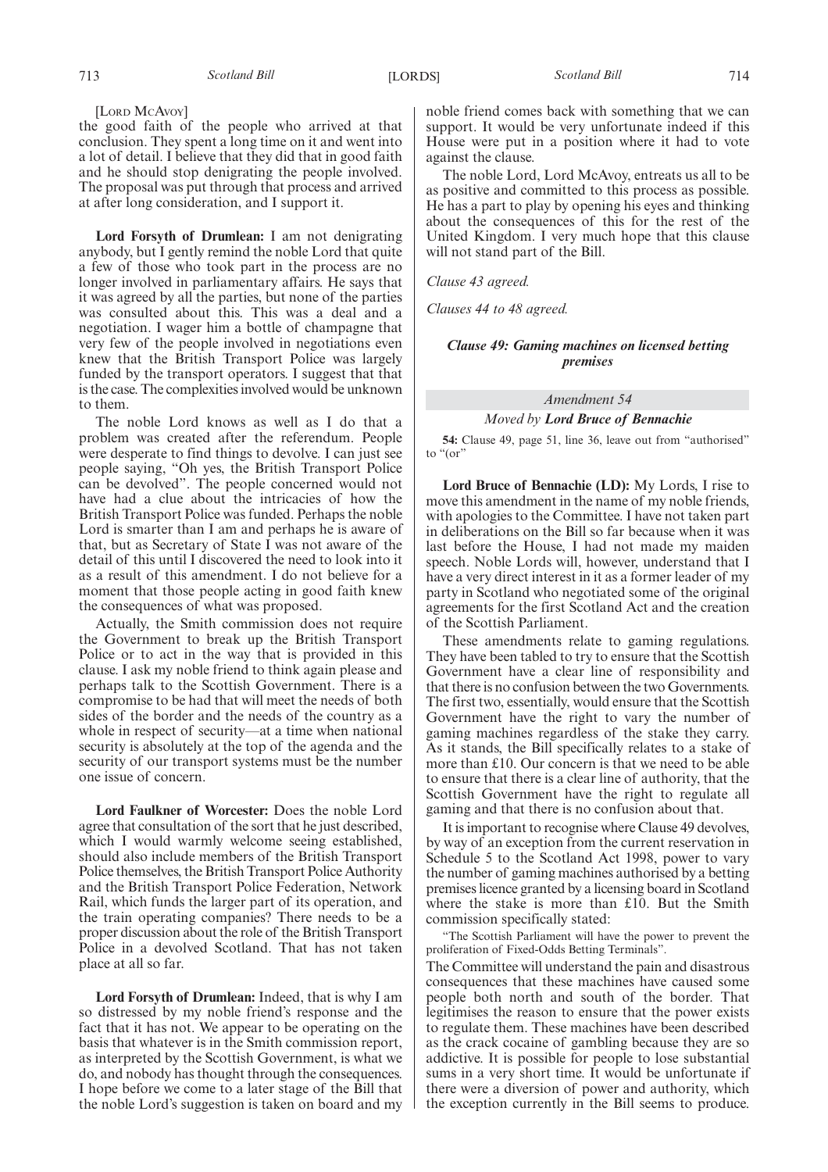#### [LORD MCAVOY]

the good faith of the people who arrived at that conclusion. They spent a long time on it and went into a lot of detail. I believe that they did that in good faith and he should stop denigrating the people involved. The proposal was put through that process and arrived at after long consideration, and I support it.

**Lord Forsyth of Drumlean:** I am not denigrating anybody, but I gently remind the noble Lord that quite a few of those who took part in the process are no longer involved in parliamentary affairs. He says that it was agreed by all the parties, but none of the parties was consulted about this. This was a deal and a negotiation. I wager him a bottle of champagne that very few of the people involved in negotiations even knew that the British Transport Police was largely funded by the transport operators. I suggest that that is the case. The complexities involved would be unknown to them.

The noble Lord knows as well as I do that a problem was created after the referendum. People were desperate to find things to devolve. I can just see people saying, "Oh yes, the British Transport Police can be devolved". The people concerned would not have had a clue about the intricacies of how the British Transport Police was funded. Perhaps the noble Lord is smarter than I am and perhaps he is aware of that, but as Secretary of State I was not aware of the detail of this until I discovered the need to look into it as a result of this amendment. I do not believe for a moment that those people acting in good faith knew the consequences of what was proposed.

Actually, the Smith commission does not require the Government to break up the British Transport Police or to act in the way that is provided in this clause. I ask my noble friend to think again please and perhaps talk to the Scottish Government. There is a compromise to be had that will meet the needs of both sides of the border and the needs of the country as a whole in respect of security—at a time when national security is absolutely at the top of the agenda and the security of our transport systems must be the number one issue of concern.

**Lord Faulkner of Worcester:** Does the noble Lord agree that consultation of the sort that he just described, which I would warmly welcome seeing established, should also include members of the British Transport Police themselves, the British Transport Police Authority and the British Transport Police Federation, Network Rail, which funds the larger part of its operation, and the train operating companies? There needs to be a proper discussion about the role of the British Transport Police in a devolved Scotland. That has not taken place at all so far.

**Lord Forsyth of Drumlean:** Indeed, that is why I am so distressed by my noble friend's response and the fact that it has not. We appear to be operating on the basis that whatever is in the Smith commission report, as interpreted by the Scottish Government, is what we do, and nobody has thought through the consequences. I hope before we come to a later stage of the Bill that the noble Lord's suggestion is taken on board and my noble friend comes back with something that we can support. It would be very unfortunate indeed if this House were put in a position where it had to vote against the clause.

The noble Lord, Lord McAvoy, entreats us all to be as positive and committed to this process as possible. He has a part to play by opening his eyes and thinking about the consequences of this for the rest of the United Kingdom. I very much hope that this clause will not stand part of the Bill.

*Clause 43 agreed.*

*Clauses 44 to 48 agreed.*

## *Clause 49: Gaming machines on licensed betting premises*

## *Amendment 54*

*Moved by Lord Bruce of Bennachie*

**54:** Clause 49, page 51, line 36, leave out from "authorised" to "(or"

**Lord Bruce of Bennachie (LD):** My Lords, I rise to move this amendment in the name of my noble friends, with apologies to the Committee. I have not taken part in deliberations on the Bill so far because when it was last before the House, I had not made my maiden speech. Noble Lords will, however, understand that I have a very direct interest in it as a former leader of my party in Scotland who negotiated some of the original agreements for the first Scotland Act and the creation of the Scottish Parliament.

These amendments relate to gaming regulations. They have been tabled to try to ensure that the Scottish Government have a clear line of responsibility and that there is no confusion between the two Governments. The first two, essentially, would ensure that the Scottish Government have the right to vary the number of gaming machines regardless of the stake they carry. As it stands, the Bill specifically relates to a stake of more than £10. Our concern is that we need to be able to ensure that there is a clear line of authority, that the Scottish Government have the right to regulate all gaming and that there is no confusion about that.

It is important to recognise where Clause 49 devolves, by way of an exception from the current reservation in Schedule 5 to the Scotland Act 1998, power to vary the number of gaming machines authorised by a betting premises licence granted by a licensing board in Scotland where the stake is more than £10. But the Smith commission specifically stated:

"The Scottish Parliament will have the power to prevent the proliferation of Fixed-Odds Betting Terminals".

The Committee will understand the pain and disastrous consequences that these machines have caused some people both north and south of the border. That legitimises the reason to ensure that the power exists to regulate them. These machines have been described as the crack cocaine of gambling because they are so addictive. It is possible for people to lose substantial sums in a very short time. It would be unfortunate if there were a diversion of power and authority, which the exception currently in the Bill seems to produce.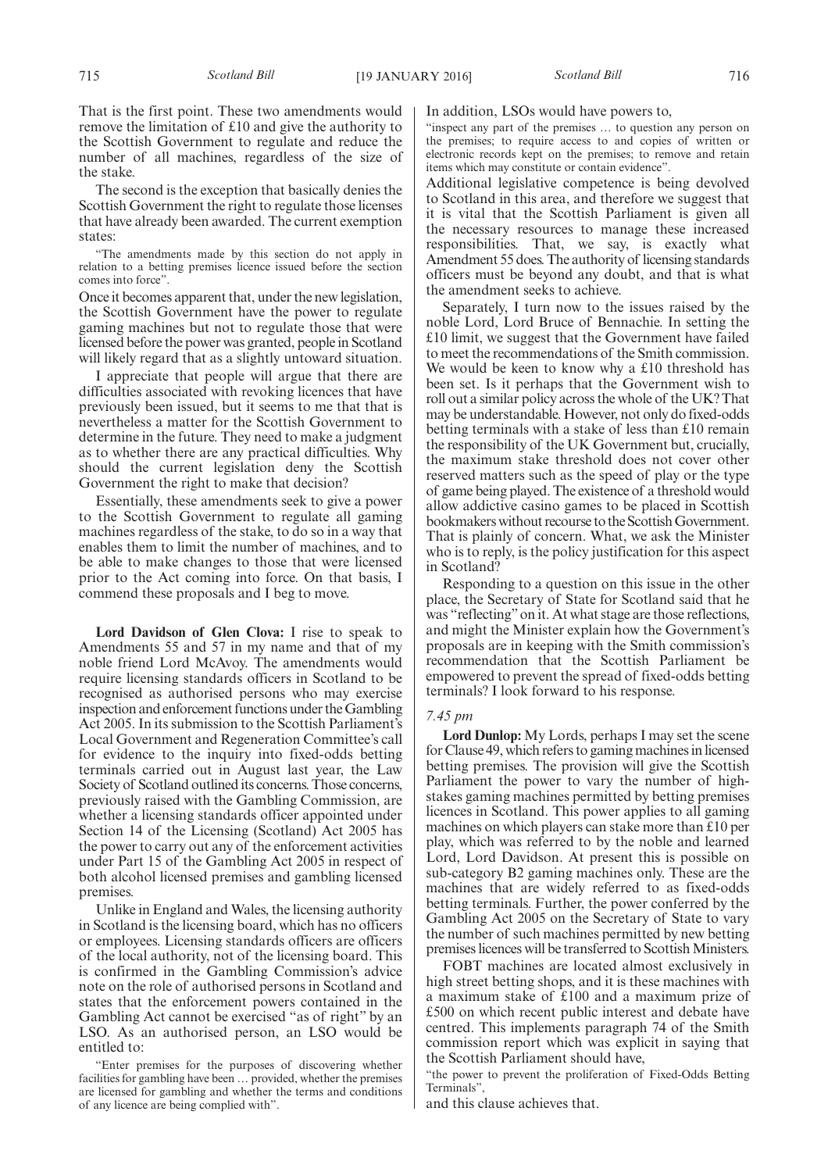The second is the exception that basically denies the Scottish Government the right to regulate those licenses that have already been awarded. The current exemption states:

"The amendments made by this section do not apply in relation to a betting premises licence issued before the section comes into force".

Once it becomes apparent that, under the new legislation, the Scottish Government have the power to regulate gaming machines but not to regulate those that were licensed before the power was granted, people in Scotland will likely regard that as a slightly untoward situation.

I appreciate that people will argue that there are difficulties associated with revoking licences that have previously been issued, but it seems to me that that is nevertheless a matter for the Scottish Government to determine in the future. They need to make a judgment as to whether there are any practical difficulties. Why should the current legislation deny the Scottish Government the right to make that decision?

Essentially, these amendments seek to give a power to the Scottish Government to regulate all gaming machines regardless of the stake, to do so in a way that enables them to limit the number of machines, and to be able to make changes to those that were licensed prior to the Act coming into force. On that basis, I commend these proposals and I beg to move.

**Lord Davidson of Glen Clova:** I rise to speak to Amendments 55 and 57 in my name and that of my noble friend Lord McAvoy. The amendments would require licensing standards officers in Scotland to be recognised as authorised persons who may exercise inspection and enforcement functions under theGambling Act 2005. In its submission to the Scottish Parliament's Local Government and Regeneration Committee's call for evidence to the inquiry into fixed-odds betting terminals carried out in August last year, the Law Society of Scotland outlined its concerns. Those concerns, previously raised with the Gambling Commission, are whether a licensing standards officer appointed under Section 14 of the Licensing (Scotland) Act 2005 has the power to carry out any of the enforcement activities under Part 15 of the Gambling Act 2005 in respect of both alcohol licensed premises and gambling licensed premises.

Unlike in England and Wales, the licensing authority in Scotland is the licensing board, which has no officers or employees. Licensing standards officers are officers of the local authority, not of the licensing board. This is confirmed in the Gambling Commission's advice note on the role of authorised persons in Scotland and states that the enforcement powers contained in the Gambling Act cannot be exercised "as of right" by an LSO. As an authorised person, an LSO would be entitled to:

"Enter premises for the purposes of discovering whether facilities for gambling have been … provided, whether the premises are licensed for gambling and whether the terms and conditions of any licence are being complied with".

#### In addition, LSOs would have powers to,

"inspect any part of the premises … to question any person on the premises; to require access to and copies of written or electronic records kept on the premises; to remove and retain items which may constitute or contain evidence".

Additional legislative competence is being devolved to Scotland in this area, and therefore we suggest that it is vital that the Scottish Parliament is given all the necessary resources to manage these increased responsibilities. That, we say, is exactly what Amendment 55 does. The authority of licensing standards officers must be beyond any doubt, and that is what the amendment seeks to achieve.

Separately, I turn now to the issues raised by the noble Lord, Lord Bruce of Bennachie. In setting the £10 limit, we suggest that the Government have failed to meet the recommendations of the Smith commission. We would be keen to know why a £10 threshold has been set. Is it perhaps that the Government wish to roll out a similar policy across the whole of the UK? That may be understandable. However, not only do fixed-odds betting terminals with a stake of less than £10 remain the responsibility of the UK Government but, crucially, the maximum stake threshold does not cover other reserved matters such as the speed of play or the type of game being played. The existence of a threshold would allow addictive casino games to be placed in Scottish bookmakers without recourse to the Scottish Government. That is plainly of concern. What, we ask the Minister who is to reply, is the policy justification for this aspect in Scotland?

Responding to a question on this issue in the other place, the Secretary of State for Scotland said that he was "reflecting"on it. At what stage are those reflections, and might the Minister explain how the Government's proposals are in keeping with the Smith commission's recommendation that the Scottish Parliament be empowered to prevent the spread of fixed-odds betting terminals? I look forward to his response.

#### *7.45 pm*

**Lord Dunlop:** My Lords, perhaps I may set the scene for Clause 49, which refers to gaming machines in licensed betting premises. The provision will give the Scottish Parliament the power to vary the number of highstakes gaming machines permitted by betting premises licences in Scotland. This power applies to all gaming machines on which players can stake more than £10 per play, which was referred to by the noble and learned Lord, Lord Davidson. At present this is possible on sub-category B2 gaming machines only. These are the machines that are widely referred to as fixed-odds betting terminals. Further, the power conferred by the Gambling Act 2005 on the Secretary of State to vary the number of such machines permitted by new betting premises licences will be transferred to Scottish Ministers.

FOBT machines are located almost exclusively in high street betting shops, and it is these machines with a maximum stake of £100 and a maximum prize of £500 on which recent public interest and debate have centred. This implements paragraph 74 of the Smith commission report which was explicit in saying that the Scottish Parliament should have,

"the power to prevent the proliferation of Fixed-Odds Betting Terminals",

and this clause achieves that.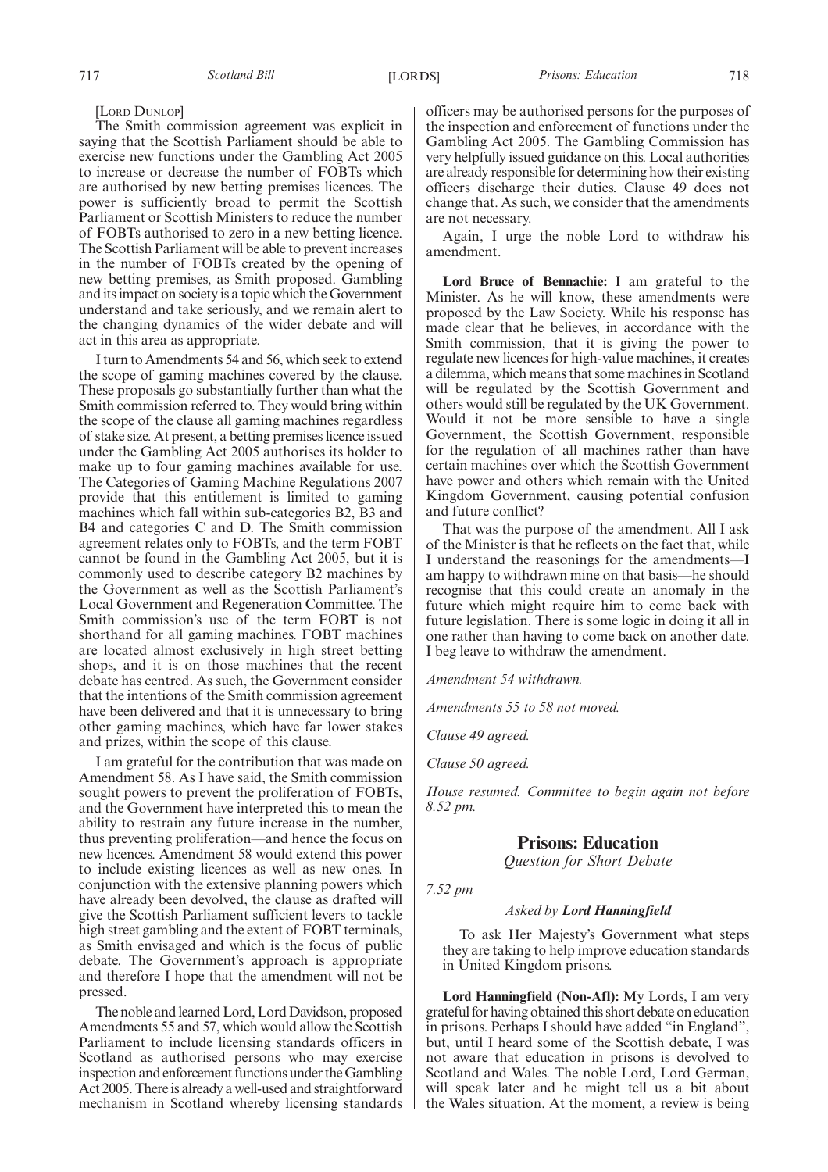#### [LORD DUNLOP]

The Smith commission agreement was explicit in saying that the Scottish Parliament should be able to exercise new functions under the Gambling Act 2005 to increase or decrease the number of FOBTs which are authorised by new betting premises licences. The power is sufficiently broad to permit the Scottish Parliament or Scottish Ministers to reduce the number of FOBTs authorised to zero in a new betting licence. The Scottish Parliament will be able to prevent increases in the number of FOBTs created by the opening of new betting premises, as Smith proposed. Gambling and its impact on society is a topic which the Government understand and take seriously, and we remain alert to the changing dynamics of the wider debate and will act in this area as appropriate.

I turn to Amendments 54 and 56, which seek to extend the scope of gaming machines covered by the clause. These proposals go substantially further than what the Smith commission referred to. They would bring within the scope of the clause all gaming machines regardless of stake size. At present, a betting premises licence issued under the Gambling Act 2005 authorises its holder to make up to four gaming machines available for use. The Categories of Gaming Machine Regulations 2007 provide that this entitlement is limited to gaming machines which fall within sub-categories B2, B3 and B4 and categories C and D. The Smith commission agreement relates only to FOBTs, and the term FOBT cannot be found in the Gambling Act 2005, but it is commonly used to describe category B2 machines by the Government as well as the Scottish Parliament's Local Government and Regeneration Committee. The Smith commission's use of the term FOBT is not shorthand for all gaming machines. FOBT machines are located almost exclusively in high street betting shops, and it is on those machines that the recent debate has centred. As such, the Government consider that the intentions of the Smith commission agreement have been delivered and that it is unnecessary to bring other gaming machines, which have far lower stakes and prizes, within the scope of this clause.

I am grateful for the contribution that was made on Amendment 58. As I have said, the Smith commission sought powers to prevent the proliferation of FOBTs, and the Government have interpreted this to mean the ability to restrain any future increase in the number, thus preventing proliferation—and hence the focus on new licences. Amendment 58 would extend this power to include existing licences as well as new ones. In conjunction with the extensive planning powers which have already been devolved, the clause as drafted will give the Scottish Parliament sufficient levers to tackle high street gambling and the extent of FOBT terminals, as Smith envisaged and which is the focus of public debate. The Government's approach is appropriate and therefore I hope that the amendment will not be pressed.

The noble and learned Lord, Lord Davidson, proposed Amendments 55 and 57, which would allow the Scottish Parliament to include licensing standards officers in Scotland as authorised persons who may exercise inspection and enforcement functions under theGambling Act 2005. There is already a well-used and straightforward mechanism in Scotland whereby licensing standards officers may be authorised persons for the purposes of the inspection and enforcement of functions under the Gambling Act 2005. The Gambling Commission has very helpfully issued guidance on this. Local authorities are already responsible for determining how their existing officers discharge their duties. Clause 49 does not change that. As such, we consider that the amendments are not necessary.

Again, I urge the noble Lord to withdraw his amendment.

**Lord Bruce of Bennachie:** I am grateful to the Minister. As he will know, these amendments were proposed by the Law Society. While his response has made clear that he believes, in accordance with the Smith commission, that it is giving the power to regulate new licences for high-value machines, it creates a dilemma, which means that some machines in Scotland will be regulated by the Scottish Government and others would still be regulated by the UK Government. Would it not be more sensible to have a single Government, the Scottish Government, responsible for the regulation of all machines rather than have certain machines over which the Scottish Government have power and others which remain with the United Kingdom Government, causing potential confusion and future conflict?

That was the purpose of the amendment. All I ask of the Minister is that he reflects on the fact that, while I understand the reasonings for the amendments—I am happy to withdrawn mine on that basis—he should recognise that this could create an anomaly in the future which might require him to come back with future legislation. There is some logic in doing it all in one rather than having to come back on another date. I beg leave to withdraw the amendment.

*Amendment 54 withdrawn.*

*Amendments 55 to 58 not moved.*

*Clause 49 agreed.*

*Clause 50 agreed.*

*House resumed. Committee to begin again not before 8.52 pm.*

## **Prisons: Education**

*Question for Short Debate*

*7.52 pm*

#### *Asked by Lord Hanningfield*

To ask Her Majesty's Government what steps they are taking to help improve education standards in United Kingdom prisons.

**Lord Hanningfield (Non-Afl):** My Lords, I am very grateful for having obtained this short debate on education in prisons. Perhaps I should have added "in England", but, until I heard some of the Scottish debate, I was not aware that education in prisons is devolved to Scotland and Wales. The noble Lord, Lord German, will speak later and he might tell us a bit about the Wales situation. At the moment, a review is being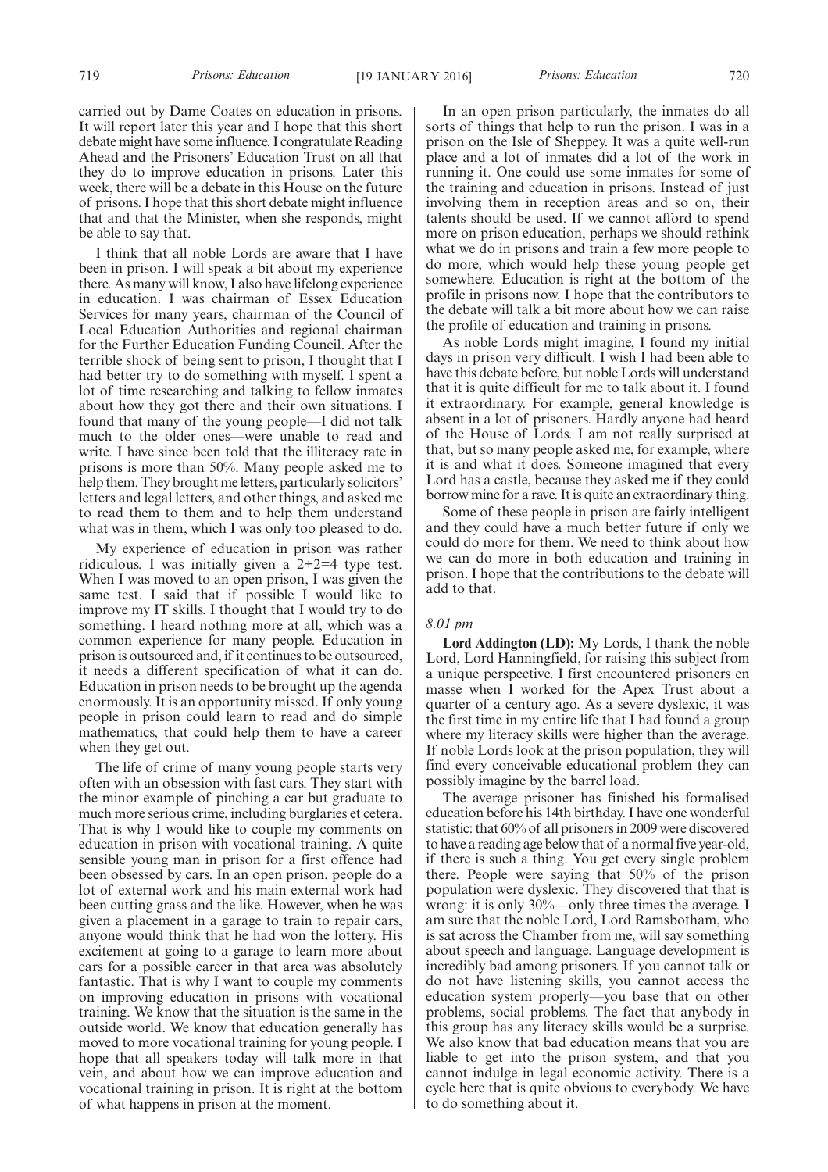carried out by Dame Coates on education in prisons. It will report later this year and I hope that this short debate might have some influence. I congratulate Reading Ahead and the Prisoners' Education Trust on all that they do to improve education in prisons. Later this week, there will be a debate in this House on the future of prisons. I hope that this short debate might influence that and that the Minister, when she responds, might be able to say that.

I think that all noble Lords are aware that I have been in prison. I will speak a bit about my experience there. As many will know, I also have lifelong experience in education. I was chairman of Essex Education Services for many years, chairman of the Council of Local Education Authorities and regional chairman for the Further Education Funding Council. After the terrible shock of being sent to prison, I thought that I had better try to do something with myself. I spent a lot of time researching and talking to fellow inmates about how they got there and their own situations. I found that many of the young people—I did not talk much to the older ones—were unable to read and write. I have since been told that the illiteracy rate in prisons is more than 50%. Many people asked me to help them. They brought me letters, particularly solicitors' letters and legal letters, and other things, and asked me to read them to them and to help them understand what was in them, which I was only too pleased to do.

My experience of education in prison was rather ridiculous. I was initially given a 2+2=4 type test. When I was moved to an open prison, I was given the same test. I said that if possible I would like to improve my IT skills. I thought that I would try to do something. I heard nothing more at all, which was a common experience for many people. Education in prison is outsourced and, if it continues to be outsourced, it needs a different specification of what it can do. Education in prison needs to be brought up the agenda enormously. It is an opportunity missed. If only young people in prison could learn to read and do simple mathematics, that could help them to have a career when they get out.

The life of crime of many young people starts very often with an obsession with fast cars. They start with the minor example of pinching a car but graduate to much more serious crime, including burglaries et cetera. That is why I would like to couple my comments on education in prison with vocational training. A quite sensible young man in prison for a first offence had been obsessed by cars. In an open prison, people do a lot of external work and his main external work had been cutting grass and the like. However, when he was given a placement in a garage to train to repair cars, anyone would think that he had won the lottery. His excitement at going to a garage to learn more about cars for a possible career in that area was absolutely fantastic. That is why I want to couple my comments on improving education in prisons with vocational training. We know that the situation is the same in the outside world. We know that education generally has moved to more vocational training for young people. I hope that all speakers today will talk more in that vein, and about how we can improve education and vocational training in prison. It is right at the bottom of what happens in prison at the moment.

In an open prison particularly, the inmates do all sorts of things that help to run the prison. I was in a prison on the Isle of Sheppey. It was a quite well-run place and a lot of inmates did a lot of the work in running it. One could use some inmates for some of the training and education in prisons. Instead of just involving them in reception areas and so on, their talents should be used. If we cannot afford to spend more on prison education, perhaps we should rethink what we do in prisons and train a few more people to do more, which would help these young people get somewhere. Education is right at the bottom of the profile in prisons now. I hope that the contributors to the debate will talk a bit more about how we can raise the profile of education and training in prisons.

As noble Lords might imagine, I found my initial days in prison very difficult. I wish I had been able to have this debate before, but noble Lords will understand that it is quite difficult for me to talk about it. I found it extraordinary. For example, general knowledge is absent in a lot of prisoners. Hardly anyone had heard of the House of Lords. I am not really surprised at that, but so many people asked me, for example, where it is and what it does. Someone imagined that every Lord has a castle, because they asked me if they could borrow mine for a rave. It is quite an extraordinary thing.

Some of these people in prison are fairly intelligent and they could have a much better future if only we could do more for them. We need to think about how we can do more in both education and training in prison. I hope that the contributions to the debate will add to that.

#### *8.01 pm*

**Lord Addington (LD):** My Lords, I thank the noble Lord, Lord Hanningfield, for raising this subject from a unique perspective. I first encountered prisoners en masse when I worked for the Apex Trust about a quarter of a century ago. As a severe dyslexic, it was the first time in my entire life that I had found a group where my literacy skills were higher than the average. If noble Lords look at the prison population, they will find every conceivable educational problem they can possibly imagine by the barrel load.

The average prisoner has finished his formalised education before his 14th birthday. I have one wonderful statistic: that 60% of all prisoners in 2009 were discovered to have a reading age below that of a normal five year-old, if there is such a thing. You get every single problem there. People were saying that 50% of the prison population were dyslexic. They discovered that that is wrong: it is only 30%—only three times the average. I am sure that the noble Lord, Lord Ramsbotham, who is sat across the Chamber from me, will say something about speech and language. Language development is incredibly bad among prisoners. If you cannot talk or do not have listening skills, you cannot access the education system properly—you base that on other problems, social problems. The fact that anybody in this group has any literacy skills would be a surprise. We also know that bad education means that you are liable to get into the prison system, and that you cannot indulge in legal economic activity. There is a cycle here that is quite obvious to everybody. We have to do something about it.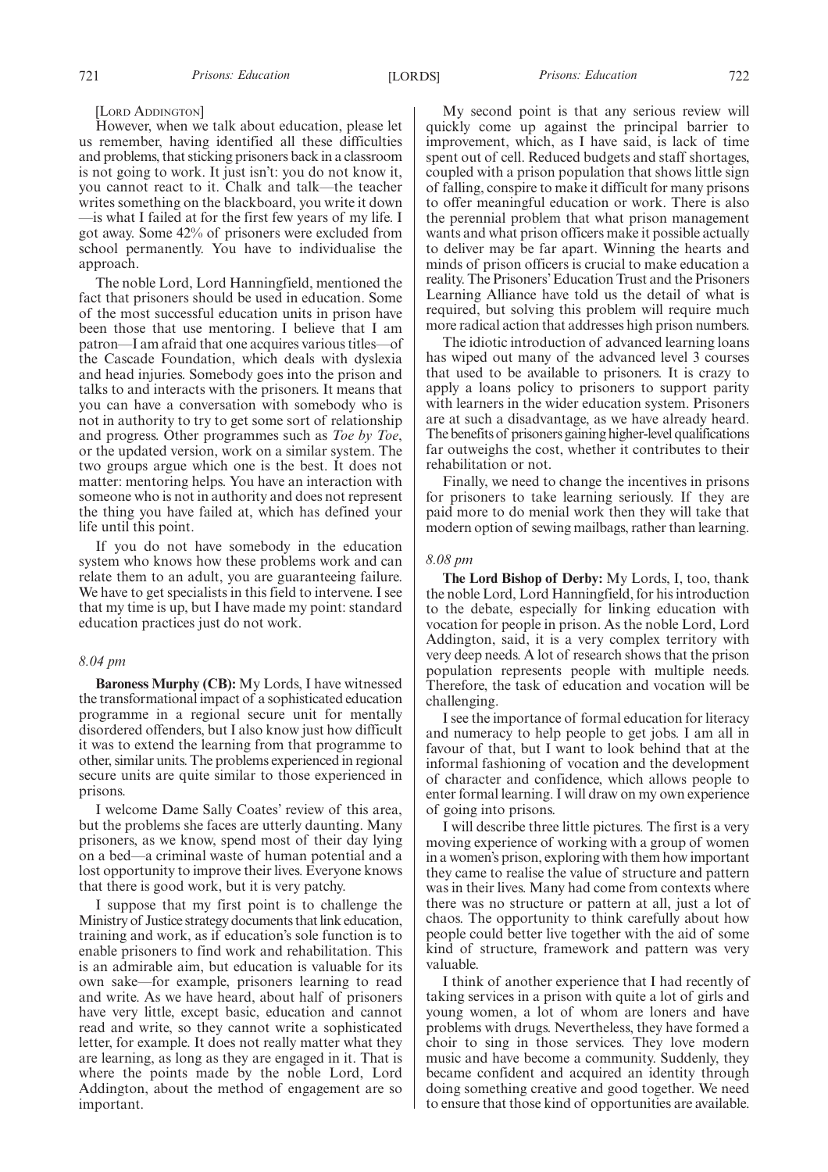#### [LORD ADDINGTON]

However, when we talk about education, please let us remember, having identified all these difficulties and problems, that sticking prisoners back in a classroom is not going to work. It just isn't: you do not know it, you cannot react to it. Chalk and talk—the teacher writes something on the blackboard, you write it down —is what I failed at for the first few years of my life. I got away. Some 42% of prisoners were excluded from school permanently. You have to individualise the approach.

The noble Lord, Lord Hanningfield, mentioned the fact that prisoners should be used in education. Some of the most successful education units in prison have been those that use mentoring. I believe that I am patron—I am afraid that one acquires various titles—of the Cascade Foundation, which deals with dyslexia and head injuries. Somebody goes into the prison and talks to and interacts with the prisoners. It means that you can have a conversation with somebody who is not in authority to try to get some sort of relationship and progress. Other programmes such as *Toe by Toe*, or the updated version, work on a similar system. The two groups argue which one is the best. It does not matter: mentoring helps. You have an interaction with someone who is not in authority and does not represent the thing you have failed at, which has defined your life until this point.

If you do not have somebody in the education system who knows how these problems work and can relate them to an adult, you are guaranteeing failure. We have to get specialists in this field to intervene. I see that my time is up, but I have made my point: standard education practices just do not work.

#### *8.04 pm*

**Baroness Murphy (CB):** My Lords, I have witnessed the transformational impact of a sophisticated education programme in a regional secure unit for mentally disordered offenders, but I also know just how difficult it was to extend the learning from that programme to other, similar units. The problems experienced in regional secure units are quite similar to those experienced in prisons.

I welcome Dame Sally Coates' review of this area, but the problems she faces are utterly daunting. Many prisoners, as we know, spend most of their day lying on a bed—a criminal waste of human potential and a lost opportunity to improve their lives. Everyone knows that there is good work, but it is very patchy.

I suppose that my first point is to challenge the Ministry of Justice strategy documents that link education, training and work, as if education's sole function is to enable prisoners to find work and rehabilitation. This is an admirable aim, but education is valuable for its own sake—for example, prisoners learning to read and write. As we have heard, about half of prisoners have very little, except basic, education and cannot read and write, so they cannot write a sophisticated letter, for example. It does not really matter what they are learning, as long as they are engaged in it. That is where the points made by the noble Lord, Lord Addington, about the method of engagement are so important.

My second point is that any serious review will quickly come up against the principal barrier to improvement, which, as I have said, is lack of time spent out of cell. Reduced budgets and staff shortages, coupled with a prison population that shows little sign of falling, conspire to make it difficult for many prisons to offer meaningful education or work. There is also the perennial problem that what prison management wants and what prison officers make it possible actually to deliver may be far apart. Winning the hearts and minds of prison officers is crucial to make education a reality. The Prisoners'Education Trust and the Prisoners Learning Alliance have told us the detail of what is required, but solving this problem will require much more radical action that addresses high prison numbers.

The idiotic introduction of advanced learning loans has wiped out many of the advanced level 3 courses that used to be available to prisoners. It is crazy to apply a loans policy to prisoners to support parity with learners in the wider education system. Prisoners are at such a disadvantage, as we have already heard. The benefits of prisoners gaining higher-level qualifications far outweighs the cost, whether it contributes to their rehabilitation or not.

Finally, we need to change the incentives in prisons for prisoners to take learning seriously. If they are paid more to do menial work then they will take that modern option of sewing mailbags, rather than learning.

#### *8.08 pm*

**The Lord Bishop of Derby:** My Lords, I, too, thank the noble Lord, Lord Hanningfield, for his introduction to the debate, especially for linking education with vocation for people in prison. As the noble Lord, Lord Addington, said, it is a very complex territory with very deep needs. A lot of research shows that the prison population represents people with multiple needs. Therefore, the task of education and vocation will be challenging.

I see the importance of formal education for literacy and numeracy to help people to get jobs. I am all in favour of that, but I want to look behind that at the informal fashioning of vocation and the development of character and confidence, which allows people to enter formal learning. I will draw on my own experience of going into prisons.

I will describe three little pictures. The first is a very moving experience of working with a group of women in a women's prison, exploring with them how important they came to realise the value of structure and pattern was in their lives. Many had come from contexts where there was no structure or pattern at all, just a lot of chaos. The opportunity to think carefully about how people could better live together with the aid of some kind of structure, framework and pattern was very valuable.

I think of another experience that I had recently of taking services in a prison with quite a lot of girls and young women, a lot of whom are loners and have problems with drugs. Nevertheless, they have formed a choir to sing in those services. They love modern music and have become a community. Suddenly, they became confident and acquired an identity through doing something creative and good together. We need to ensure that those kind of opportunities are available.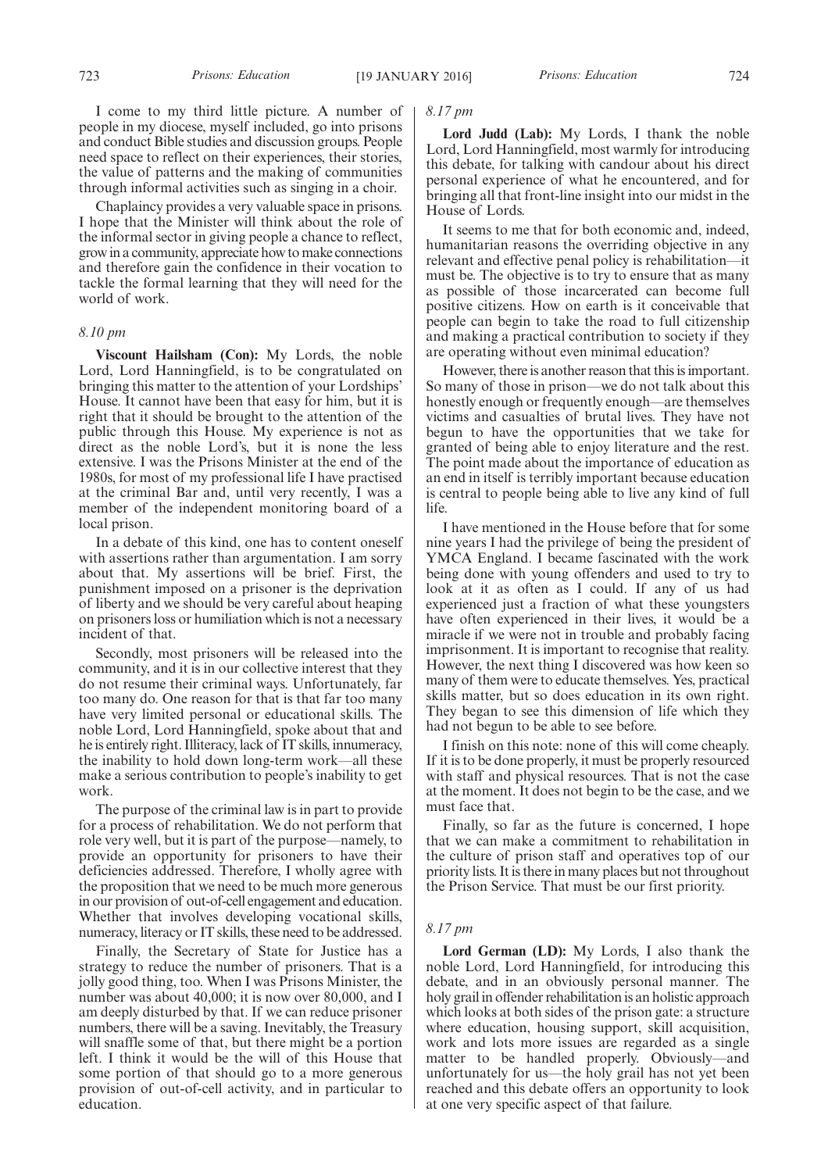I come to my third little picture. A number of people in my diocese, myself included, go into prisons and conduct Bible studies and discussion groups. People need space to reflect on their experiences, their stories, the value of patterns and the making of communities through informal activities such as singing in a choir.

Chaplaincy provides a very valuable space in prisons. I hope that the Minister will think about the role of the informal sector in giving people a chance to reflect, grow in a community, appreciate how to make connections and therefore gain the confidence in their vocation to tackle the formal learning that they will need for the world of work.

#### *8.10 pm*

**Viscount Hailsham (Con):** My Lords, the noble Lord, Lord Hanningfield, is to be congratulated on bringing this matter to the attention of your Lordships' House. It cannot have been that easy for him, but it is right that it should be brought to the attention of the public through this House. My experience is not as direct as the noble Lord's, but it is none the less extensive. I was the Prisons Minister at the end of the 1980s, for most of my professional life I have practised at the criminal Bar and, until very recently, I was a member of the independent monitoring board of a local prison.

In a debate of this kind, one has to content oneself with assertions rather than argumentation. I am sorry about that. My assertions will be brief. First, the punishment imposed on a prisoner is the deprivation of liberty and we should be very careful about heaping on prisoners loss or humiliation which is not a necessary incident of that.

Secondly, most prisoners will be released into the community, and it is in our collective interest that they do not resume their criminal ways. Unfortunately, far too many do. One reason for that is that far too many have very limited personal or educational skills. The noble Lord, Lord Hanningfield, spoke about that and he is entirely right. Illiteracy, lack of IT skills, innumeracy, the inability to hold down long-term work—all these make a serious contribution to people's inability to get work.

The purpose of the criminal law is in part to provide for a process of rehabilitation. We do not perform that role very well, but it is part of the purpose—namely, to provide an opportunity for prisoners to have their deficiencies addressed. Therefore, I wholly agree with the proposition that we need to be much more generous in our provision of out-of-cell engagement and education. Whether that involves developing vocational skills, numeracy, literacy or IT skills, these need to be addressed.

Finally, the Secretary of State for Justice has a strategy to reduce the number of prisoners. That is a jolly good thing, too. When I was Prisons Minister, the number was about 40,000; it is now over 80,000, and I am deeply disturbed by that. If we can reduce prisoner numbers, there will be a saving. Inevitably, the Treasury will snaffle some of that, but there might be a portion left. I think it would be the will of this House that some portion of that should go to a more generous provision of out-of-cell activity, and in particular to education.

#### *8.17 pm*

**Lord Judd (Lab):** My Lords, I thank the noble Lord, Lord Hanningfield, most warmly for introducing this debate, for talking with candour about his direct personal experience of what he encountered, and for bringing all that front-line insight into our midst in the House of Lords.

It seems to me that for both economic and, indeed, humanitarian reasons the overriding objective in any relevant and effective penal policy is rehabilitation—it must be. The objective is to try to ensure that as many as possible of those incarcerated can become full positive citizens. How on earth is it conceivable that people can begin to take the road to full citizenship and making a practical contribution to society if they are operating without even minimal education?

However, there is another reason that this is important. So many of those in prison—we do not talk about this honestly enough or frequently enough—are themselves victims and casualties of brutal lives. They have not begun to have the opportunities that we take for granted of being able to enjoy literature and the rest. The point made about the importance of education as an end in itself is terribly important because education is central to people being able to live any kind of full life.

I have mentioned in the House before that for some nine years I had the privilege of being the president of YMCA England. I became fascinated with the work being done with young offenders and used to try to look at it as often as I could. If any of us had experienced just a fraction of what these youngsters have often experienced in their lives, it would be a miracle if we were not in trouble and probably facing imprisonment. It is important to recognise that reality. However, the next thing I discovered was how keen so many of them were to educate themselves. Yes, practical skills matter, but so does education in its own right. They began to see this dimension of life which they had not begun to be able to see before.

I finish on this note: none of this will come cheaply. If it is to be done properly, it must be properly resourced with staff and physical resources. That is not the case at the moment. It does not begin to be the case, and we must face that.

Finally, so far as the future is concerned, I hope that we can make a commitment to rehabilitation in the culture of prison staff and operatives top of our priority lists. It is there in many places but not throughout the Prison Service. That must be our first priority.

#### *8.17 pm*

**Lord German (LD):** My Lords, I also thank the noble Lord, Lord Hanningfield, for introducing this debate, and in an obviously personal manner. The holy grail in offender rehabilitation is an holistic approach which looks at both sides of the prison gate: a structure where education, housing support, skill acquisition, work and lots more issues are regarded as a single matter to be handled properly. Obviously—and unfortunately for us—the holy grail has not yet been reached and this debate offers an opportunity to look at one very specific aspect of that failure.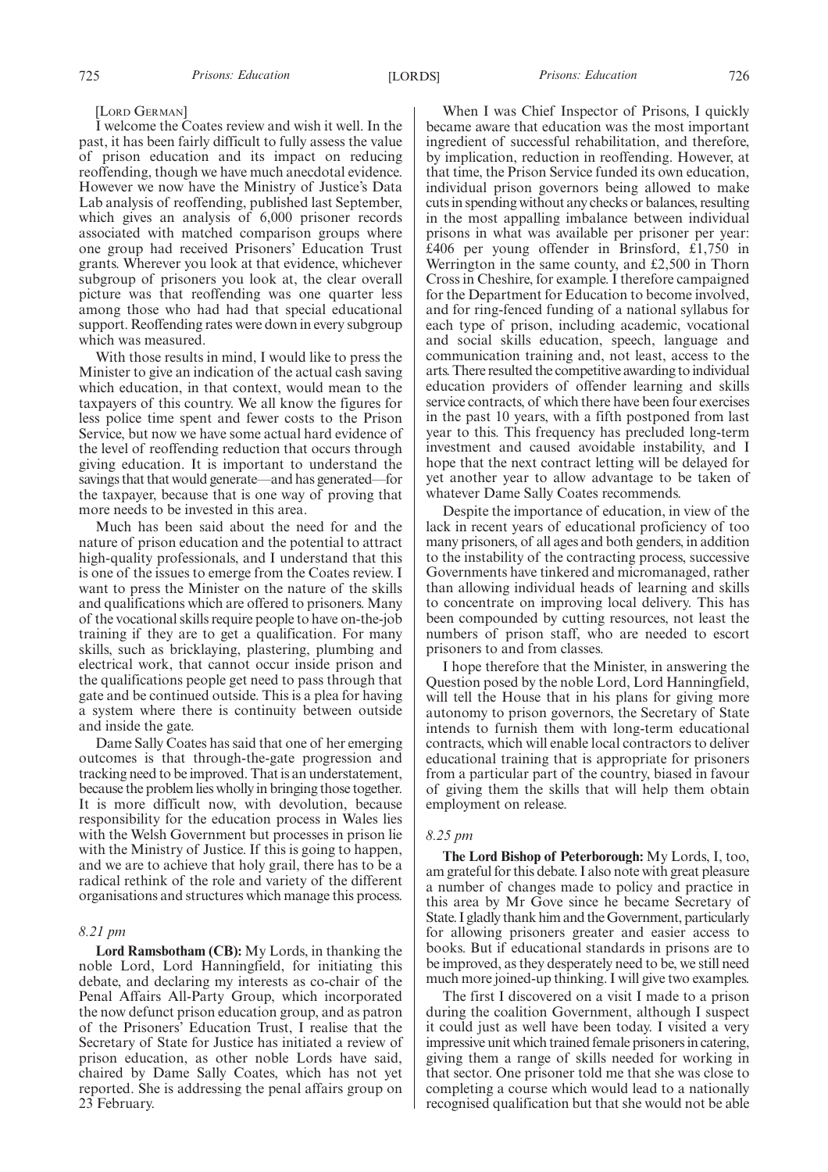#### [LORD GERMAN]

I welcome the Coates review and wish it well. In the past, it has been fairly difficult to fully assess the value of prison education and its impact on reducing reoffending, though we have much anecdotal evidence. However we now have the Ministry of Justice's Data Lab analysis of reoffending, published last September, which gives an analysis of 6,000 prisoner records associated with matched comparison groups where one group had received Prisoners' Education Trust grants. Wherever you look at that evidence, whichever subgroup of prisoners you look at, the clear overall picture was that reoffending was one quarter less among those who had had that special educational support. Reoffending rates were down in every subgroup which was measured.

With those results in mind, I would like to press the Minister to give an indication of the actual cash saving which education, in that context, would mean to the taxpayers of this country. We all know the figures for less police time spent and fewer costs to the Prison Service, but now we have some actual hard evidence of the level of reoffending reduction that occurs through giving education. It is important to understand the savings that that would generate—and has generated—for the taxpayer, because that is one way of proving that more needs to be invested in this area.

Much has been said about the need for and the nature of prison education and the potential to attract high-quality professionals, and I understand that this is one of the issues to emerge from the Coates review. I want to press the Minister on the nature of the skills and qualifications which are offered to prisoners. Many of the vocational skills require people to have on-the-job training if they are to get a qualification. For many skills, such as bricklaying, plastering, plumbing and electrical work, that cannot occur inside prison and the qualifications people get need to pass through that gate and be continued outside. This is a plea for having a system where there is continuity between outside and inside the gate.

Dame Sally Coates has said that one of her emerging outcomes is that through-the-gate progression and tracking need to be improved. That is an understatement, because the problem lies wholly in bringing those together. It is more difficult now, with devolution, because responsibility for the education process in Wales lies with the Welsh Government but processes in prison lie with the Ministry of Justice. If this is going to happen, and we are to achieve that holy grail, there has to be a radical rethink of the role and variety of the different organisations and structures which manage this process.

#### *8.21 pm*

**Lord Ramsbotham (CB):** My Lords, in thanking the noble Lord, Lord Hanningfield, for initiating this debate, and declaring my interests as co-chair of the Penal Affairs All-Party Group, which incorporated the now defunct prison education group, and as patron of the Prisoners' Education Trust, I realise that the Secretary of State for Justice has initiated a review of prison education, as other noble Lords have said, chaired by Dame Sally Coates, which has not yet reported. She is addressing the penal affairs group on 23 February.

When I was Chief Inspector of Prisons, I quickly became aware that education was the most important ingredient of successful rehabilitation, and therefore, by implication, reduction in reoffending. However, at that time, the Prison Service funded its own education, individual prison governors being allowed to make cuts in spending without any checks or balances, resulting in the most appalling imbalance between individual prisons in what was available per prisoner per year: £406 per young offender in Brinsford, £1,750 in Werrington in the same county, and £2,500 in Thorn Cross in Cheshire, for example. I therefore campaigned for the Department for Education to become involved, and for ring-fenced funding of a national syllabus for each type of prison, including academic, vocational and social skills education, speech, language and communication training and, not least, access to the arts. There resulted the competitive awarding to individual education providers of offender learning and skills service contracts, of which there have been four exercises in the past 10 years, with a fifth postponed from last year to this. This frequency has precluded long-term investment and caused avoidable instability, and I hope that the next contract letting will be delayed for yet another year to allow advantage to be taken of whatever Dame Sally Coates recommends.

Despite the importance of education, in view of the lack in recent years of educational proficiency of too many prisoners, of all ages and both genders, in addition to the instability of the contracting process, successive Governments have tinkered and micromanaged, rather than allowing individual heads of learning and skills to concentrate on improving local delivery. This has been compounded by cutting resources, not least the numbers of prison staff, who are needed to escort prisoners to and from classes.

I hope therefore that the Minister, in answering the Question posed by the noble Lord, Lord Hanningfield, will tell the House that in his plans for giving more autonomy to prison governors, the Secretary of State intends to furnish them with long-term educational contracts, which will enable local contractors to deliver educational training that is appropriate for prisoners from a particular part of the country, biased in favour of giving them the skills that will help them obtain employment on release.

#### *8.25 pm*

**The Lord Bishop of Peterborough:** My Lords, I, too, am grateful for this debate. I also note with great pleasure a number of changes made to policy and practice in this area by Mr Gove since he became Secretary of State. I gladly thank him and theGovernment, particularly for allowing prisoners greater and easier access to books. But if educational standards in prisons are to be improved, as they desperately need to be, we still need much more joined-up thinking. I will give two examples.

The first I discovered on a visit I made to a prison during the coalition Government, although I suspect it could just as well have been today. I visited a very impressive unit which trained female prisoners in catering, giving them a range of skills needed for working in that sector. One prisoner told me that she was close to completing a course which would lead to a nationally recognised qualification but that she would not be able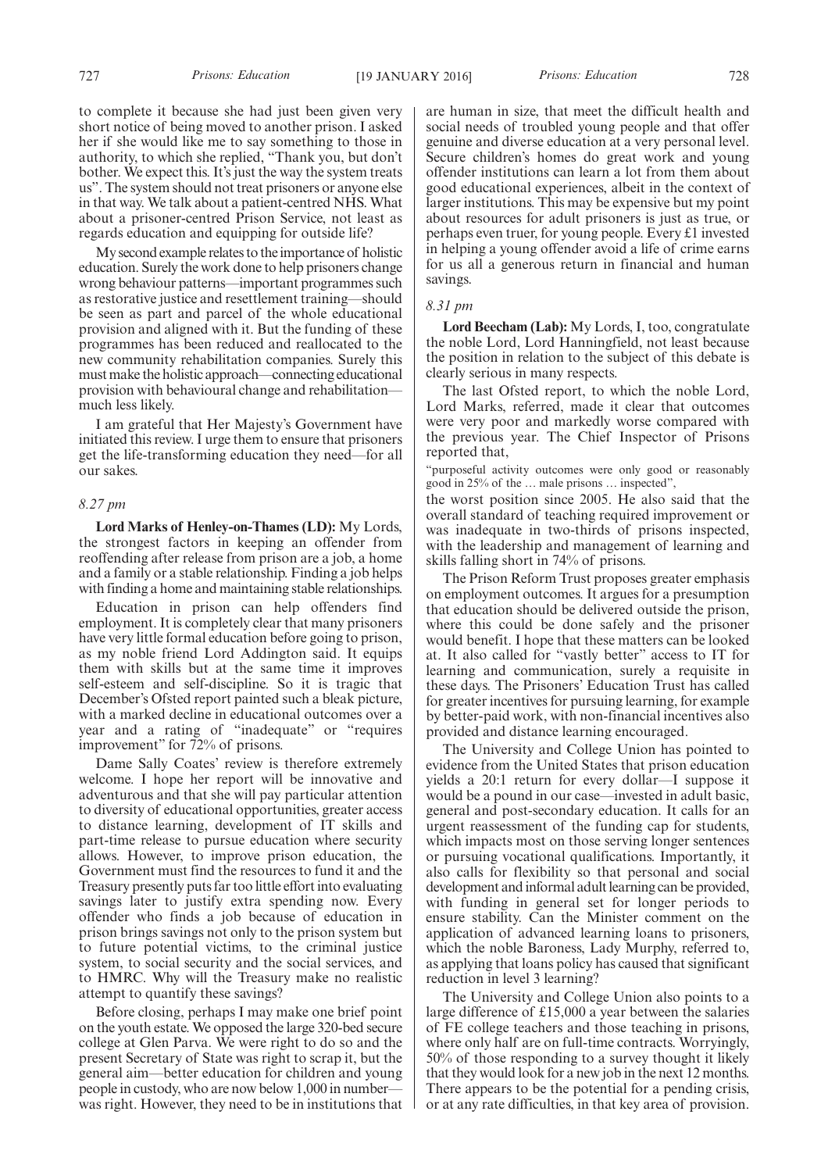to complete it because she had just been given very short notice of being moved to another prison. I asked her if she would like me to say something to those in authority, to which she replied, "Thank you, but don't bother. We expect this. It's just the way the system treats us". The system should not treat prisoners or anyone else in that way. We talk about a patient-centred NHS. What about a prisoner-centred Prison Service, not least as regards education and equipping for outside life?

My second example relates to theimportance of holistic education. Surely the work done to help prisoners change wrong behaviour patterns—important programmes such as restorative justice and resettlement training—should be seen as part and parcel of the whole educational provision and aligned with it. But the funding of these programmes has been reduced and reallocated to the new community rehabilitation companies. Surely this must make the holistic approach—connecting educational provision with behavioural change and rehabilitation much less likely.

I am grateful that Her Majesty's Government have initiated this review. I urge them to ensure that prisoners get the life-transforming education they need—for all our sakes.

#### *8.27 pm*

**Lord Marks of Henley-on-Thames (LD):** My Lords, the strongest factors in keeping an offender from reoffending after release from prison are a job, a home and a family or a stable relationship. Finding a job helps with finding a home and maintaining stable relationships.

Education in prison can help offenders find employment. It is completely clear that many prisoners have very little formal education before going to prison, as my noble friend Lord Addington said. It equips them with skills but at the same time it improves self-esteem and self-discipline. So it is tragic that December's Ofsted report painted such a bleak picture, with a marked decline in educational outcomes over a year and a rating of "inadequate" or "requires improvement" for 72% of prisons.

Dame Sally Coates' review is therefore extremely welcome. I hope her report will be innovative and adventurous and that she will pay particular attention to diversity of educational opportunities, greater access to distance learning, development of IT skills and part-time release to pursue education where security allows. However, to improve prison education, the Government must find the resources to fund it and the Treasury presently puts far too little effort into evaluating savings later to justify extra spending now. Every offender who finds a job because of education in prison brings savings not only to the prison system but to future potential victims, to the criminal justice system, to social security and the social services, and to HMRC. Why will the Treasury make no realistic attempt to quantify these savings?

Before closing, perhaps I may make one brief point on the youth estate. We opposed the large 320-bed secure college at Glen Parva. We were right to do so and the present Secretary of State was right to scrap it, but the general aim—better education for children and young people in custody, who are now below 1,000 in number was right. However, they need to be in institutions that are human in size, that meet the difficult health and social needs of troubled young people and that offer genuine and diverse education at a very personal level. Secure children's homes do great work and young offender institutions can learn a lot from them about good educational experiences, albeit in the context of larger institutions. This may be expensive but my point about resources for adult prisoners is just as true, or perhaps even truer, for young people. Every £1 invested in helping a young offender avoid a life of crime earns for us all a generous return in financial and human savings.

#### *8.31 pm*

**Lord Beecham (Lab):** My Lords, I, too, congratulate the noble Lord, Lord Hanningfield, not least because the position in relation to the subject of this debate is clearly serious in many respects.

The last Ofsted report, to which the noble Lord, Lord Marks, referred, made it clear that outcomes were very poor and markedly worse compared with the previous year. The Chief Inspector of Prisons reported that,

"purposeful activity outcomes were only good or reasonably good in 25% of the … male prisons … inspected",

the worst position since 2005. He also said that the overall standard of teaching required improvement or was inadequate in two-thirds of prisons inspected, with the leadership and management of learning and skills falling short in 74% of prisons.

The Prison Reform Trust proposes greater emphasis on employment outcomes. It argues for a presumption that education should be delivered outside the prison, where this could be done safely and the prisoner would benefit. I hope that these matters can be looked at. It also called for "vastly better" access to IT for learning and communication, surely a requisite in these days. The Prisoners' Education Trust has called for greater incentives for pursuing learning, for example by better-paid work, with non-financial incentives also provided and distance learning encouraged.

The University and College Union has pointed to evidence from the United States that prison education yields a 20:1 return for every dollar—I suppose it would be a pound in our case—invested in adult basic, general and post-secondary education. It calls for an urgent reassessment of the funding cap for students, which impacts most on those serving longer sentences or pursuing vocational qualifications. Importantly, it also calls for flexibility so that personal and social development and informal adult learning can be provided, with funding in general set for longer periods to ensure stability. Can the Minister comment on the application of advanced learning loans to prisoners, which the noble Baroness, Lady Murphy, referred to, as applying that loans policy has caused that significant reduction in level 3 learning?

The University and College Union also points to a large difference of £15,000 a year between the salaries of FE college teachers and those teaching in prisons, where only half are on full-time contracts. Worryingly, 50% of those responding to a survey thought it likely that they would look for a new job in the next 12 months. There appears to be the potential for a pending crisis, or at any rate difficulties, in that key area of provision.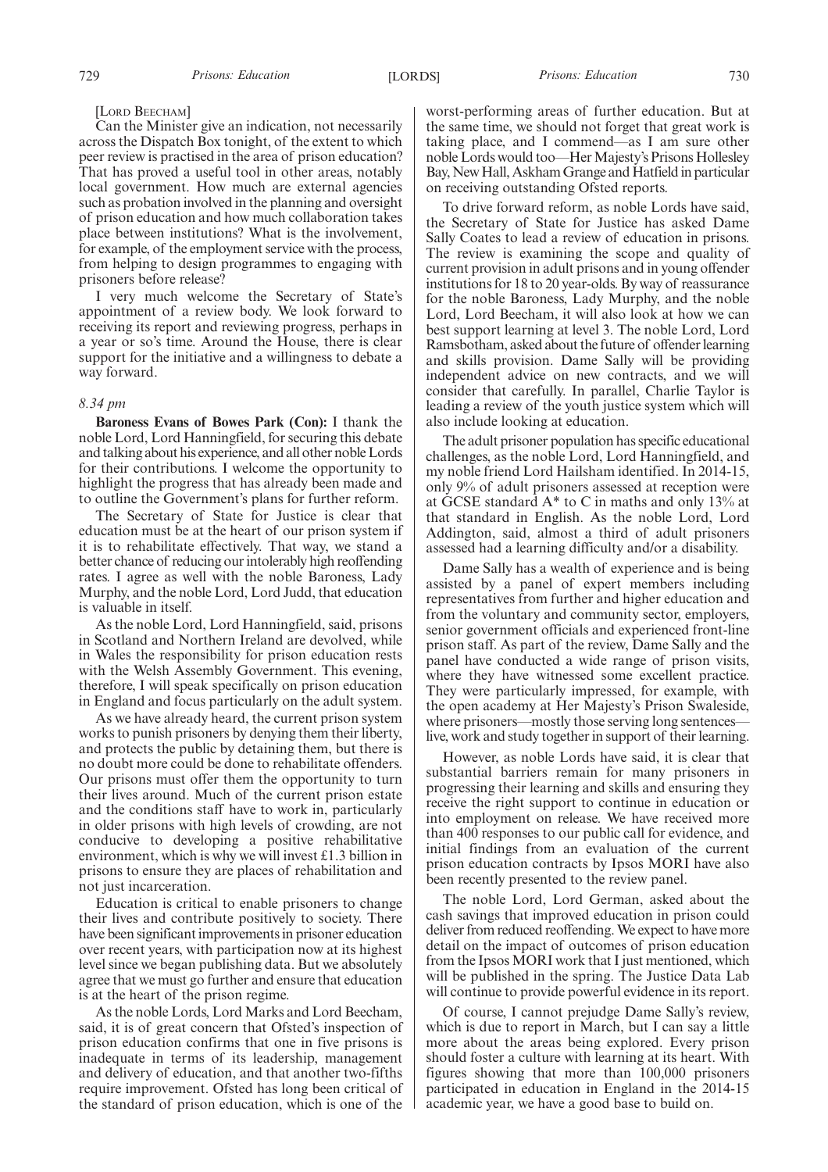#### [LORD BEECHAM]

Can the Minister give an indication, not necessarily across the Dispatch Box tonight, of the extent to which peer review is practised in the area of prison education? That has proved a useful tool in other areas, notably local government. How much are external agencies such as probation involved in the planning and oversight of prison education and how much collaboration takes place between institutions? What is the involvement, for example, of the employment service with the process, from helping to design programmes to engaging with prisoners before release?

I very much welcome the Secretary of State's appointment of a review body. We look forward to receiving its report and reviewing progress, perhaps in a year or so's time. Around the House, there is clear support for the initiative and a willingness to debate a way forward.

## *8.34 pm*

**Baroness Evans of Bowes Park (Con):** I thank the noble Lord, Lord Hanningfield, for securing this debate and talking about his experience, and all other noble Lords for their contributions. I welcome the opportunity to highlight the progress that has already been made and to outline the Government's plans for further reform.

The Secretary of State for Justice is clear that education must be at the heart of our prison system if it is to rehabilitate effectively. That way, we stand a better chance of reducing our intolerably high reoffending rates. I agree as well with the noble Baroness, Lady Murphy, and the noble Lord, Lord Judd, that education is valuable in itself.

As the noble Lord, Lord Hanningfield, said, prisons in Scotland and Northern Ireland are devolved, while in Wales the responsibility for prison education rests with the Welsh Assembly Government. This evening, therefore, I will speak specifically on prison education in England and focus particularly on the adult system.

As we have already heard, the current prison system works to punish prisoners by denying them their liberty, and protects the public by detaining them, but there is no doubt more could be done to rehabilitate offenders. Our prisons must offer them the opportunity to turn their lives around. Much of the current prison estate and the conditions staff have to work in, particularly in older prisons with high levels of crowding, are not conducive to developing a positive rehabilitative environment, which is why we will invest £1.3 billion in prisons to ensure they are places of rehabilitation and not just incarceration.

Education is critical to enable prisoners to change their lives and contribute positively to society. There have been significant improvements in prisoner education over recent years, with participation now at its highest level since we began publishing data. But we absolutely agree that we must go further and ensure that education is at the heart of the prison regime.

As the noble Lords, Lord Marks and Lord Beecham, said, it is of great concern that Ofsted's inspection of prison education confirms that one in five prisons is inadequate in terms of its leadership, management and delivery of education, and that another two-fifths require improvement. Ofsted has long been critical of the standard of prison education, which is one of the

worst-performing areas of further education. But at the same time, we should not forget that great work is taking place, and I commend—as I am sure other noble Lords would too-Her Majesty's Prisons Hollesley Bay, New Hall, Askham Grange and Hatfield in particular on receiving outstanding Ofsted reports.

To drive forward reform, as noble Lords have said, the Secretary of State for Justice has asked Dame Sally Coates to lead a review of education in prisons. The review is examining the scope and quality of current provision in adult prisons and in young offender institutions for 18 to 20 year-olds. By way of reassurance for the noble Baroness, Lady Murphy, and the noble Lord, Lord Beecham, it will also look at how we can best support learning at level 3. The noble Lord, Lord Ramsbotham, asked about the future of offender learning and skills provision. Dame Sally will be providing independent advice on new contracts, and we will consider that carefully. In parallel, Charlie Taylor is leading a review of the youth justice system which will also include looking at education.

The adult prisoner population has specific educational challenges, as the noble Lord, Lord Hanningfield, and my noble friend Lord Hailsham identified. In 2014-15, only 9% of adult prisoners assessed at reception were at GCSE standard A\* to C in maths and only 13% at that standard in English. As the noble Lord, Lord Addington, said, almost a third of adult prisoners assessed had a learning difficulty and/or a disability.

Dame Sally has a wealth of experience and is being assisted by a panel of expert members including representatives from further and higher education and from the voluntary and community sector, employers, senior government officials and experienced front-line prison staff. As part of the review, Dame Sally and the panel have conducted a wide range of prison visits, where they have witnessed some excellent practice. They were particularly impressed, for example, with the open academy at Her Majesty's Prison Swaleside, where prisoners—mostly those serving long sentences live, work and study together in support of their learning.

However, as noble Lords have said, it is clear that substantial barriers remain for many prisoners in progressing their learning and skills and ensuring they receive the right support to continue in education or into employment on release. We have received more than 400 responses to our public call for evidence, and initial findings from an evaluation of the current prison education contracts by Ipsos MORI have also been recently presented to the review panel.

The noble Lord, Lord German, asked about the cash savings that improved education in prison could deliver from reduced reoffending.We expect to have more detail on the impact of outcomes of prison education from the Ipsos MORI work that I just mentioned, which will be published in the spring. The Justice Data Lab will continue to provide powerful evidence in its report.

Of course, I cannot prejudge Dame Sally's review, which is due to report in March, but I can say a little more about the areas being explored. Every prison should foster a culture with learning at its heart. With figures showing that more than 100,000 prisoners participated in education in England in the 2014-15 academic year, we have a good base to build on.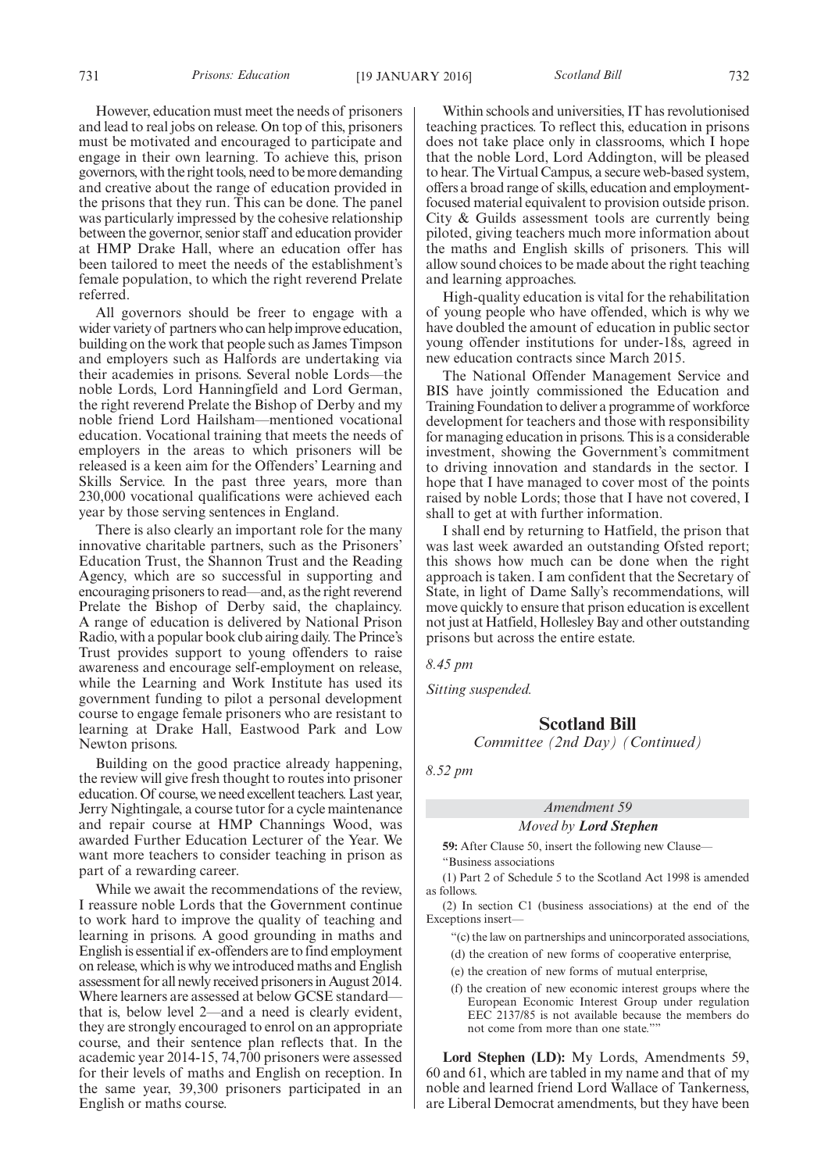731 *Prisons: Education Scotland Bill* [19 JANUARY 2016] 732

However, education must meet the needs of prisoners and lead to real jobs on release. On top of this, prisoners must be motivated and encouraged to participate and engage in their own learning. To achieve this, prison governors, with the right tools, need to bemore demanding and creative about the range of education provided in the prisons that they run. This can be done. The panel was particularly impressed by the cohesive relationship between the governor, senior staff and education provider at HMP Drake Hall, where an education offer has been tailored to meet the needs of the establishment's female population, to which the right reverend Prelate referred.

All governors should be freer to engage with a wider variety of partners who can help improve education, building on the work that people such as James Timpson and employers such as Halfords are undertaking via their academies in prisons. Several noble Lords—the noble Lords, Lord Hanningfield and Lord German, the right reverend Prelate the Bishop of Derby and my noble friend Lord Hailsham—mentioned vocational education. Vocational training that meets the needs of employers in the areas to which prisoners will be released is a keen aim for the Offenders' Learning and Skills Service. In the past three years, more than 230,000 vocational qualifications were achieved each year by those serving sentences in England.

There is also clearly an important role for the many innovative charitable partners, such as the Prisoners' Education Trust, the Shannon Trust and the Reading Agency, which are so successful in supporting and encouraging prisoners to read—and, as the right reverend Prelate the Bishop of Derby said, the chaplaincy. A range of education is delivered by National Prison Radio, with a popular book club airing daily. The Prince's Trust provides support to young offenders to raise awareness and encourage self-employment on release, while the Learning and Work Institute has used its government funding to pilot a personal development course to engage female prisoners who are resistant to learning at Drake Hall, Eastwood Park and Low Newton prisons.

Building on the good practice already happening, the review will give fresh thought to routes into prisoner education. Of course, we need excellent teachers. Last year, Jerry Nightingale, a course tutor for a cycle maintenance and repair course at HMP Channings Wood, was awarded Further Education Lecturer of the Year. We want more teachers to consider teaching in prison as part of a rewarding career.

While we await the recommendations of the review, I reassure noble Lords that the Government continue to work hard to improve the quality of teaching and learning in prisons. A good grounding in maths and English is essential if ex-offenders are to find employment on release, which is why we introduced maths and English assessment for all newly received prisoners in August 2014. Where learners are assessed at below GCSE standard that is, below level 2—and a need is clearly evident, they are strongly encouraged to enrol on an appropriate course, and their sentence plan reflects that. In the academic year 2014-15, 74,700 prisoners were assessed for their levels of maths and English on reception. In the same year, 39,300 prisoners participated in an English or maths course.

Within schools and universities, IT has revolutionised teaching practices. To reflect this, education in prisons does not take place only in classrooms, which I hope that the noble Lord, Lord Addington, will be pleased to hear. The Virtual Campus, a secure web-based system, offers a broad range of skills, education and employmentfocused material equivalent to provision outside prison. City & Guilds assessment tools are currently being piloted, giving teachers much more information about the maths and English skills of prisoners. This will allow sound choices to be made about the right teaching and learning approaches.

High-quality education is vital for the rehabilitation of young people who have offended, which is why we have doubled the amount of education in public sector young offender institutions for under-18s, agreed in new education contracts since March 2015.

The National Offender Management Service and BIS have jointly commissioned the Education and Training Foundation to deliver a programme of workforce development for teachers and those with responsibility for managing education in prisons. This is a considerable investment, showing the Government's commitment to driving innovation and standards in the sector. I hope that I have managed to cover most of the points raised by noble Lords; those that I have not covered, I shall to get at with further information.

I shall end by returning to Hatfield, the prison that was last week awarded an outstanding Ofsted report; this shows how much can be done when the right approach is taken. I am confident that the Secretary of State, in light of Dame Sally's recommendations, will move quickly to ensure that prison education is excellent not just at Hatfield, Hollesley Bay and other outstanding prisons but across the entire estate.

*8.45 pm*

*Sitting suspended.*

## **Scotland Bill**

*Committee (2nd Day) (Continued)*

*8.52 pm*

## *Amendment 59 Moved by Lord Stephen*

**59:** After Clause 50, insert the following new Clause— "Business associations

(1) Part 2 of Schedule 5 to the Scotland Act 1998 is amended as follows.

(2) In section C1 (business associations) at the end of the Exceptions insert—

"(c) the law on partnerships and unincorporated associations,

- (d) the creation of new forms of cooperative enterprise,
- (e) the creation of new forms of mutual enterprise,
- (f) the creation of new economic interest groups where the European Economic Interest Group under regulation EEC 2137/85 is not available because the members do not come from more than one state.""

**Lord Stephen (LD):** My Lords, Amendments 59, 60 and 61, which are tabled in my name and that of my noble and learned friend Lord Wallace of Tankerness, are Liberal Democrat amendments, but they have been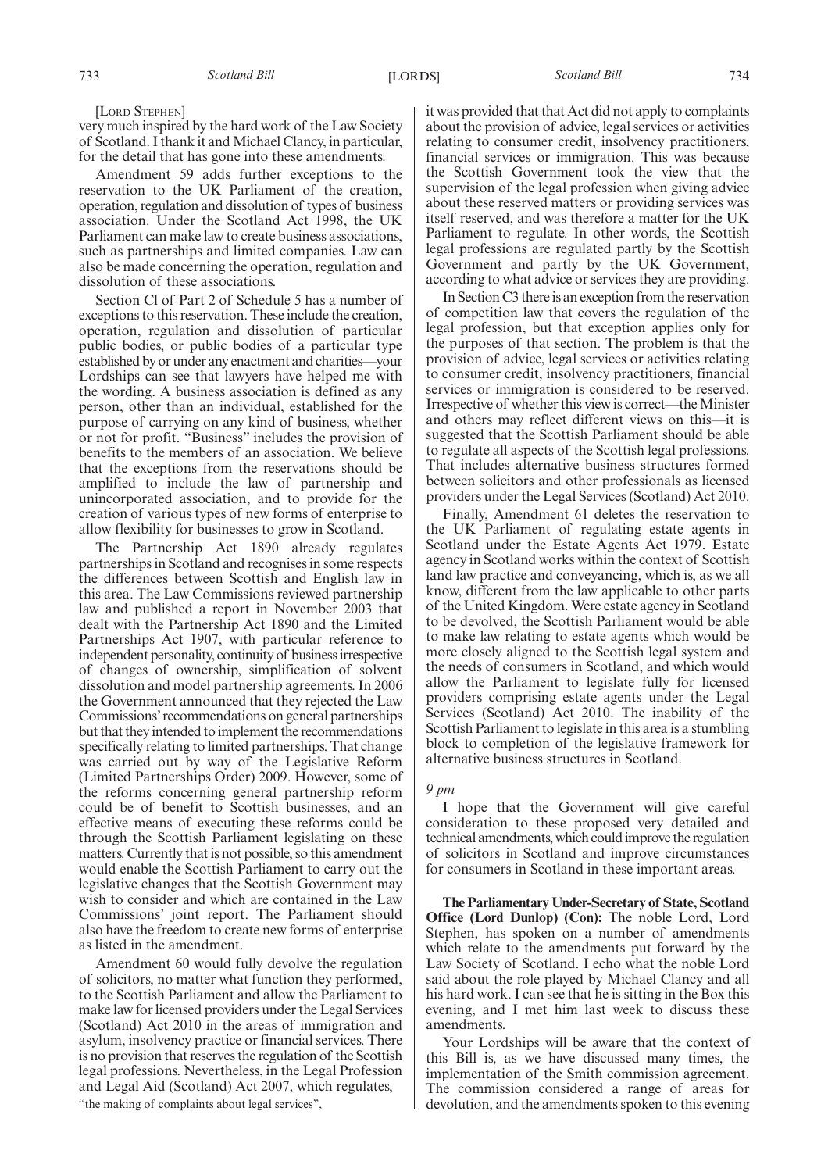[LORD STEPHEN]

very much inspired by the hard work of the Law Society of Scotland. I thank it and Michael Clancy, in particular, for the detail that has gone into these amendments.

Amendment 59 adds further exceptions to the reservation to the UK Parliament of the creation, operation, regulation and dissolution of types of business association. Under the Scotland Act 1998, the UK Parliament can make law to create business associations, such as partnerships and limited companies. Law can also be made concerning the operation, regulation and dissolution of these associations.

Section Cl of Part 2 of Schedule 5 has a number of exceptions to this reservation. These include the creation, operation, regulation and dissolution of particular public bodies, or public bodies of a particular type established by or under any enactment and charities—your Lordships can see that lawyers have helped me with the wording. A business association is defined as any person, other than an individual, established for the purpose of carrying on any kind of business, whether or not for profit. "Business" includes the provision of benefits to the members of an association. We believe that the exceptions from the reservations should be amplified to include the law of partnership and unincorporated association, and to provide for the creation of various types of new forms of enterprise to allow flexibility for businesses to grow in Scotland.

The Partnership Act 1890 already regulates partnerships in Scotland and recognises in some respects the differences between Scottish and English law in this area. The Law Commissions reviewed partnership law and published a report in November 2003 that dealt with the Partnership Act 1890 and the Limited Partnerships Act 1907, with particular reference to independent personality, continuity of businessirrespective of changes of ownership, simplification of solvent dissolution and model partnership agreements. In 2006 the Government announced that they rejected the Law Commissions' recommendations on general partnerships but that they intended to implement the recommendations specifically relating to limited partnerships. That change was carried out by way of the Legislative Reform (Limited Partnerships Order) 2009. However, some of the reforms concerning general partnership reform could be of benefit to Scottish businesses, and an effective means of executing these reforms could be through the Scottish Parliament legislating on these matters. Currently that is not possible, so this amendment would enable the Scottish Parliament to carry out the legislative changes that the Scottish Government may wish to consider and which are contained in the Law Commissions' joint report. The Parliament should also have the freedom to create new forms of enterprise as listed in the amendment.

Amendment 60 would fully devolve the regulation of solicitors, no matter what function they performed, to the Scottish Parliament and allow the Parliament to make law for licensed providers under the Legal Services (Scotland) Act 2010 in the areas of immigration and asylum, insolvency practice or financial services. There is no provision that reserves the regulation of the Scottish legal professions. Nevertheless, in the Legal Profession and Legal Aid (Scotland) Act 2007, which regulates,

"the making of complaints about legal services",

it was provided that that Act did not apply to complaints about the provision of advice, legal services or activities relating to consumer credit, insolvency practitioners, financial services or immigration. This was because the Scottish Government took the view that the supervision of the legal profession when giving advice about these reserved matters or providing services was itself reserved, and was therefore a matter for the UK Parliament to regulate. In other words, the Scottish legal professions are regulated partly by the Scottish Government and partly by the UK Government, according to what advice or services they are providing.

In Section C3 there is an exception from the reservation of competition law that covers the regulation of the legal profession, but that exception applies only for the purposes of that section. The problem is that the provision of advice, legal services or activities relating to consumer credit, insolvency practitioners, financial services or immigration is considered to be reserved. Irrespective of whether this view is correct—theMinister and others may reflect different views on this—it is suggested that the Scottish Parliament should be able to regulate all aspects of the Scottish legal professions. That includes alternative business structures formed between solicitors and other professionals as licensed providers under the Legal Services (Scotland) Act 2010.

Finally, Amendment 61 deletes the reservation to the UK Parliament of regulating estate agents in Scotland under the Estate Agents Act 1979. Estate agency in Scotland works within the context of Scottish land law practice and conveyancing, which is, as we all know, different from the law applicable to other parts of the United Kingdom. Were estate agency in Scotland to be devolved, the Scottish Parliament would be able to make law relating to estate agents which would be more closely aligned to the Scottish legal system and the needs of consumers in Scotland, and which would allow the Parliament to legislate fully for licensed providers comprising estate agents under the Legal Services (Scotland) Act 2010. The inability of the Scottish Parliament to legislate in this area is a stumbling block to completion of the legislative framework for alternative business structures in Scotland.

#### *9 pm*

I hope that the Government will give careful consideration to these proposed very detailed and technical amendments, which couldimprove the regulation of solicitors in Scotland and improve circumstances for consumers in Scotland in these important areas.

**The Parliamentary Under-Secretary of State, Scotland Office (Lord Dunlop) (Con):** The noble Lord, Lord Stephen, has spoken on a number of amendments which relate to the amendments put forward by the Law Society of Scotland. I echo what the noble Lord said about the role played by Michael Clancy and all his hard work. I can see that he is sitting in the Box this evening, and I met him last week to discuss these amendments.

Your Lordships will be aware that the context of this Bill is, as we have discussed many times, the implementation of the Smith commission agreement. The commission considered a range of areas for devolution, and the amendments spoken to this evening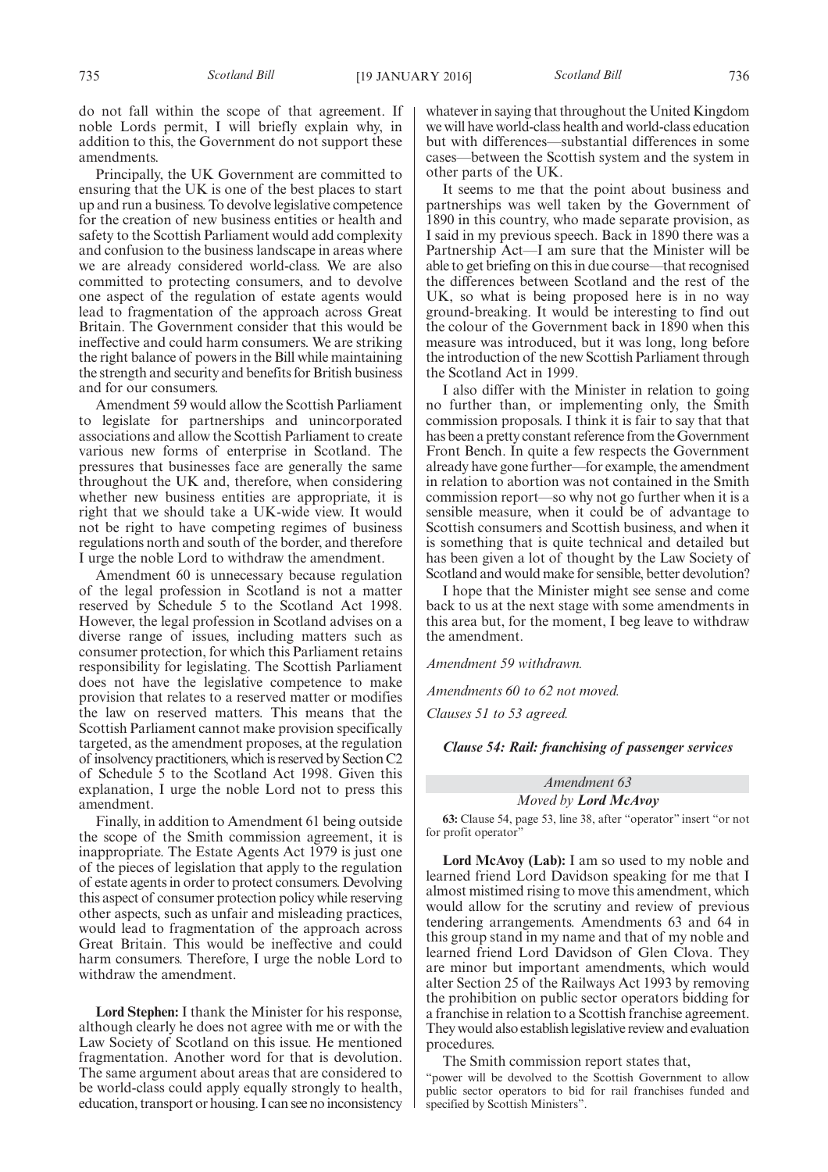do not fall within the scope of that agreement. If noble Lords permit, I will briefly explain why, in addition to this, the Government do not support these

amendments. Principally, the UK Government are committed to ensuring that the UK is one of the best places to start up and run a business. To devolve legislative competence for the creation of new business entities or health and safety to the Scottish Parliament would add complexity and confusion to the business landscape in areas where we are already considered world-class. We are also committed to protecting consumers, and to devolve one aspect of the regulation of estate agents would lead to fragmentation of the approach across Great Britain. The Government consider that this would be ineffective and could harm consumers. We are striking the right balance of powers in the Bill while maintaining the strength and security and benefits for British business and for our consumers.

Amendment 59 would allow the Scottish Parliament to legislate for partnerships and unincorporated associations and allow the Scottish Parliament to create various new forms of enterprise in Scotland. The pressures that businesses face are generally the same throughout the UK and, therefore, when considering whether new business entities are appropriate, it is right that we should take a UK-wide view. It would not be right to have competing regimes of business regulations north and south of the border, and therefore I urge the noble Lord to withdraw the amendment.

Amendment 60 is unnecessary because regulation of the legal profession in Scotland is not a matter reserved by Schedule 5 to the Scotland Act 1998. However, the legal profession in Scotland advises on a diverse range of issues, including matters such as consumer protection, for which this Parliament retains responsibility for legislating. The Scottish Parliament does not have the legislative competence to make provision that relates to a reserved matter or modifies the law on reserved matters. This means that the Scottish Parliament cannot make provision specifically targeted, as the amendment proposes, at the regulation of insolvency practitioners, whichis reserved by Section C2 of Schedule 5 to the Scotland Act 1998. Given this explanation, I urge the noble Lord not to press this amendment.

Finally, in addition to Amendment 61 being outside the scope of the Smith commission agreement, it is inappropriate. The Estate Agents Act 1979 is just one of the pieces of legislation that apply to the regulation of estate agents in order to protect consumers. Devolving this aspect of consumer protection policy while reserving other aspects, such as unfair and misleading practices, would lead to fragmentation of the approach across Great Britain. This would be ineffective and could harm consumers. Therefore, I urge the noble Lord to withdraw the amendment.

**Lord Stephen:** I thank the Minister for his response, although clearly he does not agree with me or with the Law Society of Scotland on this issue. He mentioned fragmentation. Another word for that is devolution. The same argument about areas that are considered to be world-class could apply equally strongly to health, education, transport or housing. I can see no inconsistency whatever in saying that throughout the United Kingdom we will have world-class health and world-class education but with differences—substantial differences in some cases—between the Scottish system and the system in other parts of the UK.

It seems to me that the point about business and partnerships was well taken by the Government of 1890 in this country, who made separate provision, as I said in my previous speech. Back in 1890 there was a Partnership Act—I am sure that the Minister will be able to get briefing on this in due course—that recognised the differences between Scotland and the rest of the UK, so what is being proposed here is in no way ground-breaking. It would be interesting to find out the colour of the Government back in 1890 when this measure was introduced, but it was long, long before the introduction of the new Scottish Parliament through the Scotland Act in 1999.

I also differ with the Minister in relation to going no further than, or implementing only, the Smith commission proposals. I think it is fair to say that that has been a pretty constant reference from the Government Front Bench. In quite a few respects the Government already have gone further—for example, the amendment in relation to abortion was not contained in the Smith commission report—so why not go further when it is a sensible measure, when it could be of advantage to Scottish consumers and Scottish business, and when it is something that is quite technical and detailed but has been given a lot of thought by the Law Society of Scotland and would make for sensible, better devolution?

I hope that the Minister might see sense and come back to us at the next stage with some amendments in this area but, for the moment, I beg leave to withdraw the amendment.

*Amendment 59 withdrawn.*

*Amendments 60 to 62 not moved.*

*Clauses 51 to 53 agreed.*

#### *Clause 54: Rail: franchising of passenger services*

## *Amendment 63*

## *Moved by Lord McAvoy*

**63:** Clause 54, page 53, line 38, after "operator" insert "or not for profit operator'

**Lord McAvoy (Lab):** I am so used to my noble and learned friend Lord Davidson speaking for me that I almost mistimed rising to move this amendment, which would allow for the scrutiny and review of previous tendering arrangements. Amendments 63 and 64 in this group stand in my name and that of my noble and learned friend Lord Davidson of Glen Clova. They are minor but important amendments, which would alter Section 25 of the Railways Act 1993 by removing the prohibition on public sector operators bidding for a franchise in relation to a Scottish franchise agreement. They would also establish legislative review and evaluation procedures.

The Smith commission report states that,

"power will be devolved to the Scottish Government to allow public sector operators to bid for rail franchises funded and specified by Scottish Ministers".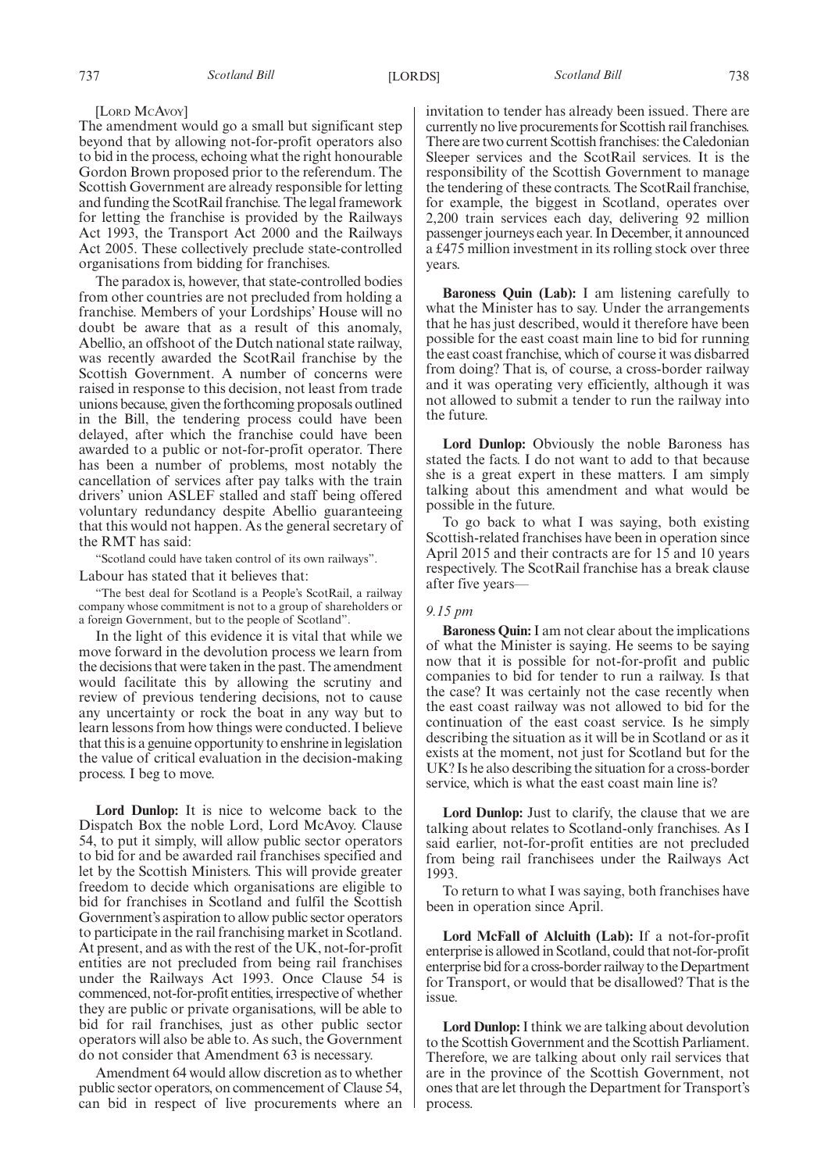#### [LORD MCAVOY]

The amendment would go a small but significant step beyond that by allowing not-for-profit operators also to bid in the process, echoing what the right honourable Gordon Brown proposed prior to the referendum. The Scottish Government are already responsible for letting and funding the ScotRail franchise. The legal framework for letting the franchise is provided by the Railways Act 1993, the Transport Act 2000 and the Railways Act 2005. These collectively preclude state-controlled organisations from bidding for franchises.

The paradox is, however, that state-controlled bodies from other countries are not precluded from holding a franchise. Members of your Lordships' House will no doubt be aware that as a result of this anomaly, Abellio, an offshoot of the Dutch national state railway, was recently awarded the ScotRail franchise by the Scottish Government. A number of concerns were raised in response to this decision, not least from trade unions because, given the forthcoming proposals outlined in the Bill, the tendering process could have been delayed, after which the franchise could have been awarded to a public or not-for-profit operator. There has been a number of problems, most notably the cancellation of services after pay talks with the train drivers' union ASLEF stalled and staff being offered voluntary redundancy despite Abellio guaranteeing that this would not happen. As the general secretary of the RMT has said:

"Scotland could have taken control of its own railways".

Labour has stated that it believes that:

"The best deal for Scotland is a People's ScotRail, a railway company whose commitment is not to a group of shareholders or a foreign Government, but to the people of Scotland".

In the light of this evidence it is vital that while we move forward in the devolution process we learn from the decisions that were taken in the past. The amendment would facilitate this by allowing the scrutiny and review of previous tendering decisions, not to cause any uncertainty or rock the boat in any way but to learn lessons from how things were conducted. I believe that this is a genuine opportunity to enshrine in legislation the value of critical evaluation in the decision-making process. I beg to move.

**Lord Dunlop:** It is nice to welcome back to the Dispatch Box the noble Lord, Lord McAvoy. Clause 54, to put it simply, will allow public sector operators to bid for and be awarded rail franchises specified and let by the Scottish Ministers. This will provide greater freedom to decide which organisations are eligible to bid for franchises in Scotland and fulfil the Scottish Government's aspiration to allow public sector operators to participate in the rail franchising market in Scotland. At present, and as with the rest of the UK, not-for-profit entities are not precluded from being rail franchises under the Railways Act 1993. Once Clause 54 is commenced, not-for-profit entities, irrespective of whether they are public or private organisations, will be able to bid for rail franchises, just as other public sector operators will also be able to. As such, the Government do not consider that Amendment 63 is necessary.

Amendment 64 would allow discretion as to whether public sector operators, on commencement of Clause 54, can bid in respect of live procurements where an invitation to tender has already been issued. There are currently no live procurements for Scottish rail franchises. There are two current Scottish franchises: the Caledonian Sleeper services and the ScotRail services. It is the responsibility of the Scottish Government to manage the tendering of these contracts. The ScotRail franchise, for example, the biggest in Scotland, operates over 2,200 train services each day, delivering 92 million passenger journeys each year. In December, it announced a £475 million investment in its rolling stock over three years.

**Baroness Quin (Lab):** I am listening carefully to what the Minister has to say. Under the arrangements that he has just described, would it therefore have been possible for the east coast main line to bid for running the east coast franchise, which of course it was disbarred from doing? That is, of course, a cross-border railway and it was operating very efficiently, although it was not allowed to submit a tender to run the railway into the future.

**Lord Dunlop:** Obviously the noble Baroness has stated the facts. I do not want to add to that because she is a great expert in these matters. I am simply talking about this amendment and what would be possible in the future.

To go back to what I was saying, both existing Scottish-related franchises have been in operation since April 2015 and their contracts are for 15 and 10 years respectively. The ScotRail franchise has a break clause after five years—

#### *9.15 pm*

**Baroness Quin:**I am not clear about the implications of what the Minister is saying. He seems to be saying now that it is possible for not-for-profit and public companies to bid for tender to run a railway. Is that the case? It was certainly not the case recently when the east coast railway was not allowed to bid for the continuation of the east coast service. Is he simply describing the situation as it will be in Scotland or as it exists at the moment, not just for Scotland but for the UK? Is he also describing the situation for a cross-border service, which is what the east coast main line is?

**Lord Dunlop:** Just to clarify, the clause that we are talking about relates to Scotland-only franchises. As I said earlier, not-for-profit entities are not precluded from being rail franchisees under the Railways Act 1993.

To return to what I was saying, both franchises have been in operation since April.

**Lord McFall of Alcluith (Lab):** If a not-for-profit enterprise is allowed in Scotland, could that not-for-profit enterprise bid for a cross-border railway to the Department for Transport, or would that be disallowed? That is the issue.

**Lord Dunlop:**I think we are talking about devolution to the Scottish Government and the Scottish Parliament. Therefore, we are talking about only rail services that are in the province of the Scottish Government, not ones that are let through the Department for Transport's process.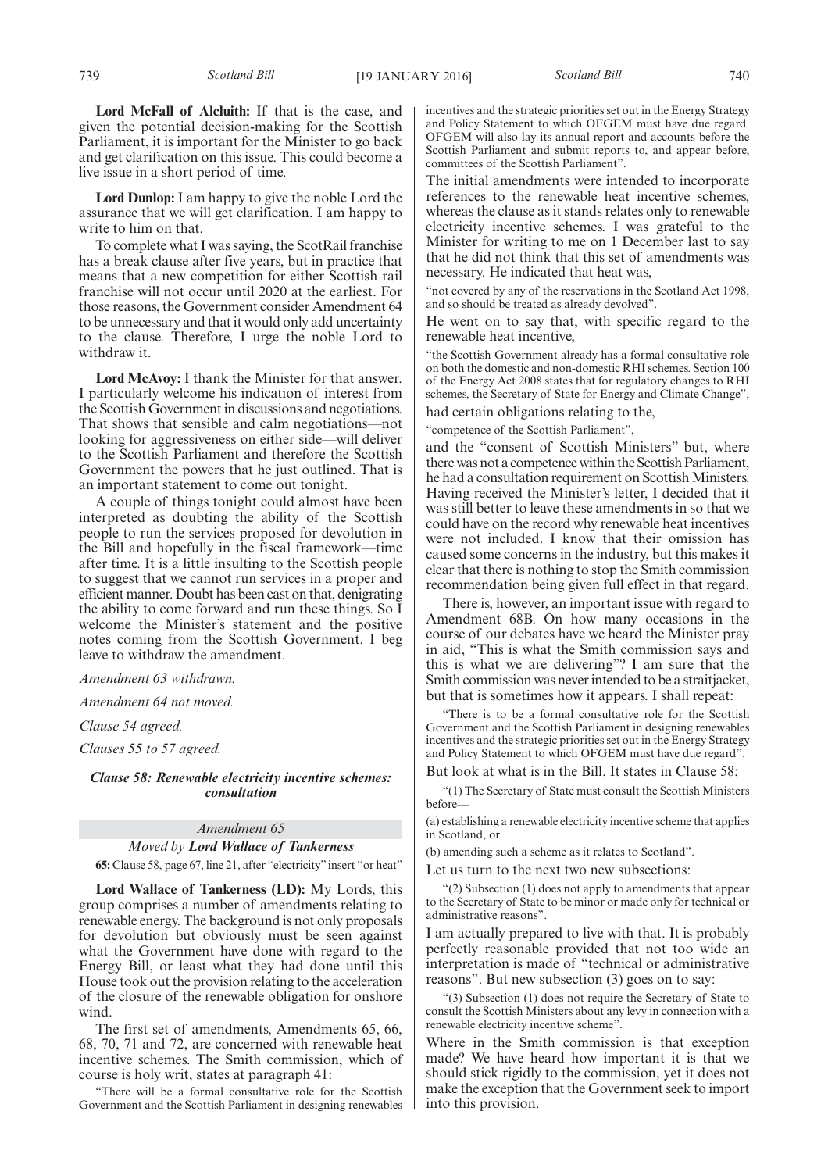**Lord McFall of Alcluith:** If that is the case, and given the potential decision-making for the Scottish Parliament, it is important for the Minister to go back and get clarification on this issue. This could become a live issue in a short period of time.

**Lord Dunlop:** I am happy to give the noble Lord the assurance that we will get clarification. I am happy to write to him on that.

To complete what I was saying, the ScotRail franchise has a break clause after five years, but in practice that means that a new competition for either Scottish rail franchise will not occur until 2020 at the earliest. For those reasons, the Government consider Amendment 64 to be unnecessary and that it would only add uncertainty to the clause. Therefore, I urge the noble Lord to withdraw it.

**Lord McAvoy:** I thank the Minister for that answer. I particularly welcome his indication of interest from the Scottish Government in discussions and negotiations. That shows that sensible and calm negotiations—not looking for aggressiveness on either side—will deliver to the Scottish Parliament and therefore the Scottish Government the powers that he just outlined. That is an important statement to come out tonight.

A couple of things tonight could almost have been interpreted as doubting the ability of the Scottish people to run the services proposed for devolution in the Bill and hopefully in the fiscal framework—time after time. It is a little insulting to the Scottish people to suggest that we cannot run services in a proper and efficient manner. Doubt has been cast on that, denigrating the ability to come forward and run these things. So I welcome the Minister's statement and the positive notes coming from the Scottish Government. I beg leave to withdraw the amendment.

*Amendment 63 withdrawn.*

*Amendment 64 not moved.*

*Clause 54 agreed.*

*Clauses 55 to 57 agreed.*

*Clause 58: Renewable electricity incentive schemes: consultation*

## *Amendment 65 Moved by Lord Wallace of Tankerness*

**65:** Clause 58, page 67, line 21, after "electricity"insert "or heat"

**Lord Wallace of Tankerness (LD):** My Lords, this group comprises a number of amendments relating to renewable energy. The background is not only proposals for devolution but obviously must be seen against what the Government have done with regard to the Energy Bill, or least what they had done until this House took out the provision relating to the acceleration of the closure of the renewable obligation for onshore wind.

The first set of amendments, Amendments 65, 66, 68, 70, 71 and 72, are concerned with renewable heat incentive schemes. The Smith commission, which of course is holy writ, states at paragraph 41:

"There will be a formal consultative role for the Scottish Government and the Scottish Parliament in designing renewables incentives and the strategic priorities set out in the Energy Strategy and Policy Statement to which OFGEM must have due regard. OFGEM will also lay its annual report and accounts before the Scottish Parliament and submit reports to, and appear before, committees of the Scottish Parliament".

The initial amendments were intended to incorporate references to the renewable heat incentive schemes, whereas the clause as it stands relates only to renewable electricity incentive schemes. I was grateful to the Minister for writing to me on 1 December last to say that he did not think that this set of amendments was necessary. He indicated that heat was,

"not covered by any of the reservations in the Scotland Act 1998, and so should be treated as already devolved".

He went on to say that, with specific regard to the renewable heat incentive,

"the Scottish Government already has a formal consultative role on both the domestic and non-domestic RHI schemes. Section 100 of the Energy Act 2008 states that for regulatory changes to RHI schemes, the Secretary of State for Energy and Climate Change", had certain obligations relating to the,

"competence of the Scottish Parliament",

and the "consent of Scottish Ministers" but, where there was not a competence within the Scottish Parliament, he had a consultation requirement on Scottish Ministers. Having received the Minister's letter, I decided that it was still better to leave these amendments in so that we could have on the record why renewable heat incentives were not included. I know that their omission has caused some concerns in the industry, but this makes it clear that there is nothing to stop the Smith commission recommendation being given full effect in that regard.

There is, however, an important issue with regard to Amendment 68B. On how many occasions in the course of our debates have we heard the Minister pray in aid, "This is what the Smith commission says and this is what we are delivering"? I am sure that the Smith commission was never intended to be a straitjacket, but that is sometimes how it appears. I shall repeat:

"There is to be a formal consultative role for the Scottish Government and the Scottish Parliament in designing renewables incentives and the strategic priorities set out in the Energy Strategy and Policy Statement to which OFGEM must have due regard".

But look at what is in the Bill. It states in Clause 58:

"(1) The Secretary of State must consult the Scottish Ministers before—

(a) establishing a renewable electricity incentive scheme that applies in Scotland, or

(b) amending such a scheme as it relates to Scotland".

Let us turn to the next two new subsections:

"(2) Subsection (1) does not apply to amendments that appear to the Secretary of State to be minor or made only for technical or administrative reasons".

I am actually prepared to live with that. It is probably perfectly reasonable provided that not too wide an interpretation is made of "technical or administrative reasons". But new subsection (3) goes on to say:

"(3) Subsection (1) does not require the Secretary of State to consult the Scottish Ministers about any levy in connection with a renewable electricity incentive scheme".

Where in the Smith commission is that exception made? We have heard how important it is that we should stick rigidly to the commission, yet it does not make the exception that the Government seek to import into this provision.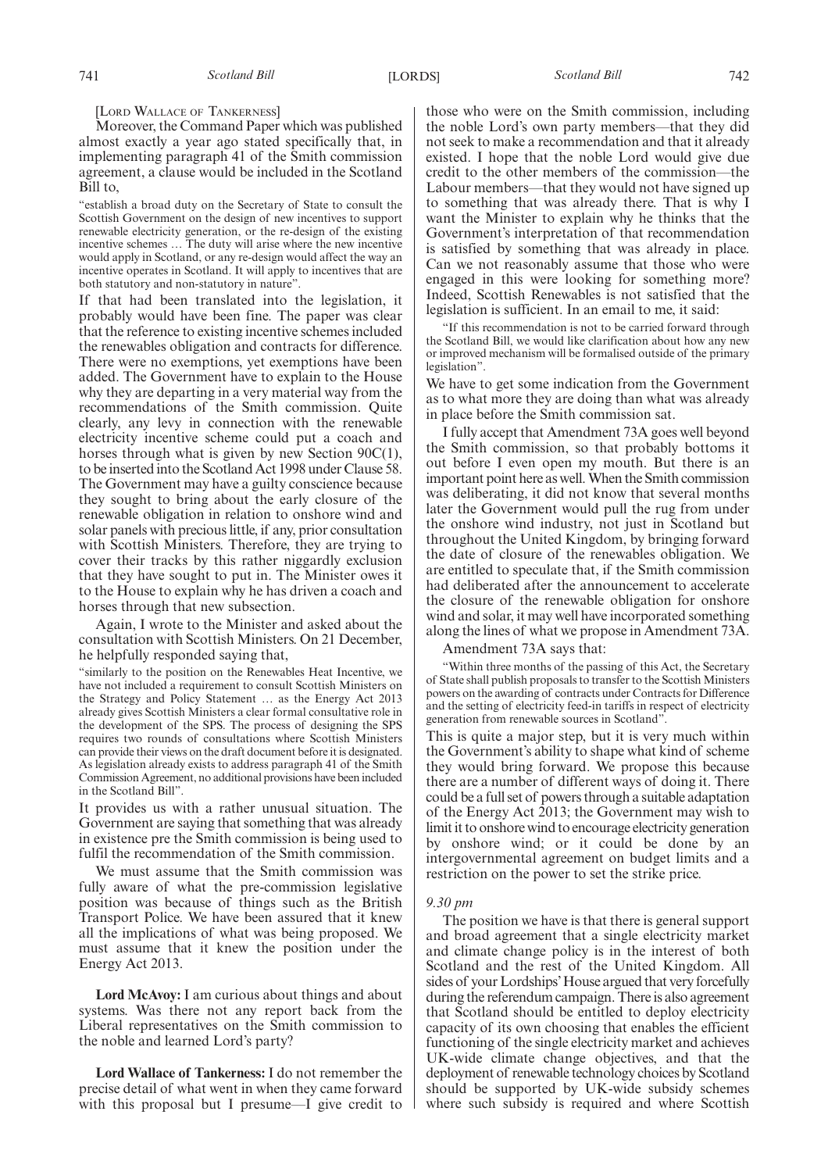[LORD WALLACE OF TANKERNESS]

Moreover, the Command Paper which was published almost exactly a year ago stated specifically that, in implementing paragraph 41 of the Smith commission agreement, a clause would be included in the Scotland Bill to,

"establish a broad duty on the Secretary of State to consult the Scottish Government on the design of new incentives to support renewable electricity generation, or the re-design of the existing incentive schemes … The duty will arise where the new incentive would apply in Scotland, or any re-design would affect the way an incentive operates in Scotland. It will apply to incentives that are both statutory and non-statutory in nature".

If that had been translated into the legislation, it probably would have been fine. The paper was clear that the reference to existing incentive schemes included the renewables obligation and contracts for difference. There were no exemptions, yet exemptions have been added. The Government have to explain to the House why they are departing in a very material way from the recommendations of the Smith commission. Quite clearly, any levy in connection with the renewable electricity incentive scheme could put a coach and horses through what is given by new Section 90C(1), to be inserted into the Scotland Act 1998 under Clause 58. The Government may have a guilty conscience because they sought to bring about the early closure of the renewable obligation in relation to onshore wind and solar panels with precious little, if any, prior consultation with Scottish Ministers. Therefore, they are trying to cover their tracks by this rather niggardly exclusion that they have sought to put in. The Minister owes it to the House to explain why he has driven a coach and horses through that new subsection.

Again, I wrote to the Minister and asked about the consultation with Scottish Ministers. On 21 December, he helpfully responded saying that,

"similarly to the position on the Renewables Heat Incentive, we have not included a requirement to consult Scottish Ministers on the Strategy and Policy Statement … as the Energy Act 2013 already gives Scottish Ministers a clear formal consultative role in the development of the SPS. The process of designing the SPS requires two rounds of consultations where Scottish Ministers can provide their views on the draft document before it is designated. As legislation already exists to address paragraph 41 of the Smith Commission Agreement, no additional provisions have been included in the Scotland Bill".

It provides us with a rather unusual situation. The Government are saying that something that was already in existence pre the Smith commission is being used to fulfil the recommendation of the Smith commission.

We must assume that the Smith commission was fully aware of what the pre-commission legislative position was because of things such as the British Transport Police. We have been assured that it knew all the implications of what was being proposed. We must assume that it knew the position under the Energy Act 2013.

**Lord McAvoy:** I am curious about things and about systems. Was there not any report back from the Liberal representatives on the Smith commission to the noble and learned Lord's party?

**Lord Wallace of Tankerness:** I do not remember the precise detail of what went in when they came forward with this proposal but I presume—I give credit to those who were on the Smith commission, including the noble Lord's own party members—that they did not seek to make a recommendation and that it already existed. I hope that the noble Lord would give due credit to the other members of the commission—the Labour members—that they would not have signed up to something that was already there. That is why I want the Minister to explain why he thinks that the Government's interpretation of that recommendation is satisfied by something that was already in place. Can we not reasonably assume that those who were engaged in this were looking for something more? Indeed, Scottish Renewables is not satisfied that the legislation is sufficient. In an email to me, it said:

"If this recommendation is not to be carried forward through the Scotland Bill, we would like clarification about how any new or improved mechanism will be formalised outside of the primary legislation".

We have to get some indication from the Government as to what more they are doing than what was already in place before the Smith commission sat.

I fully accept that Amendment 73A goes well beyond the Smith commission, so that probably bottoms it out before I even open my mouth. But there is an important point here as well.When the Smith commission was deliberating, it did not know that several months later the Government would pull the rug from under the onshore wind industry, not just in Scotland but throughout the United Kingdom, by bringing forward the date of closure of the renewables obligation. We are entitled to speculate that, if the Smith commission had deliberated after the announcement to accelerate the closure of the renewable obligation for onshore wind and solar, it may well have incorporated something along the lines of what we propose in Amendment 73A.

Amendment 73A says that:

"Within three months of the passing of this Act, the Secretary of State shall publish proposals to transfer to the Scottish Ministers powers on the awarding of contracts under Contracts for Difference and the setting of electricity feed-in tariffs in respect of electricity generation from renewable sources in Scotland".

This is quite a major step, but it is very much within the Government's ability to shape what kind of scheme they would bring forward. We propose this because there are a number of different ways of doing it. There could be a full set of powers through a suitable adaptation of the Energy Act 2013; the Government may wish to limit it to onshore wind to encourage electricity generation by onshore wind; or it could be done by an intergovernmental agreement on budget limits and a restriction on the power to set the strike price.

#### *9.30 pm*

The position we have is that there is general support and broad agreement that a single electricity market and climate change policy is in the interest of both Scotland and the rest of the United Kingdom. All sides of your Lordships'House argued that very forcefully during the referendum campaign. There is also agreement that Scotland should be entitled to deploy electricity capacity of its own choosing that enables the efficient functioning of the single electricity market and achieves UK-wide climate change objectives, and that the deployment of renewable technology choices by Scotland should be supported by UK-wide subsidy schemes where such subsidy is required and where Scottish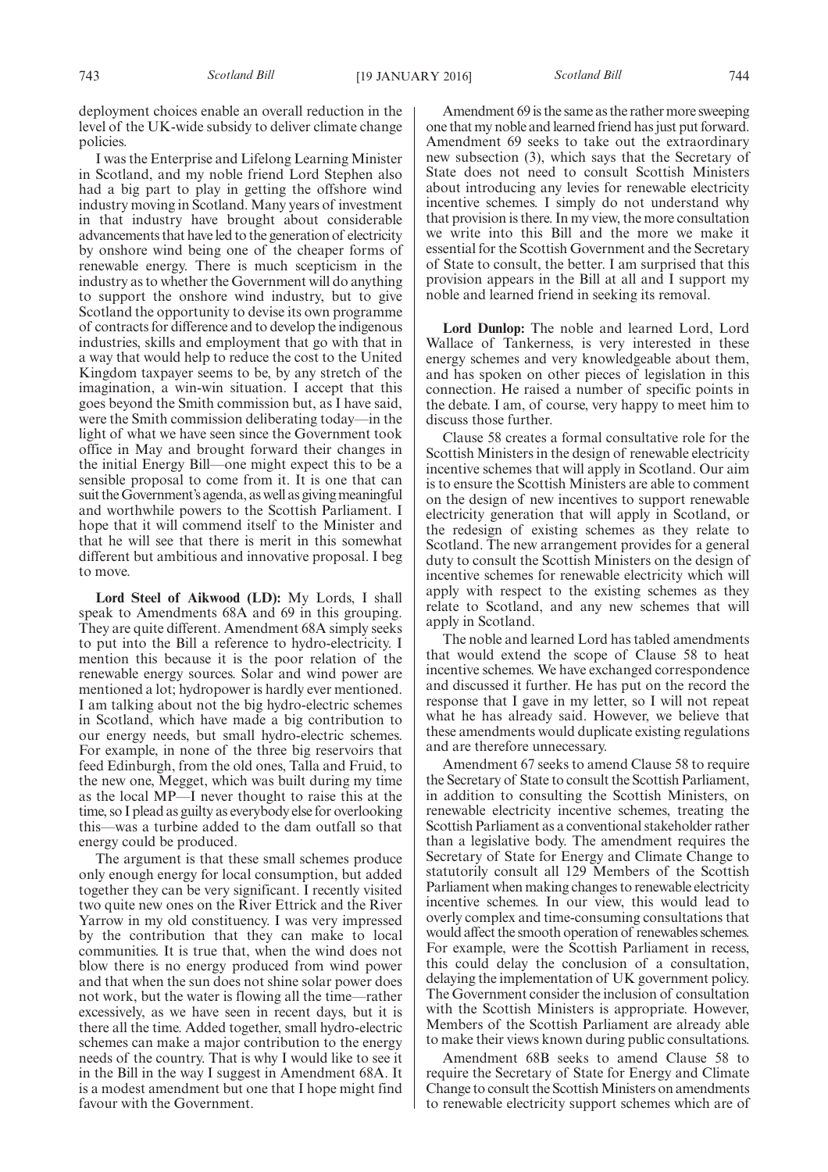deployment choices enable an overall reduction in the level of the UK-wide subsidy to deliver climate change policies.

I was the Enterprise and Lifelong Learning Minister in Scotland, and my noble friend Lord Stephen also had a big part to play in getting the offshore wind industry moving in Scotland. Many years of investment in that industry have brought about considerable advancements that have led to the generation of electricity by onshore wind being one of the cheaper forms of renewable energy. There is much scepticism in the industry as to whether the Government will do anything to support the onshore wind industry, but to give Scotland the opportunity to devise its own programme of contracts for difference and to develop the indigenous industries, skills and employment that go with that in a way that would help to reduce the cost to the United Kingdom taxpayer seems to be, by any stretch of the imagination, a win-win situation. I accept that this goes beyond the Smith commission but, as I have said, were the Smith commission deliberating today—in the light of what we have seen since the Government took office in May and brought forward their changes in the initial Energy Bill—one might expect this to be a sensible proposal to come from it. It is one that can suit the Government's agenda, as well as giving meaningful and worthwhile powers to the Scottish Parliament. I hope that it will commend itself to the Minister and that he will see that there is merit in this somewhat different but ambitious and innovative proposal. I beg to move.

**Lord Steel of Aikwood (LD):** My Lords, I shall speak to Amendments 68A and 69 in this grouping. They are quite different. Amendment 68A simply seeks to put into the Bill a reference to hydro-electricity. I mention this because it is the poor relation of the renewable energy sources. Solar and wind power are mentioned a lot; hydropower is hardly ever mentioned. I am talking about not the big hydro-electric schemes in Scotland, which have made a big contribution to our energy needs, but small hydro-electric schemes. For example, in none of the three big reservoirs that feed Edinburgh, from the old ones, Talla and Fruid, to the new one, Megget, which was built during my time as the local MP—I never thought to raise this at the time, so I plead as guilty as everybody else for overlooking this—was a turbine added to the dam outfall so that energy could be produced.

The argument is that these small schemes produce only enough energy for local consumption, but added together they can be very significant. I recently visited two quite new ones on the River Ettrick and the River Yarrow in my old constituency. I was very impressed by the contribution that they can make to local communities. It is true that, when the wind does not blow there is no energy produced from wind power and that when the sun does not shine solar power does not work, but the water is flowing all the time—rather excessively, as we have seen in recent days, but it is there all the time. Added together, small hydro-electric schemes can make a major contribution to the energy needs of the country. That is why I would like to see it in the Bill in the way I suggest in Amendment 68A. It is a modest amendment but one that I hope might find favour with the Government.

Amendment 69 is the same as the rather more sweeping one that my noble and learned friend has just put forward. Amendment 69 seeks to take out the extraordinary new subsection (3), which says that the Secretary of State does not need to consult Scottish Ministers about introducing any levies for renewable electricity incentive schemes. I simply do not understand why that provision is there. In my view, the more consultation we write into this Bill and the more we make it essential for the Scottish Government and the Secretary of State to consult, the better. I am surprised that this provision appears in the Bill at all and I support my noble and learned friend in seeking its removal.

**Lord Dunlop:** The noble and learned Lord, Lord Wallace of Tankerness, is very interested in these energy schemes and very knowledgeable about them, and has spoken on other pieces of legislation in this connection. He raised a number of specific points in the debate. I am, of course, very happy to meet him to discuss those further.

Clause 58 creates a formal consultative role for the Scottish Ministers in the design of renewable electricity incentive schemes that will apply in Scotland. Our aim is to ensure the Scottish Ministers are able to comment on the design of new incentives to support renewable electricity generation that will apply in Scotland, or the redesign of existing schemes as they relate to Scotland. The new arrangement provides for a general duty to consult the Scottish Ministers on the design of incentive schemes for renewable electricity which will apply with respect to the existing schemes as they relate to Scotland, and any new schemes that will apply in Scotland.

The noble and learned Lord has tabled amendments that would extend the scope of Clause 58 to heat incentive schemes. We have exchanged correspondence and discussed it further. He has put on the record the response that I gave in my letter, so I will not repeat what he has already said. However, we believe that these amendments would duplicate existing regulations and are therefore unnecessary.

Amendment 67 seeks to amend Clause 58 to require the Secretary of State to consult the Scottish Parliament, in addition to consulting the Scottish Ministers, on renewable electricity incentive schemes, treating the Scottish Parliament as a conventional stakeholder rather than a legislative body. The amendment requires the Secretary of State for Energy and Climate Change to statutorily consult all 129 Members of the Scottish Parliament when making changes to renewable electricity incentive schemes. In our view, this would lead to overly complex and time-consuming consultations that would affect the smooth operation of renewables schemes. For example, were the Scottish Parliament in recess, this could delay the conclusion of a consultation, delaying the implementation of UK government policy. The Government consider the inclusion of consultation with the Scottish Ministers is appropriate. However, Members of the Scottish Parliament are already able to make their views known during public consultations.

Amendment 68B seeks to amend Clause 58 to require the Secretary of State for Energy and Climate Change to consult the Scottish Ministers on amendments to renewable electricity support schemes which are of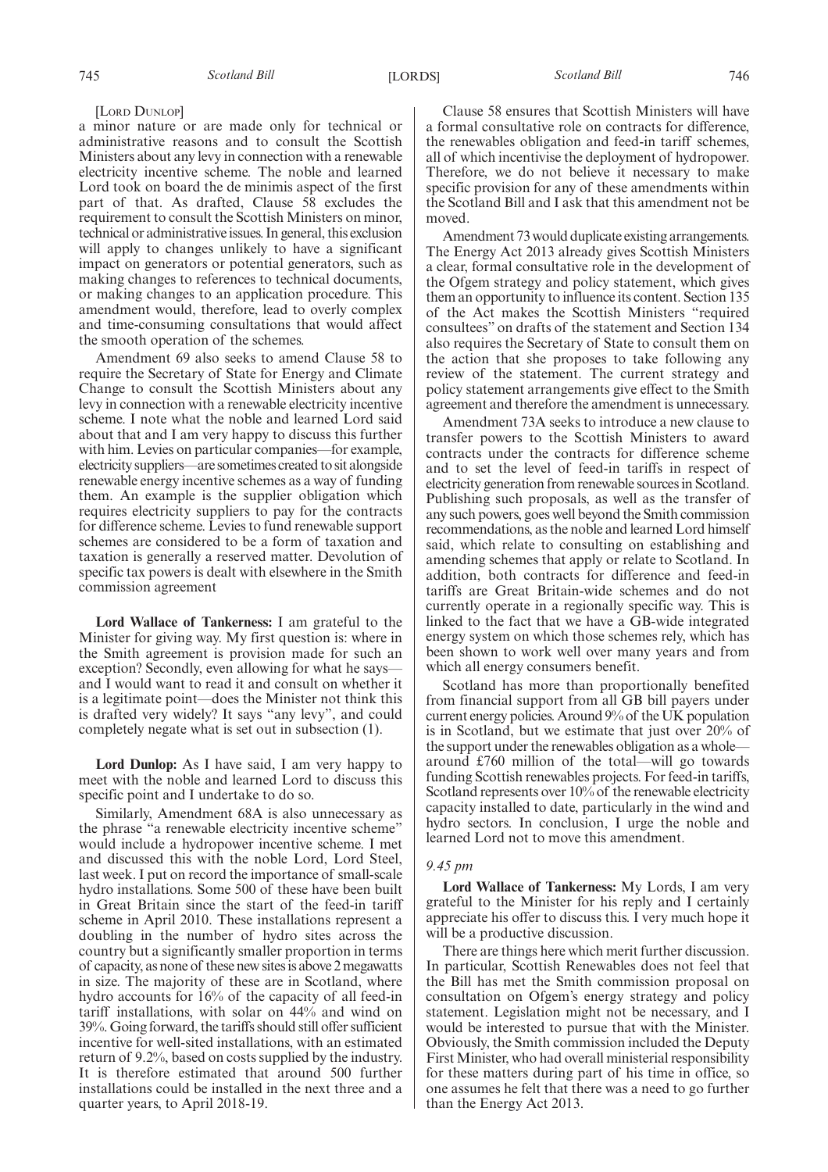#### [LORD DUNLOP]

a minor nature or are made only for technical or administrative reasons and to consult the Scottish Ministers about any levy in connection with a renewable electricity incentive scheme. The noble and learned Lord took on board the de minimis aspect of the first part of that. As drafted, Clause 58 excludes the requirement to consult the Scottish Ministers on minor, technical or administrative issues. In general, this exclusion will apply to changes unlikely to have a significant impact on generators or potential generators, such as making changes to references to technical documents, or making changes to an application procedure. This amendment would, therefore, lead to overly complex and time-consuming consultations that would affect the smooth operation of the schemes.

Amendment 69 also seeks to amend Clause 58 to require the Secretary of State for Energy and Climate Change to consult the Scottish Ministers about any levy in connection with a renewable electricity incentive scheme. I note what the noble and learned Lord said about that and I am very happy to discuss this further with him. Levies on particular companies—for example, electricity suppliers—are sometimes created to sit alongside renewable energy incentive schemes as a way of funding them. An example is the supplier obligation which requires electricity suppliers to pay for the contracts for difference scheme. Levies to fund renewable support schemes are considered to be a form of taxation and taxation is generally a reserved matter. Devolution of specific tax powers is dealt with elsewhere in the Smith commission agreement

**Lord Wallace of Tankerness:** I am grateful to the Minister for giving way. My first question is: where in the Smith agreement is provision made for such an exception? Secondly, even allowing for what he saysand I would want to read it and consult on whether it is a legitimate point—does the Minister not think this is drafted very widely? It says "any levy", and could completely negate what is set out in subsection (1).

**Lord Dunlop:** As I have said, I am very happy to meet with the noble and learned Lord to discuss this specific point and I undertake to do so.

Similarly, Amendment 68A is also unnecessary as the phrase "a renewable electricity incentive scheme" would include a hydropower incentive scheme. I met and discussed this with the noble Lord, Lord Steel, last week. I put on record the importance of small-scale hydro installations. Some 500 of these have been built in Great Britain since the start of the feed-in tariff scheme in April 2010. These installations represent a doubling in the number of hydro sites across the country but a significantly smaller proportion in terms of capacity, as none of these new sites is above 2 megawatts in size. The majority of these are in Scotland, where hydro accounts for 16% of the capacity of all feed-in tariff installations, with solar on 44% and wind on 39%. Going forward, the tariffs should still offer sufficient incentive for well-sited installations, with an estimated return of 9.2%, based on costs supplied by the industry. It is therefore estimated that around 500 further installations could be installed in the next three and a quarter years, to April 2018-19.

Clause 58 ensures that Scottish Ministers will have a formal consultative role on contracts for difference, the renewables obligation and feed-in tariff schemes, all of which incentivise the deployment of hydropower. Therefore, we do not believe it necessary to make specific provision for any of these amendments within the Scotland Bill and I ask that this amendment not be moved.

Amendment 73 would duplicate existing arrangements. The Energy Act 2013 already gives Scottish Ministers a clear, formal consultative role in the development of the Ofgem strategy and policy statement, which gives them an opportunity to influence its content. Section 135 of the Act makes the Scottish Ministers "required consultees" on drafts of the statement and Section 134 also requires the Secretary of State to consult them on the action that she proposes to take following any review of the statement. The current strategy and policy statement arrangements give effect to the Smith agreement and therefore the amendment is unnecessary.

Amendment 73A seeks to introduce a new clause to transfer powers to the Scottish Ministers to award contracts under the contracts for difference scheme and to set the level of feed-in tariffs in respect of electricity generation from renewable sources in Scotland. Publishing such proposals, as well as the transfer of any such powers, goes well beyond the Smith commission recommendations, as the noble and learned Lord himself said, which relate to consulting on establishing and amending schemes that apply or relate to Scotland. In addition, both contracts for difference and feed-in tariffs are Great Britain-wide schemes and do not currently operate in a regionally specific way. This is linked to the fact that we have a GB-wide integrated energy system on which those schemes rely, which has been shown to work well over many years and from which all energy consumers benefit.

Scotland has more than proportionally benefited from financial support from all GB bill payers under current energy policies. Around 9% of the UK population is in Scotland, but we estimate that just over 20% of the support under the renewables obligation as a whole around £760 million of the total—will go towards funding Scottish renewables projects. For feed-in tariffs, Scotland represents over 10% of the renewable electricity capacity installed to date, particularly in the wind and hydro sectors. In conclusion, I urge the noble and learned Lord not to move this amendment.

#### *9.45 pm*

**Lord Wallace of Tankerness:** My Lords, I am very grateful to the Minister for his reply and I certainly appreciate his offer to discuss this. I very much hope it will be a productive discussion.

There are things here which merit further discussion. In particular, Scottish Renewables does not feel that the Bill has met the Smith commission proposal on consultation on Ofgem's energy strategy and policy statement. Legislation might not be necessary, and I would be interested to pursue that with the Minister. Obviously, the Smith commission included the Deputy First Minister, who had overall ministerial responsibility for these matters during part of his time in office, so one assumes he felt that there was a need to go further than the Energy Act 2013.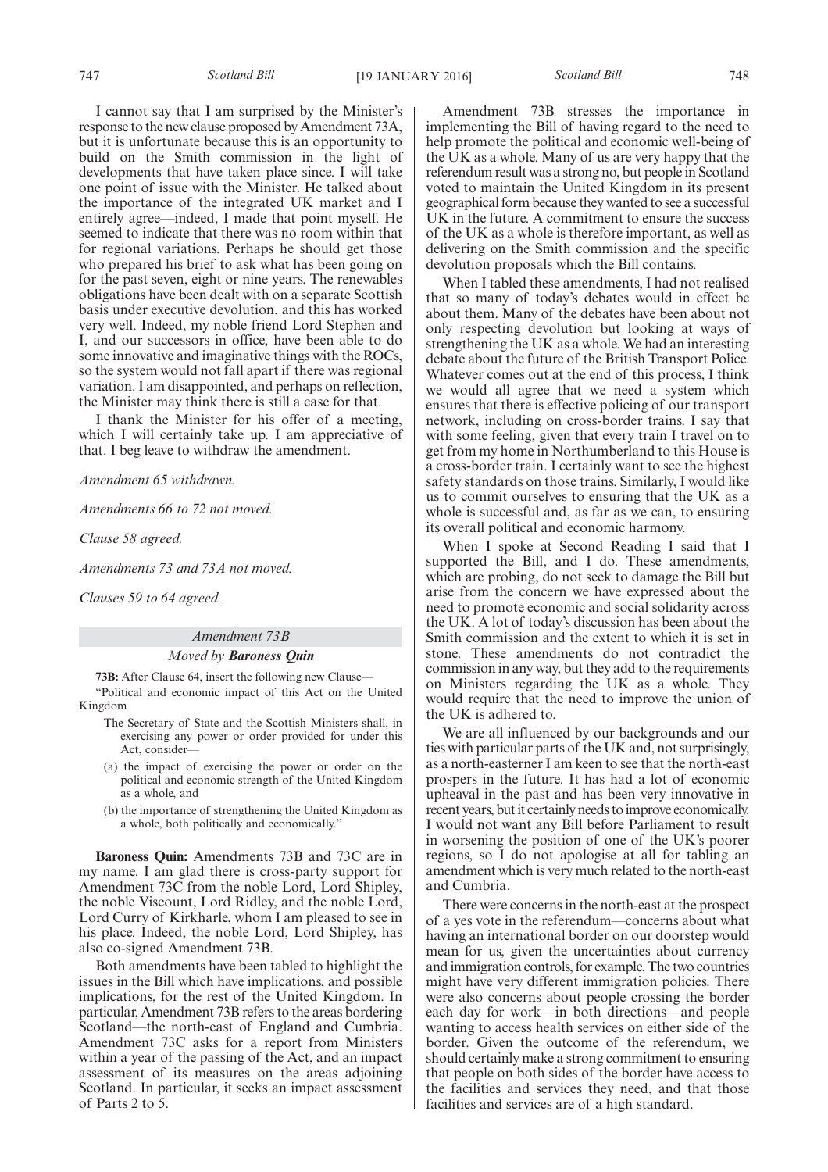I cannot say that I am surprised by the Minister's response to the new clause proposed by Amendment 73A, but it is unfortunate because this is an opportunity to build on the Smith commission in the light of developments that have taken place since. I will take one point of issue with the Minister. He talked about the importance of the integrated UK market and I entirely agree—indeed, I made that point myself. He seemed to indicate that there was no room within that for regional variations. Perhaps he should get those who prepared his brief to ask what has been going on for the past seven, eight or nine years. The renewables obligations have been dealt with on a separate Scottish basis under executive devolution, and this has worked very well. Indeed, my noble friend Lord Stephen and I, and our successors in office, have been able to do some innovative and imaginative things with the ROCs, so the system would not fall apart if there was regional variation. I am disappointed, and perhaps on reflection, the Minister may think there is still a case for that.

I thank the Minister for his offer of a meeting, which I will certainly take up. I am appreciative of that. I beg leave to withdraw the amendment.

*Amendment 65 withdrawn.*

*Amendments 66 to 72 not moved.*

*Clause 58 agreed.*

*Amendments 73 and 73A not moved.*

*Clauses 59 to 64 agreed.*

#### *Amendment 73B*

#### *Moved by Baroness Quin*

**73B:** After Clause 64, insert the following new Clause— "Political and economic impact of this Act on the United Kingdom

- The Secretary of State and the Scottish Ministers shall, in exercising any power or order provided for under this Act, consider—
- (a) the impact of exercising the power or order on the political and economic strength of the United Kingdom as a whole, and
- (b) the importance of strengthening the United Kingdom as a whole, both politically and economically."

**Baroness Quin:** Amendments 73B and 73C are in my name. I am glad there is cross-party support for Amendment 73C from the noble Lord, Lord Shipley, the noble Viscount, Lord Ridley, and the noble Lord, Lord Curry of Kirkharle, whom I am pleased to see in his place. Indeed, the noble Lord, Lord Shipley, has also co-signed Amendment 73B.

Both amendments have been tabled to highlight the issues in the Bill which have implications, and possible implications, for the rest of the United Kingdom. In particular, Amendment 73B refers to the areas bordering Scotland—the north-east of England and Cumbria. Amendment 73C asks for a report from Ministers within a year of the passing of the Act, and an impact assessment of its measures on the areas adjoining Scotland. In particular, it seeks an impact assessment of Parts 2 to 5.

Amendment 73B stresses the importance in implementing the Bill of having regard to the need to help promote the political and economic well-being of the UK as a whole. Many of us are very happy that the referendum result was a strong no, but people in Scotland voted to maintain the United Kingdom in its present geographical form because they wanted to see a successful UK in the future. A commitment to ensure the success of the UK as a whole is therefore important, as well as delivering on the Smith commission and the specific devolution proposals which the Bill contains.

When I tabled these amendments, I had not realised that so many of today's debates would in effect be about them. Many of the debates have been about not only respecting devolution but looking at ways of strengthening the UK as a whole. We had an interesting debate about the future of the British Transport Police. Whatever comes out at the end of this process, I think we would all agree that we need a system which ensures that there is effective policing of our transport network, including on cross-border trains. I say that with some feeling, given that every train I travel on to get from my home in Northumberland to this House is a cross-border train. I certainly want to see the highest safety standards on those trains. Similarly, I would like us to commit ourselves to ensuring that the UK as a whole is successful and, as far as we can, to ensuring its overall political and economic harmony.

When I spoke at Second Reading I said that I supported the Bill, and I do. These amendments, which are probing, do not seek to damage the Bill but arise from the concern we have expressed about the need to promote economic and social solidarity across the UK. A lot of today's discussion has been about the Smith commission and the extent to which it is set in stone. These amendments do not contradict the commission in any way, but they add to the requirements on Ministers regarding the UK as a whole. They would require that the need to improve the union of the UK is adhered to.

We are all influenced by our backgrounds and our ties with particular parts of the UK and, not surprisingly, as a north-easterner I am keen to see that the north-east prospers in the future. It has had a lot of economic upheaval in the past and has been very innovative in recent years, but it certainly needs to improve economically. I would not want any Bill before Parliament to result in worsening the position of one of the UK's poorer regions, so I do not apologise at all for tabling an amendment which is very much related to the north-east and Cumbria.

There were concerns in the north-east at the prospect of a yes vote in the referendum—concerns about what having an international border on our doorstep would mean for us, given the uncertainties about currency and immigration controls, for example. The two countries might have very different immigration policies. There were also concerns about people crossing the border each day for work—in both directions—and people wanting to access health services on either side of the border. Given the outcome of the referendum, we should certainly make a strong commitment to ensuring that people on both sides of the border have access to the facilities and services they need, and that those facilities and services are of a high standard.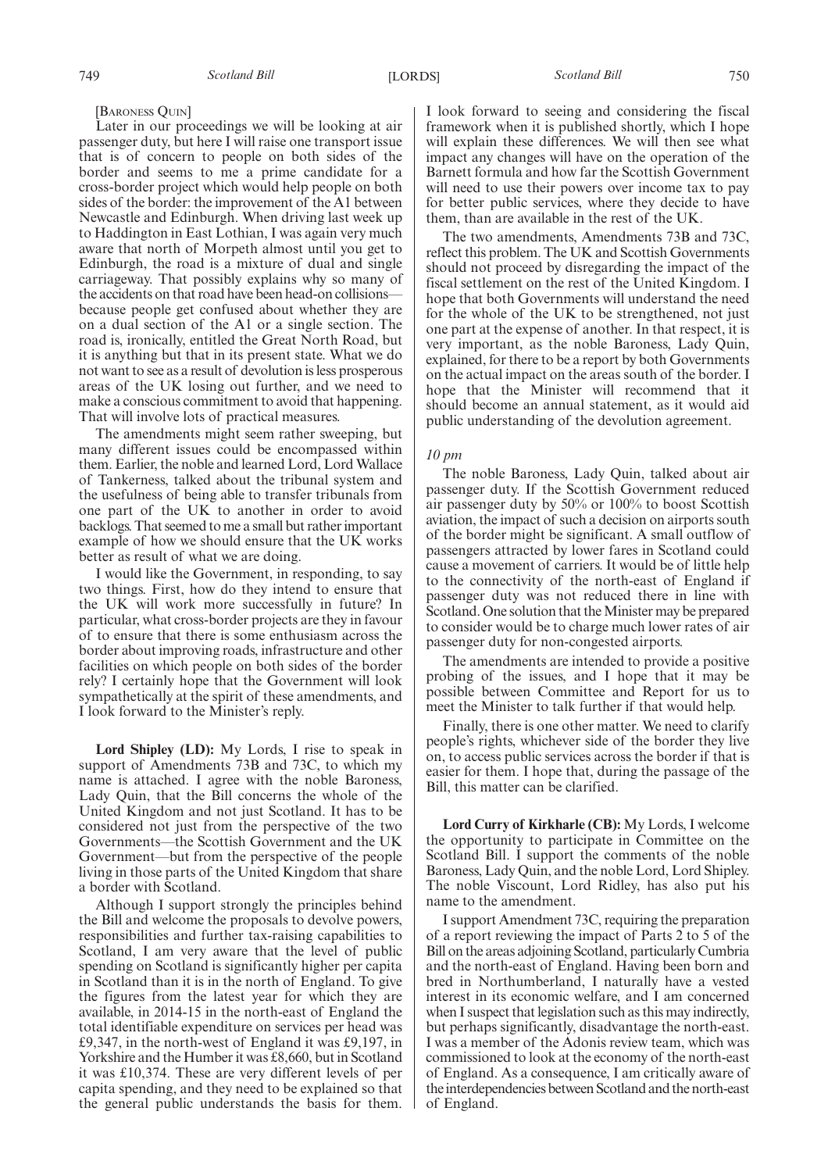#### [BARONESS QUIN]

Later in our proceedings we will be looking at air passenger duty, but here I will raise one transport issue that is of concern to people on both sides of the border and seems to me a prime candidate for a cross-border project which would help people on both sides of the border: the improvement of the A1 between Newcastle and Edinburgh. When driving last week up to Haddington in East Lothian, I was again very much aware that north of Morpeth almost until you get to Edinburgh, the road is a mixture of dual and single carriageway. That possibly explains why so many of the accidents on that road have been head-on collisions because people get confused about whether they are on a dual section of the A1 or a single section. The road is, ironically, entitled the Great North Road, but it is anything but that in its present state. What we do not want to see as a result of devolution is less prosperous areas of the UK losing out further, and we need to make a conscious commitment to avoid that happening. That will involve lots of practical measures.

The amendments might seem rather sweeping, but many different issues could be encompassed within them. Earlier, the noble and learned Lord, Lord Wallace of Tankerness, talked about the tribunal system and the usefulness of being able to transfer tribunals from one part of the UK to another in order to avoid backlogs. That seemed to me a small but rather important example of how we should ensure that the UK works better as result of what we are doing.

I would like the Government, in responding, to say two things. First, how do they intend to ensure that the UK will work more successfully in future? In particular, what cross-border projects are they in favour of to ensure that there is some enthusiasm across the border about improving roads, infrastructure and other facilities on which people on both sides of the border rely? I certainly hope that the Government will look sympathetically at the spirit of these amendments, and I look forward to the Minister's reply.

**Lord Shipley (LD):** My Lords, I rise to speak in support of Amendments 73B and 73C, to which my name is attached. I agree with the noble Baroness, Lady Quin, that the Bill concerns the whole of the United Kingdom and not just Scotland. It has to be considered not just from the perspective of the two Governments—the Scottish Government and the UK Government—but from the perspective of the people living in those parts of the United Kingdom that share a border with Scotland.

Although I support strongly the principles behind the Bill and welcome the proposals to devolve powers, responsibilities and further tax-raising capabilities to Scotland, I am very aware that the level of public spending on Scotland is significantly higher per capita in Scotland than it is in the north of England. To give the figures from the latest year for which they are available, in 2014-15 in the north-east of England the total identifiable expenditure on services per head was £9,347, in the north-west of England it was £9,197, in Yorkshire and the Humber it was £8,660, but in Scotland it was £10,374. These are very different levels of per capita spending, and they need to be explained so that the general public understands the basis for them. I look forward to seeing and considering the fiscal framework when it is published shortly, which I hope will explain these differences. We will then see what impact any changes will have on the operation of the Barnett formula and how far the Scottish Government will need to use their powers over income tax to pay for better public services, where they decide to have them, than are available in the rest of the UK.

The two amendments, Amendments 73B and 73C, reflect this problem. The UK and Scottish Governments should not proceed by disregarding the impact of the fiscal settlement on the rest of the United Kingdom. I hope that both Governments will understand the need for the whole of the UK to be strengthened, not just one part at the expense of another. In that respect, it is very important, as the noble Baroness, Lady Quin, explained, for there to be a report by both Governments on the actual impact on the areas south of the border. I hope that the Minister will recommend that it should become an annual statement, as it would aid public understanding of the devolution agreement.

#### *10 pm*

The noble Baroness, Lady Quin, talked about air passenger duty. If the Scottish Government reduced air passenger duty by 50% or 100% to boost Scottish aviation, the impact of such a decision on airports south of the border might be significant. A small outflow of passengers attracted by lower fares in Scotland could cause a movement of carriers. It would be of little help to the connectivity of the north-east of England if passenger duty was not reduced there in line with Scotland. One solution that the Minister may be prepared to consider would be to charge much lower rates of air passenger duty for non-congested airports.

The amendments are intended to provide a positive probing of the issues, and I hope that it may be possible between Committee and Report for us to meet the Minister to talk further if that would help.

Finally, there is one other matter. We need to clarify people's rights, whichever side of the border they live on, to access public services across the border if that is easier for them. I hope that, during the passage of the Bill, this matter can be clarified.

**Lord Curry of Kirkharle (CB):** My Lords, I welcome the opportunity to participate in Committee on the Scotland Bill. I support the comments of the noble Baroness, Lady Quin, and the noble Lord, Lord Shipley. The noble Viscount, Lord Ridley, has also put his name to the amendment.

I support Amendment 73C, requiring the preparation of a report reviewing the impact of Parts 2 to 5 of the Bill on the areas adjoining Scotland, particularly Cumbria and the north-east of England. Having been born and bred in Northumberland, I naturally have a vested interest in its economic welfare, and I am concerned when I suspect that legislation such as this may indirectly, but perhaps significantly, disadvantage the north-east. I was a member of the Adonis review team, which was commissioned to look at the economy of the north-east of England. As a consequence, I am critically aware of the interdependencies between Scotland and the north-east of England.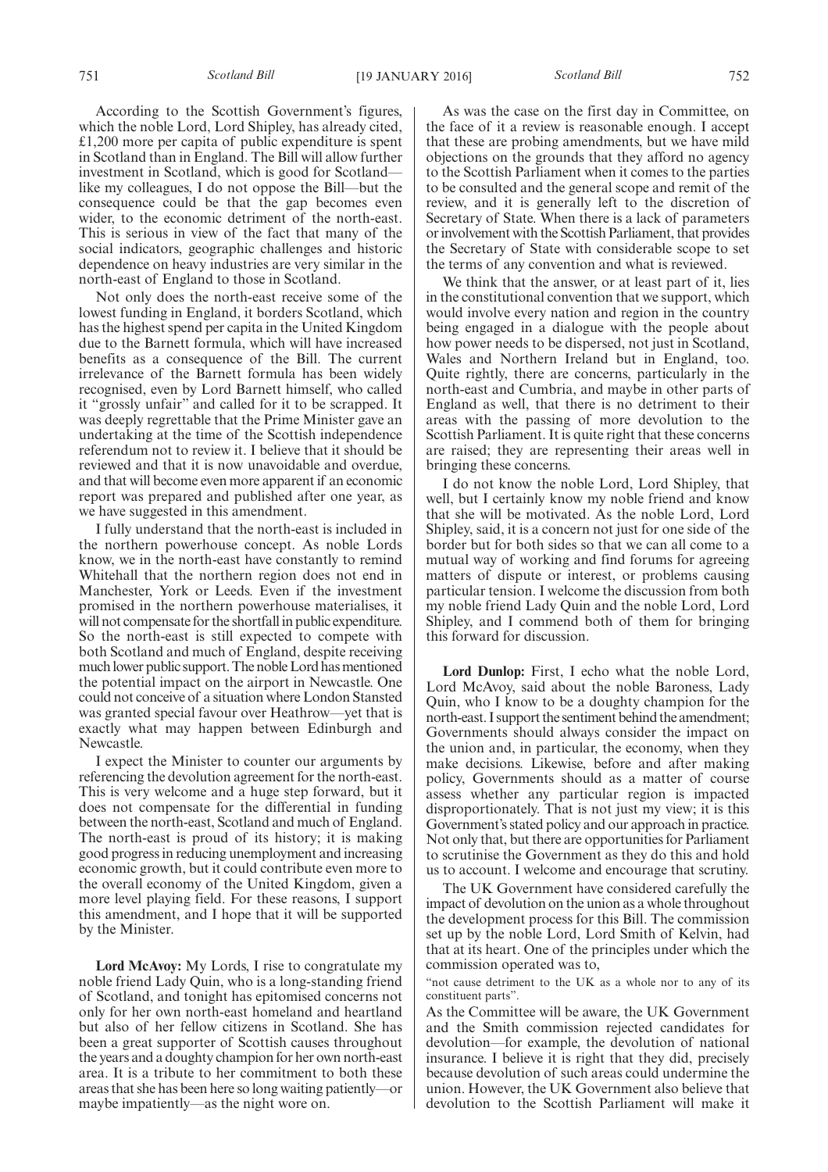According to the Scottish Government's figures, which the noble Lord, Lord Shipley, has already cited, £1,200 more per capita of public expenditure is spent in Scotland than in England. The Bill will allow further investment in Scotland, which is good for Scotland like my colleagues, I do not oppose the Bill—but the consequence could be that the gap becomes even wider, to the economic detriment of the north-east. This is serious in view of the fact that many of the social indicators, geographic challenges and historic dependence on heavy industries are very similar in the north-east of England to those in Scotland.

Not only does the north-east receive some of the lowest funding in England, it borders Scotland, which has the highest spend per capita in the United Kingdom due to the Barnett formula, which will have increased benefits as a consequence of the Bill. The current irrelevance of the Barnett formula has been widely recognised, even by Lord Barnett himself, who called it "grossly unfair" and called for it to be scrapped. It was deeply regrettable that the Prime Minister gave an undertaking at the time of the Scottish independence referendum not to review it. I believe that it should be reviewed and that it is now unavoidable and overdue, and that will become even more apparent if an economic report was prepared and published after one year, as we have suggested in this amendment.

I fully understand that the north-east is included in the northern powerhouse concept. As noble Lords know, we in the north-east have constantly to remind Whitehall that the northern region does not end in Manchester, York or Leeds. Even if the investment promised in the northern powerhouse materialises, it will not compensate for the shortfall in public expenditure. So the north-east is still expected to compete with both Scotland and much of England, despite receiving much lower public support. The noble Lord has mentioned the potential impact on the airport in Newcastle. One could not conceive of a situation where London Stansted was granted special favour over Heathrow—yet that is exactly what may happen between Edinburgh and Newcastle.

I expect the Minister to counter our arguments by referencing the devolution agreement for the north-east. This is very welcome and a huge step forward, but it does not compensate for the differential in funding between the north-east, Scotland and much of England. The north-east is proud of its history; it is making good progress in reducing unemployment and increasing economic growth, but it could contribute even more to the overall economy of the United Kingdom, given a more level playing field. For these reasons, I support this amendment, and I hope that it will be supported by the Minister.

**Lord McAvoy:** My Lords, I rise to congratulate my noble friend Lady Quin, who is a long-standing friend of Scotland, and tonight has epitomised concerns not only for her own north-east homeland and heartland but also of her fellow citizens in Scotland. She has been a great supporter of Scottish causes throughout the years and a doughty champion for her own north-east area. It is a tribute to her commitment to both these areas that she has been here so long waiting patiently—or maybe impatiently—as the night wore on.

As was the case on the first day in Committee, on the face of it a review is reasonable enough. I accept that these are probing amendments, but we have mild objections on the grounds that they afford no agency to the Scottish Parliament when it comes to the parties to be consulted and the general scope and remit of the review, and it is generally left to the discretion of Secretary of State. When there is a lack of parameters or involvement with the Scottish Parliament, that provides the Secretary of State with considerable scope to set the terms of any convention and what is reviewed.

We think that the answer, or at least part of it, lies in the constitutional convention that we support, which would involve every nation and region in the country being engaged in a dialogue with the people about how power needs to be dispersed, not just in Scotland, Wales and Northern Ireland but in England, too. Quite rightly, there are concerns, particularly in the north-east and Cumbria, and maybe in other parts of England as well, that there is no detriment to their areas with the passing of more devolution to the Scottish Parliament. It is quite right that these concerns are raised; they are representing their areas well in bringing these concerns.

I do not know the noble Lord, Lord Shipley, that well, but I certainly know my noble friend and know that she will be motivated. As the noble Lord, Lord Shipley, said, it is a concern not just for one side of the border but for both sides so that we can all come to a mutual way of working and find forums for agreeing matters of dispute or interest, or problems causing particular tension. I welcome the discussion from both my noble friend Lady Quin and the noble Lord, Lord Shipley, and I commend both of them for bringing this forward for discussion.

**Lord Dunlop:** First, I echo what the noble Lord, Lord McAvoy, said about the noble Baroness, Lady Quin, who I know to be a doughty champion for the north-east. I support the sentiment behind the amendment; Governments should always consider the impact on the union and, in particular, the economy, when they make decisions. Likewise, before and after making policy, Governments should as a matter of course assess whether any particular region is impacted disproportionately. That is not just my view; it is this Government's stated policy and our approach in practice. Not only that, but there are opportunities for Parliament to scrutinise the Government as they do this and hold us to account. I welcome and encourage that scrutiny.

The UK Government have considered carefully the impact of devolution on the union as a whole throughout the development process for this Bill. The commission set up by the noble Lord, Lord Smith of Kelvin, had that at its heart. One of the principles under which the commission operated was to,

"not cause detriment to the UK as a whole nor to any of its constituent parts".

As the Committee will be aware, the UK Government and the Smith commission rejected candidates for devolution—for example, the devolution of national insurance. I believe it is right that they did, precisely because devolution of such areas could undermine the union. However, the UK Government also believe that devolution to the Scottish Parliament will make it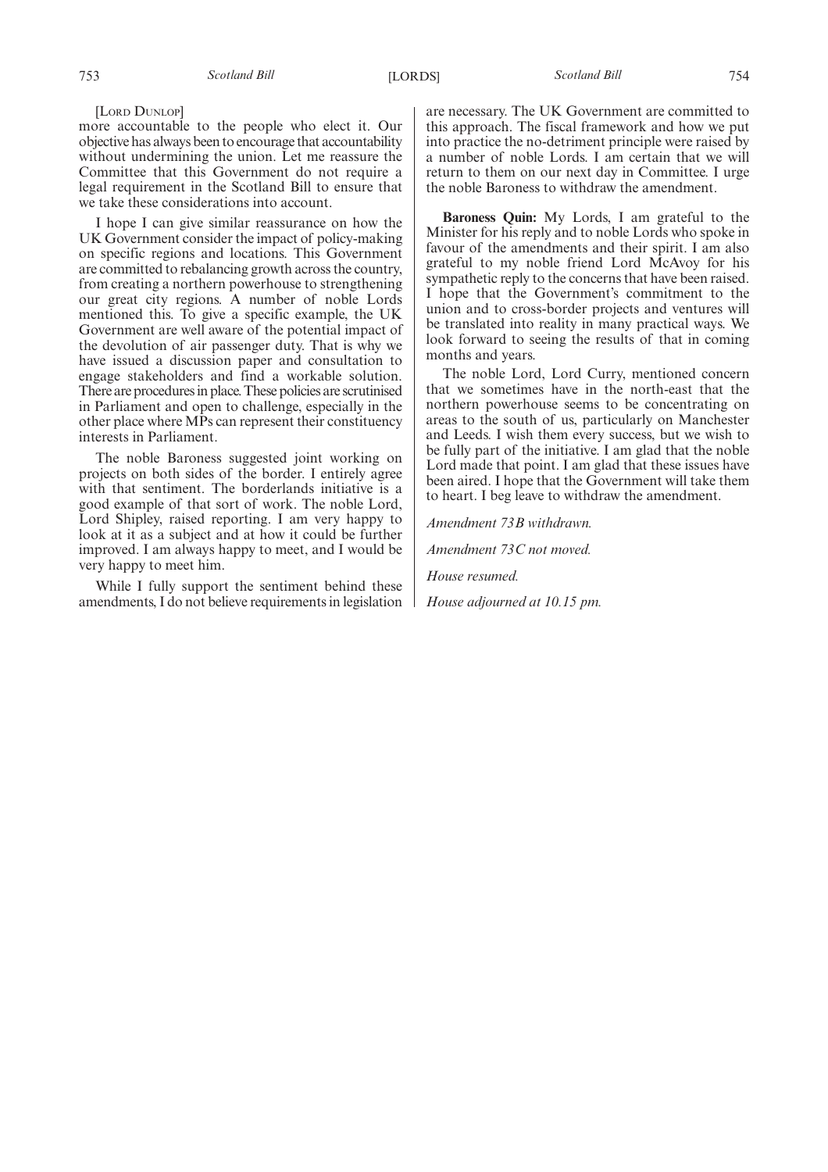#### [LORD DUNLOP]

more accountable to the people who elect it. Our objective has always been to encourage that accountability without undermining the union. Let me reassure the Committee that this Government do not require a legal requirement in the Scotland Bill to ensure that we take these considerations into account.

I hope I can give similar reassurance on how the UK Government consider the impact of policy-making on specific regions and locations. This Government are committed to rebalancing growth across the country, from creating a northern powerhouse to strengthening our great city regions. A number of noble Lords mentioned this. To give a specific example, the UK Government are well aware of the potential impact of the devolution of air passenger duty. That is why we have issued a discussion paper and consultation to engage stakeholders and find a workable solution. There are procedures in place. These policies are scrutinised in Parliament and open to challenge, especially in the other place where MPs can represent their constituency interests in Parliament.

The noble Baroness suggested joint working on projects on both sides of the border. I entirely agree with that sentiment. The borderlands initiative is a good example of that sort of work. The noble Lord, Lord Shipley, raised reporting. I am very happy to look at it as a subject and at how it could be further improved. I am always happy to meet, and I would be very happy to meet him.

While I fully support the sentiment behind these amendments, I do not believe requirements in legislation are necessary. The UK Government are committed to this approach. The fiscal framework and how we put into practice the no-detriment principle were raised by a number of noble Lords. I am certain that we will return to them on our next day in Committee. I urge the noble Baroness to withdraw the amendment.

**Baroness Quin:** My Lords, I am grateful to the Minister for his reply and to noble Lords who spoke in favour of the amendments and their spirit. I am also grateful to my noble friend Lord McAvoy for his sympathetic reply to the concerns that have been raised. I hope that the Government's commitment to the union and to cross-border projects and ventures will be translated into reality in many practical ways. We look forward to seeing the results of that in coming months and years.

The noble Lord, Lord Curry, mentioned concern that we sometimes have in the north-east that the northern powerhouse seems to be concentrating on areas to the south of us, particularly on Manchester and Leeds. I wish them every success, but we wish to be fully part of the initiative. I am glad that the noble Lord made that point. I am glad that these issues have been aired. I hope that the Government will take them to heart. I beg leave to withdraw the amendment.

*Amendment 73B withdrawn.*

*Amendment 73C not moved.*

*House resumed.*

*House adjourned at 10.15 pm.*